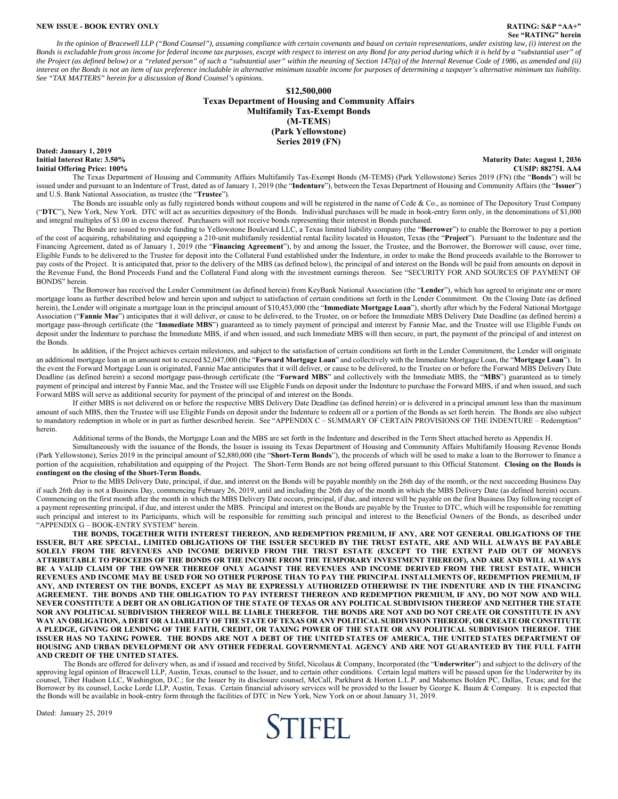#### **NEW ISSUE - BOOK ENTRY ONLY RATING: S&P "AA+"**

# **See "RATING" herein**

*In the opinion of Bracewell LLP ("Bond Counsel"), assuming compliance with certain covenants and based on certain representations, under existing law, (i) interest on the Bonds is excludable from gross income for federal income tax purposes, except with respect to interest on any Bond for any period during which it is held by a "substantial user" of the Project (as defined below) or a "related person" of such a "substantial user" within the meaning of Section 147(a) of the Internal Revenue Code of 1986, as amended and (ii) interest on the Bonds is not an item of tax preference includable in alternative minimum taxable income for purposes of determining a taxpayer's alternative minimum tax liability. See "TAX MATTERS" herein for a discussion of Bond Counsel's opinions.* 

#### **\$12,500,000 Texas Department of Housing and Community Affairs Multifamily Tax-Exempt Bonds (M-TEMS**) **(Park Yellowstone) Series 2019 (FN)**

**Dated: January 1, 2019 Initial Offering Price: 100%** 

**Initial Interest Rate: 3.50% Maturity Date: August 1, 2036** 

The Texas Department of Housing and Community Affairs Multifamily Tax-Exempt Bonds (M-TEMS) (Park Yellowstone) Series 2019 (FN) (the "**Bonds**") will be issued under and pursuant to an Indenture of Trust, dated as of January 1, 2019 (the "**Indenture**"), between the Texas Department of Housing and Community Affairs (the "**Issuer**") and U.S. Bank National Association, as trustee (the "**Trustee**").

The Bonds are issuable only as fully registered bonds without coupons and will be registered in the name of Cede & Co., as nominee of The Depository Trust Company ("**DTC**"), New York, New York. DTC will act as securities depository of the Bonds. Individual purchases will be made in book-entry form only, in the denominations of \$1,000 and integral multiples of \$1.00 in excess thereof. Purchasers will not receive bonds representing their interest in Bonds purchased.

The Bonds are issued to provide funding to Yellowstone Boulevard LLC, a Texas limited liability company (the "**Borrower**") to enable the Borrower to pay a portion of the cost of acquiring, rehabilitating and equipping a 210-unit multifamily residential rental facility located in Houston, Texas (the "**Project**"). Pursuant to the Indenture and the Financing Agreement, dated as of January 1, 2019 (the "**Financing Agreement**"), by and among the Issuer, the Trustee, and the Borrower, the Borrower will cause, over time, Eligible Funds to be delivered to the Trustee for deposit into the Collateral Fund established under the Indenture, in order to make the Bond proceeds available to the Borrower to pay costs of the Project. It is anticipated that, prior to the delivery of the MBS (as defined below), the principal of and interest on the Bonds will be paid from amounts on deposit in the Revenue Fund, the Bond Proceeds Fund and the Collateral Fund along with the investment earnings thereon. See "SECURITY FOR AND SOURCES OF PAYMENT OF BONDS" herein.

The Borrower has received the Lender Commitment (as defined herein) from KeyBank National Association (the "**Lender**"), which has agreed to originate one or more mortgage loans as further described below and herein upon and subject to satisfaction of certain conditions set forth in the Lender Commitment. On the Closing Date (as defined herein), the Lender will originate a mortgage loan in the principal amount of \$10,453,000 (the "**Immediate Mortgage Loan**"), shortly after which by the Federal National Mortgage Association ("Fannie Mae") anticipates that it will deliver, or cause to be delivered, to the Trustee, on or before the Immediate MBS Delivery Date Deadline (as defined herein) a mortgage pass-through certificate (the "**Immediate MBS**") guaranteed as to timely payment of principal and interest by Fannie Mae, and the Trustee will use Eligible Funds on deposit under the Indenture to purchase the Immediate MBS, if and when issued, and such Immediate MBS will then secure, in part, the payment of the principal of and interest on the Bonds.

In addition, if the Project achieves certain milestones, and subject to the satisfaction of certain conditions set forth in the Lender Commitment, the Lender will originate an additional mortgage loan in an amount not to exceed \$2,047,000 (the "**Forward Mortgage Loan**" and collectively with the Immediate Mortgage Loan, the "**Mortgage Loan**"). In the event the Forward Mortgage Loan is originated, Fannie Mae anticipates that it will deliver, or cause to be delivered, to the Trustee on or before the Forward MBS Delivery Date Deadline (as defined herein) a second mortgage pass-through certificate (the "**Forward MBS**" and collectively with the Immediate MBS, the "**MBS**") guaranteed as to timely payment of principal and interest by Fannie Mae, and the Trustee will use Eligible Funds on deposit under the Indenture to purchase the Forward MBS, if and when issued, and such Forward MBS will serve as additional security for payment of the principal of and interest on the Bonds.

If either MBS is not delivered on or before the respective MBS Delivery Date Deadline (as defined herein) or is delivered in a principal amount less than the maximum amount of such MBS, then the Trustee will use Eligible Funds on deposit under the Indenture to redeem all or a portion of the Bonds as set forth herein. The Bonds are also subject to mandatory redemption in whole or in part as further described herein. See "APPENDIX C – SUMMARY OF CERTAIN PROVISIONS OF THE INDENTURE – Redemption" herein.

Additional terms of the Bonds, the Mortgage Loan and the MBS are set forth in the Indenture and described in the Term Sheet attached hereto as Appendix H.

Simultaneously with the issuance of the Bonds, the Issuer is issuing its Texas Department of Housing and Community Affairs Multifamily Housing Revenue Bonds (Park Yellowstone), Series 2019 in the principal amount of \$2,880,000 (the "**Short-Term Bonds**"), the proceeds of which will be used to make a loan to the Borrower to finance a portion of the acquisition, rehabilitation and equipping of the Project. The Short-Term Bonds are not being offered pursuant to this Official Statement. **Closing on the Bonds is contingent on the closing of the Short-Term Bonds.**

Prior to the MBS Delivery Date, principal, if due, and interest on the Bonds will be payable monthly on the 26th day of the month, or the next succeeding Business Day if such 26th day is not a Business Day, commencing February 26, 2019, until and including the 26th day of the month in which the MBS Delivery Date (as defined herein) occurs. Commencing on the first month after the month in which the MBS Delivery Date occurs, principal, if due, and interest will be payable on the first Business Day following receipt of a payment representing principal, if due, and interest under the MBS. Principal and interest on the Bonds are payable by the Trustee to DTC, which will be responsible for remitting such principal and interest to its Participants, which will be responsible for remitting such principal and interest to the Beneficial Owners of the Bonds, as described under "APPENDIX G – BOOK-ENTRY SYSTEM" herein.

**THE BONDS, TOGETHER WITH INTEREST THEREON, AND REDEMPTION PREMIUM, IF ANY, ARE NOT GENERAL OBLIGATIONS OF THE ISSUER, BUT ARE SPECIAL, LIMITED OBLIGATIONS OF THE ISSUER SECURED BY THE TRUST ESTATE, ARE AND WILL ALWAYS BE PAYABLE SOLELY FROM THE REVENUES AND INCOME DERIVED FROM THE TRUST ESTATE (EXCEPT TO THE EXTENT PAID OUT OF MONEYS ATTRIBUTABLE TO PROCEEDS OF THE BONDS OR THE INCOME FROM THE TEMPORARY INVESTMENT THEREOF), AND ARE AND WILL ALWAYS BE A VALID CLAIM OF THE OWNER THEREOF ONLY AGAINST THE REVENUES AND INCOME DERIVED FROM THE TRUST ESTATE, WHICH REVENUES AND INCOME MAY BE USED FOR NO OTHER PURPOSE THAN TO PAY THE PRINCIPAL INSTALLMENTS OF, REDEMPTION PREMIUM, IF ANY, AND INTEREST ON THE BONDS, EXCEPT AS MAY BE EXPRESSLY AUTHORIZED OTHERWISE IN THE INDENTURE AND IN THE FINANCING AGREEMENT. THE BONDS AND THE OBLIGATION TO PAY INTEREST THEREON AND REDEMPTION PREMIUM, IF ANY, DO NOT NOW AND WILL NEVER CONSTITUTE A DEBT OR AN OBLIGATION OF THE STATE OF TEXAS OR ANY POLITICAL SUBDIVISION THEREOF AND NEITHER THE STATE NOR ANY POLITICAL SUBDIVISION THEREOF WILL BE LIABLE THEREFOR. THE BONDS ARE NOT AND DO NOT CREATE OR CONSTITUTE IN ANY WAY AN OBLIGATION, A DEBT OR A LIABILITY OF THE STATE OF TEXAS OR ANY POLITICAL SUBDIVISION THEREOF, OR CREATE OR CONSTITUTE A PLEDGE, GIVING OR LENDING OF THE FAITH, CREDIT, OR TAXING POWER OF THE STATE OR ANY POLITICAL SUBDIVISION THEREOF. THE ISSUER HAS NO TAXING POWER. THE BONDS ARE NOT A DEBT OF THE UNITED STATES OF AMERICA, THE UNITED STATES DEPARTMENT OF HOUSING AND URBAN DEVELOPMENT OR ANY OTHER FEDERAL GOVERNMENTAL AGENCY AND ARE NOT GUARANTEED BY THE FULL FAITH AND CREDIT OF THE UNITED STATES.** 

The Bonds are offered for delivery when, as and if issued and received by Stifel, Nicolaus & Company, Incorporated (the "**Underwriter**") and subject to the delivery of the approving legal opinion of Bracewell LLP, Austin, Borrower by its counsel, Locke Lorde LLP, Austin, Texas. Certain financial advisory services will be provided to the Issuer by George K. Baum & Company. It is expected that<br>the Bonds will be available in book-entry form th

Dated: January 25, 2019

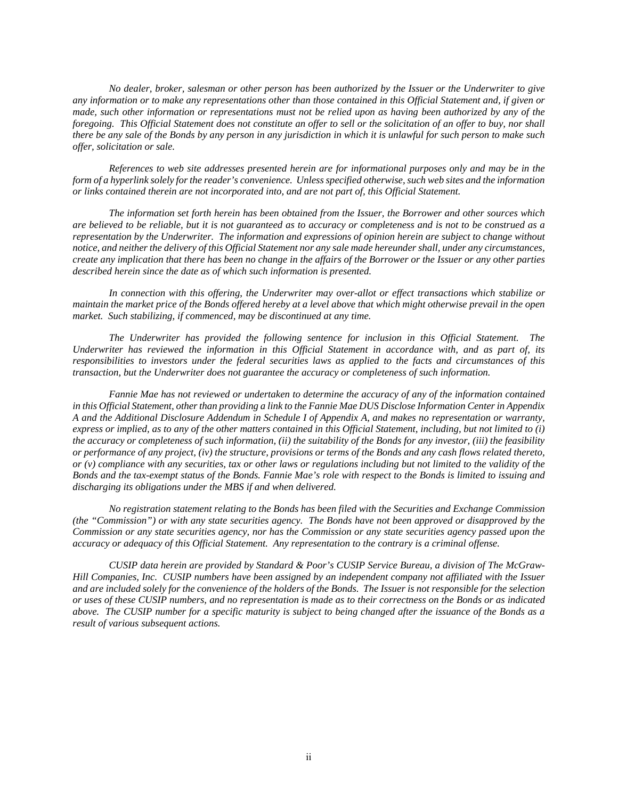*No dealer, broker, salesman or other person has been authorized by the Issuer or the Underwriter to give any information or to make any representations other than those contained in this Official Statement and, if given or made, such other information or representations must not be relied upon as having been authorized by any of the foregoing. This Official Statement does not constitute an offer to sell or the solicitation of an offer to buy, nor shall there be any sale of the Bonds by any person in any jurisdiction in which it is unlawful for such person to make such offer, solicitation or sale.* 

*References to web site addresses presented herein are for informational purposes only and may be in the form of a hyperlink solely for the reader's convenience. Unless specified otherwise, such web sites and the information or links contained therein are not incorporated into, and are not part of, this Official Statement.* 

*The information set forth herein has been obtained from the Issuer, the Borrower and other sources which are believed to be reliable, but it is not guaranteed as to accuracy or completeness and is not to be construed as a representation by the Underwriter. The information and expressions of opinion herein are subject to change without notice, and neither the delivery of this Official Statement nor any sale made hereunder shall, under any circumstances, create any implication that there has been no change in the affairs of the Borrower or the Issuer or any other parties described herein since the date as of which such information is presented.* 

*In connection with this offering, the Underwriter may over-allot or effect transactions which stabilize or maintain the market price of the Bonds offered hereby at a level above that which might otherwise prevail in the open market. Such stabilizing, if commenced, may be discontinued at any time.* 

*The Underwriter has provided the following sentence for inclusion in this Official Statement. The Underwriter has reviewed the information in this Official Statement in accordance with, and as part of, its responsibilities to investors under the federal securities laws as applied to the facts and circumstances of this transaction, but the Underwriter does not guarantee the accuracy or completeness of such information.* 

*Fannie Mae has not reviewed or undertaken to determine the accuracy of any of the information contained in this Official Statement, other than providing a link to the Fannie Mae DUS Disclose Information Center in Appendix A and the Additional Disclosure Addendum in Schedule I of Appendix A, and makes no representation or warranty, express or implied, as to any of the other matters contained in this Official Statement, including, but not limited to (i) the accuracy or completeness of such information, (ii) the suitability of the Bonds for any investor, (iii) the feasibility or performance of any project, (iv) the structure, provisions or terms of the Bonds and any cash flows related thereto, or (v) compliance with any securities, tax or other laws or regulations including but not limited to the validity of the Bonds and the tax-exempt status of the Bonds. Fannie Mae's role with respect to the Bonds is limited to issuing and discharging its obligations under the MBS if and when delivered.* 

*No registration statement relating to the Bonds has been filed with the Securities and Exchange Commission (the "Commission") or with any state securities agency. The Bonds have not been approved or disapproved by the Commission or any state securities agency, nor has the Commission or any state securities agency passed upon the accuracy or adequacy of this Official Statement. Any representation to the contrary is a criminal offense.* 

*CUSIP data herein are provided by Standard & Poor's CUSIP Service Bureau, a division of The McGraw-Hill Companies, Inc. CUSIP numbers have been assigned by an independent company not affiliated with the Issuer and are included solely for the convenience of the holders of the Bonds. The Issuer is not responsible for the selection or uses of these CUSIP numbers, and no representation is made as to their correctness on the Bonds or as indicated above. The CUSIP number for a specific maturity is subject to being changed after the issuance of the Bonds as a result of various subsequent actions.*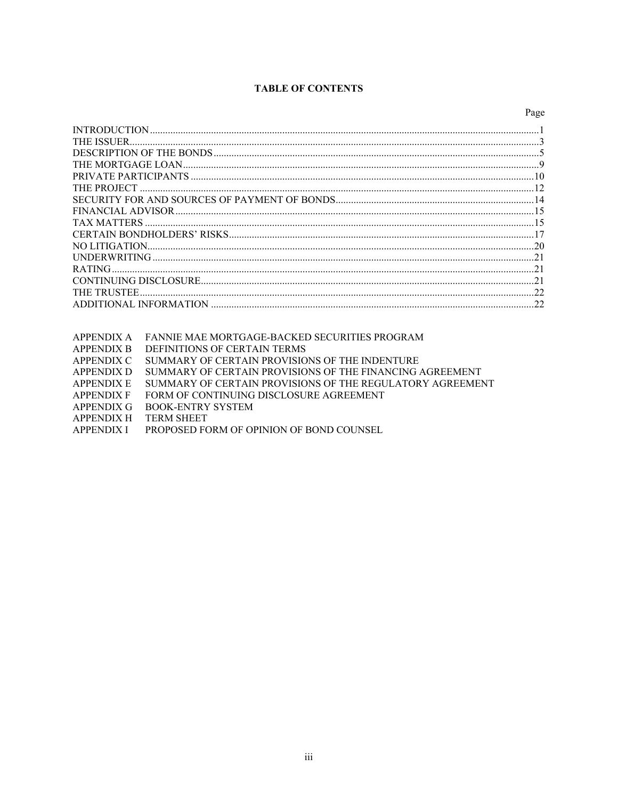# **TABLE OF CONTENTS**

|                    | Page |
|--------------------|------|
|                    |      |
| <b>THE ISSUER.</b> |      |
|                    |      |
|                    |      |
|                    |      |
|                    |      |
|                    |      |
|                    |      |
| <b>TAX MATTERS</b> |      |
|                    |      |
| NO LITIGATION      |      |
|                    |      |
| RATING.            |      |
|                    |      |
| THE TRUSTEE        |      |
|                    |      |
|                    |      |

| APPENDIX A FANNIE MAE MORTGAGE-BACKED SECURITIES PROGRAM |  |
|----------------------------------------------------------|--|
|                                                          |  |

- APPENDIX B DEFINITIONS OF CERTAIN TERMS
- APPENDIX C SUMMARY OF CERTAIN PROVISIONS OF THE INDENTURE
- APPENDIX D SUMMARY OF CERTAIN PROVISIONS OF THE FINANCING AGREEMENT
- APPENDIX E SUMMARY OF CERTAIN PROVISIONS OF THE REGULATORY AGREEMENT
- APPENDIX F FORM OF CONTINUING DISCLOSURE AGREEMENT
- APPENDIX G BOOK-ENTRY SYSTEM
- APPENDIX H TERM SHEET
- APPENDIX I PROPOSED FORM OF OPINION OF BOND COUNSEL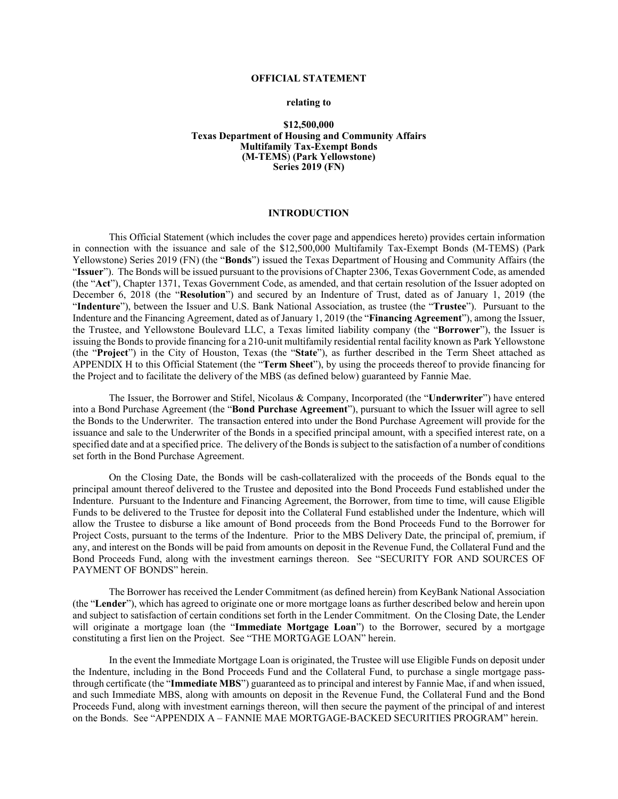## **OFFICIAL STATEMENT**

#### **relating to**

### **\$12,500,000 Texas Department of Housing and Community Affairs Multifamily Tax-Exempt Bonds (M-TEMS**) **(Park Yellowstone) Series 2019 (FN)**

#### **INTRODUCTION**

This Official Statement (which includes the cover page and appendices hereto) provides certain information in connection with the issuance and sale of the \$12,500,000 Multifamily Tax-Exempt Bonds (M-TEMS) (Park Yellowstone) Series 2019 (FN) (the "**Bonds**") issued the Texas Department of Housing and Community Affairs (the "**Issuer**"). The Bonds will be issued pursuant to the provisions of Chapter 2306, Texas Government Code, as amended (the "**Act**"), Chapter 1371, Texas Government Code, as amended, and that certain resolution of the Issuer adopted on December 6, 2018 (the "**Resolution**") and secured by an Indenture of Trust, dated as of January 1, 2019 (the "**Indenture**"), between the Issuer and U.S. Bank National Association, as trustee (the "**Trustee**"). Pursuant to the Indenture and the Financing Agreement, dated as of January 1, 2019 (the "**Financing Agreement**"), among the Issuer, the Trustee, and Yellowstone Boulevard LLC, a Texas limited liability company (the "**Borrower**"), the Issuer is issuing the Bonds to provide financing for a 210-unit multifamily residential rental facility known as Park Yellowstone (the "**Project**") in the City of Houston, Texas (the "**State**"), as further described in the Term Sheet attached as APPENDIX H to this Official Statement (the "**Term Sheet**"), by using the proceeds thereof to provide financing for the Project and to facilitate the delivery of the MBS (as defined below) guaranteed by Fannie Mae.

The Issuer, the Borrower and Stifel, Nicolaus & Company, Incorporated (the "**Underwriter**") have entered into a Bond Purchase Agreement (the "**Bond Purchase Agreement**"), pursuant to which the Issuer will agree to sell the Bonds to the Underwriter. The transaction entered into under the Bond Purchase Agreement will provide for the issuance and sale to the Underwriter of the Bonds in a specified principal amount, with a specified interest rate, on a specified date and at a specified price. The delivery of the Bonds is subject to the satisfaction of a number of conditions set forth in the Bond Purchase Agreement.

On the Closing Date, the Bonds will be cash-collateralized with the proceeds of the Bonds equal to the principal amount thereof delivered to the Trustee and deposited into the Bond Proceeds Fund established under the Indenture. Pursuant to the Indenture and Financing Agreement, the Borrower, from time to time, will cause Eligible Funds to be delivered to the Trustee for deposit into the Collateral Fund established under the Indenture, which will allow the Trustee to disburse a like amount of Bond proceeds from the Bond Proceeds Fund to the Borrower for Project Costs, pursuant to the terms of the Indenture. Prior to the MBS Delivery Date, the principal of, premium, if any, and interest on the Bonds will be paid from amounts on deposit in the Revenue Fund, the Collateral Fund and the Bond Proceeds Fund, along with the investment earnings thereon. See "SECURITY FOR AND SOURCES OF PAYMENT OF BONDS" herein.

The Borrower has received the Lender Commitment (as defined herein) from KeyBank National Association (the "**Lender**"), which has agreed to originate one or more mortgage loans as further described below and herein upon and subject to satisfaction of certain conditions set forth in the Lender Commitment. On the Closing Date, the Lender will originate a mortgage loan (the "**Immediate Mortgage Loan**") to the Borrower, secured by a mortgage constituting a first lien on the Project. See "THE MORTGAGE LOAN" herein.

In the event the Immediate Mortgage Loan is originated, the Trustee will use Eligible Funds on deposit under the Indenture, including in the Bond Proceeds Fund and the Collateral Fund, to purchase a single mortgage passthrough certificate (the "**Immediate MBS**") guaranteed as to principal and interest by Fannie Mae, if and when issued, and such Immediate MBS, along with amounts on deposit in the Revenue Fund, the Collateral Fund and the Bond Proceeds Fund, along with investment earnings thereon, will then secure the payment of the principal of and interest on the Bonds. See "APPENDIX A – FANNIE MAE MORTGAGE-BACKED SECURITIES PROGRAM" herein.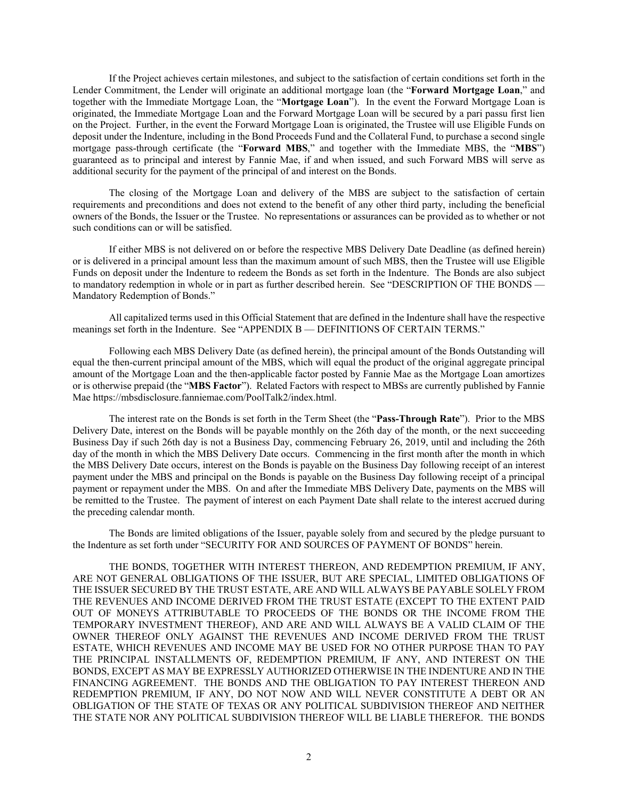If the Project achieves certain milestones, and subject to the satisfaction of certain conditions set forth in the Lender Commitment, the Lender will originate an additional mortgage loan (the "**Forward Mortgage Loan**," and together with the Immediate Mortgage Loan, the "**Mortgage Loan**"). In the event the Forward Mortgage Loan is originated, the Immediate Mortgage Loan and the Forward Mortgage Loan will be secured by a pari passu first lien on the Project. Further, in the event the Forward Mortgage Loan is originated, the Trustee will use Eligible Funds on deposit under the Indenture, including in the Bond Proceeds Fund and the Collateral Fund, to purchase a second single mortgage pass-through certificate (the "**Forward MBS**," and together with the Immediate MBS, the "**MBS**") guaranteed as to principal and interest by Fannie Mae, if and when issued, and such Forward MBS will serve as additional security for the payment of the principal of and interest on the Bonds.

The closing of the Mortgage Loan and delivery of the MBS are subject to the satisfaction of certain requirements and preconditions and does not extend to the benefit of any other third party, including the beneficial owners of the Bonds, the Issuer or the Trustee. No representations or assurances can be provided as to whether or not such conditions can or will be satisfied.

If either MBS is not delivered on or before the respective MBS Delivery Date Deadline (as defined herein) or is delivered in a principal amount less than the maximum amount of such MBS, then the Trustee will use Eligible Funds on deposit under the Indenture to redeem the Bonds as set forth in the Indenture. The Bonds are also subject to mandatory redemption in whole or in part as further described herein. See "DESCRIPTION OF THE BONDS — Mandatory Redemption of Bonds."

All capitalized terms used in this Official Statement that are defined in the Indenture shall have the respective meanings set forth in the Indenture. See "APPENDIX B — DEFINITIONS OF CERTAIN TERMS."

Following each MBS Delivery Date (as defined herein), the principal amount of the Bonds Outstanding will equal the then-current principal amount of the MBS, which will equal the product of the original aggregate principal amount of the Mortgage Loan and the then-applicable factor posted by Fannie Mae as the Mortgage Loan amortizes or is otherwise prepaid (the "**MBS Factor**"). Related Factors with respect to MBSs are currently published by Fannie Mae https://mbsdisclosure.fanniemae.com/PoolTalk2/index.html.

The interest rate on the Bonds is set forth in the Term Sheet (the "**Pass-Through Rate**"). Prior to the MBS Delivery Date, interest on the Bonds will be payable monthly on the 26th day of the month, or the next succeeding Business Day if such 26th day is not a Business Day, commencing February 26, 2019, until and including the 26th day of the month in which the MBS Delivery Date occurs. Commencing in the first month after the month in which the MBS Delivery Date occurs, interest on the Bonds is payable on the Business Day following receipt of an interest payment under the MBS and principal on the Bonds is payable on the Business Day following receipt of a principal payment or repayment under the MBS. On and after the Immediate MBS Delivery Date, payments on the MBS will be remitted to the Trustee. The payment of interest on each Payment Date shall relate to the interest accrued during the preceding calendar month.

The Bonds are limited obligations of the Issuer, payable solely from and secured by the pledge pursuant to the Indenture as set forth under "SECURITY FOR AND SOURCES OF PAYMENT OF BONDS" herein.

THE BONDS, TOGETHER WITH INTEREST THEREON, AND REDEMPTION PREMIUM, IF ANY, ARE NOT GENERAL OBLIGATIONS OF THE ISSUER, BUT ARE SPECIAL, LIMITED OBLIGATIONS OF THE ISSUER SECURED BY THE TRUST ESTATE, ARE AND WILL ALWAYS BE PAYABLE SOLELY FROM THE REVENUES AND INCOME DERIVED FROM THE TRUST ESTATE (EXCEPT TO THE EXTENT PAID OUT OF MONEYS ATTRIBUTABLE TO PROCEEDS OF THE BONDS OR THE INCOME FROM THE TEMPORARY INVESTMENT THEREOF), AND ARE AND WILL ALWAYS BE A VALID CLAIM OF THE OWNER THEREOF ONLY AGAINST THE REVENUES AND INCOME DERIVED FROM THE TRUST ESTATE, WHICH REVENUES AND INCOME MAY BE USED FOR NO OTHER PURPOSE THAN TO PAY THE PRINCIPAL INSTALLMENTS OF, REDEMPTION PREMIUM, IF ANY, AND INTEREST ON THE BONDS, EXCEPT AS MAY BE EXPRESSLY AUTHORIZED OTHERWISE IN THE INDENTURE AND IN THE FINANCING AGREEMENT. THE BONDS AND THE OBLIGATION TO PAY INTEREST THEREON AND REDEMPTION PREMIUM, IF ANY, DO NOT NOW AND WILL NEVER CONSTITUTE A DEBT OR AN OBLIGATION OF THE STATE OF TEXAS OR ANY POLITICAL SUBDIVISION THEREOF AND NEITHER THE STATE NOR ANY POLITICAL SUBDIVISION THEREOF WILL BE LIABLE THEREFOR. THE BONDS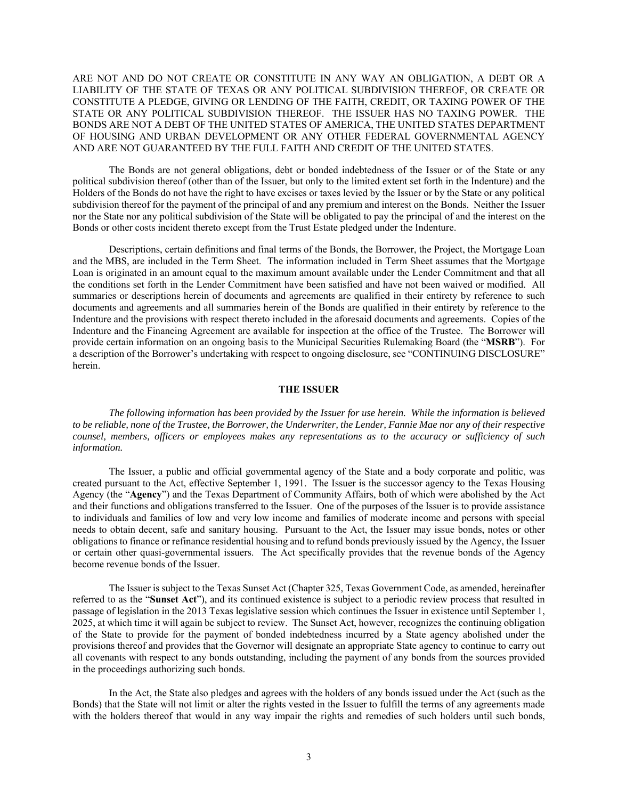ARE NOT AND DO NOT CREATE OR CONSTITUTE IN ANY WAY AN OBLIGATION, A DEBT OR A LIABILITY OF THE STATE OF TEXAS OR ANY POLITICAL SUBDIVISION THEREOF, OR CREATE OR CONSTITUTE A PLEDGE, GIVING OR LENDING OF THE FAITH, CREDIT, OR TAXING POWER OF THE STATE OR ANY POLITICAL SUBDIVISION THEREOF. THE ISSUER HAS NO TAXING POWER. THE BONDS ARE NOT A DEBT OF THE UNITED STATES OF AMERICA, THE UNITED STATES DEPARTMENT OF HOUSING AND URBAN DEVELOPMENT OR ANY OTHER FEDERAL GOVERNMENTAL AGENCY AND ARE NOT GUARANTEED BY THE FULL FAITH AND CREDIT OF THE UNITED STATES.

The Bonds are not general obligations, debt or bonded indebtedness of the Issuer or of the State or any political subdivision thereof (other than of the Issuer, but only to the limited extent set forth in the Indenture) and the Holders of the Bonds do not have the right to have excises or taxes levied by the Issuer or by the State or any political subdivision thereof for the payment of the principal of and any premium and interest on the Bonds. Neither the Issuer nor the State nor any political subdivision of the State will be obligated to pay the principal of and the interest on the Bonds or other costs incident thereto except from the Trust Estate pledged under the Indenture.

Descriptions, certain definitions and final terms of the Bonds, the Borrower, the Project, the Mortgage Loan and the MBS, are included in the Term Sheet. The information included in Term Sheet assumes that the Mortgage Loan is originated in an amount equal to the maximum amount available under the Lender Commitment and that all the conditions set forth in the Lender Commitment have been satisfied and have not been waived or modified. All summaries or descriptions herein of documents and agreements are qualified in their entirety by reference to such documents and agreements and all summaries herein of the Bonds are qualified in their entirety by reference to the Indenture and the provisions with respect thereto included in the aforesaid documents and agreements. Copies of the Indenture and the Financing Agreement are available for inspection at the office of the Trustee. The Borrower will provide certain information on an ongoing basis to the Municipal Securities Rulemaking Board (the "**MSRB**"). For a description of the Borrower's undertaking with respect to ongoing disclosure, see "CONTINUING DISCLOSURE" herein.

# **THE ISSUER**

*The following information has been provided by the Issuer for use herein. While the information is believed to be reliable, none of the Trustee, the Borrower, the Underwriter, the Lender, Fannie Mae nor any of their respective counsel, members, officers or employees makes any representations as to the accuracy or sufficiency of such information.* 

The Issuer, a public and official governmental agency of the State and a body corporate and politic, was created pursuant to the Act, effective September 1, 1991. The Issuer is the successor agency to the Texas Housing Agency (the "**Agency**") and the Texas Department of Community Affairs, both of which were abolished by the Act and their functions and obligations transferred to the Issuer. One of the purposes of the Issuer is to provide assistance to individuals and families of low and very low income and families of moderate income and persons with special needs to obtain decent, safe and sanitary housing. Pursuant to the Act, the Issuer may issue bonds, notes or other obligations to finance or refinance residential housing and to refund bonds previously issued by the Agency, the Issuer or certain other quasi-governmental issuers. The Act specifically provides that the revenue bonds of the Agency become revenue bonds of the Issuer.

The Issuer is subject to the Texas Sunset Act (Chapter 325, Texas Government Code, as amended, hereinafter referred to as the "**Sunset Act**"), and its continued existence is subject to a periodic review process that resulted in passage of legislation in the 2013 Texas legislative session which continues the Issuer in existence until September 1, 2025, at which time it will again be subject to review. The Sunset Act, however, recognizes the continuing obligation of the State to provide for the payment of bonded indebtedness incurred by a State agency abolished under the provisions thereof and provides that the Governor will designate an appropriate State agency to continue to carry out all covenants with respect to any bonds outstanding, including the payment of any bonds from the sources provided in the proceedings authorizing such bonds.

In the Act, the State also pledges and agrees with the holders of any bonds issued under the Act (such as the Bonds) that the State will not limit or alter the rights vested in the Issuer to fulfill the terms of any agreements made with the holders thereof that would in any way impair the rights and remedies of such holders until such bonds,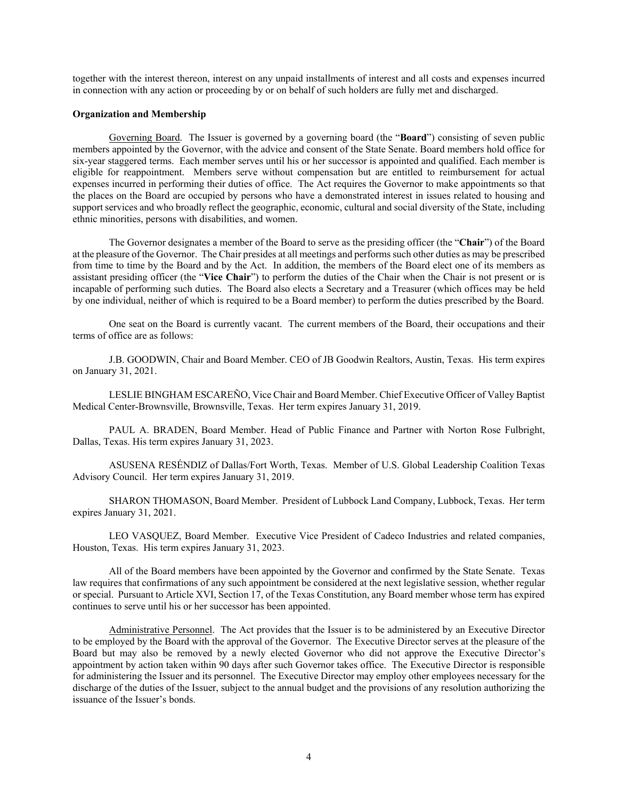together with the interest thereon, interest on any unpaid installments of interest and all costs and expenses incurred in connection with any action or proceeding by or on behalf of such holders are fully met and discharged.

### **Organization and Membership**

Governing Board. The Issuer is governed by a governing board (the "**Board**") consisting of seven public members appointed by the Governor, with the advice and consent of the State Senate. Board members hold office for six-year staggered terms. Each member serves until his or her successor is appointed and qualified. Each member is eligible for reappointment. Members serve without compensation but are entitled to reimbursement for actual expenses incurred in performing their duties of office. The Act requires the Governor to make appointments so that the places on the Board are occupied by persons who have a demonstrated interest in issues related to housing and support services and who broadly reflect the geographic, economic, cultural and social diversity of the State, including ethnic minorities, persons with disabilities, and women.

The Governor designates a member of the Board to serve as the presiding officer (the "**Chair**") of the Board at the pleasure of the Governor. The Chair presides at all meetings and performs such other duties as may be prescribed from time to time by the Board and by the Act. In addition, the members of the Board elect one of its members as assistant presiding officer (the "**Vice Chair**") to perform the duties of the Chair when the Chair is not present or is incapable of performing such duties. The Board also elects a Secretary and a Treasurer (which offices may be held by one individual, neither of which is required to be a Board member) to perform the duties prescribed by the Board.

One seat on the Board is currently vacant. The current members of the Board, their occupations and their terms of office are as follows:

J.B. GOODWIN, Chair and Board Member. CEO of JB Goodwin Realtors, Austin, Texas. His term expires on January 31, 2021.

LESLIE BINGHAM ESCAREÑO, Vice Chair and Board Member. Chief Executive Officer of Valley Baptist Medical Center-Brownsville, Brownsville, Texas. Her term expires January 31, 2019.

PAUL A. BRADEN, Board Member. Head of Public Finance and Partner with Norton Rose Fulbright, Dallas, Texas. His term expires January 31, 2023.

ASUSENA RESÉNDIZ of Dallas/Fort Worth, Texas. Member of U.S. Global Leadership Coalition Texas Advisory Council. Her term expires January 31, 2019.

SHARON THOMASON, Board Member. President of Lubbock Land Company, Lubbock, Texas. Her term expires January 31, 2021.

LEO VASQUEZ, Board Member. Executive Vice President of Cadeco Industries and related companies, Houston, Texas. His term expires January 31, 2023.

All of the Board members have been appointed by the Governor and confirmed by the State Senate. Texas law requires that confirmations of any such appointment be considered at the next legislative session, whether regular or special. Pursuant to Article XVI, Section 17, of the Texas Constitution, any Board member whose term has expired continues to serve until his or her successor has been appointed.

Administrative Personnel. The Act provides that the Issuer is to be administered by an Executive Director to be employed by the Board with the approval of the Governor. The Executive Director serves at the pleasure of the Board but may also be removed by a newly elected Governor who did not approve the Executive Director's appointment by action taken within 90 days after such Governor takes office. The Executive Director is responsible for administering the Issuer and its personnel. The Executive Director may employ other employees necessary for the discharge of the duties of the Issuer, subject to the annual budget and the provisions of any resolution authorizing the issuance of the Issuer's bonds.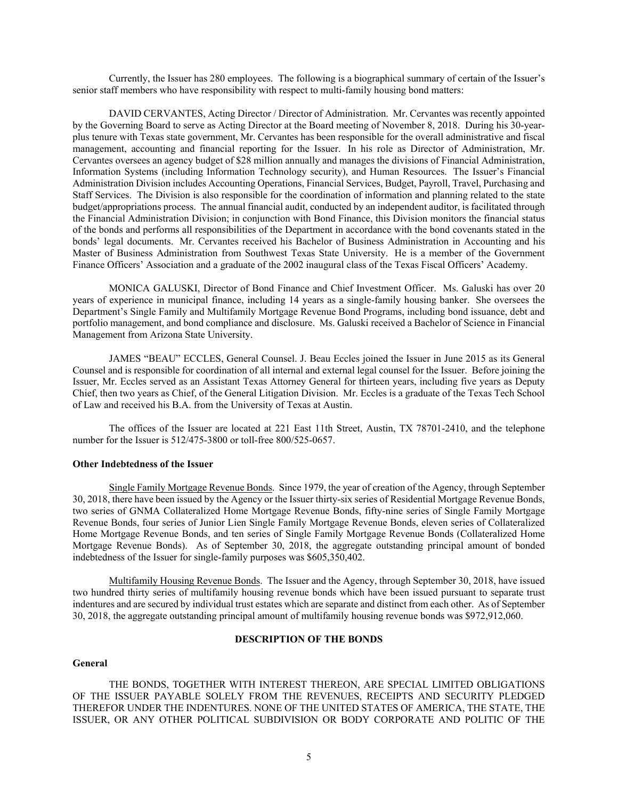Currently, the Issuer has 280 employees. The following is a biographical summary of certain of the Issuer's senior staff members who have responsibility with respect to multi-family housing bond matters:

DAVID CERVANTES, Acting Director / Director of Administration. Mr. Cervantes was recently appointed by the Governing Board to serve as Acting Director at the Board meeting of November 8, 2018. During his 30-yearplus tenure with Texas state government, Mr. Cervantes has been responsible for the overall administrative and fiscal management, accounting and financial reporting for the Issuer. In his role as Director of Administration, Mr. Cervantes oversees an agency budget of \$28 million annually and manages the divisions of Financial Administration, Information Systems (including Information Technology security), and Human Resources. The Issuer's Financial Administration Division includes Accounting Operations, Financial Services, Budget, Payroll, Travel, Purchasing and Staff Services. The Division is also responsible for the coordination of information and planning related to the state budget/appropriations process. The annual financial audit, conducted by an independent auditor, is facilitated through the Financial Administration Division; in conjunction with Bond Finance, this Division monitors the financial status of the bonds and performs all responsibilities of the Department in accordance with the bond covenants stated in the bonds' legal documents. Mr. Cervantes received his Bachelor of Business Administration in Accounting and his Master of Business Administration from Southwest Texas State University. He is a member of the Government Finance Officers' Association and a graduate of the 2002 inaugural class of the Texas Fiscal Officers' Academy.

MONICA GALUSKI, Director of Bond Finance and Chief Investment Officer. Ms. Galuski has over 20 years of experience in municipal finance, including 14 years as a single-family housing banker. She oversees the Department's Single Family and Multifamily Mortgage Revenue Bond Programs, including bond issuance, debt and portfolio management, and bond compliance and disclosure. Ms. Galuski received a Bachelor of Science in Financial Management from Arizona State University.

JAMES "BEAU" ECCLES, General Counsel. J. Beau Eccles joined the Issuer in June 2015 as its General Counsel and is responsible for coordination of all internal and external legal counsel for the Issuer. Before joining the Issuer, Mr. Eccles served as an Assistant Texas Attorney General for thirteen years, including five years as Deputy Chief, then two years as Chief, of the General Litigation Division. Mr. Eccles is a graduate of the Texas Tech School of Law and received his B.A. from the University of Texas at Austin.

The offices of the Issuer are located at 221 East 11th Street, Austin, TX 78701-2410, and the telephone number for the Issuer is 512/475-3800 or toll-free 800/525-0657.

### **Other Indebtedness of the Issuer**

Single Family Mortgage Revenue Bonds. Since 1979, the year of creation of the Agency, through September 30, 2018, there have been issued by the Agency or the Issuer thirty-six series of Residential Mortgage Revenue Bonds, two series of GNMA Collateralized Home Mortgage Revenue Bonds, fifty-nine series of Single Family Mortgage Revenue Bonds, four series of Junior Lien Single Family Mortgage Revenue Bonds, eleven series of Collateralized Home Mortgage Revenue Bonds, and ten series of Single Family Mortgage Revenue Bonds (Collateralized Home Mortgage Revenue Bonds). As of September 30, 2018, the aggregate outstanding principal amount of bonded indebtedness of the Issuer for single-family purposes was \$605,350,402.

Multifamily Housing Revenue Bonds. The Issuer and the Agency, through September 30, 2018, have issued two hundred thirty series of multifamily housing revenue bonds which have been issued pursuant to separate trust indentures and are secured by individual trust estates which are separate and distinct from each other. As of September 30, 2018, the aggregate outstanding principal amount of multifamily housing revenue bonds was \$972,912,060.

### **DESCRIPTION OF THE BONDS**

### **General**

THE BONDS, TOGETHER WITH INTEREST THEREON, ARE SPECIAL LIMITED OBLIGATIONS OF THE ISSUER PAYABLE SOLELY FROM THE REVENUES, RECEIPTS AND SECURITY PLEDGED THEREFOR UNDER THE INDENTURES. NONE OF THE UNITED STATES OF AMERICA, THE STATE, THE ISSUER, OR ANY OTHER POLITICAL SUBDIVISION OR BODY CORPORATE AND POLITIC OF THE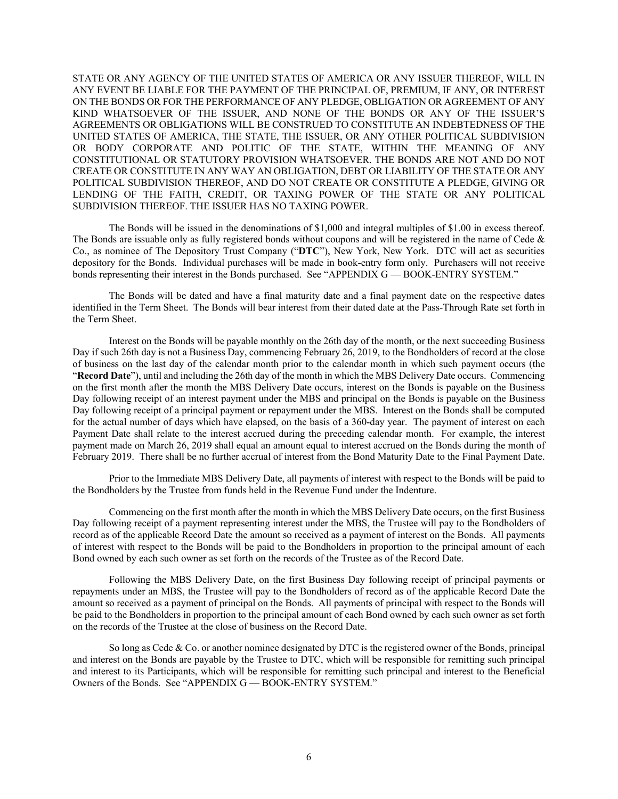STATE OR ANY AGENCY OF THE UNITED STATES OF AMERICA OR ANY ISSUER THEREOF, WILL IN ANY EVENT BE LIABLE FOR THE PAYMENT OF THE PRINCIPAL OF, PREMIUM, IF ANY, OR INTEREST ON THE BONDS OR FOR THE PERFORMANCE OF ANY PLEDGE, OBLIGATION OR AGREEMENT OF ANY KIND WHATSOEVER OF THE ISSUER, AND NONE OF THE BONDS OR ANY OF THE ISSUER'S AGREEMENTS OR OBLIGATIONS WILL BE CONSTRUED TO CONSTITUTE AN INDEBTEDNESS OF THE UNITED STATES OF AMERICA, THE STATE, THE ISSUER, OR ANY OTHER POLITICAL SUBDIVISION OR BODY CORPORATE AND POLITIC OF THE STATE, WITHIN THE MEANING OF ANY CONSTITUTIONAL OR STATUTORY PROVISION WHATSOEVER. THE BONDS ARE NOT AND DO NOT CREATE OR CONSTITUTE IN ANY WAY AN OBLIGATION, DEBT OR LIABILITY OF THE STATE OR ANY POLITICAL SUBDIVISION THEREOF, AND DO NOT CREATE OR CONSTITUTE A PLEDGE, GIVING OR LENDING OF THE FAITH, CREDIT, OR TAXING POWER OF THE STATE OR ANY POLITICAL SUBDIVISION THEREOF. THE ISSUER HAS NO TAXING POWER.

The Bonds will be issued in the denominations of \$1,000 and integral multiples of \$1.00 in excess thereof. The Bonds are issuable only as fully registered bonds without coupons and will be registered in the name of Cede  $\&$ Co., as nominee of The Depository Trust Company ("**DTC**"), New York, New York. DTC will act as securities depository for the Bonds. Individual purchases will be made in book-entry form only. Purchasers will not receive bonds representing their interest in the Bonds purchased. See "APPENDIX G — BOOK-ENTRY SYSTEM."

The Bonds will be dated and have a final maturity date and a final payment date on the respective dates identified in the Term Sheet. The Bonds will bear interest from their dated date at the Pass-Through Rate set forth in the Term Sheet.

Interest on the Bonds will be payable monthly on the 26th day of the month, or the next succeeding Business Day if such 26th day is not a Business Day, commencing February 26, 2019, to the Bondholders of record at the close of business on the last day of the calendar month prior to the calendar month in which such payment occurs (the "**Record Date**"), until and including the 26th day of the month in which the MBS Delivery Date occurs. Commencing on the first month after the month the MBS Delivery Date occurs, interest on the Bonds is payable on the Business Day following receipt of an interest payment under the MBS and principal on the Bonds is payable on the Business Day following receipt of a principal payment or repayment under the MBS. Interest on the Bonds shall be computed for the actual number of days which have elapsed, on the basis of a 360-day year. The payment of interest on each Payment Date shall relate to the interest accrued during the preceding calendar month. For example, the interest payment made on March 26, 2019 shall equal an amount equal to interest accrued on the Bonds during the month of February 2019. There shall be no further accrual of interest from the Bond Maturity Date to the Final Payment Date.

Prior to the Immediate MBS Delivery Date, all payments of interest with respect to the Bonds will be paid to the Bondholders by the Trustee from funds held in the Revenue Fund under the Indenture.

Commencing on the first month after the month in which the MBS Delivery Date occurs, on the first Business Day following receipt of a payment representing interest under the MBS, the Trustee will pay to the Bondholders of record as of the applicable Record Date the amount so received as a payment of interest on the Bonds. All payments of interest with respect to the Bonds will be paid to the Bondholders in proportion to the principal amount of each Bond owned by each such owner as set forth on the records of the Trustee as of the Record Date.

Following the MBS Delivery Date, on the first Business Day following receipt of principal payments or repayments under an MBS, the Trustee will pay to the Bondholders of record as of the applicable Record Date the amount so received as a payment of principal on the Bonds. All payments of principal with respect to the Bonds will be paid to the Bondholders in proportion to the principal amount of each Bond owned by each such owner as set forth on the records of the Trustee at the close of business on the Record Date.

So long as Cede & Co. or another nominee designated by DTC is the registered owner of the Bonds, principal and interest on the Bonds are payable by the Trustee to DTC, which will be responsible for remitting such principal and interest to its Participants, which will be responsible for remitting such principal and interest to the Beneficial Owners of the Bonds. See "APPENDIX G — BOOK-ENTRY SYSTEM."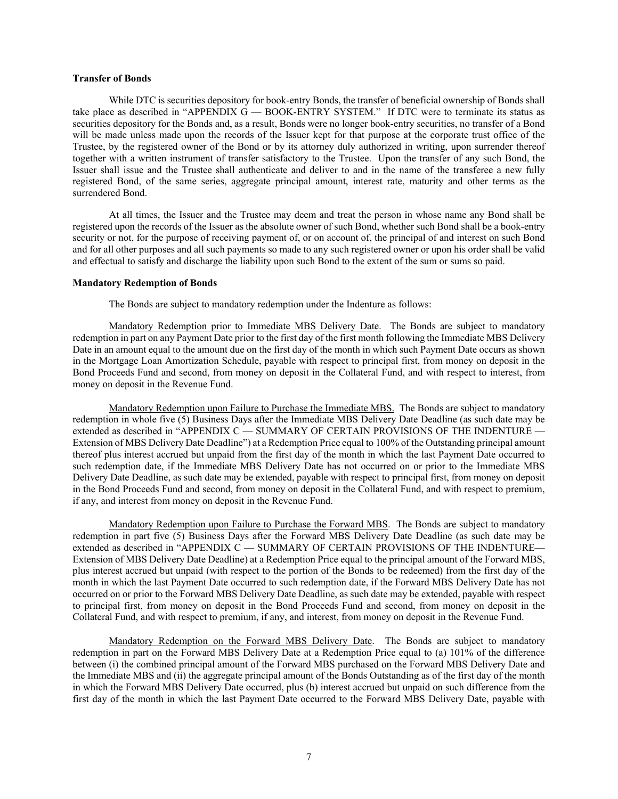### **Transfer of Bonds**

While DTC is securities depository for book-entry Bonds, the transfer of beneficial ownership of Bonds shall take place as described in "APPENDIX G — BOOK-ENTRY SYSTEM." If DTC were to terminate its status as securities depository for the Bonds and, as a result, Bonds were no longer book-entry securities, no transfer of a Bond will be made unless made upon the records of the Issuer kept for that purpose at the corporate trust office of the Trustee, by the registered owner of the Bond or by its attorney duly authorized in writing, upon surrender thereof together with a written instrument of transfer satisfactory to the Trustee. Upon the transfer of any such Bond, the Issuer shall issue and the Trustee shall authenticate and deliver to and in the name of the transferee a new fully registered Bond, of the same series, aggregate principal amount, interest rate, maturity and other terms as the surrendered Bond.

At all times, the Issuer and the Trustee may deem and treat the person in whose name any Bond shall be registered upon the records of the Issuer as the absolute owner of such Bond, whether such Bond shall be a book-entry security or not, for the purpose of receiving payment of, or on account of, the principal of and interest on such Bond and for all other purposes and all such payments so made to any such registered owner or upon his order shall be valid and effectual to satisfy and discharge the liability upon such Bond to the extent of the sum or sums so paid.

### **Mandatory Redemption of Bonds**

The Bonds are subject to mandatory redemption under the Indenture as follows:

Mandatory Redemption prior to Immediate MBS Delivery Date. The Bonds are subject to mandatory redemption in part on any Payment Date prior to the first day of the first month following the Immediate MBS Delivery Date in an amount equal to the amount due on the first day of the month in which such Payment Date occurs as shown in the Mortgage Loan Amortization Schedule, payable with respect to principal first, from money on deposit in the Bond Proceeds Fund and second, from money on deposit in the Collateral Fund, and with respect to interest, from money on deposit in the Revenue Fund.

Mandatory Redemption upon Failure to Purchase the Immediate MBS. The Bonds are subject to mandatory redemption in whole five (5) Business Days after the Immediate MBS Delivery Date Deadline (as such date may be extended as described in "APPENDIX C - SUMMARY OF CERTAIN PROVISIONS OF THE INDENTURE -Extension of MBS Delivery Date Deadline") at a Redemption Price equal to 100% of the Outstanding principal amount thereof plus interest accrued but unpaid from the first day of the month in which the last Payment Date occurred to such redemption date, if the Immediate MBS Delivery Date has not occurred on or prior to the Immediate MBS Delivery Date Deadline, as such date may be extended, payable with respect to principal first, from money on deposit in the Bond Proceeds Fund and second, from money on deposit in the Collateral Fund, and with respect to premium, if any, and interest from money on deposit in the Revenue Fund.

Mandatory Redemption upon Failure to Purchase the Forward MBS. The Bonds are subject to mandatory redemption in part five (5) Business Days after the Forward MBS Delivery Date Deadline (as such date may be extended as described in "APPENDIX C — SUMMARY OF CERTAIN PROVISIONS OF THE INDENTURE— Extension of MBS Delivery Date Deadline) at a Redemption Price equal to the principal amount of the Forward MBS, plus interest accrued but unpaid (with respect to the portion of the Bonds to be redeemed) from the first day of the month in which the last Payment Date occurred to such redemption date, if the Forward MBS Delivery Date has not occurred on or prior to the Forward MBS Delivery Date Deadline, as such date may be extended, payable with respect to principal first, from money on deposit in the Bond Proceeds Fund and second, from money on deposit in the Collateral Fund, and with respect to premium, if any, and interest, from money on deposit in the Revenue Fund.

Mandatory Redemption on the Forward MBS Delivery Date. The Bonds are subject to mandatory redemption in part on the Forward MBS Delivery Date at a Redemption Price equal to (a) 101% of the difference between (i) the combined principal amount of the Forward MBS purchased on the Forward MBS Delivery Date and the Immediate MBS and (ii) the aggregate principal amount of the Bonds Outstanding as of the first day of the month in which the Forward MBS Delivery Date occurred, plus (b) interest accrued but unpaid on such difference from the first day of the month in which the last Payment Date occurred to the Forward MBS Delivery Date, payable with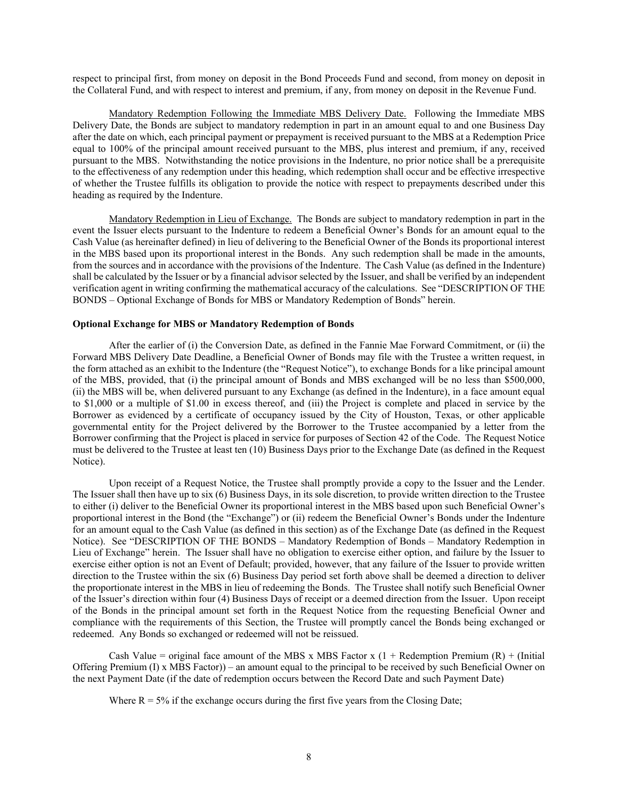respect to principal first, from money on deposit in the Bond Proceeds Fund and second, from money on deposit in the Collateral Fund, and with respect to interest and premium, if any, from money on deposit in the Revenue Fund.

Mandatory Redemption Following the Immediate MBS Delivery Date. Following the Immediate MBS Delivery Date, the Bonds are subject to mandatory redemption in part in an amount equal to and one Business Day after the date on which, each principal payment or prepayment is received pursuant to the MBS at a Redemption Price equal to 100% of the principal amount received pursuant to the MBS, plus interest and premium, if any, received pursuant to the MBS. Notwithstanding the notice provisions in the Indenture, no prior notice shall be a prerequisite to the effectiveness of any redemption under this heading, which redemption shall occur and be effective irrespective of whether the Trustee fulfills its obligation to provide the notice with respect to prepayments described under this heading as required by the Indenture.

Mandatory Redemption in Lieu of Exchange. The Bonds are subject to mandatory redemption in part in the event the Issuer elects pursuant to the Indenture to redeem a Beneficial Owner's Bonds for an amount equal to the Cash Value (as hereinafter defined) in lieu of delivering to the Beneficial Owner of the Bonds its proportional interest in the MBS based upon its proportional interest in the Bonds. Any such redemption shall be made in the amounts, from the sources and in accordance with the provisions of the Indenture. The Cash Value (as defined in the Indenture) shall be calculated by the Issuer or by a financial advisor selected by the Issuer, and shall be verified by an independent verification agent in writing confirming the mathematical accuracy of the calculations. See "DESCRIPTION OF THE BONDS – Optional Exchange of Bonds for MBS or Mandatory Redemption of Bonds" herein.

## **Optional Exchange for MBS or Mandatory Redemption of Bonds**

After the earlier of (i) the Conversion Date, as defined in the Fannie Mae Forward Commitment, or (ii) the Forward MBS Delivery Date Deadline, a Beneficial Owner of Bonds may file with the Trustee a written request, in the form attached as an exhibit to the Indenture (the "Request Notice"), to exchange Bonds for a like principal amount of the MBS, provided, that (i) the principal amount of Bonds and MBS exchanged will be no less than \$500,000, (ii) the MBS will be, when delivered pursuant to any Exchange (as defined in the Indenture), in a face amount equal to \$1,000 or a multiple of \$1.00 in excess thereof, and (iii) the Project is complete and placed in service by the Borrower as evidenced by a certificate of occupancy issued by the City of Houston, Texas, or other applicable governmental entity for the Project delivered by the Borrower to the Trustee accompanied by a letter from the Borrower confirming that the Project is placed in service for purposes of Section 42 of the Code. The Request Notice must be delivered to the Trustee at least ten (10) Business Days prior to the Exchange Date (as defined in the Request Notice).

Upon receipt of a Request Notice, the Trustee shall promptly provide a copy to the Issuer and the Lender. The Issuer shall then have up to six (6) Business Days, in its sole discretion, to provide written direction to the Trustee to either (i) deliver to the Beneficial Owner its proportional interest in the MBS based upon such Beneficial Owner's proportional interest in the Bond (the "Exchange") or (ii) redeem the Beneficial Owner's Bonds under the Indenture for an amount equal to the Cash Value (as defined in this section) as of the Exchange Date (as defined in the Request Notice). See "DESCRIPTION OF THE BONDS – Mandatory Redemption of Bonds – Mandatory Redemption in Lieu of Exchange" herein. The Issuer shall have no obligation to exercise either option, and failure by the Issuer to exercise either option is not an Event of Default; provided, however, that any failure of the Issuer to provide written direction to the Trustee within the six (6) Business Day period set forth above shall be deemed a direction to deliver the proportionate interest in the MBS in lieu of redeeming the Bonds. The Trustee shall notify such Beneficial Owner of the Issuer's direction within four (4) Business Days of receipt or a deemed direction from the Issuer. Upon receipt of the Bonds in the principal amount set forth in the Request Notice from the requesting Beneficial Owner and compliance with the requirements of this Section, the Trustee will promptly cancel the Bonds being exchanged or redeemed. Any Bonds so exchanged or redeemed will not be reissued.

Cash Value = original face amount of the MBS x MBS Factor x  $(1 + \text{Redemption Premium (R)} + \text{(Initial)}$ Offering Premium (I) x MBS Factor)) – an amount equal to the principal to be received by such Beneficial Owner on the next Payment Date (if the date of redemption occurs between the Record Date and such Payment Date)

Where  $R = 5\%$  if the exchange occurs during the first five years from the Closing Date;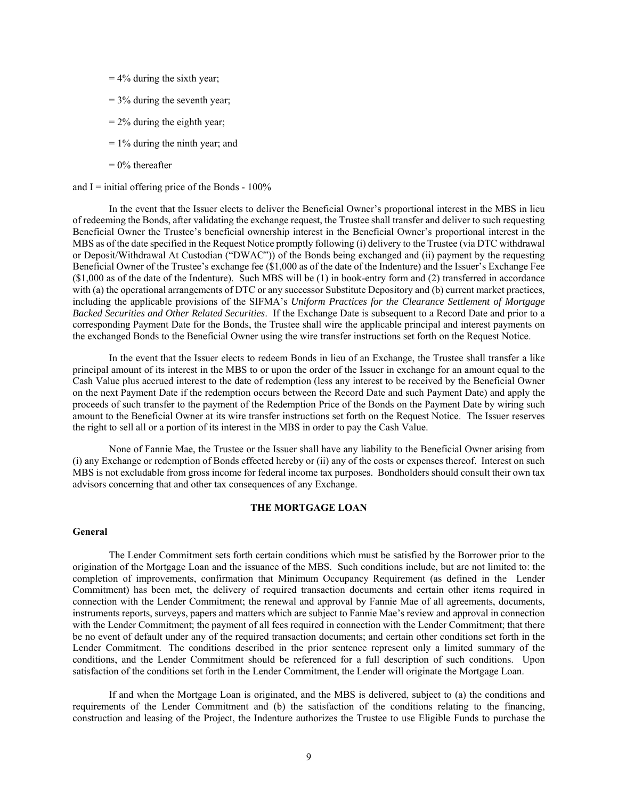- $= 4\%$  during the sixth year;
- $= 3\%$  during the seventh year;
- $= 2\%$  during the eighth year;
- $= 1\%$  during the ninth year; and
- $= 0\%$  thereafter

and  $I =$  initial offering price of the Bonds -  $100\%$ 

In the event that the Issuer elects to deliver the Beneficial Owner's proportional interest in the MBS in lieu of redeeming the Bonds, after validating the exchange request, the Trustee shall transfer and deliver to such requesting Beneficial Owner the Trustee's beneficial ownership interest in the Beneficial Owner's proportional interest in the MBS as of the date specified in the Request Notice promptly following (i) delivery to the Trustee (via DTC withdrawal or Deposit/Withdrawal At Custodian ("DWAC")) of the Bonds being exchanged and (ii) payment by the requesting Beneficial Owner of the Trustee's exchange fee (\$1,000 as of the date of the Indenture) and the Issuer's Exchange Fee (\$1,000 as of the date of the Indenture). Such MBS will be (1) in book-entry form and (2) transferred in accordance with (a) the operational arrangements of DTC or any successor Substitute Depository and (b) current market practices, including the applicable provisions of the SIFMA's *Uniform Practices for the Clearance Settlement of Mortgage Backed Securities and Other Related Securities*. If the Exchange Date is subsequent to a Record Date and prior to a corresponding Payment Date for the Bonds, the Trustee shall wire the applicable principal and interest payments on the exchanged Bonds to the Beneficial Owner using the wire transfer instructions set forth on the Request Notice.

In the event that the Issuer elects to redeem Bonds in lieu of an Exchange, the Trustee shall transfer a like principal amount of its interest in the MBS to or upon the order of the Issuer in exchange for an amount equal to the Cash Value plus accrued interest to the date of redemption (less any interest to be received by the Beneficial Owner on the next Payment Date if the redemption occurs between the Record Date and such Payment Date) and apply the proceeds of such transfer to the payment of the Redemption Price of the Bonds on the Payment Date by wiring such amount to the Beneficial Owner at its wire transfer instructions set forth on the Request Notice. The Issuer reserves the right to sell all or a portion of its interest in the MBS in order to pay the Cash Value.

None of Fannie Mae, the Trustee or the Issuer shall have any liability to the Beneficial Owner arising from (i) any Exchange or redemption of Bonds effected hereby or (ii) any of the costs or expenses thereof. Interest on such MBS is not excludable from gross income for federal income tax purposes. Bondholders should consult their own tax advisors concerning that and other tax consequences of any Exchange.

### **THE MORTGAGE LOAN**

# **General**

The Lender Commitment sets forth certain conditions which must be satisfied by the Borrower prior to the origination of the Mortgage Loan and the issuance of the MBS. Such conditions include, but are not limited to: the completion of improvements, confirmation that Minimum Occupancy Requirement (as defined in the Lender Commitment) has been met, the delivery of required transaction documents and certain other items required in connection with the Lender Commitment; the renewal and approval by Fannie Mae of all agreements, documents, instruments reports, surveys, papers and matters which are subject to Fannie Mae's review and approval in connection with the Lender Commitment; the payment of all fees required in connection with the Lender Commitment; that there be no event of default under any of the required transaction documents; and certain other conditions set forth in the Lender Commitment. The conditions described in the prior sentence represent only a limited summary of the conditions, and the Lender Commitment should be referenced for a full description of such conditions. Upon satisfaction of the conditions set forth in the Lender Commitment, the Lender will originate the Mortgage Loan.

If and when the Mortgage Loan is originated, and the MBS is delivered, subject to (a) the conditions and requirements of the Lender Commitment and (b) the satisfaction of the conditions relating to the financing, construction and leasing of the Project, the Indenture authorizes the Trustee to use Eligible Funds to purchase the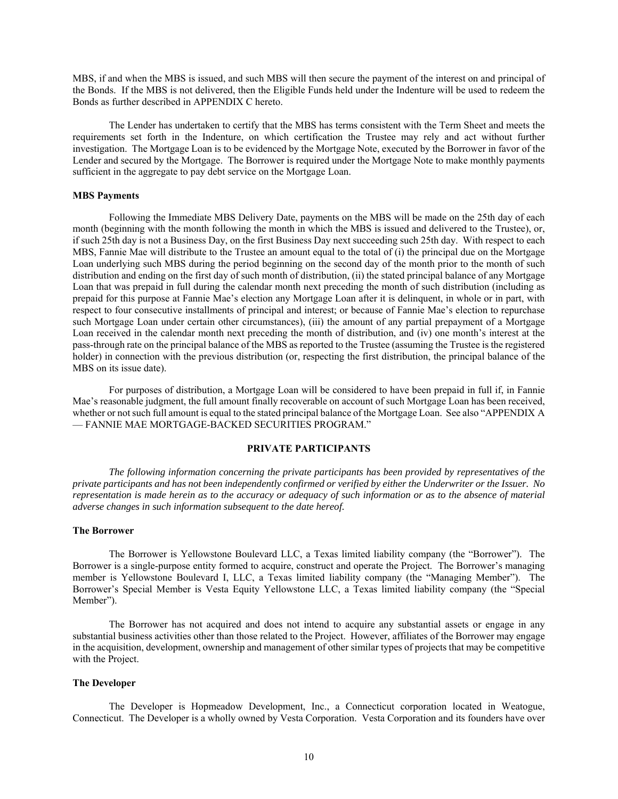MBS, if and when the MBS is issued, and such MBS will then secure the payment of the interest on and principal of the Bonds. If the MBS is not delivered, then the Eligible Funds held under the Indenture will be used to redeem the Bonds as further described in APPENDIX C hereto.

The Lender has undertaken to certify that the MBS has terms consistent with the Term Sheet and meets the requirements set forth in the Indenture, on which certification the Trustee may rely and act without further investigation. The Mortgage Loan is to be evidenced by the Mortgage Note, executed by the Borrower in favor of the Lender and secured by the Mortgage. The Borrower is required under the Mortgage Note to make monthly payments sufficient in the aggregate to pay debt service on the Mortgage Loan.

### **MBS Payments**

Following the Immediate MBS Delivery Date, payments on the MBS will be made on the 25th day of each month (beginning with the month following the month in which the MBS is issued and delivered to the Trustee), or, if such 25th day is not a Business Day, on the first Business Day next succeeding such 25th day. With respect to each MBS, Fannie Mae will distribute to the Trustee an amount equal to the total of (i) the principal due on the Mortgage Loan underlying such MBS during the period beginning on the second day of the month prior to the month of such distribution and ending on the first day of such month of distribution, (ii) the stated principal balance of any Mortgage Loan that was prepaid in full during the calendar month next preceding the month of such distribution (including as prepaid for this purpose at Fannie Mae's election any Mortgage Loan after it is delinquent, in whole or in part, with respect to four consecutive installments of principal and interest; or because of Fannie Mae's election to repurchase such Mortgage Loan under certain other circumstances), (iii) the amount of any partial prepayment of a Mortgage Loan received in the calendar month next preceding the month of distribution, and (iv) one month's interest at the pass-through rate on the principal balance of the MBS as reported to the Trustee (assuming the Trustee is the registered holder) in connection with the previous distribution (or, respecting the first distribution, the principal balance of the MBS on its issue date).

For purposes of distribution, a Mortgage Loan will be considered to have been prepaid in full if, in Fannie Mae's reasonable judgment, the full amount finally recoverable on account of such Mortgage Loan has been received, whether or not such full amount is equal to the stated principal balance of the Mortgage Loan. See also "APPENDIX A — FANNIE MAE MORTGAGE-BACKED SECURITIES PROGRAM."

### **PRIVATE PARTICIPANTS**

*The following information concerning the private participants has been provided by representatives of the private participants and has not been independently confirmed or verified by either the Underwriter or the Issuer. No representation is made herein as to the accuracy or adequacy of such information or as to the absence of material adverse changes in such information subsequent to the date hereof.* 

#### **The Borrower**

The Borrower is Yellowstone Boulevard LLC, a Texas limited liability company (the "Borrower"). The Borrower is a single-purpose entity formed to acquire, construct and operate the Project. The Borrower's managing member is Yellowstone Boulevard I, LLC, a Texas limited liability company (the "Managing Member"). The Borrower's Special Member is Vesta Equity Yellowstone LLC, a Texas limited liability company (the "Special Member").

The Borrower has not acquired and does not intend to acquire any substantial assets or engage in any substantial business activities other than those related to the Project. However, affiliates of the Borrower may engage in the acquisition, development, ownership and management of other similar types of projects that may be competitive with the Project.

# **The Developer**

The Developer is Hopmeadow Development, Inc., a Connecticut corporation located in Weatogue, Connecticut. The Developer is a wholly owned by Vesta Corporation. Vesta Corporation and its founders have over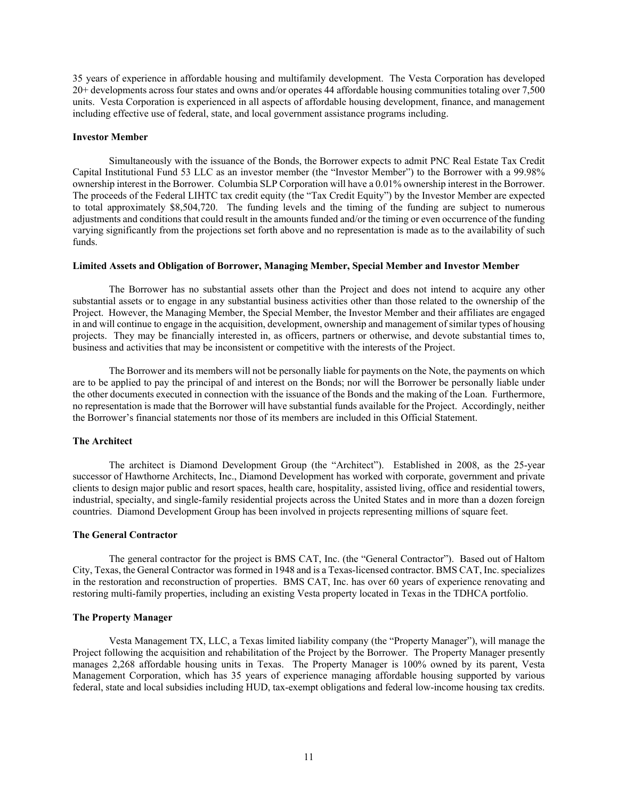35 years of experience in affordable housing and multifamily development. The Vesta Corporation has developed 20+ developments across four states and owns and/or operates 44 affordable housing communities totaling over 7,500 units. Vesta Corporation is experienced in all aspects of affordable housing development, finance, and management including effective use of federal, state, and local government assistance programs including.

#### **Investor Member**

Simultaneously with the issuance of the Bonds, the Borrower expects to admit PNC Real Estate Tax Credit Capital Institutional Fund 53 LLC as an investor member (the "Investor Member") to the Borrower with a 99.98% ownership interest in the Borrower. Columbia SLP Corporation will have a 0.01% ownership interest in the Borrower. The proceeds of the Federal LIHTC tax credit equity (the "Tax Credit Equity") by the Investor Member are expected to total approximately \$8,504,720. The funding levels and the timing of the funding are subject to numerous adjustments and conditions that could result in the amounts funded and/or the timing or even occurrence of the funding varying significantly from the projections set forth above and no representation is made as to the availability of such funds.

# **Limited Assets and Obligation of Borrower, Managing Member, Special Member and Investor Member**

The Borrower has no substantial assets other than the Project and does not intend to acquire any other substantial assets or to engage in any substantial business activities other than those related to the ownership of the Project. However, the Managing Member, the Special Member, the Investor Member and their affiliates are engaged in and will continue to engage in the acquisition, development, ownership and management of similar types of housing projects. They may be financially interested in, as officers, partners or otherwise, and devote substantial times to, business and activities that may be inconsistent or competitive with the interests of the Project.

The Borrower and its members will not be personally liable for payments on the Note, the payments on which are to be applied to pay the principal of and interest on the Bonds; nor will the Borrower be personally liable under the other documents executed in connection with the issuance of the Bonds and the making of the Loan. Furthermore, no representation is made that the Borrower will have substantial funds available for the Project. Accordingly, neither the Borrower's financial statements nor those of its members are included in this Official Statement.

### **The Architect**

The architect is Diamond Development Group (the "Architect"). Established in 2008, as the 25-year successor of Hawthorne Architects, Inc., Diamond Development has worked with corporate, government and private clients to design major public and resort spaces, health care, hospitality, assisted living, office and residential towers, industrial, specialty, and single-family residential projects across the United States and in more than a dozen foreign countries. Diamond Development Group has been involved in projects representing millions of square feet.

### **The General Contractor**

The general contractor for the project is BMS CAT, Inc. (the "General Contractor"). Based out of Haltom City, Texas, the General Contractor was formed in 1948 and is a Texas-licensed contractor. BMS CAT, Inc. specializes in the restoration and reconstruction of properties. BMS CAT, Inc. has over 60 years of experience renovating and restoring multi-family properties, including an existing Vesta property located in Texas in the TDHCA portfolio.

### **The Property Manager**

Vesta Management TX, LLC, a Texas limited liability company (the "Property Manager"), will manage the Project following the acquisition and rehabilitation of the Project by the Borrower. The Property Manager presently manages 2,268 affordable housing units in Texas. The Property Manager is 100% owned by its parent, Vesta Management Corporation, which has 35 years of experience managing affordable housing supported by various federal, state and local subsidies including HUD, tax-exempt obligations and federal low-income housing tax credits.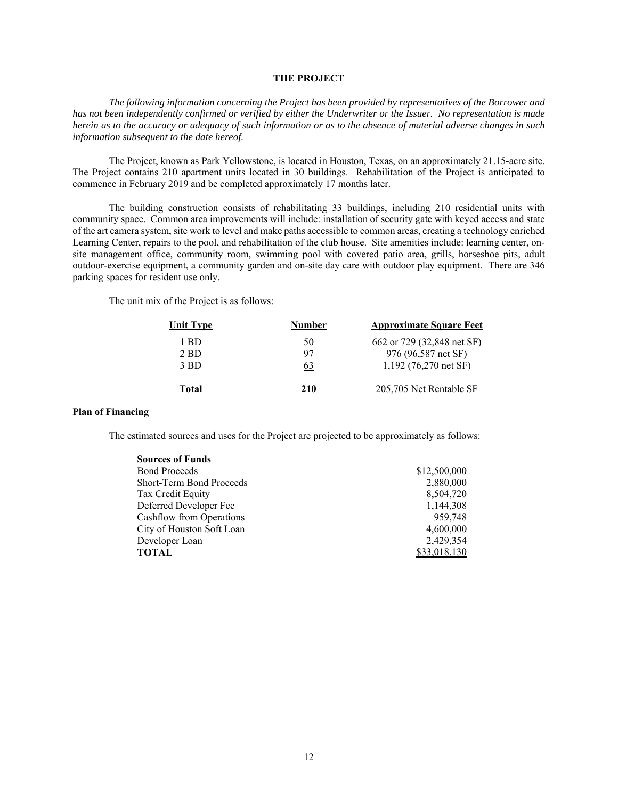# **THE PROJECT**

*The following information concerning the Project has been provided by representatives of the Borrower and has not been independently confirmed or verified by either the Underwriter or the Issuer. No representation is made herein as to the accuracy or adequacy of such information or as to the absence of material adverse changes in such information subsequent to the date hereof.* 

The Project, known as Park Yellowstone, is located in Houston, Texas, on an approximately 21.15-acre site. The Project contains 210 apartment units located in 30 buildings. Rehabilitation of the Project is anticipated to commence in February 2019 and be completed approximately 17 months later.

The building construction consists of rehabilitating 33 buildings, including 210 residential units with community space. Common area improvements will include: installation of security gate with keyed access and state of the art camera system, site work to level and make paths accessible to common areas, creating a technology enriched Learning Center, repairs to the pool, and rehabilitation of the club house. Site amenities include: learning center, onsite management office, community room, swimming pool with covered patio area, grills, horseshoe pits, adult outdoor-exercise equipment, a community garden and on-site day care with outdoor play equipment. There are 346 parking spaces for resident use only.

The unit mix of the Project is as follows:

| Unit Type | Number | <b>Approximate Square Feet</b> |
|-----------|--------|--------------------------------|
| 1 BD      | 50     | 662 or 729 (32,848 net SF)     |
| $2$ BD    | 97     | 976 (96,587 net SF)            |
| 3 BD      | 63     | $1,192$ (76,270 net SF)        |
| Total     | 210    | 205,705 Net Rentable SF        |

# **Plan of Financing**

The estimated sources and uses for the Project are projected to be approximately as follows:

| <b>Sources of Funds</b>   |              |
|---------------------------|--------------|
| <b>Bond Proceeds</b>      | \$12,500,000 |
| Short-Term Bond Proceeds  | 2,880,000    |
| Tax Credit Equity         | 8.504.720    |
| Deferred Developer Fee    | 1.144.308    |
| Cashflow from Operations  | 959,748      |
| City of Houston Soft Loan | 4,600,000    |
| Developer Loan            | 2,429,354    |
| <b>TOTAL</b>              | \$33,018,130 |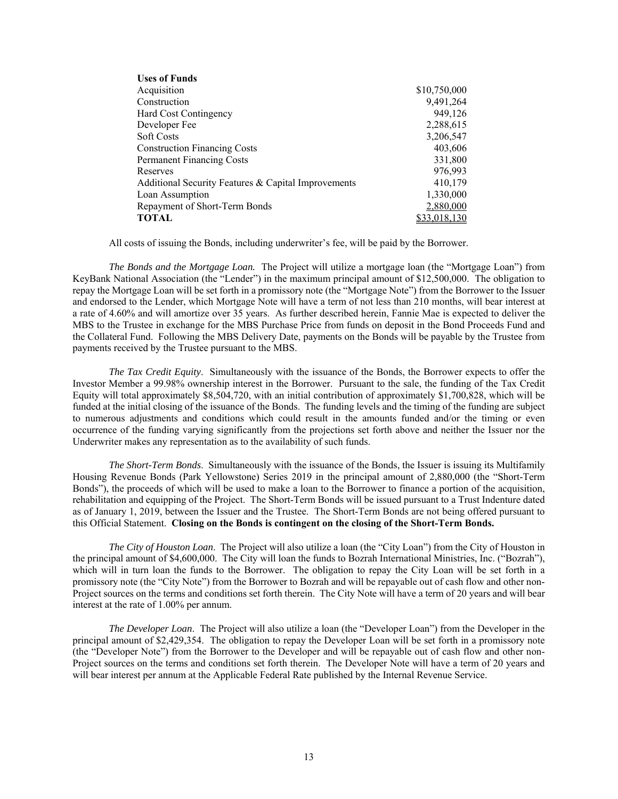| <b>Uses of Funds</b>                                |              |
|-----------------------------------------------------|--------------|
| Acquisition                                         | \$10,750,000 |
| Construction                                        | 9,491,264    |
| Hard Cost Contingency                               | 949,126      |
| Developer Fee                                       | 2,288,615    |
| <b>Soft Costs</b>                                   | 3,206,547    |
| <b>Construction Financing Costs</b>                 | 403,606      |
| <b>Permanent Financing Costs</b>                    | 331,800      |
| Reserves                                            | 976,993      |
| Additional Security Features & Capital Improvements | 410,179      |
| Loan Assumption                                     | 1,330,000    |
| Repayment of Short-Term Bonds                       | 2,880,000    |
| TOTAL                                               | \$33,018,130 |

All costs of issuing the Bonds, including underwriter's fee, will be paid by the Borrower.

*The Bonds and the Mortgage Loan.* The Project will utilize a mortgage loan (the "Mortgage Loan") from KeyBank National Association (the "Lender") in the maximum principal amount of \$12,500,000. The obligation to repay the Mortgage Loan will be set forth in a promissory note (the "Mortgage Note") from the Borrower to the Issuer and endorsed to the Lender, which Mortgage Note will have a term of not less than 210 months, will bear interest at a rate of 4.60% and will amortize over 35 years. As further described herein, Fannie Mae is expected to deliver the MBS to the Trustee in exchange for the MBS Purchase Price from funds on deposit in the Bond Proceeds Fund and the Collateral Fund. Following the MBS Delivery Date, payments on the Bonds will be payable by the Trustee from payments received by the Trustee pursuant to the MBS.

*The Tax Credit Equity*. Simultaneously with the issuance of the Bonds, the Borrower expects to offer the Investor Member a 99.98% ownership interest in the Borrower. Pursuant to the sale, the funding of the Tax Credit Equity will total approximately \$8,504,720, with an initial contribution of approximately \$1,700,828, which will be funded at the initial closing of the issuance of the Bonds. The funding levels and the timing of the funding are subject to numerous adjustments and conditions which could result in the amounts funded and/or the timing or even occurrence of the funding varying significantly from the projections set forth above and neither the Issuer nor the Underwriter makes any representation as to the availability of such funds.

*The Short-Term Bonds*. Simultaneously with the issuance of the Bonds, the Issuer is issuing its Multifamily Housing Revenue Bonds (Park Yellowstone) Series 2019 in the principal amount of 2,880,000 (the "Short-Term Bonds"), the proceeds of which will be used to make a loan to the Borrower to finance a portion of the acquisition, rehabilitation and equipping of the Project. The Short-Term Bonds will be issued pursuant to a Trust Indenture dated as of January 1, 2019, between the Issuer and the Trustee. The Short-Term Bonds are not being offered pursuant to this Official Statement. **Closing on the Bonds is contingent on the closing of the Short-Term Bonds.**

*The City of Houston Loan*. The Project will also utilize a loan (the "City Loan") from the City of Houston in the principal amount of \$4,600,000. The City will loan the funds to Bozrah International Ministries, Inc. ("Bozrah"), which will in turn loan the funds to the Borrower. The obligation to repay the City Loan will be set forth in a promissory note (the "City Note") from the Borrower to Bozrah and will be repayable out of cash flow and other non-Project sources on the terms and conditions set forth therein. The City Note will have a term of 20 years and will bear interest at the rate of 1.00% per annum.

*The Developer Loan*. The Project will also utilize a loan (the "Developer Loan") from the Developer in the principal amount of \$2,429,354. The obligation to repay the Developer Loan will be set forth in a promissory note (the "Developer Note") from the Borrower to the Developer and will be repayable out of cash flow and other non-Project sources on the terms and conditions set forth therein. The Developer Note will have a term of 20 years and will bear interest per annum at the Applicable Federal Rate published by the Internal Revenue Service.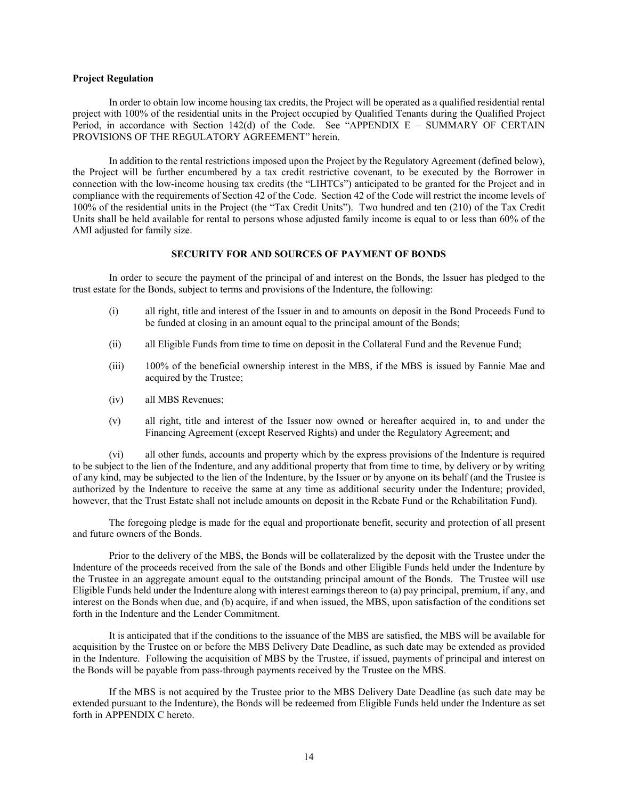# **Project Regulation**

In order to obtain low income housing tax credits, the Project will be operated as a qualified residential rental project with 100% of the residential units in the Project occupied by Qualified Tenants during the Qualified Project Period, in accordance with Section 142(d) of the Code. See "APPENDIX  $E - \text{SUMMARY}$  OF CERTAIN PROVISIONS OF THE REGULATORY AGREEMENT" herein.

In addition to the rental restrictions imposed upon the Project by the Regulatory Agreement (defined below), the Project will be further encumbered by a tax credit restrictive covenant, to be executed by the Borrower in connection with the low-income housing tax credits (the "LIHTCs") anticipated to be granted for the Project and in compliance with the requirements of Section 42 of the Code. Section 42 of the Code will restrict the income levels of 100% of the residential units in the Project (the "Tax Credit Units"). Two hundred and ten (210) of the Tax Credit Units shall be held available for rental to persons whose adjusted family income is equal to or less than 60% of the AMI adjusted for family size.

### **SECURITY FOR AND SOURCES OF PAYMENT OF BONDS**

In order to secure the payment of the principal of and interest on the Bonds, the Issuer has pledged to the trust estate for the Bonds, subject to terms and provisions of the Indenture, the following:

- (i) all right, title and interest of the Issuer in and to amounts on deposit in the Bond Proceeds Fund to be funded at closing in an amount equal to the principal amount of the Bonds;
- (ii) all Eligible Funds from time to time on deposit in the Collateral Fund and the Revenue Fund;
- (iii) 100% of the beneficial ownership interest in the MBS, if the MBS is issued by Fannie Mae and acquired by the Trustee;
- (iv) all MBS Revenues;
- (v) all right, title and interest of the Issuer now owned or hereafter acquired in, to and under the Financing Agreement (except Reserved Rights) and under the Regulatory Agreement; and

(vi) all other funds, accounts and property which by the express provisions of the Indenture is required to be subject to the lien of the Indenture, and any additional property that from time to time, by delivery or by writing of any kind, may be subjected to the lien of the Indenture, by the Issuer or by anyone on its behalf (and the Trustee is authorized by the Indenture to receive the same at any time as additional security under the Indenture; provided, however, that the Trust Estate shall not include amounts on deposit in the Rebate Fund or the Rehabilitation Fund).

The foregoing pledge is made for the equal and proportionate benefit, security and protection of all present and future owners of the Bonds.

Prior to the delivery of the MBS, the Bonds will be collateralized by the deposit with the Trustee under the Indenture of the proceeds received from the sale of the Bonds and other Eligible Funds held under the Indenture by the Trustee in an aggregate amount equal to the outstanding principal amount of the Bonds. The Trustee will use Eligible Funds held under the Indenture along with interest earnings thereon to (a) pay principal, premium, if any, and interest on the Bonds when due, and (b) acquire, if and when issued, the MBS, upon satisfaction of the conditions set forth in the Indenture and the Lender Commitment.

It is anticipated that if the conditions to the issuance of the MBS are satisfied, the MBS will be available for acquisition by the Trustee on or before the MBS Delivery Date Deadline, as such date may be extended as provided in the Indenture. Following the acquisition of MBS by the Trustee, if issued, payments of principal and interest on the Bonds will be payable from pass-through payments received by the Trustee on the MBS.

If the MBS is not acquired by the Trustee prior to the MBS Delivery Date Deadline (as such date may be extended pursuant to the Indenture), the Bonds will be redeemed from Eligible Funds held under the Indenture as set forth in APPENDIX C hereto.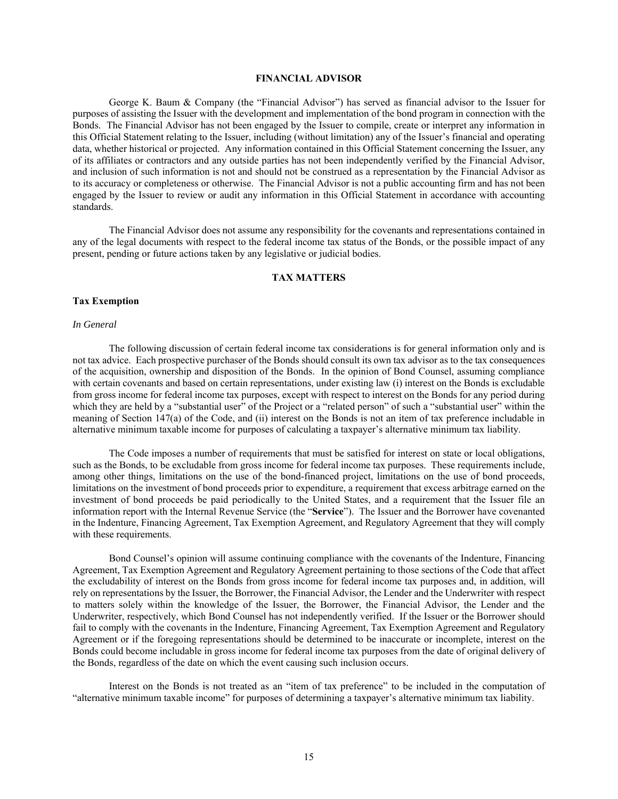# **FINANCIAL ADVISOR**

George K. Baum & Company (the "Financial Advisor") has served as financial advisor to the Issuer for purposes of assisting the Issuer with the development and implementation of the bond program in connection with the Bonds. The Financial Advisor has not been engaged by the Issuer to compile, create or interpret any information in this Official Statement relating to the Issuer, including (without limitation) any of the Issuer's financial and operating data, whether historical or projected. Any information contained in this Official Statement concerning the Issuer, any of its affiliates or contractors and any outside parties has not been independently verified by the Financial Advisor, and inclusion of such information is not and should not be construed as a representation by the Financial Advisor as to its accuracy or completeness or otherwise. The Financial Advisor is not a public accounting firm and has not been engaged by the Issuer to review or audit any information in this Official Statement in accordance with accounting standards.

The Financial Advisor does not assume any responsibility for the covenants and representations contained in any of the legal documents with respect to the federal income tax status of the Bonds, or the possible impact of any present, pending or future actions taken by any legislative or judicial bodies.

# **TAX MATTERS**

#### **Tax Exemption**

#### *In General*

The following discussion of certain federal income tax considerations is for general information only and is not tax advice. Each prospective purchaser of the Bonds should consult its own tax advisor as to the tax consequences of the acquisition, ownership and disposition of the Bonds. In the opinion of Bond Counsel, assuming compliance with certain covenants and based on certain representations, under existing law (i) interest on the Bonds is excludable from gross income for federal income tax purposes, except with respect to interest on the Bonds for any period during which they are held by a "substantial user" of the Project or a "related person" of such a "substantial user" within the meaning of Section 147(a) of the Code, and (ii) interest on the Bonds is not an item of tax preference includable in alternative minimum taxable income for purposes of calculating a taxpayer's alternative minimum tax liability.

The Code imposes a number of requirements that must be satisfied for interest on state or local obligations, such as the Bonds, to be excludable from gross income for federal income tax purposes. These requirements include, among other things, limitations on the use of the bond-financed project, limitations on the use of bond proceeds, limitations on the investment of bond proceeds prior to expenditure, a requirement that excess arbitrage earned on the investment of bond proceeds be paid periodically to the United States, and a requirement that the Issuer file an information report with the Internal Revenue Service (the "**Service**"). The Issuer and the Borrower have covenanted in the Indenture, Financing Agreement, Tax Exemption Agreement, and Regulatory Agreement that they will comply with these requirements.

Bond Counsel's opinion will assume continuing compliance with the covenants of the Indenture, Financing Agreement, Tax Exemption Agreement and Regulatory Agreement pertaining to those sections of the Code that affect the excludability of interest on the Bonds from gross income for federal income tax purposes and, in addition, will rely on representations by the Issuer, the Borrower, the Financial Advisor, the Lender and the Underwriter with respect to matters solely within the knowledge of the Issuer, the Borrower, the Financial Advisor, the Lender and the Underwriter, respectively, which Bond Counsel has not independently verified. If the Issuer or the Borrower should fail to comply with the covenants in the Indenture, Financing Agreement, Tax Exemption Agreement and Regulatory Agreement or if the foregoing representations should be determined to be inaccurate or incomplete, interest on the Bonds could become includable in gross income for federal income tax purposes from the date of original delivery of the Bonds, regardless of the date on which the event causing such inclusion occurs.

Interest on the Bonds is not treated as an "item of tax preference" to be included in the computation of "alternative minimum taxable income" for purposes of determining a taxpayer's alternative minimum tax liability.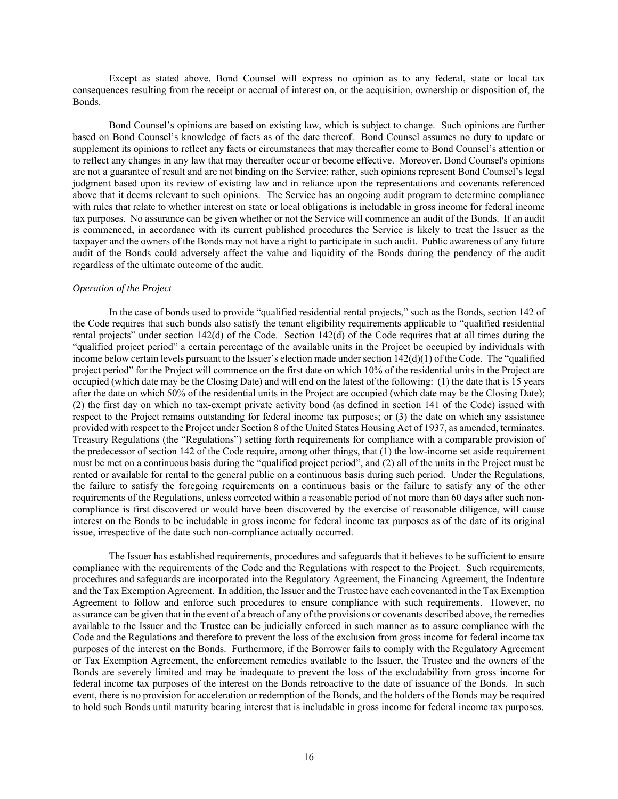Except as stated above, Bond Counsel will express no opinion as to any federal, state or local tax consequences resulting from the receipt or accrual of interest on, or the acquisition, ownership or disposition of, the Bonds.

Bond Counsel's opinions are based on existing law, which is subject to change. Such opinions are further based on Bond Counsel's knowledge of facts as of the date thereof. Bond Counsel assumes no duty to update or supplement its opinions to reflect any facts or circumstances that may thereafter come to Bond Counsel's attention or to reflect any changes in any law that may thereafter occur or become effective. Moreover, Bond Counsel's opinions are not a guarantee of result and are not binding on the Service; rather, such opinions represent Bond Counsel's legal judgment based upon its review of existing law and in reliance upon the representations and covenants referenced above that it deems relevant to such opinions. The Service has an ongoing audit program to determine compliance with rules that relate to whether interest on state or local obligations is includable in gross income for federal income tax purposes. No assurance can be given whether or not the Service will commence an audit of the Bonds. If an audit is commenced, in accordance with its current published procedures the Service is likely to treat the Issuer as the taxpayer and the owners of the Bonds may not have a right to participate in such audit. Public awareness of any future audit of the Bonds could adversely affect the value and liquidity of the Bonds during the pendency of the audit regardless of the ultimate outcome of the audit.

# *Operation of the Project*

In the case of bonds used to provide "qualified residential rental projects," such as the Bonds, section 142 of the Code requires that such bonds also satisfy the tenant eligibility requirements applicable to "qualified residential rental projects" under section 142(d) of the Code. Section 142(d) of the Code requires that at all times during the "qualified project period" a certain percentage of the available units in the Project be occupied by individuals with income below certain levels pursuant to the Issuer's election made under section  $142(d)(1)$  of the Code. The "qualified" project period" for the Project will commence on the first date on which 10% of the residential units in the Project are occupied (which date may be the Closing Date) and will end on the latest of the following: (1) the date that is 15 years after the date on which 50% of the residential units in the Project are occupied (which date may be the Closing Date); (2) the first day on which no tax-exempt private activity bond (as defined in section 141 of the Code) issued with respect to the Project remains outstanding for federal income tax purposes; or (3) the date on which any assistance provided with respect to the Project under Section 8 of the United States Housing Act of 1937, as amended, terminates. Treasury Regulations (the "Regulations") setting forth requirements for compliance with a comparable provision of the predecessor of section 142 of the Code require, among other things, that (1) the low-income set aside requirement must be met on a continuous basis during the "qualified project period", and (2) all of the units in the Project must be rented or available for rental to the general public on a continuous basis during such period. Under the Regulations, the failure to satisfy the foregoing requirements on a continuous basis or the failure to satisfy any of the other requirements of the Regulations, unless corrected within a reasonable period of not more than 60 days after such noncompliance is first discovered or would have been discovered by the exercise of reasonable diligence, will cause interest on the Bonds to be includable in gross income for federal income tax purposes as of the date of its original issue, irrespective of the date such non-compliance actually occurred.

The Issuer has established requirements, procedures and safeguards that it believes to be sufficient to ensure compliance with the requirements of the Code and the Regulations with respect to the Project. Such requirements, procedures and safeguards are incorporated into the Regulatory Agreement, the Financing Agreement, the Indenture and the Tax Exemption Agreement. In addition, the Issuer and the Trustee have each covenanted in the Tax Exemption Agreement to follow and enforce such procedures to ensure compliance with such requirements. However, no assurance can be given that in the event of a breach of any of the provisions or covenants described above, the remedies available to the Issuer and the Trustee can be judicially enforced in such manner as to assure compliance with the Code and the Regulations and therefore to prevent the loss of the exclusion from gross income for federal income tax purposes of the interest on the Bonds. Furthermore, if the Borrower fails to comply with the Regulatory Agreement or Tax Exemption Agreement, the enforcement remedies available to the Issuer, the Trustee and the owners of the Bonds are severely limited and may be inadequate to prevent the loss of the excludability from gross income for federal income tax purposes of the interest on the Bonds retroactive to the date of issuance of the Bonds. In such event, there is no provision for acceleration or redemption of the Bonds, and the holders of the Bonds may be required to hold such Bonds until maturity bearing interest that is includable in gross income for federal income tax purposes.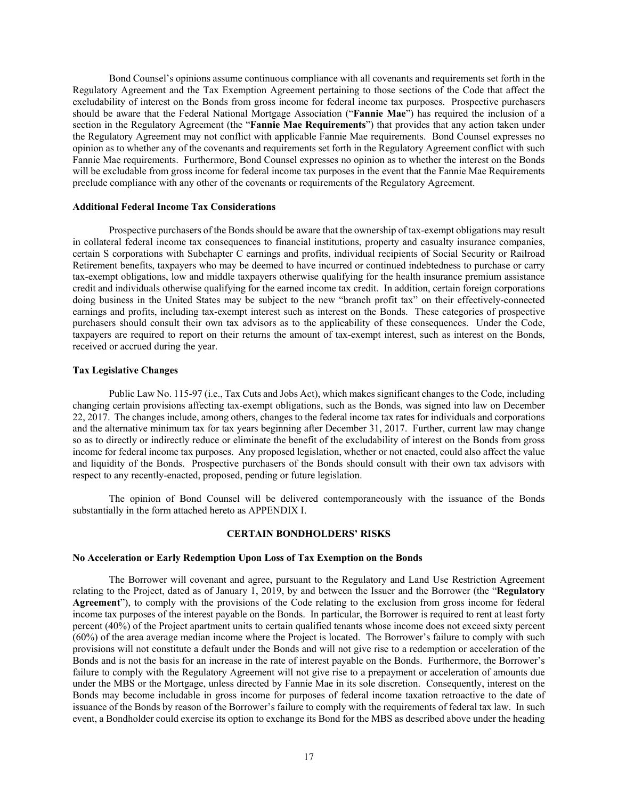Bond Counsel's opinions assume continuous compliance with all covenants and requirements set forth in the Regulatory Agreement and the Tax Exemption Agreement pertaining to those sections of the Code that affect the excludability of interest on the Bonds from gross income for federal income tax purposes. Prospective purchasers should be aware that the Federal National Mortgage Association ("**Fannie Mae**") has required the inclusion of a section in the Regulatory Agreement (the "**Fannie Mae Requirements**") that provides that any action taken under the Regulatory Agreement may not conflict with applicable Fannie Mae requirements. Bond Counsel expresses no opinion as to whether any of the covenants and requirements set forth in the Regulatory Agreement conflict with such Fannie Mae requirements. Furthermore, Bond Counsel expresses no opinion as to whether the interest on the Bonds will be excludable from gross income for federal income tax purposes in the event that the Fannie Mae Requirements preclude compliance with any other of the covenants or requirements of the Regulatory Agreement.

### **Additional Federal Income Tax Considerations**

Prospective purchasers of the Bonds should be aware that the ownership of tax-exempt obligations may result in collateral federal income tax consequences to financial institutions, property and casualty insurance companies, certain S corporations with Subchapter C earnings and profits, individual recipients of Social Security or Railroad Retirement benefits, taxpayers who may be deemed to have incurred or continued indebtedness to purchase or carry tax-exempt obligations, low and middle taxpayers otherwise qualifying for the health insurance premium assistance credit and individuals otherwise qualifying for the earned income tax credit. In addition, certain foreign corporations doing business in the United States may be subject to the new "branch profit tax" on their effectively-connected earnings and profits, including tax-exempt interest such as interest on the Bonds. These categories of prospective purchasers should consult their own tax advisors as to the applicability of these consequences. Under the Code, taxpayers are required to report on their returns the amount of tax-exempt interest, such as interest on the Bonds, received or accrued during the year.

### **Tax Legislative Changes**

Public Law No. 115-97 (i.e., Tax Cuts and Jobs Act), which makes significant changes to the Code, including changing certain provisions affecting tax-exempt obligations, such as the Bonds, was signed into law on December 22, 2017. The changes include, among others, changes to the federal income tax rates for individuals and corporations and the alternative minimum tax for tax years beginning after December 31, 2017. Further, current law may change so as to directly or indirectly reduce or eliminate the benefit of the excludability of interest on the Bonds from gross income for federal income tax purposes. Any proposed legislation, whether or not enacted, could also affect the value and liquidity of the Bonds. Prospective purchasers of the Bonds should consult with their own tax advisors with respect to any recently-enacted, proposed, pending or future legislation.

The opinion of Bond Counsel will be delivered contemporaneously with the issuance of the Bonds substantially in the form attached hereto as APPENDIX I.

# **CERTAIN BONDHOLDERS' RISKS**

#### **No Acceleration or Early Redemption Upon Loss of Tax Exemption on the Bonds**

The Borrower will covenant and agree, pursuant to the Regulatory and Land Use Restriction Agreement relating to the Project, dated as of January 1, 2019, by and between the Issuer and the Borrower (the "**Regulatory Agreement**"), to comply with the provisions of the Code relating to the exclusion from gross income for federal income tax purposes of the interest payable on the Bonds. In particular, the Borrower is required to rent at least forty percent (40%) of the Project apartment units to certain qualified tenants whose income does not exceed sixty percent (60%) of the area average median income where the Project is located. The Borrower's failure to comply with such provisions will not constitute a default under the Bonds and will not give rise to a redemption or acceleration of the Bonds and is not the basis for an increase in the rate of interest payable on the Bonds. Furthermore, the Borrower's failure to comply with the Regulatory Agreement will not give rise to a prepayment or acceleration of amounts due under the MBS or the Mortgage, unless directed by Fannie Mae in its sole discretion. Consequently, interest on the Bonds may become includable in gross income for purposes of federal income taxation retroactive to the date of issuance of the Bonds by reason of the Borrower's failure to comply with the requirements of federal tax law. In such event, a Bondholder could exercise its option to exchange its Bond for the MBS as described above under the heading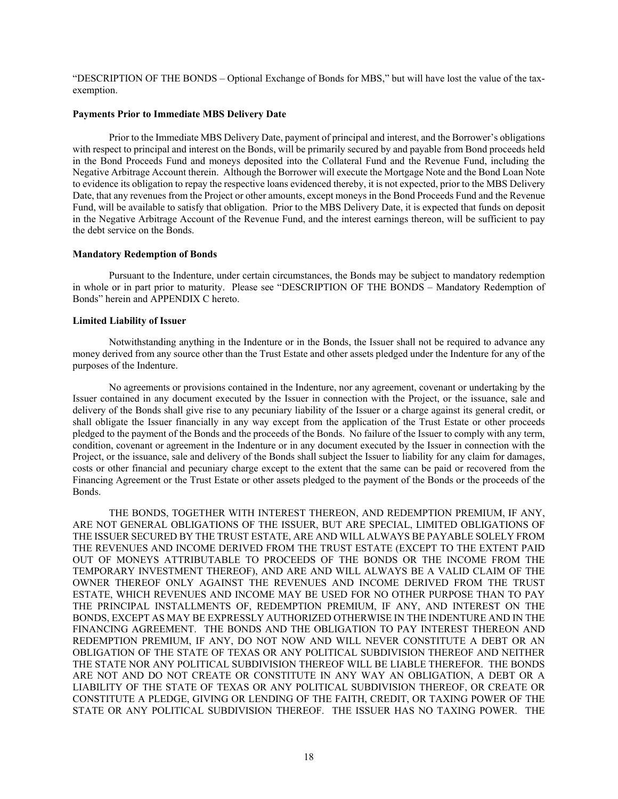"DESCRIPTION OF THE BONDS – Optional Exchange of Bonds for MBS," but will have lost the value of the taxexemption.

### **Payments Prior to Immediate MBS Delivery Date**

Prior to the Immediate MBS Delivery Date, payment of principal and interest, and the Borrower's obligations with respect to principal and interest on the Bonds, will be primarily secured by and payable from Bond proceeds held in the Bond Proceeds Fund and moneys deposited into the Collateral Fund and the Revenue Fund, including the Negative Arbitrage Account therein. Although the Borrower will execute the Mortgage Note and the Bond Loan Note to evidence its obligation to repay the respective loans evidenced thereby, it is not expected, prior to the MBS Delivery Date, that any revenues from the Project or other amounts, except moneys in the Bond Proceeds Fund and the Revenue Fund, will be available to satisfy that obligation. Prior to the MBS Delivery Date, it is expected that funds on deposit in the Negative Arbitrage Account of the Revenue Fund, and the interest earnings thereon, will be sufficient to pay the debt service on the Bonds.

### **Mandatory Redemption of Bonds**

Pursuant to the Indenture, under certain circumstances, the Bonds may be subject to mandatory redemption in whole or in part prior to maturity. Please see "DESCRIPTION OF THE BONDS – Mandatory Redemption of Bonds" herein and APPENDIX C hereto.

# **Limited Liability of Issuer**

Notwithstanding anything in the Indenture or in the Bonds, the Issuer shall not be required to advance any money derived from any source other than the Trust Estate and other assets pledged under the Indenture for any of the purposes of the Indenture.

No agreements or provisions contained in the Indenture, nor any agreement, covenant or undertaking by the Issuer contained in any document executed by the Issuer in connection with the Project, or the issuance, sale and delivery of the Bonds shall give rise to any pecuniary liability of the Issuer or a charge against its general credit, or shall obligate the Issuer financially in any way except from the application of the Trust Estate or other proceeds pledged to the payment of the Bonds and the proceeds of the Bonds. No failure of the Issuer to comply with any term, condition, covenant or agreement in the Indenture or in any document executed by the Issuer in connection with the Project, or the issuance, sale and delivery of the Bonds shall subject the Issuer to liability for any claim for damages, costs or other financial and pecuniary charge except to the extent that the same can be paid or recovered from the Financing Agreement or the Trust Estate or other assets pledged to the payment of the Bonds or the proceeds of the Bonds.

THE BONDS, TOGETHER WITH INTEREST THEREON, AND REDEMPTION PREMIUM, IF ANY, ARE NOT GENERAL OBLIGATIONS OF THE ISSUER, BUT ARE SPECIAL, LIMITED OBLIGATIONS OF THE ISSUER SECURED BY THE TRUST ESTATE, ARE AND WILL ALWAYS BE PAYABLE SOLELY FROM THE REVENUES AND INCOME DERIVED FROM THE TRUST ESTATE (EXCEPT TO THE EXTENT PAID OUT OF MONEYS ATTRIBUTABLE TO PROCEEDS OF THE BONDS OR THE INCOME FROM THE TEMPORARY INVESTMENT THEREOF), AND ARE AND WILL ALWAYS BE A VALID CLAIM OF THE OWNER THEREOF ONLY AGAINST THE REVENUES AND INCOME DERIVED FROM THE TRUST ESTATE, WHICH REVENUES AND INCOME MAY BE USED FOR NO OTHER PURPOSE THAN TO PAY THE PRINCIPAL INSTALLMENTS OF, REDEMPTION PREMIUM, IF ANY, AND INTEREST ON THE BONDS, EXCEPT AS MAY BE EXPRESSLY AUTHORIZED OTHERWISE IN THE INDENTURE AND IN THE FINANCING AGREEMENT. THE BONDS AND THE OBLIGATION TO PAY INTEREST THEREON AND REDEMPTION PREMIUM, IF ANY, DO NOT NOW AND WILL NEVER CONSTITUTE A DEBT OR AN OBLIGATION OF THE STATE OF TEXAS OR ANY POLITICAL SUBDIVISION THEREOF AND NEITHER THE STATE NOR ANY POLITICAL SUBDIVISION THEREOF WILL BE LIABLE THEREFOR. THE BONDS ARE NOT AND DO NOT CREATE OR CONSTITUTE IN ANY WAY AN OBLIGATION, A DEBT OR A LIABILITY OF THE STATE OF TEXAS OR ANY POLITICAL SUBDIVISION THEREOF, OR CREATE OR CONSTITUTE A PLEDGE, GIVING OR LENDING OF THE FAITH, CREDIT, OR TAXING POWER OF THE STATE OR ANY POLITICAL SUBDIVISION THEREOF. THE ISSUER HAS NO TAXING POWER. THE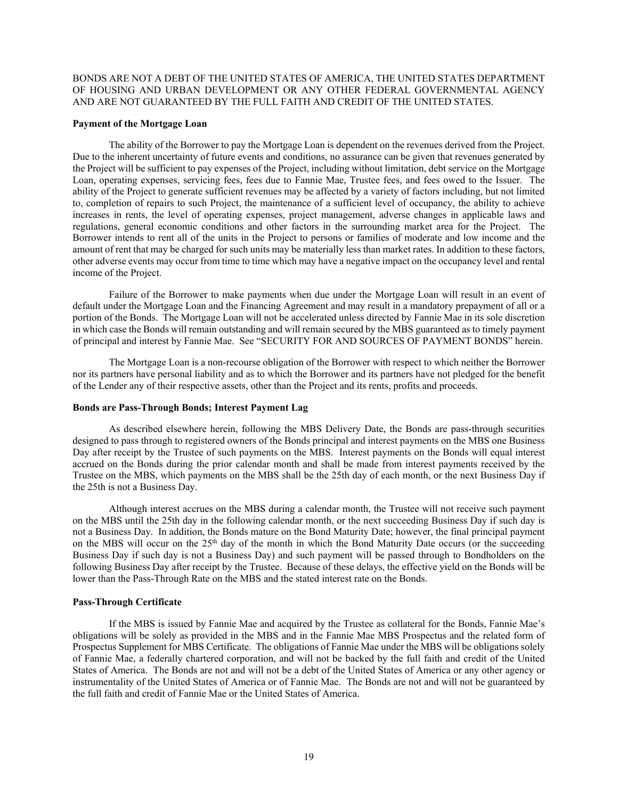BONDS ARE NOT A DEBT OF THE UNITED STATES OF AMERICA, THE UNITED STATES DEPARTMENT OF HOUSING AND URBAN DEVELOPMENT OR ANY OTHER FEDERAL GOVERNMENTAL AGENCY AND ARE NOT GUARANTEED BY THE FULL FAITH AND CREDIT OF THE UNITED STATES.

### **Payment of the Mortgage Loan**

The ability of the Borrower to pay the Mortgage Loan is dependent on the revenues derived from the Project. Due to the inherent uncertainty of future events and conditions, no assurance can be given that revenues generated by the Project will be sufficient to pay expenses of the Project, including without limitation, debt service on the Mortgage Loan, operating expenses, servicing fees, fees due to Fannie Mae, Trustee fees, and fees owed to the Issuer. The ability of the Project to generate sufficient revenues may be affected by a variety of factors including, but not limited to, completion of repairs to such Project, the maintenance of a sufficient level of occupancy, the ability to achieve increases in rents, the level of operating expenses, project management, adverse changes in applicable laws and regulations, general economic conditions and other factors in the surrounding market area for the Project. The Borrower intends to rent all of the units in the Project to persons or families of moderate and low income and the amount of rent that may be charged for such units may be materially less than market rates. In addition to these factors, other adverse events may occur from time to time which may have a negative impact on the occupancy level and rental income of the Project.

Failure of the Borrower to make payments when due under the Mortgage Loan will result in an event of default under the Mortgage Loan and the Financing Agreement and may result in a mandatory prepayment of all or a portion of the Bonds. The Mortgage Loan will not be accelerated unless directed by Fannie Mae in its sole discretion in which case the Bonds will remain outstanding and will remain secured by the MBS guaranteed as to timely payment of principal and interest by Fannie Mae. See "SECURITY FOR AND SOURCES OF PAYMENT BONDS" herein.

The Mortgage Loan is a non-recourse obligation of the Borrower with respect to which neither the Borrower nor its partners have personal liability and as to which the Borrower and its partners have not pledged for the benefit of the Lender any of their respective assets, other than the Project and its rents, profits and proceeds.

### **Bonds are Pass-Through Bonds; Interest Payment Lag**

As described elsewhere herein, following the MBS Delivery Date, the Bonds are pass-through securities designed to pass through to registered owners of the Bonds principal and interest payments on the MBS one Business Day after receipt by the Trustee of such payments on the MBS. Interest payments on the Bonds will equal interest accrued on the Bonds during the prior calendar month and shall be made from interest payments received by the Trustee on the MBS, which payments on the MBS shall be the 25th day of each month, or the next Business Day if the 25th is not a Business Day.

Although interest accrues on the MBS during a calendar month, the Trustee will not receive such payment on the MBS until the 25th day in the following calendar month, or the next succeeding Business Day if such day is not a Business Day. In addition, the Bonds mature on the Bond Maturity Date; however, the final principal payment on the MBS will occur on the 25<sup>th</sup> day of the month in which the Bond Maturity Date occurs (or the succeeding Business Day if such day is not a Business Day) and such payment will be passed through to Bondholders on the following Business Day after receipt by the Trustee. Because of these delays, the effective yield on the Bonds will be lower than the Pass-Through Rate on the MBS and the stated interest rate on the Bonds.

### **Pass-Through Certificate**

If the MBS is issued by Fannie Mae and acquired by the Trustee as collateral for the Bonds, Fannie Mae's obligations will be solely as provided in the MBS and in the Fannie Mae MBS Prospectus and the related form of Prospectus Supplement for MBS Certificate. The obligations of Fannie Mae under the MBS will be obligations solely of Fannie Mae, a federally chartered corporation, and will not be backed by the full faith and credit of the United States of America. The Bonds are not and will not be a debt of the United States of America or any other agency or instrumentality of the United States of America or of Fannie Mae. The Bonds are not and will not be guaranteed by the full faith and credit of Fannie Mae or the United States of America.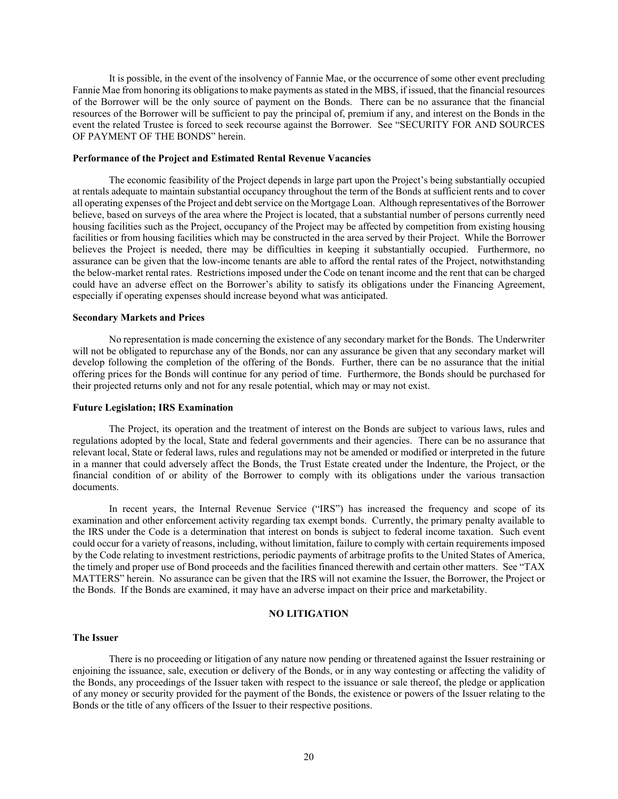It is possible, in the event of the insolvency of Fannie Mae, or the occurrence of some other event precluding Fannie Mae from honoring its obligations to make payments as stated in the MBS, if issued, that the financial resources of the Borrower will be the only source of payment on the Bonds. There can be no assurance that the financial resources of the Borrower will be sufficient to pay the principal of, premium if any, and interest on the Bonds in the event the related Trustee is forced to seek recourse against the Borrower. See "SECURITY FOR AND SOURCES OF PAYMENT OF THE BONDS" herein.

### **Performance of the Project and Estimated Rental Revenue Vacancies**

The economic feasibility of the Project depends in large part upon the Project's being substantially occupied at rentals adequate to maintain substantial occupancy throughout the term of the Bonds at sufficient rents and to cover all operating expenses of the Project and debt service on the Mortgage Loan. Although representatives of the Borrower believe, based on surveys of the area where the Project is located, that a substantial number of persons currently need housing facilities such as the Project, occupancy of the Project may be affected by competition from existing housing facilities or from housing facilities which may be constructed in the area served by their Project. While the Borrower believes the Project is needed, there may be difficulties in keeping it substantially occupied. Furthermore, no assurance can be given that the low-income tenants are able to afford the rental rates of the Project, notwithstanding the below-market rental rates. Restrictions imposed under the Code on tenant income and the rent that can be charged could have an adverse effect on the Borrower's ability to satisfy its obligations under the Financing Agreement, especially if operating expenses should increase beyond what was anticipated.

## **Secondary Markets and Prices**

No representation is made concerning the existence of any secondary market for the Bonds. The Underwriter will not be obligated to repurchase any of the Bonds, nor can any assurance be given that any secondary market will develop following the completion of the offering of the Bonds. Further, there can be no assurance that the initial offering prices for the Bonds will continue for any period of time. Furthermore, the Bonds should be purchased for their projected returns only and not for any resale potential, which may or may not exist.

#### **Future Legislation; IRS Examination**

The Project, its operation and the treatment of interest on the Bonds are subject to various laws, rules and regulations adopted by the local, State and federal governments and their agencies. There can be no assurance that relevant local, State or federal laws, rules and regulations may not be amended or modified or interpreted in the future in a manner that could adversely affect the Bonds, the Trust Estate created under the Indenture, the Project, or the financial condition of or ability of the Borrower to comply with its obligations under the various transaction documents.

In recent years, the Internal Revenue Service ("IRS") has increased the frequency and scope of its examination and other enforcement activity regarding tax exempt bonds. Currently, the primary penalty available to the IRS under the Code is a determination that interest on bonds is subject to federal income taxation. Such event could occur for a variety of reasons, including, without limitation, failure to comply with certain requirements imposed by the Code relating to investment restrictions, periodic payments of arbitrage profits to the United States of America, the timely and proper use of Bond proceeds and the facilities financed therewith and certain other matters. See "TAX MATTERS" herein. No assurance can be given that the IRS will not examine the Issuer, the Borrower, the Project or the Bonds. If the Bonds are examined, it may have an adverse impact on their price and marketability.

# **NO LITIGATION**

### **The Issuer**

There is no proceeding or litigation of any nature now pending or threatened against the Issuer restraining or enjoining the issuance, sale, execution or delivery of the Bonds, or in any way contesting or affecting the validity of the Bonds, any proceedings of the Issuer taken with respect to the issuance or sale thereof, the pledge or application of any money or security provided for the payment of the Bonds, the existence or powers of the Issuer relating to the Bonds or the title of any officers of the Issuer to their respective positions.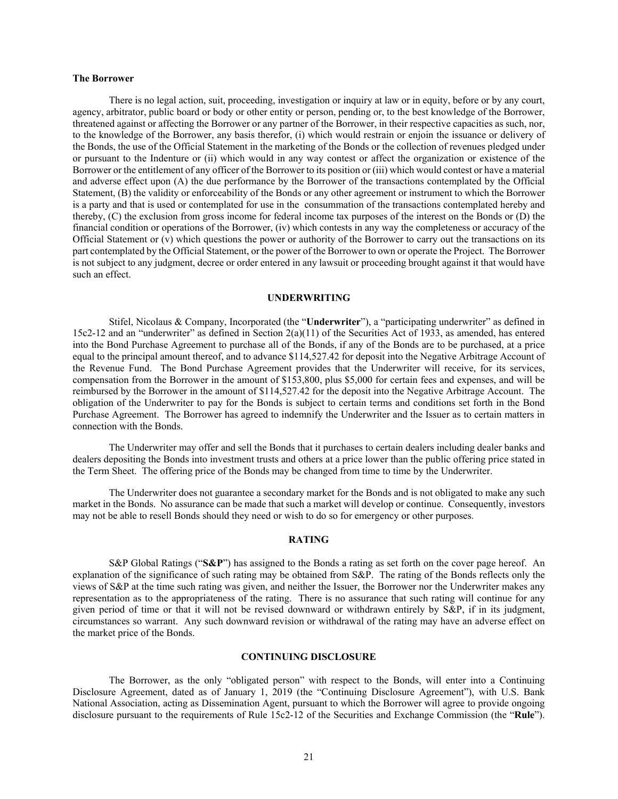### **The Borrower**

There is no legal action, suit, proceeding, investigation or inquiry at law or in equity, before or by any court, agency, arbitrator, public board or body or other entity or person, pending or, to the best knowledge of the Borrower, threatened against or affecting the Borrower or any partner of the Borrower, in their respective capacities as such, nor, to the knowledge of the Borrower, any basis therefor, (i) which would restrain or enjoin the issuance or delivery of the Bonds, the use of the Official Statement in the marketing of the Bonds or the collection of revenues pledged under or pursuant to the Indenture or (ii) which would in any way contest or affect the organization or existence of the Borrower or the entitlement of any officer of the Borrower to its position or (iii) which would contest or have a material and adverse effect upon (A) the due performance by the Borrower of the transactions contemplated by the Official Statement, (B) the validity or enforceability of the Bonds or any other agreement or instrument to which the Borrower is a party and that is used or contemplated for use in the consummation of the transactions contemplated hereby and thereby, (C) the exclusion from gross income for federal income tax purposes of the interest on the Bonds or (D) the financial condition or operations of the Borrower, (iv) which contests in any way the completeness or accuracy of the Official Statement or  $(v)$  which questions the power or authority of the Borrower to carry out the transactions on its part contemplated by the Official Statement, or the power of the Borrower to own or operate the Project. The Borrower is not subject to any judgment, decree or order entered in any lawsuit or proceeding brought against it that would have such an effect.

#### **UNDERWRITING**

Stifel, Nicolaus & Company, Incorporated (the "**Underwriter**"), a "participating underwriter" as defined in 15c2-12 and an "underwriter" as defined in Section 2(a)(11) of the Securities Act of 1933, as amended, has entered into the Bond Purchase Agreement to purchase all of the Bonds, if any of the Bonds are to be purchased, at a price equal to the principal amount thereof, and to advance \$114,527.42 for deposit into the Negative Arbitrage Account of the Revenue Fund. The Bond Purchase Agreement provides that the Underwriter will receive, for its services, compensation from the Borrower in the amount of \$153,800, plus \$5,000 for certain fees and expenses, and will be reimbursed by the Borrower in the amount of \$114,527.42 for the deposit into the Negative Arbitrage Account. The obligation of the Underwriter to pay for the Bonds is subject to certain terms and conditions set forth in the Bond Purchase Agreement. The Borrower has agreed to indemnify the Underwriter and the Issuer as to certain matters in connection with the Bonds.

The Underwriter may offer and sell the Bonds that it purchases to certain dealers including dealer banks and dealers depositing the Bonds into investment trusts and others at a price lower than the public offering price stated in the Term Sheet. The offering price of the Bonds may be changed from time to time by the Underwriter.

The Underwriter does not guarantee a secondary market for the Bonds and is not obligated to make any such market in the Bonds. No assurance can be made that such a market will develop or continue. Consequently, investors may not be able to resell Bonds should they need or wish to do so for emergency or other purposes.

#### **RATING**

S&P Global Ratings ("**S&P**") has assigned to the Bonds a rating as set forth on the cover page hereof. An explanation of the significance of such rating may be obtained from S&P. The rating of the Bonds reflects only the views of S&P at the time such rating was given, and neither the Issuer, the Borrower nor the Underwriter makes any representation as to the appropriateness of the rating. There is no assurance that such rating will continue for any given period of time or that it will not be revised downward or withdrawn entirely by S&P, if in its judgment, circumstances so warrant. Any such downward revision or withdrawal of the rating may have an adverse effect on the market price of the Bonds.

### **CONTINUING DISCLOSURE**

The Borrower, as the only "obligated person" with respect to the Bonds, will enter into a Continuing Disclosure Agreement, dated as of January 1, 2019 (the "Continuing Disclosure Agreement"), with U.S. Bank National Association, acting as Dissemination Agent, pursuant to which the Borrower will agree to provide ongoing disclosure pursuant to the requirements of Rule 15c2-12 of the Securities and Exchange Commission (the "**Rule**").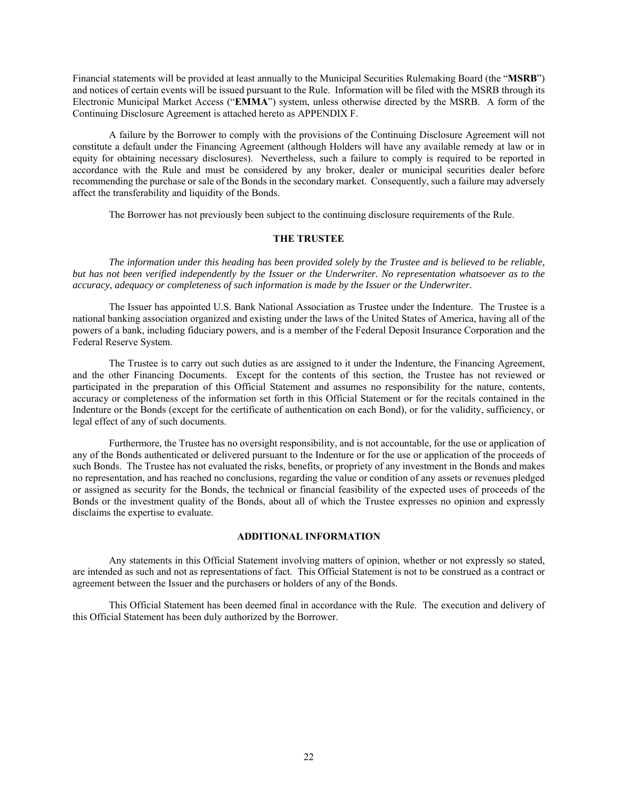Financial statements will be provided at least annually to the Municipal Securities Rulemaking Board (the "**MSRB**") and notices of certain events will be issued pursuant to the Rule. Information will be filed with the MSRB through its Electronic Municipal Market Access ("**EMMA**") system, unless otherwise directed by the MSRB. A form of the Continuing Disclosure Agreement is attached hereto as APPENDIX F.

A failure by the Borrower to comply with the provisions of the Continuing Disclosure Agreement will not constitute a default under the Financing Agreement (although Holders will have any available remedy at law or in equity for obtaining necessary disclosures). Nevertheless, such a failure to comply is required to be reported in accordance with the Rule and must be considered by any broker, dealer or municipal securities dealer before recommending the purchase or sale of the Bonds in the secondary market. Consequently, such a failure may adversely affect the transferability and liquidity of the Bonds.

The Borrower has not previously been subject to the continuing disclosure requirements of the Rule.

# **THE TRUSTEE**

*The information under this heading has been provided solely by the Trustee and is believed to be reliable, but has not been verified independently by the Issuer or the Underwriter. No representation whatsoever as to the accuracy, adequacy or completeness of such information is made by the Issuer or the Underwriter.*

The Issuer has appointed U.S. Bank National Association as Trustee under the Indenture. The Trustee is a national banking association organized and existing under the laws of the United States of America, having all of the powers of a bank, including fiduciary powers, and is a member of the Federal Deposit Insurance Corporation and the Federal Reserve System.

The Trustee is to carry out such duties as are assigned to it under the Indenture, the Financing Agreement, and the other Financing Documents. Except for the contents of this section, the Trustee has not reviewed or participated in the preparation of this Official Statement and assumes no responsibility for the nature, contents, accuracy or completeness of the information set forth in this Official Statement or for the recitals contained in the Indenture or the Bonds (except for the certificate of authentication on each Bond), or for the validity, sufficiency, or legal effect of any of such documents.

Furthermore, the Trustee has no oversight responsibility, and is not accountable, for the use or application of any of the Bonds authenticated or delivered pursuant to the Indenture or for the use or application of the proceeds of such Bonds. The Trustee has not evaluated the risks, benefits, or propriety of any investment in the Bonds and makes no representation, and has reached no conclusions, regarding the value or condition of any assets or revenues pledged or assigned as security for the Bonds, the technical or financial feasibility of the expected uses of proceeds of the Bonds or the investment quality of the Bonds, about all of which the Trustee expresses no opinion and expressly disclaims the expertise to evaluate.

# **ADDITIONAL INFORMATION**

Any statements in this Official Statement involving matters of opinion, whether or not expressly so stated, are intended as such and not as representations of fact. This Official Statement is not to be construed as a contract or agreement between the Issuer and the purchasers or holders of any of the Bonds.

This Official Statement has been deemed final in accordance with the Rule. The execution and delivery of this Official Statement has been duly authorized by the Borrower.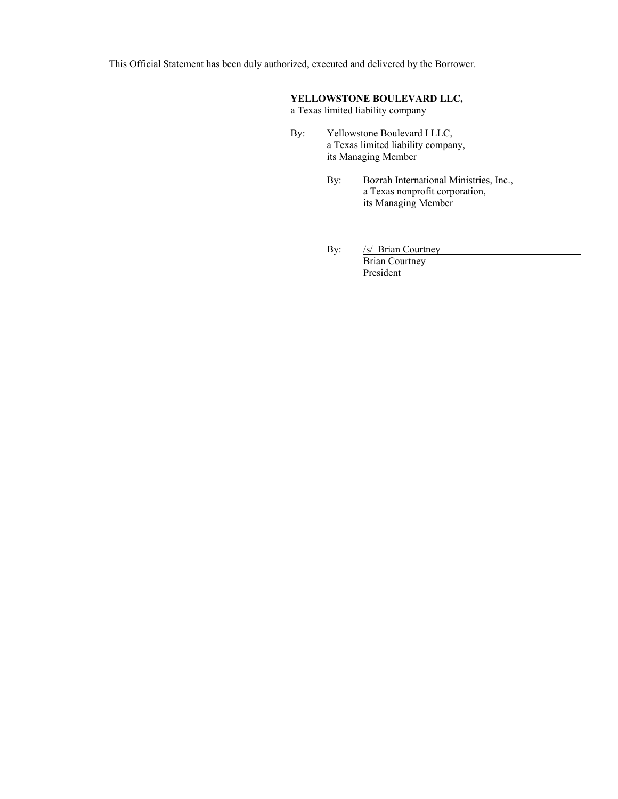This Official Statement has been duly authorized, executed and delivered by the Borrower.

# **YELLOWSTONE BOULEVARD LLC,**

a Texas limited liability company

- By: Yellowstone Boulevard I LLC, a Texas limited liability company, its Managing Member
	- By: Bozrah International Ministries, Inc., a Texas nonprofit corporation, its Managing Member
	- By: /s/ Brian Courtney

Brian Courtney President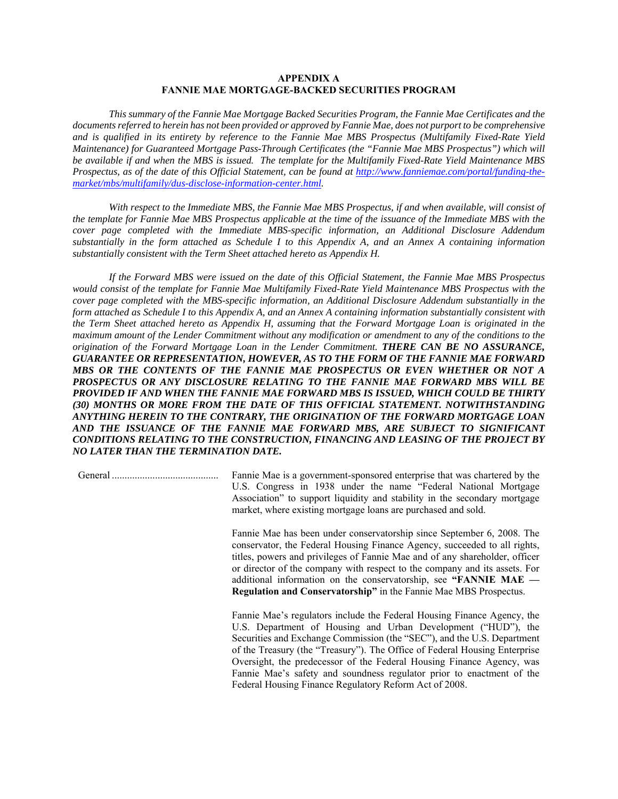# **APPENDIX A FANNIE MAE MORTGAGE-BACKED SECURITIES PROGRAM**

*This summary of the Fannie Mae Mortgage Backed Securities Program, the Fannie Mae Certificates and the documents referred to herein has not been provided or approved by Fannie Mae, does not purport to be comprehensive and is qualified in its entirety by reference to the Fannie Mae MBS Prospectus (Multifamily Fixed-Rate Yield Maintenance) for Guaranteed Mortgage Pass-Through Certificates (the "Fannie Mae MBS Prospectus") which will be available if and when the MBS is issued. The template for the Multifamily Fixed-Rate Yield Maintenance MBS Prospectus, as of the date of this Official Statement, can be found at http://www.fanniemae.com/portal/funding-themarket/mbs/multifamily/dus-disclose-information-center.html.* 

*With respect to the Immediate MBS, the Fannie Mae MBS Prospectus, if and when available, will consist of the template for Fannie Mae MBS Prospectus applicable at the time of the issuance of the Immediate MBS with the cover page completed with the Immediate MBS-specific information, an Additional Disclosure Addendum substantially in the form attached as Schedule I to this Appendix A, and an Annex A containing information substantially consistent with the Term Sheet attached hereto as Appendix H.* 

*If the Forward MBS were issued on the date of this Official Statement, the Fannie Mae MBS Prospectus would consist of the template for Fannie Mae Multifamily Fixed-Rate Yield Maintenance MBS Prospectus with the cover page completed with the MBS-specific information, an Additional Disclosure Addendum substantially in the form attached as Schedule I to this Appendix A, and an Annex A containing information substantially consistent with the Term Sheet attached hereto as Appendix H, assuming that the Forward Mortgage Loan is originated in the maximum amount of the Lender Commitment without any modification or amendment to any of the conditions to the origination of the Forward Mortgage Loan in the Lender Commitment. THERE CAN BE NO ASSURANCE, GUARANTEE OR REPRESENTATION, HOWEVER, AS TO THE FORM OF THE FANNIE MAE FORWARD MBS OR THE CONTENTS OF THE FANNIE MAE PROSPECTUS OR EVEN WHETHER OR NOT A PROSPECTUS OR ANY DISCLOSURE RELATING TO THE FANNIE MAE FORWARD MBS WILL BE PROVIDED IF AND WHEN THE FANNIE MAE FORWARD MBS IS ISSUED, WHICH COULD BE THIRTY (30) MONTHS OR MORE FROM THE DATE OF THIS OFFICIAL STATEMENT. NOTWITHSTANDING ANYTHING HEREIN TO THE CONTRARY, THE ORIGINATION OF THE FORWARD MORTGAGE LOAN AND THE ISSUANCE OF THE FANNIE MAE FORWARD MBS, ARE SUBJECT TO SIGNIFICANT CONDITIONS RELATING TO THE CONSTRUCTION, FINANCING AND LEASING OF THE PROJECT BY NO LATER THAN THE TERMINATION DATE.*

General .......................................... Fannie Mae is a government-sponsored enterprise that was chartered by the U.S. Congress in 1938 under the name "Federal National Mortgage Association" to support liquidity and stability in the secondary mortgage market, where existing mortgage loans are purchased and sold.

> Fannie Mae has been under conservatorship since September 6, 2008. The conservator, the Federal Housing Finance Agency, succeeded to all rights, titles, powers and privileges of Fannie Mae and of any shareholder, officer or director of the company with respect to the company and its assets. For additional information on the conservatorship, see **"FANNIE MAE — Regulation and Conservatorship"** in the Fannie Mae MBS Prospectus.

> Fannie Mae's regulators include the Federal Housing Finance Agency, the U.S. Department of Housing and Urban Development ("HUD"), the Securities and Exchange Commission (the "SEC"), and the U.S. Department of the Treasury (the "Treasury"). The Office of Federal Housing Enterprise Oversight, the predecessor of the Federal Housing Finance Agency, was Fannie Mae's safety and soundness regulator prior to enactment of the Federal Housing Finance Regulatory Reform Act of 2008.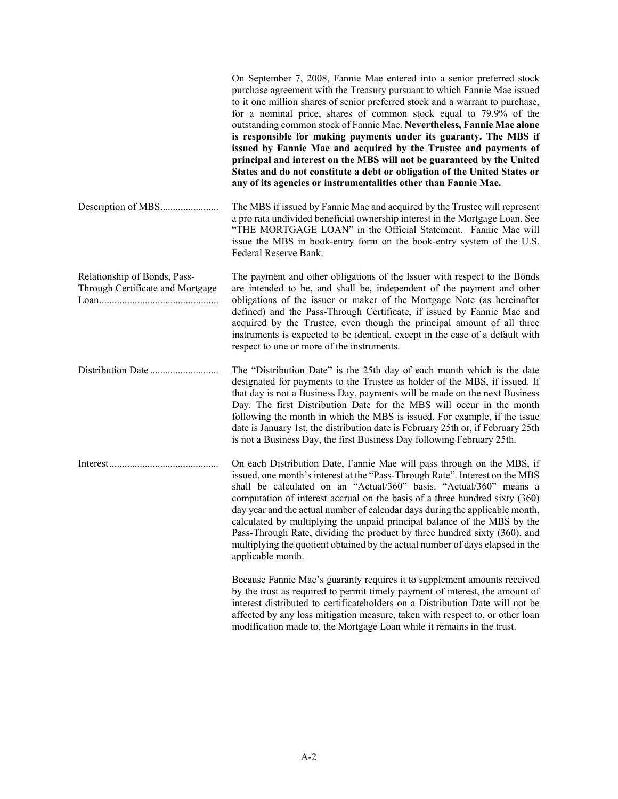|                                                                  | On September 7, 2008, Fannie Mae entered into a senior preferred stock<br>purchase agreement with the Treasury pursuant to which Fannie Mae issued<br>to it one million shares of senior preferred stock and a warrant to purchase,<br>for a nominal price, shares of common stock equal to 79.9% of the<br>outstanding common stock of Fannie Mae. Nevertheless, Fannie Mae alone<br>is responsible for making payments under its guaranty. The MBS if<br>issued by Fannie Mae and acquired by the Trustee and payments of<br>principal and interest on the MBS will not be guaranteed by the United<br>States and do not constitute a debt or obligation of the United States or<br>any of its agencies or instrumentalities other than Fannie Mae. |
|------------------------------------------------------------------|-------------------------------------------------------------------------------------------------------------------------------------------------------------------------------------------------------------------------------------------------------------------------------------------------------------------------------------------------------------------------------------------------------------------------------------------------------------------------------------------------------------------------------------------------------------------------------------------------------------------------------------------------------------------------------------------------------------------------------------------------------|
|                                                                  | The MBS if issued by Fannie Mae and acquired by the Trustee will represent<br>a pro rata undivided beneficial ownership interest in the Mortgage Loan. See<br>"THE MORTGAGE LOAN" in the Official Statement. Fannie Mae will<br>issue the MBS in book-entry form on the book-entry system of the U.S.<br>Federal Reserve Bank.                                                                                                                                                                                                                                                                                                                                                                                                                        |
| Relationship of Bonds, Pass-<br>Through Certificate and Mortgage | The payment and other obligations of the Issuer with respect to the Bonds<br>are intended to be, and shall be, independent of the payment and other<br>obligations of the issuer or maker of the Mortgage Note (as hereinafter<br>defined) and the Pass-Through Certificate, if issued by Fannie Mae and<br>acquired by the Trustee, even though the principal amount of all three<br>instruments is expected to be identical, except in the case of a default with<br>respect to one or more of the instruments.                                                                                                                                                                                                                                     |
|                                                                  | The "Distribution Date" is the 25th day of each month which is the date<br>designated for payments to the Trustee as holder of the MBS, if issued. If<br>that day is not a Business Day, payments will be made on the next Business<br>Day. The first Distribution Date for the MBS will occur in the month<br>following the month in which the MBS is issued. For example, if the issue<br>date is January 1st, the distribution date is February 25th or, if February 25th<br>is not a Business Day, the first Business Day following February 25th.                                                                                                                                                                                                |
|                                                                  | On each Distribution Date, Fannie Mae will pass through on the MBS, if<br>issued, one month's interest at the "Pass-Through Rate". Interest on the MBS<br>shall be calculated on an "Actual/360" basis. "Actual/360" means a<br>computation of interest accrual on the basis of a three hundred sixty (360)<br>day year and the actual number of calendar days during the applicable month,<br>calculated by multiplying the unpaid principal balance of the MBS by the<br>Pass-Through Rate, dividing the product by three hundred sixty (360), and<br>multiplying the quotient obtained by the actual number of days elapsed in the<br>applicable month.                                                                                            |
|                                                                  | Because Fannie Mae's guaranty requires it to supplement amounts received<br>by the trust as required to permit timely payment of interest, the amount of<br>interest distributed to certificateholders on a Distribution Date will not be<br>affected by any loss mitigation measure, taken with respect to, or other loan                                                                                                                                                                                                                                                                                                                                                                                                                            |

modification made to, the Mortgage Loan while it remains in the trust.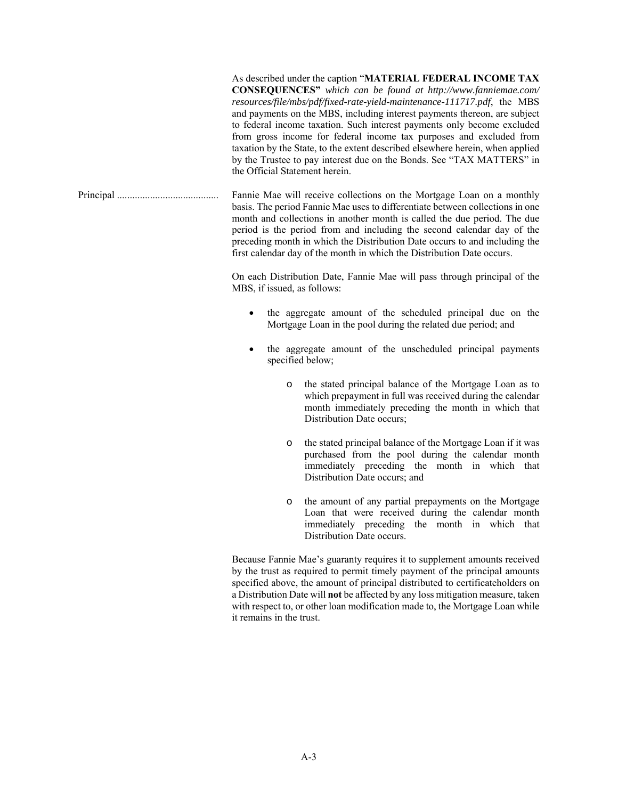As described under the caption "**MATERIAL FEDERAL INCOME TAX CONSEQUENCES"** *which can be found at http://www.fanniemae.com/ resources/file/mbs/pdf/fixed-rate-yield-maintenance-111717.pdf*, the MBS and payments on the MBS, including interest payments thereon, are subject to federal income taxation. Such interest payments only become excluded from gross income for federal income tax purposes and excluded from taxation by the State, to the extent described elsewhere herein, when applied by the Trustee to pay interest due on the Bonds. See "TAX MATTERS" in the Official Statement herein.

Principal ........................................ Fannie Mae will receive collections on the Mortgage Loan on a monthly basis. The period Fannie Mae uses to differentiate between collections in one month and collections in another month is called the due period. The due period is the period from and including the second calendar day of the preceding month in which the Distribution Date occurs to and including the first calendar day of the month in which the Distribution Date occurs.

> On each Distribution Date, Fannie Mae will pass through principal of the MBS, if issued, as follows:

- the aggregate amount of the scheduled principal due on the Mortgage Loan in the pool during the related due period; and
- the aggregate amount of the unscheduled principal payments specified below;
	- o the stated principal balance of the Mortgage Loan as to which prepayment in full was received during the calendar month immediately preceding the month in which that Distribution Date occurs;
	- o the stated principal balance of the Mortgage Loan if it was purchased from the pool during the calendar month immediately preceding the month in which that Distribution Date occurs; and
	- o the amount of any partial prepayments on the Mortgage Loan that were received during the calendar month immediately preceding the month in which that Distribution Date occurs.

 Because Fannie Mae's guaranty requires it to supplement amounts received by the trust as required to permit timely payment of the principal amounts specified above, the amount of principal distributed to certificateholders on a Distribution Date will **not** be affected by any loss mitigation measure, taken with respect to, or other loan modification made to, the Mortgage Loan while it remains in the trust.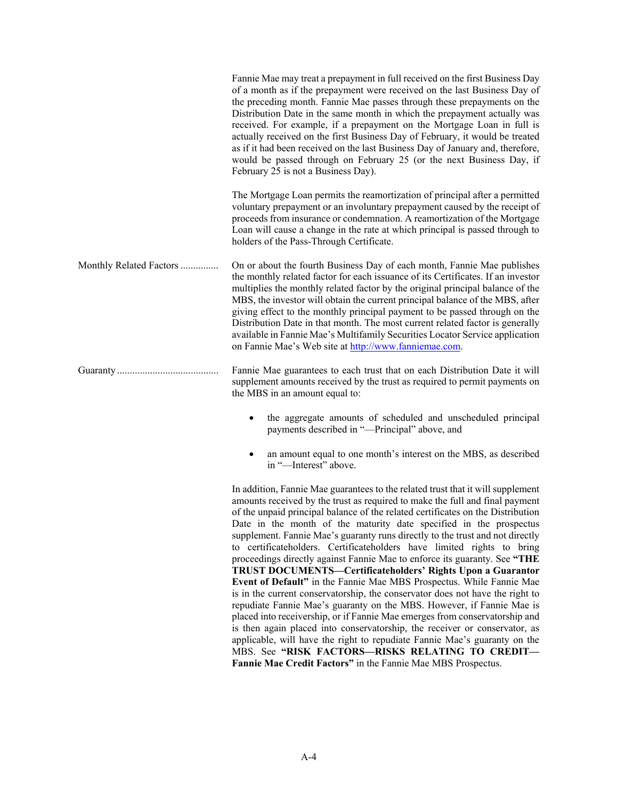|                         | Fannie Mae may treat a prepayment in full received on the first Business Day<br>of a month as if the prepayment were received on the last Business Day of<br>the preceding month. Fannie Mae passes through these prepayments on the<br>Distribution Date in the same month in which the prepayment actually was<br>received. For example, if a prepayment on the Mortgage Loan in full is<br>actually received on the first Business Day of February, it would be treated<br>as if it had been received on the last Business Day of January and, therefore,<br>would be passed through on February 25 (or the next Business Day, if<br>February 25 is not a Business Day). |
|-------------------------|-----------------------------------------------------------------------------------------------------------------------------------------------------------------------------------------------------------------------------------------------------------------------------------------------------------------------------------------------------------------------------------------------------------------------------------------------------------------------------------------------------------------------------------------------------------------------------------------------------------------------------------------------------------------------------|
|                         | The Mortgage Loan permits the reamortization of principal after a permitted<br>voluntary prepayment or an involuntary prepayment caused by the receipt of<br>proceeds from insurance or condemnation. A reamortization of the Mortgage<br>Loan will cause a change in the rate at which principal is passed through to<br>holders of the Pass-Through Certificate.                                                                                                                                                                                                                                                                                                          |
| Monthly Related Factors | On or about the fourth Business Day of each month, Fannie Mae publishes<br>the monthly related factor for each issuance of its Certificates. If an investor<br>multiplies the monthly related factor by the original principal balance of the<br>MBS, the investor will obtain the current principal balance of the MBS, after<br>giving effect to the monthly principal payment to be passed through on the<br>Distribution Date in that month. The most current related factor is generally<br>available in Fannie Mae's Multifamily Securities Locator Service application<br>on Fannie Mae's Web site at http://www.fanniemae.com.                                      |
|                         | Fannie Mae guarantees to each trust that on each Distribution Date it will<br>supplement amounts received by the trust as required to permit payments on<br>the MBS in an amount equal to:                                                                                                                                                                                                                                                                                                                                                                                                                                                                                  |
|                         | the aggregate amounts of scheduled and unscheduled principal<br>payments described in "-Principal" above, and                                                                                                                                                                                                                                                                                                                                                                                                                                                                                                                                                               |
|                         | an amount equal to one month's interest on the MBS, as described<br>in "-Interest" above.                                                                                                                                                                                                                                                                                                                                                                                                                                                                                                                                                                                   |
|                         | In addition, Fannia Mea quarantees to the related trust that it will supplement                                                                                                                                                                                                                                                                                                                                                                                                                                                                                                                                                                                             |

 In addition, Fannie Mae guarantees to the related trust that it will supplement amounts received by the trust as required to make the full and final payment of the unpaid principal balance of the related certificates on the Distribution Date in the month of the maturity date specified in the prospectus supplement. Fannie Mae's guaranty runs directly to the trust and not directly to certificateholders. Certificateholders have limited rights to bring proceedings directly against Fannie Mae to enforce its guaranty. See **"THE TRUST DOCUMENTS—Certificateholders' Rights Upon a Guarantor Event of Default"** in the Fannie Mae MBS Prospectus. While Fannie Mae is in the current conservatorship, the conservator does not have the right to repudiate Fannie Mae's guaranty on the MBS. However, if Fannie Mae is placed into receivership, or if Fannie Mae emerges from conservatorship and is then again placed into conservatorship, the receiver or conservator, as applicable, will have the right to repudiate Fannie Mae's guaranty on the MBS. See **"RISK FACTORS—RISKS RELATING TO CREDIT— Fannie Mae Credit Factors"** in the Fannie Mae MBS Prospectus.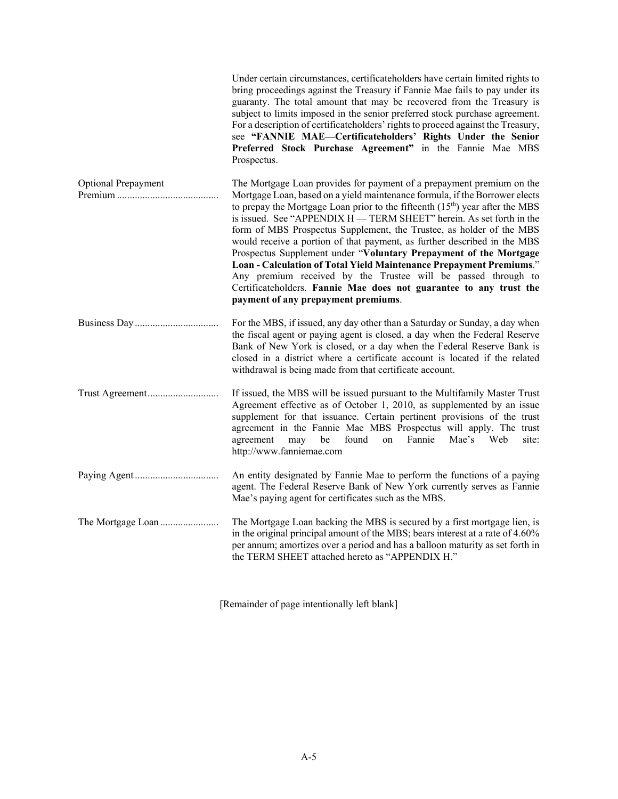|                            | Under certain circumstances, certificateholders have certain limited rights to<br>bring proceedings against the Treasury if Fannie Mae fails to pay under its<br>guaranty. The total amount that may be recovered from the Treasury is<br>subject to limits imposed in the senior preferred stock purchase agreement.<br>For a description of certificateholders' rights to proceed against the Treasury,<br>see "FANNIE MAE-Certificateholders' Rights Under the Senior<br>Preferred Stock Purchase Agreement" in the Fannie Mae MBS<br>Prospectus.                                                                                                                                                                                                                                         |
|----------------------------|----------------------------------------------------------------------------------------------------------------------------------------------------------------------------------------------------------------------------------------------------------------------------------------------------------------------------------------------------------------------------------------------------------------------------------------------------------------------------------------------------------------------------------------------------------------------------------------------------------------------------------------------------------------------------------------------------------------------------------------------------------------------------------------------|
| <b>Optional Prepayment</b> | The Mortgage Loan provides for payment of a prepayment premium on the<br>Mortgage Loan, based on a yield maintenance formula, if the Borrower elects<br>to prepay the Mortgage Loan prior to the fifteenth $(15th)$ year after the MBS<br>is issued. See "APPENDIX H — TERM SHEET" herein. As set forth in the<br>form of MBS Prospectus Supplement, the Trustee, as holder of the MBS<br>would receive a portion of that payment, as further described in the MBS<br>Prospectus Supplement under "Voluntary Prepayment of the Mortgage<br>Loan - Calculation of Total Yield Maintenance Prepayment Premiums."<br>Any premium received by the Trustee will be passed through to<br>Certificateholders. Fannie Mae does not guarantee to any trust the<br>payment of any prepayment premiums. |
|                            | For the MBS, if issued, any day other than a Saturday or Sunday, a day when<br>the fiscal agent or paying agent is closed, a day when the Federal Reserve<br>Bank of New York is closed, or a day when the Federal Reserve Bank is<br>closed in a district where a certificate account is located if the related<br>withdrawal is being made from that certificate account.                                                                                                                                                                                                                                                                                                                                                                                                                  |
| Trust Agreement            | If issued, the MBS will be issued pursuant to the Multifamily Master Trust<br>Agreement effective as of October 1, 2010, as supplemented by an issue<br>supplement for that issuance. Certain pertinent provisions of the trust<br>agreement in the Fannie Mae MBS Prospectus will apply. The trust<br>found<br>Fannie<br>Mae's<br>Web<br>may<br>be<br>on<br>site:<br>agreement<br>http://www.fanniemae.com                                                                                                                                                                                                                                                                                                                                                                                  |
|                            | An entity designated by Fannie Mae to perform the functions of a paying<br>agent. The Federal Reserve Bank of New York currently serves as Fannie<br>Mae's paying agent for certificates such as the MBS.                                                                                                                                                                                                                                                                                                                                                                                                                                                                                                                                                                                    |
|                            | The Mortgage Loan backing the MBS is secured by a first mortgage lien, is<br>in the original principal amount of the MBS; bears interest at a rate of 4.60%<br>per annum; amortizes over a period and has a balloon maturity as set forth in<br>the TERM SHEET attached hereto as "APPENDIX H."                                                                                                                                                                                                                                                                                                                                                                                                                                                                                              |

[Remainder of page intentionally left blank]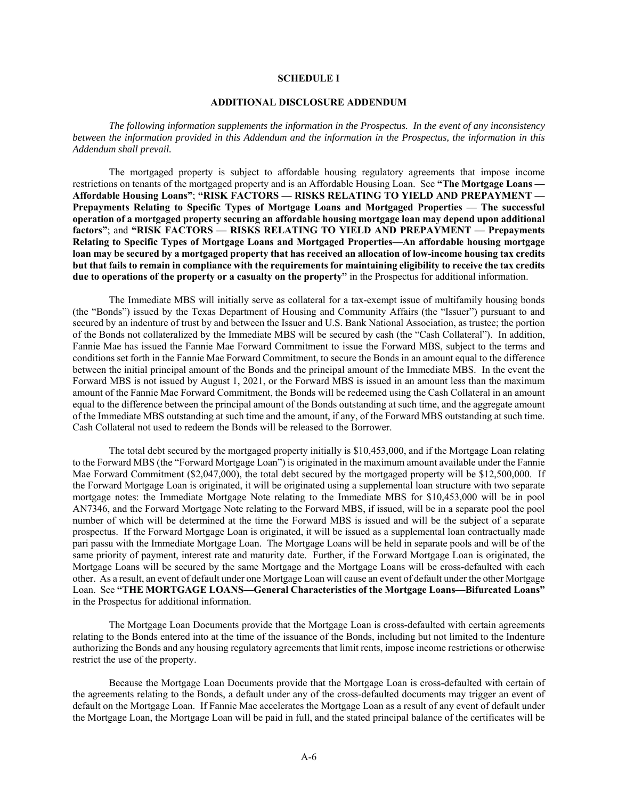### **SCHEDULE I**

### **ADDITIONAL DISCLOSURE ADDENDUM**

*The following information supplements the information in the Prospectus. In the event of any inconsistency between the information provided in this Addendum and the information in the Prospectus, the information in this Addendum shall prevail.* 

The mortgaged property is subject to affordable housing regulatory agreements that impose income restrictions on tenants of the mortgaged property and is an Affordable Housing Loan. See **"The Mortgage Loans — Affordable Housing Loans"**; **"RISK FACTORS — RISKS RELATING TO YIELD AND PREPAYMENT — Prepayments Relating to Specific Types of Mortgage Loans and Mortgaged Properties — The successful operation of a mortgaged property securing an affordable housing mortgage loan may depend upon additional factors"**; and **"RISK FACTORS — RISKS RELATING TO YIELD AND PREPAYMENT — Prepayments Relating to Specific Types of Mortgage Loans and Mortgaged Properties—An affordable housing mortgage loan may be secured by a mortgaged property that has received an allocation of low-income housing tax credits but that fails to remain in compliance with the requirements for maintaining eligibility to receive the tax credits due to operations of the property or a casualty on the property"** in the Prospectus for additional information.

The Immediate MBS will initially serve as collateral for a tax-exempt issue of multifamily housing bonds (the "Bonds") issued by the Texas Department of Housing and Community Affairs (the "Issuer") pursuant to and secured by an indenture of trust by and between the Issuer and U.S. Bank National Association, as trustee; the portion of the Bonds not collateralized by the Immediate MBS will be secured by cash (the "Cash Collateral"). In addition, Fannie Mae has issued the Fannie Mae Forward Commitment to issue the Forward MBS, subject to the terms and conditions set forth in the Fannie Mae Forward Commitment, to secure the Bonds in an amount equal to the difference between the initial principal amount of the Bonds and the principal amount of the Immediate MBS. In the event the Forward MBS is not issued by August 1, 2021, or the Forward MBS is issued in an amount less than the maximum amount of the Fannie Mae Forward Commitment, the Bonds will be redeemed using the Cash Collateral in an amount equal to the difference between the principal amount of the Bonds outstanding at such time, and the aggregate amount of the Immediate MBS outstanding at such time and the amount, if any, of the Forward MBS outstanding at such time. Cash Collateral not used to redeem the Bonds will be released to the Borrower.

The total debt secured by the mortgaged property initially is \$10,453,000, and if the Mortgage Loan relating to the Forward MBS (the "Forward Mortgage Loan") is originated in the maximum amount available under the Fannie Mae Forward Commitment (\$2,047,000), the total debt secured by the mortgaged property will be \$12,500,000. If the Forward Mortgage Loan is originated, it will be originated using a supplemental loan structure with two separate mortgage notes: the Immediate Mortgage Note relating to the Immediate MBS for \$10,453,000 will be in pool AN7346, and the Forward Mortgage Note relating to the Forward MBS, if issued, will be in a separate pool the pool number of which will be determined at the time the Forward MBS is issued and will be the subject of a separate prospectus. If the Forward Mortgage Loan is originated, it will be issued as a supplemental loan contractually made pari passu with the Immediate Mortgage Loan. The Mortgage Loans will be held in separate pools and will be of the same priority of payment, interest rate and maturity date. Further, if the Forward Mortgage Loan is originated, the Mortgage Loans will be secured by the same Mortgage and the Mortgage Loans will be cross-defaulted with each other. As a result, an event of default under one Mortgage Loan will cause an event of default under the other Mortgage Loan. See **"THE MORTGAGE LOANS—General Characteristics of the Mortgage Loans—Bifurcated Loans"** in the Prospectus for additional information.

The Mortgage Loan Documents provide that the Mortgage Loan is cross-defaulted with certain agreements relating to the Bonds entered into at the time of the issuance of the Bonds, including but not limited to the Indenture authorizing the Bonds and any housing regulatory agreements that limit rents, impose income restrictions or otherwise restrict the use of the property.

Because the Mortgage Loan Documents provide that the Mortgage Loan is cross-defaulted with certain of the agreements relating to the Bonds, a default under any of the cross-defaulted documents may trigger an event of default on the Mortgage Loan. If Fannie Mae accelerates the Mortgage Loan as a result of any event of default under the Mortgage Loan, the Mortgage Loan will be paid in full, and the stated principal balance of the certificates will be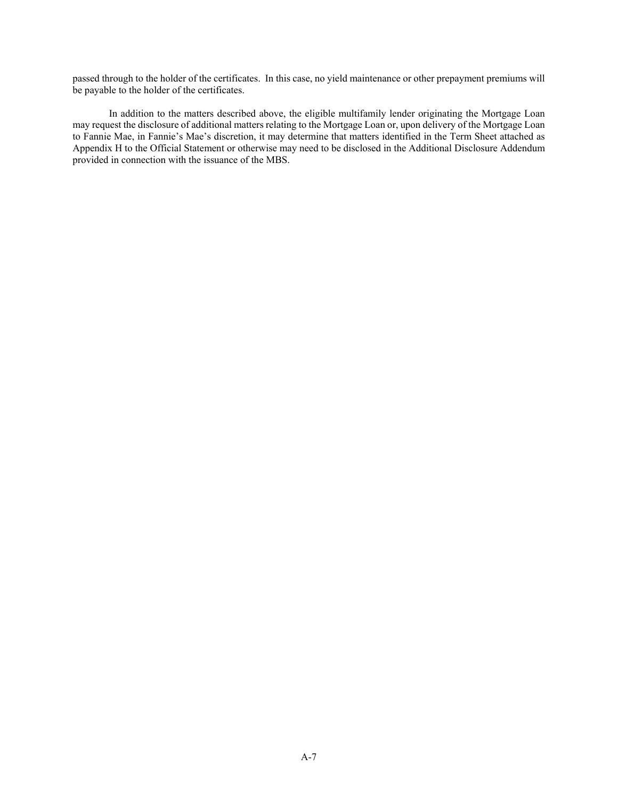passed through to the holder of the certificates. In this case, no yield maintenance or other prepayment premiums will be payable to the holder of the certificates.

In addition to the matters described above, the eligible multifamily lender originating the Mortgage Loan may request the disclosure of additional matters relating to the Mortgage Loan or, upon delivery of the Mortgage Loan to Fannie Mae, in Fannie's Mae's discretion, it may determine that matters identified in the Term Sheet attached as Appendix H to the Official Statement or otherwise may need to be disclosed in the Additional Disclosure Addendum provided in connection with the issuance of the MBS.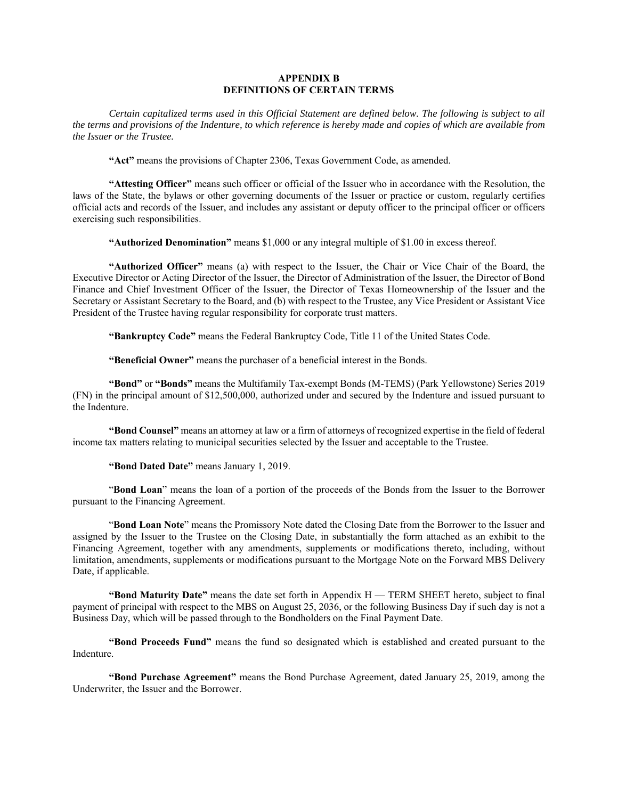# **APPENDIX B DEFINITIONS OF CERTAIN TERMS**

*Certain capitalized terms used in this Official Statement are defined below. The following is subject to all the terms and provisions of the Indenture, to which reference is hereby made and copies of which are available from the Issuer or the Trustee.* 

**"Act"** means the provisions of Chapter 2306, Texas Government Code, as amended.

**"Attesting Officer"** means such officer or official of the Issuer who in accordance with the Resolution, the laws of the State, the bylaws or other governing documents of the Issuer or practice or custom, regularly certifies official acts and records of the Issuer, and includes any assistant or deputy officer to the principal officer or officers exercising such responsibilities.

**"Authorized Denomination"** means \$1,000 or any integral multiple of \$1.00 in excess thereof.

**"Authorized Officer"** means (a) with respect to the Issuer, the Chair or Vice Chair of the Board, the Executive Director or Acting Director of the Issuer, the Director of Administration of the Issuer, the Director of Bond Finance and Chief Investment Officer of the Issuer, the Director of Texas Homeownership of the Issuer and the Secretary or Assistant Secretary to the Board, and (b) with respect to the Trustee, any Vice President or Assistant Vice President of the Trustee having regular responsibility for corporate trust matters.

**"Bankruptcy Code"** means the Federal Bankruptcy Code, Title 11 of the United States Code.

**"Beneficial Owner"** means the purchaser of a beneficial interest in the Bonds.

**"Bond"** or **"Bonds"** means the Multifamily Tax-exempt Bonds (M-TEMS) (Park Yellowstone) Series 2019 (FN) in the principal amount of \$12,500,000, authorized under and secured by the Indenture and issued pursuant to the Indenture.

**"Bond Counsel"** means an attorney at law or a firm of attorneys of recognized expertise in the field of federal income tax matters relating to municipal securities selected by the Issuer and acceptable to the Trustee.

**"Bond Dated Date"** means January 1, 2019.

"**Bond Loan**" means the loan of a portion of the proceeds of the Bonds from the Issuer to the Borrower pursuant to the Financing Agreement.

"**Bond Loan Note**" means the Promissory Note dated the Closing Date from the Borrower to the Issuer and assigned by the Issuer to the Trustee on the Closing Date, in substantially the form attached as an exhibit to the Financing Agreement, together with any amendments, supplements or modifications thereto, including, without limitation, amendments, supplements or modifications pursuant to the Mortgage Note on the Forward MBS Delivery Date, if applicable.

**"Bond Maturity Date"** means the date set forth in Appendix H — TERM SHEET hereto, subject to final payment of principal with respect to the MBS on August 25, 2036, or the following Business Day if such day is not a Business Day, which will be passed through to the Bondholders on the Final Payment Date.

**"Bond Proceeds Fund"** means the fund so designated which is established and created pursuant to the Indenture.

**"Bond Purchase Agreement"** means the Bond Purchase Agreement, dated January 25, 2019, among the Underwriter, the Issuer and the Borrower.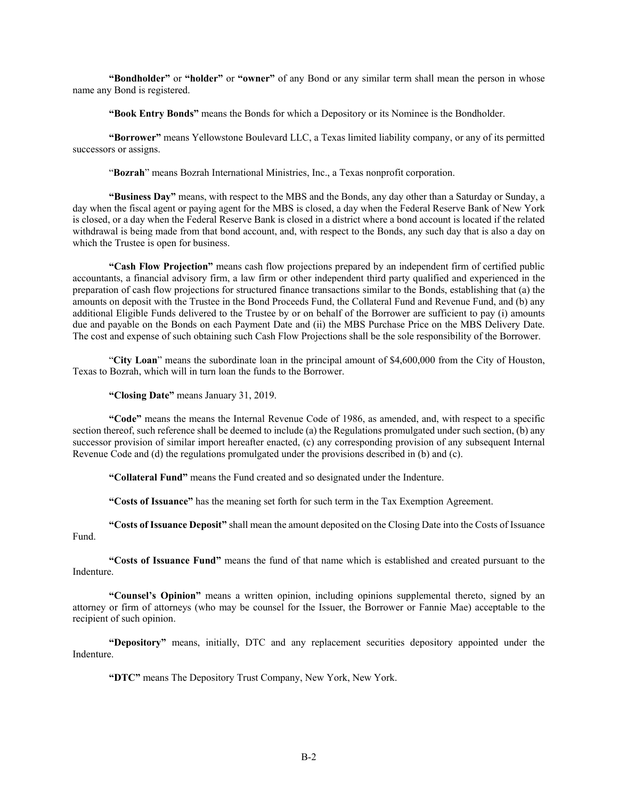**"Bondholder"** or **"holder"** or **"owner"** of any Bond or any similar term shall mean the person in whose name any Bond is registered.

**"Book Entry Bonds"** means the Bonds for which a Depository or its Nominee is the Bondholder.

**"Borrower"** means Yellowstone Boulevard LLC, a Texas limited liability company, or any of its permitted successors or assigns.

"**Bozrah**" means Bozrah International Ministries, Inc., a Texas nonprofit corporation.

**"Business Day"** means, with respect to the MBS and the Bonds, any day other than a Saturday or Sunday, a day when the fiscal agent or paying agent for the MBS is closed, a day when the Federal Reserve Bank of New York is closed, or a day when the Federal Reserve Bank is closed in a district where a bond account is located if the related withdrawal is being made from that bond account, and, with respect to the Bonds, any such day that is also a day on which the Trustee is open for business.

**"Cash Flow Projection"** means cash flow projections prepared by an independent firm of certified public accountants, a financial advisory firm, a law firm or other independent third party qualified and experienced in the preparation of cash flow projections for structured finance transactions similar to the Bonds, establishing that (a) the amounts on deposit with the Trustee in the Bond Proceeds Fund, the Collateral Fund and Revenue Fund, and (b) any additional Eligible Funds delivered to the Trustee by or on behalf of the Borrower are sufficient to pay (i) amounts due and payable on the Bonds on each Payment Date and (ii) the MBS Purchase Price on the MBS Delivery Date. The cost and expense of such obtaining such Cash Flow Projections shall be the sole responsibility of the Borrower.

"**City Loan**" means the subordinate loan in the principal amount of \$4,600,000 from the City of Houston, Texas to Bozrah, which will in turn loan the funds to the Borrower.

**"Closing Date"** means January 31, 2019.

**"Code"** means the means the Internal Revenue Code of 1986, as amended, and, with respect to a specific section thereof, such reference shall be deemed to include (a) the Regulations promulgated under such section, (b) any successor provision of similar import hereafter enacted, (c) any corresponding provision of any subsequent Internal Revenue Code and (d) the regulations promulgated under the provisions described in (b) and (c).

**"Collateral Fund"** means the Fund created and so designated under the Indenture.

**"Costs of Issuance"** has the meaning set forth for such term in the Tax Exemption Agreement.

**"Costs of Issuance Deposit"** shall mean the amount deposited on the Closing Date into the Costs of Issuance Fund.

**"Costs of Issuance Fund"** means the fund of that name which is established and created pursuant to the Indenture.

**"Counsel's Opinion"** means a written opinion, including opinions supplemental thereto, signed by an attorney or firm of attorneys (who may be counsel for the Issuer, the Borrower or Fannie Mae) acceptable to the recipient of such opinion.

**"Depository"** means, initially, DTC and any replacement securities depository appointed under the Indenture.

**"DTC"** means The Depository Trust Company, New York, New York.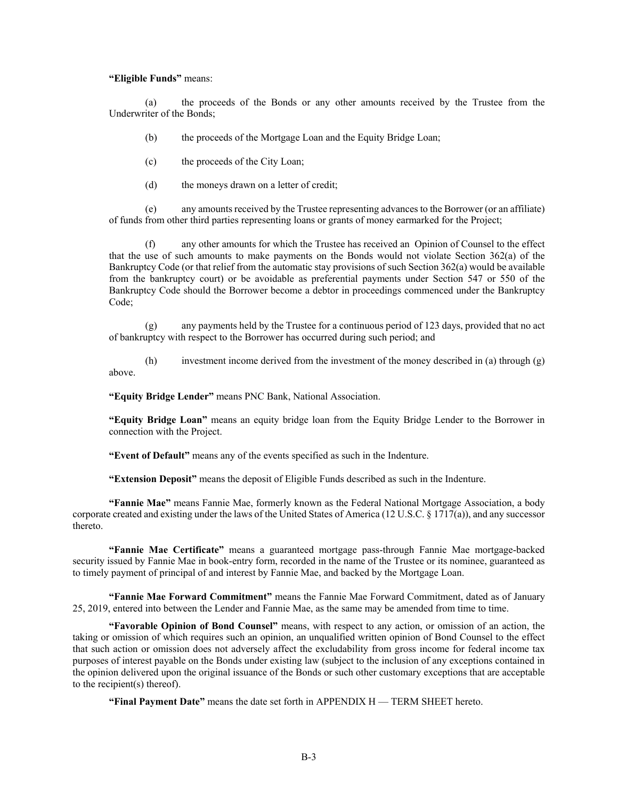## **"Eligible Funds"** means:

(a) the proceeds of the Bonds or any other amounts received by the Trustee from the Underwriter of the Bonds;

(b) the proceeds of the Mortgage Loan and the Equity Bridge Loan;

(c) the proceeds of the City Loan;

(d) the moneys drawn on a letter of credit;

(e) any amounts received by the Trustee representing advances to the Borrower (or an affiliate) of funds from other third parties representing loans or grants of money earmarked for the Project;

(f) any other amounts for which the Trustee has received an Opinion of Counsel to the effect that the use of such amounts to make payments on the Bonds would not violate Section 362(a) of the Bankruptcy Code (or that relief from the automatic stay provisions of such Section 362(a) would be available from the bankruptcy court) or be avoidable as preferential payments under Section 547 or 550 of the Bankruptcy Code should the Borrower become a debtor in proceedings commenced under the Bankruptcy Code;

(g) any payments held by the Trustee for a continuous period of 123 days, provided that no act of bankruptcy with respect to the Borrower has occurred during such period; and

(h) investment income derived from the investment of the money described in (a) through (g) above.

**"Equity Bridge Lender"** means PNC Bank, National Association.

**"Equity Bridge Loan"** means an equity bridge loan from the Equity Bridge Lender to the Borrower in connection with the Project.

**"Event of Default"** means any of the events specified as such in the Indenture.

**"Extension Deposit"** means the deposit of Eligible Funds described as such in the Indenture.

**"Fannie Mae"** means Fannie Mae, formerly known as the Federal National Mortgage Association, a body corporate created and existing under the laws of the United States of America (12 U.S.C.  $\S 1717(a)$ ), and any successor thereto.

**"Fannie Mae Certificate"** means a guaranteed mortgage pass-through Fannie Mae mortgage-backed security issued by Fannie Mae in book-entry form, recorded in the name of the Trustee or its nominee, guaranteed as to timely payment of principal of and interest by Fannie Mae, and backed by the Mortgage Loan.

**"Fannie Mae Forward Commitment"** means the Fannie Mae Forward Commitment, dated as of January 25, 2019, entered into between the Lender and Fannie Mae, as the same may be amended from time to time.

**"Favorable Opinion of Bond Counsel"** means, with respect to any action, or omission of an action, the taking or omission of which requires such an opinion, an unqualified written opinion of Bond Counsel to the effect that such action or omission does not adversely affect the excludability from gross income for federal income tax purposes of interest payable on the Bonds under existing law (subject to the inclusion of any exceptions contained in the opinion delivered upon the original issuance of the Bonds or such other customary exceptions that are acceptable to the recipient(s) thereof).

**"Final Payment Date"** means the date set forth in APPENDIX H — TERM SHEET hereto.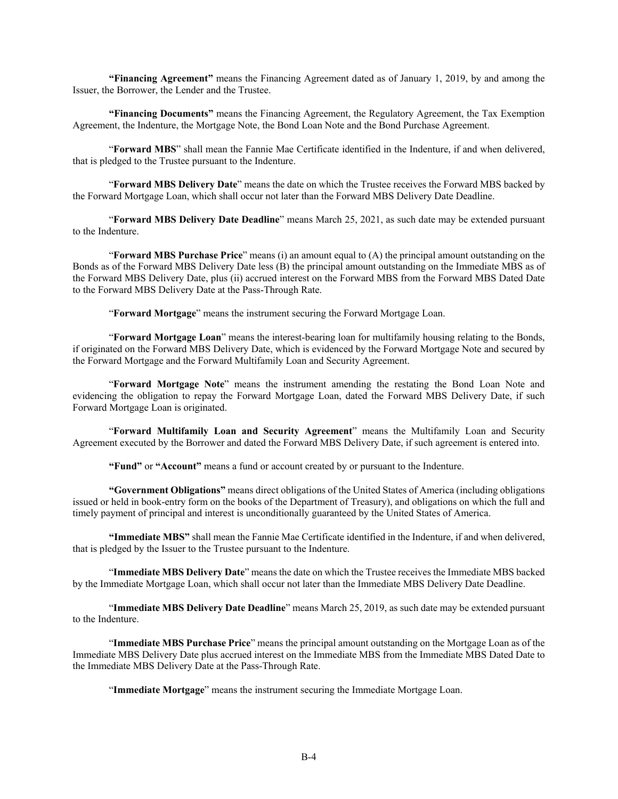**"Financing Agreement"** means the Financing Agreement dated as of January 1, 2019, by and among the Issuer, the Borrower, the Lender and the Trustee.

**"Financing Documents"** means the Financing Agreement, the Regulatory Agreement, the Tax Exemption Agreement, the Indenture, the Mortgage Note, the Bond Loan Note and the Bond Purchase Agreement.

"**Forward MBS**" shall mean the Fannie Mae Certificate identified in the Indenture, if and when delivered, that is pledged to the Trustee pursuant to the Indenture.

"**Forward MBS Delivery Date**" means the date on which the Trustee receives the Forward MBS backed by the Forward Mortgage Loan, which shall occur not later than the Forward MBS Delivery Date Deadline.

"**Forward MBS Delivery Date Deadline**" means March 25, 2021, as such date may be extended pursuant to the Indenture.

"**Forward MBS Purchase Price**" means (i) an amount equal to (A) the principal amount outstanding on the Bonds as of the Forward MBS Delivery Date less (B) the principal amount outstanding on the Immediate MBS as of the Forward MBS Delivery Date, plus (ii) accrued interest on the Forward MBS from the Forward MBS Dated Date to the Forward MBS Delivery Date at the Pass-Through Rate.

"**Forward Mortgage**" means the instrument securing the Forward Mortgage Loan.

"**Forward Mortgage Loan**" means the interest-bearing loan for multifamily housing relating to the Bonds, if originated on the Forward MBS Delivery Date, which is evidenced by the Forward Mortgage Note and secured by the Forward Mortgage and the Forward Multifamily Loan and Security Agreement.

"**Forward Mortgage Note**" means the instrument amending the restating the Bond Loan Note and evidencing the obligation to repay the Forward Mortgage Loan, dated the Forward MBS Delivery Date, if such Forward Mortgage Loan is originated.

"**Forward Multifamily Loan and Security Agreement**" means the Multifamily Loan and Security Agreement executed by the Borrower and dated the Forward MBS Delivery Date, if such agreement is entered into.

**"Fund"** or **"Account"** means a fund or account created by or pursuant to the Indenture.

**"Government Obligations"** means direct obligations of the United States of America (including obligations issued or held in book-entry form on the books of the Department of Treasury), and obligations on which the full and timely payment of principal and interest is unconditionally guaranteed by the United States of America.

**"Immediate MBS"** shall mean the Fannie Mae Certificate identified in the Indenture, if and when delivered, that is pledged by the Issuer to the Trustee pursuant to the Indenture.

"**Immediate MBS Delivery Date**" means the date on which the Trustee receives the Immediate MBS backed by the Immediate Mortgage Loan, which shall occur not later than the Immediate MBS Delivery Date Deadline.

"**Immediate MBS Delivery Date Deadline**" means March 25, 2019, as such date may be extended pursuant to the Indenture.

"**Immediate MBS Purchase Price**" means the principal amount outstanding on the Mortgage Loan as of the Immediate MBS Delivery Date plus accrued interest on the Immediate MBS from the Immediate MBS Dated Date to the Immediate MBS Delivery Date at the Pass-Through Rate.

"**Immediate Mortgage**" means the instrument securing the Immediate Mortgage Loan.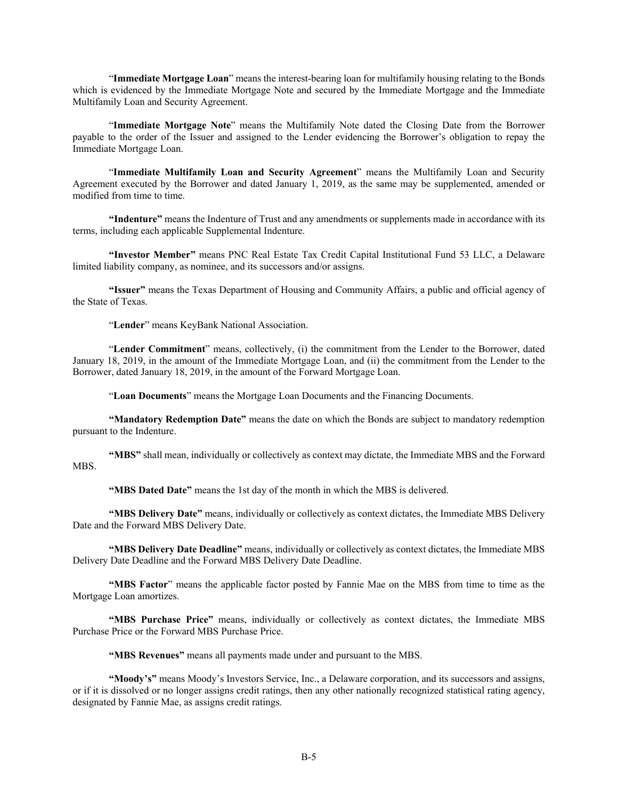"**Immediate Mortgage Loan**" means the interest-bearing loan for multifamily housing relating to the Bonds which is evidenced by the Immediate Mortgage Note and secured by the Immediate Mortgage and the Immediate Multifamily Loan and Security Agreement.

"**Immediate Mortgage Note**" means the Multifamily Note dated the Closing Date from the Borrower payable to the order of the Issuer and assigned to the Lender evidencing the Borrower's obligation to repay the Immediate Mortgage Loan.

"**Immediate Multifamily Loan and Security Agreement**" means the Multifamily Loan and Security Agreement executed by the Borrower and dated January 1, 2019, as the same may be supplemented, amended or modified from time to time.

**"Indenture"** means the Indenture of Trust and any amendments or supplements made in accordance with its terms, including each applicable Supplemental Indenture.

**"Investor Member"** means PNC Real Estate Tax Credit Capital Institutional Fund 53 LLC, a Delaware limited liability company, as nominee, and its successors and/or assigns.

**"Issuer"** means the Texas Department of Housing and Community Affairs, a public and official agency of the State of Texas.

"**Lender**" means KeyBank National Association.

"**Lender Commitment**" means, collectively, (i) the commitment from the Lender to the Borrower, dated January 18, 2019, in the amount of the Immediate Mortgage Loan, and (ii) the commitment from the Lender to the Borrower, dated January 18, 2019, in the amount of the Forward Mortgage Loan.

"**Loan Documents**" means the Mortgage Loan Documents and the Financing Documents.

**"Mandatory Redemption Date"** means the date on which the Bonds are subject to mandatory redemption pursuant to the Indenture.

**"MBS"** shall mean, individually or collectively as context may dictate, the Immediate MBS and the Forward MBS.

**"MBS Dated Date"** means the 1st day of the month in which the MBS is delivered.

**"MBS Delivery Date"** means, individually or collectively as context dictates, the Immediate MBS Delivery Date and the Forward MBS Delivery Date.

**"MBS Delivery Date Deadline"** means, individually or collectively as context dictates, the Immediate MBS Delivery Date Deadline and the Forward MBS Delivery Date Deadline.

**"MBS Factor**" means the applicable factor posted by Fannie Mae on the MBS from time to time as the Mortgage Loan amortizes.

**"MBS Purchase Price"** means, individually or collectively as context dictates, the Immediate MBS Purchase Price or the Forward MBS Purchase Price.

**"MBS Revenues"** means all payments made under and pursuant to the MBS.

**"Moody's"** means Moody's Investors Service, Inc., a Delaware corporation, and its successors and assigns, or if it is dissolved or no longer assigns credit ratings, then any other nationally recognized statistical rating agency, designated by Fannie Mae, as assigns credit ratings.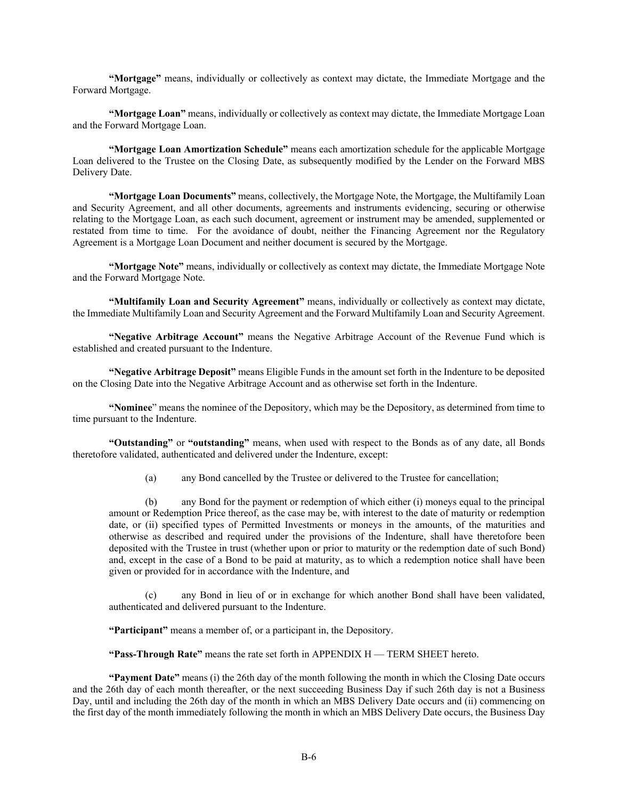**"Mortgage"** means, individually or collectively as context may dictate, the Immediate Mortgage and the Forward Mortgage.

**"Mortgage Loan"** means, individually or collectively as context may dictate, the Immediate Mortgage Loan and the Forward Mortgage Loan.

**"Mortgage Loan Amortization Schedule"** means each amortization schedule for the applicable Mortgage Loan delivered to the Trustee on the Closing Date, as subsequently modified by the Lender on the Forward MBS Delivery Date.

**"Mortgage Loan Documents"** means, collectively, the Mortgage Note, the Mortgage, the Multifamily Loan and Security Agreement, and all other documents, agreements and instruments evidencing, securing or otherwise relating to the Mortgage Loan, as each such document, agreement or instrument may be amended, supplemented or restated from time to time. For the avoidance of doubt, neither the Financing Agreement nor the Regulatory Agreement is a Mortgage Loan Document and neither document is secured by the Mortgage.

**"Mortgage Note"** means, individually or collectively as context may dictate, the Immediate Mortgage Note and the Forward Mortgage Note.

**"Multifamily Loan and Security Agreement"** means, individually or collectively as context may dictate, the Immediate Multifamily Loan and Security Agreement and the Forward Multifamily Loan and Security Agreement.

**"Negative Arbitrage Account"** means the Negative Arbitrage Account of the Revenue Fund which is established and created pursuant to the Indenture.

**"Negative Arbitrage Deposit"** means Eligible Funds in the amount set forth in the Indenture to be deposited on the Closing Date into the Negative Arbitrage Account and as otherwise set forth in the Indenture.

**"Nominee**" means the nominee of the Depository, which may be the Depository, as determined from time to time pursuant to the Indenture.

**"Outstanding"** or **"outstanding"** means, when used with respect to the Bonds as of any date, all Bonds theretofore validated, authenticated and delivered under the Indenture, except:

(a) any Bond cancelled by the Trustee or delivered to the Trustee for cancellation;

(b) any Bond for the payment or redemption of which either (i) moneys equal to the principal amount or Redemption Price thereof, as the case may be, with interest to the date of maturity or redemption date, or (ii) specified types of Permitted Investments or moneys in the amounts, of the maturities and otherwise as described and required under the provisions of the Indenture, shall have theretofore been deposited with the Trustee in trust (whether upon or prior to maturity or the redemption date of such Bond) and, except in the case of a Bond to be paid at maturity, as to which a redemption notice shall have been given or provided for in accordance with the Indenture, and

(c) any Bond in lieu of or in exchange for which another Bond shall have been validated, authenticated and delivered pursuant to the Indenture.

**"Participant"** means a member of, or a participant in, the Depository.

**"Pass-Through Rate"** means the rate set forth in APPENDIX H — TERM SHEET hereto.

**"Payment Date"** means (i) the 26th day of the month following the month in which the Closing Date occurs and the 26th day of each month thereafter, or the next succeeding Business Day if such 26th day is not a Business Day, until and including the 26th day of the month in which an MBS Delivery Date occurs and (ii) commencing on the first day of the month immediately following the month in which an MBS Delivery Date occurs, the Business Day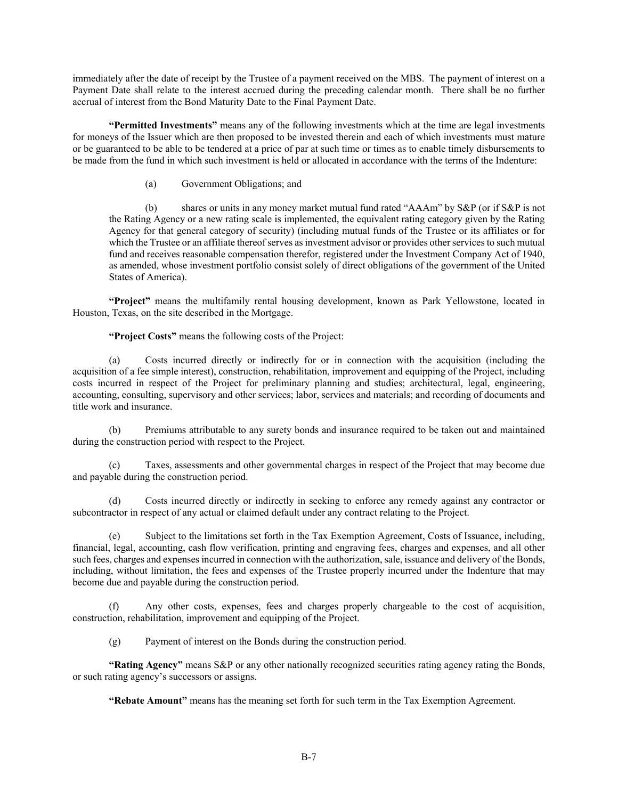immediately after the date of receipt by the Trustee of a payment received on the MBS. The payment of interest on a Payment Date shall relate to the interest accrued during the preceding calendar month. There shall be no further accrual of interest from the Bond Maturity Date to the Final Payment Date.

**"Permitted Investments"** means any of the following investments which at the time are legal investments for moneys of the Issuer which are then proposed to be invested therein and each of which investments must mature or be guaranteed to be able to be tendered at a price of par at such time or times as to enable timely disbursements to be made from the fund in which such investment is held or allocated in accordance with the terms of the Indenture:

(a) Government Obligations; and

(b) shares or units in any money market mutual fund rated "AAAm" by S&P (or if S&P is not the Rating Agency or a new rating scale is implemented, the equivalent rating category given by the Rating Agency for that general category of security) (including mutual funds of the Trustee or its affiliates or for which the Trustee or an affiliate thereof serves as investment advisor or provides other services to such mutual fund and receives reasonable compensation therefor, registered under the Investment Company Act of 1940, as amended, whose investment portfolio consist solely of direct obligations of the government of the United States of America).

**"Project"** means the multifamily rental housing development, known as Park Yellowstone, located in Houston, Texas, on the site described in the Mortgage.

**"Project Costs"** means the following costs of the Project:

(a) Costs incurred directly or indirectly for or in connection with the acquisition (including the acquisition of a fee simple interest), construction, rehabilitation, improvement and equipping of the Project, including costs incurred in respect of the Project for preliminary planning and studies; architectural, legal, engineering, accounting, consulting, supervisory and other services; labor, services and materials; and recording of documents and title work and insurance.

(b) Premiums attributable to any surety bonds and insurance required to be taken out and maintained during the construction period with respect to the Project.

Taxes, assessments and other governmental charges in respect of the Project that may become due and payable during the construction period.

(d) Costs incurred directly or indirectly in seeking to enforce any remedy against any contractor or subcontractor in respect of any actual or claimed default under any contract relating to the Project.

(e) Subject to the limitations set forth in the Tax Exemption Agreement, Costs of Issuance, including, financial, legal, accounting, cash flow verification, printing and engraving fees, charges and expenses, and all other such fees, charges and expenses incurred in connection with the authorization, sale, issuance and delivery of the Bonds, including, without limitation, the fees and expenses of the Trustee properly incurred under the Indenture that may become due and payable during the construction period.

(f) Any other costs, expenses, fees and charges properly chargeable to the cost of acquisition, construction, rehabilitation, improvement and equipping of the Project.

(g) Payment of interest on the Bonds during the construction period.

**"Rating Agency"** means S&P or any other nationally recognized securities rating agency rating the Bonds, or such rating agency's successors or assigns.

**"Rebate Amount"** means has the meaning set forth for such term in the Tax Exemption Agreement.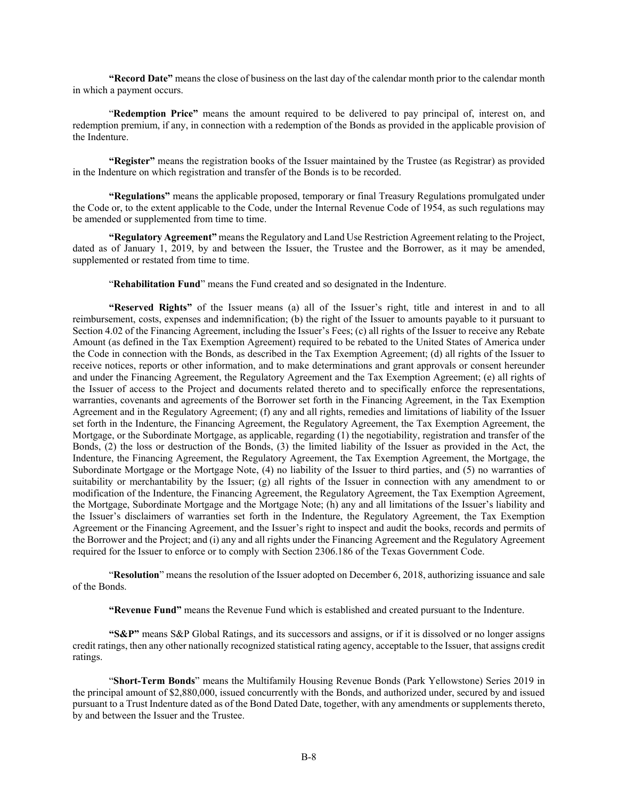**"Record Date"** means the close of business on the last day of the calendar month prior to the calendar month in which a payment occurs.

"**Redemption Price"** means the amount required to be delivered to pay principal of, interest on, and redemption premium, if any, in connection with a redemption of the Bonds as provided in the applicable provision of the Indenture.

**"Register"** means the registration books of the Issuer maintained by the Trustee (as Registrar) as provided in the Indenture on which registration and transfer of the Bonds is to be recorded.

**"Regulations"** means the applicable proposed, temporary or final Treasury Regulations promulgated under the Code or, to the extent applicable to the Code, under the Internal Revenue Code of 1954, as such regulations may be amended or supplemented from time to time.

**"Regulatory Agreement"** means the Regulatory and Land Use Restriction Agreement relating to the Project, dated as of January 1, 2019, by and between the Issuer, the Trustee and the Borrower, as it may be amended, supplemented or restated from time to time.

"**Rehabilitation Fund**" means the Fund created and so designated in the Indenture.

**"Reserved Rights"** of the Issuer means (a) all of the Issuer's right, title and interest in and to all reimbursement, costs, expenses and indemnification; (b) the right of the Issuer to amounts payable to it pursuant to Section 4.02 of the Financing Agreement, including the Issuer's Fees; (c) all rights of the Issuer to receive any Rebate Amount (as defined in the Tax Exemption Agreement) required to be rebated to the United States of America under the Code in connection with the Bonds, as described in the Tax Exemption Agreement; (d) all rights of the Issuer to receive notices, reports or other information, and to make determinations and grant approvals or consent hereunder and under the Financing Agreement, the Regulatory Agreement and the Tax Exemption Agreement; (e) all rights of the Issuer of access to the Project and documents related thereto and to specifically enforce the representations, warranties, covenants and agreements of the Borrower set forth in the Financing Agreement, in the Tax Exemption Agreement and in the Regulatory Agreement; (f) any and all rights, remedies and limitations of liability of the Issuer set forth in the Indenture, the Financing Agreement, the Regulatory Agreement, the Tax Exemption Agreement, the Mortgage, or the Subordinate Mortgage, as applicable, regarding (1) the negotiability, registration and transfer of the Bonds, (2) the loss or destruction of the Bonds, (3) the limited liability of the Issuer as provided in the Act, the Indenture, the Financing Agreement, the Regulatory Agreement, the Tax Exemption Agreement, the Mortgage, the Subordinate Mortgage or the Mortgage Note, (4) no liability of the Issuer to third parties, and (5) no warranties of suitability or merchantability by the Issuer; (g) all rights of the Issuer in connection with any amendment to or modification of the Indenture, the Financing Agreement, the Regulatory Agreement, the Tax Exemption Agreement, the Mortgage, Subordinate Mortgage and the Mortgage Note; (h) any and all limitations of the Issuer's liability and the Issuer's disclaimers of warranties set forth in the Indenture, the Regulatory Agreement, the Tax Exemption Agreement or the Financing Agreement, and the Issuer's right to inspect and audit the books, records and permits of the Borrower and the Project; and (i) any and all rights under the Financing Agreement and the Regulatory Agreement required for the Issuer to enforce or to comply with Section 2306.186 of the Texas Government Code.

"**Resolution**" means the resolution of the Issuer adopted on December 6, 2018, authorizing issuance and sale of the Bonds.

**"Revenue Fund"** means the Revenue Fund which is established and created pursuant to the Indenture.

**"S&P"** means S&P Global Ratings, and its successors and assigns, or if it is dissolved or no longer assigns credit ratings, then any other nationally recognized statistical rating agency, acceptable to the Issuer, that assigns credit ratings.

"**Short-Term Bonds**" means the Multifamily Housing Revenue Bonds (Park Yellowstone) Series 2019 in the principal amount of \$2,880,000, issued concurrently with the Bonds, and authorized under, secured by and issued pursuant to a Trust Indenture dated as of the Bond Dated Date, together, with any amendments or supplements thereto, by and between the Issuer and the Trustee.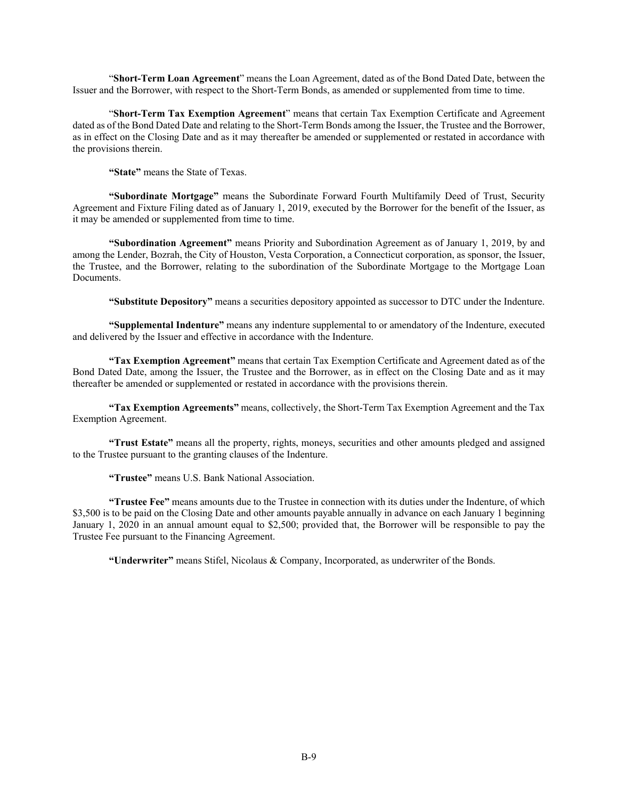"**Short-Term Loan Agreement**" means the Loan Agreement, dated as of the Bond Dated Date, between the Issuer and the Borrower, with respect to the Short-Term Bonds, as amended or supplemented from time to time.

"**Short-Term Tax Exemption Agreement**" means that certain Tax Exemption Certificate and Agreement dated as of the Bond Dated Date and relating to the Short-Term Bonds among the Issuer, the Trustee and the Borrower, as in effect on the Closing Date and as it may thereafter be amended or supplemented or restated in accordance with the provisions therein.

**"State"** means the State of Texas.

**"Subordinate Mortgage"** means the Subordinate Forward Fourth Multifamily Deed of Trust, Security Agreement and Fixture Filing dated as of January 1, 2019, executed by the Borrower for the benefit of the Issuer, as it may be amended or supplemented from time to time.

**"Subordination Agreement"** means Priority and Subordination Agreement as of January 1, 2019, by and among the Lender, Bozrah, the City of Houston, Vesta Corporation, a Connecticut corporation, as sponsor, the Issuer, the Trustee, and the Borrower, relating to the subordination of the Subordinate Mortgage to the Mortgage Loan Documents.

**"Substitute Depository"** means a securities depository appointed as successor to DTC under the Indenture.

**"Supplemental Indenture"** means any indenture supplemental to or amendatory of the Indenture, executed and delivered by the Issuer and effective in accordance with the Indenture.

**"Tax Exemption Agreement"** means that certain Tax Exemption Certificate and Agreement dated as of the Bond Dated Date, among the Issuer, the Trustee and the Borrower, as in effect on the Closing Date and as it may thereafter be amended or supplemented or restated in accordance with the provisions therein.

**"Tax Exemption Agreements"** means, collectively, the Short-Term Tax Exemption Agreement and the Tax Exemption Agreement.

**"Trust Estate"** means all the property, rights, moneys, securities and other amounts pledged and assigned to the Trustee pursuant to the granting clauses of the Indenture.

**"Trustee"** means U.S. Bank National Association.

**"Trustee Fee"** means amounts due to the Trustee in connection with its duties under the Indenture, of which \$3,500 is to be paid on the Closing Date and other amounts payable annually in advance on each January 1 beginning January 1, 2020 in an annual amount equal to \$2,500; provided that, the Borrower will be responsible to pay the Trustee Fee pursuant to the Financing Agreement.

**"Underwriter"** means Stifel, Nicolaus & Company, Incorporated, as underwriter of the Bonds.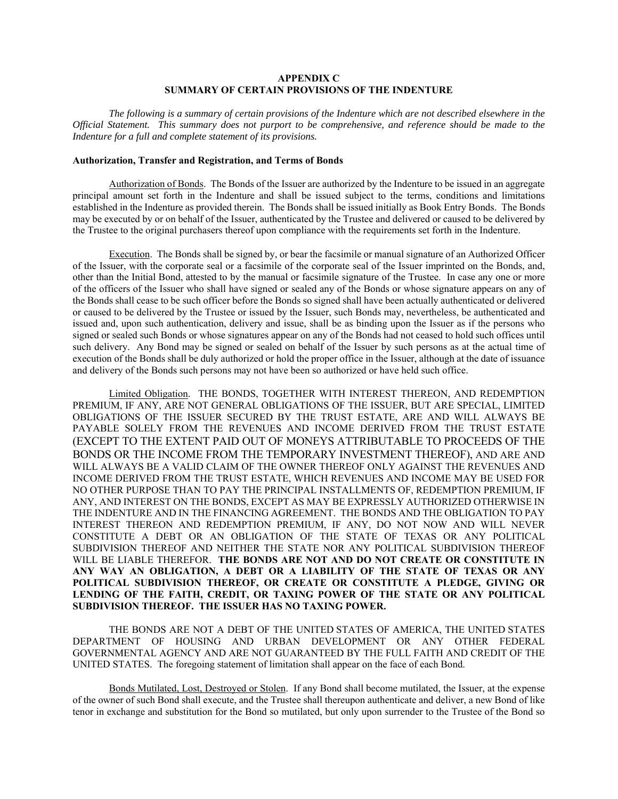# **APPENDIX C SUMMARY OF CERTAIN PROVISIONS OF THE INDENTURE**

*The following is a summary of certain provisions of the Indenture which are not described elsewhere in the Official Statement. This summary does not purport to be comprehensive, and reference should be made to the Indenture for a full and complete statement of its provisions.* 

## **Authorization, Transfer and Registration, and Terms of Bonds**

Authorization of Bonds. The Bonds of the Issuer are authorized by the Indenture to be issued in an aggregate principal amount set forth in the Indenture and shall be issued subject to the terms, conditions and limitations established in the Indenture as provided therein. The Bonds shall be issued initially as Book Entry Bonds. The Bonds may be executed by or on behalf of the Issuer, authenticated by the Trustee and delivered or caused to be delivered by the Trustee to the original purchasers thereof upon compliance with the requirements set forth in the Indenture.

Execution. The Bonds shall be signed by, or bear the facsimile or manual signature of an Authorized Officer of the Issuer, with the corporate seal or a facsimile of the corporate seal of the Issuer imprinted on the Bonds, and, other than the Initial Bond, attested to by the manual or facsimile signature of the Trustee. In case any one or more of the officers of the Issuer who shall have signed or sealed any of the Bonds or whose signature appears on any of the Bonds shall cease to be such officer before the Bonds so signed shall have been actually authenticated or delivered or caused to be delivered by the Trustee or issued by the Issuer, such Bonds may, nevertheless, be authenticated and issued and, upon such authentication, delivery and issue, shall be as binding upon the Issuer as if the persons who signed or sealed such Bonds or whose signatures appear on any of the Bonds had not ceased to hold such offices until such delivery. Any Bond may be signed or sealed on behalf of the Issuer by such persons as at the actual time of execution of the Bonds shall be duly authorized or hold the proper office in the Issuer, although at the date of issuance and delivery of the Bonds such persons may not have been so authorized or have held such office.

Limited Obligation. THE BONDS, TOGETHER WITH INTEREST THEREON, AND REDEMPTION PREMIUM, IF ANY, ARE NOT GENERAL OBLIGATIONS OF THE ISSUER, BUT ARE SPECIAL, LIMITED OBLIGATIONS OF THE ISSUER SECURED BY THE TRUST ESTATE, ARE AND WILL ALWAYS BE PAYABLE SOLELY FROM THE REVENUES AND INCOME DERIVED FROM THE TRUST ESTATE (EXCEPT TO THE EXTENT PAID OUT OF MONEYS ATTRIBUTABLE TO PROCEEDS OF THE BONDS OR THE INCOME FROM THE TEMPORARY INVESTMENT THEREOF), AND ARE AND WILL ALWAYS BE A VALID CLAIM OF THE OWNER THEREOF ONLY AGAINST THE REVENUES AND INCOME DERIVED FROM THE TRUST ESTATE, WHICH REVENUES AND INCOME MAY BE USED FOR NO OTHER PURPOSE THAN TO PAY THE PRINCIPAL INSTALLMENTS OF, REDEMPTION PREMIUM, IF ANY, AND INTEREST ON THE BONDS, EXCEPT AS MAY BE EXPRESSLY AUTHORIZED OTHERWISE IN THE INDENTURE AND IN THE FINANCING AGREEMENT. THE BONDS AND THE OBLIGATION TO PAY INTEREST THEREON AND REDEMPTION PREMIUM, IF ANY, DO NOT NOW AND WILL NEVER CONSTITUTE A DEBT OR AN OBLIGATION OF THE STATE OF TEXAS OR ANY POLITICAL SUBDIVISION THEREOF AND NEITHER THE STATE NOR ANY POLITICAL SUBDIVISION THEREOF WILL BE LIABLE THEREFOR. **THE BONDS ARE NOT AND DO NOT CREATE OR CONSTITUTE IN ANY WAY AN OBLIGATION, A DEBT OR A LIABILITY OF THE STATE OF TEXAS OR ANY POLITICAL SUBDIVISION THEREOF, OR CREATE OR CONSTITUTE A PLEDGE, GIVING OR LENDING OF THE FAITH, CREDIT, OR TAXING POWER OF THE STATE OR ANY POLITICAL SUBDIVISION THEREOF. THE ISSUER HAS NO TAXING POWER.** 

THE BONDS ARE NOT A DEBT OF THE UNITED STATES OF AMERICA, THE UNITED STATES DEPARTMENT OF HOUSING AND URBAN DEVELOPMENT OR ANY OTHER FEDERAL GOVERNMENTAL AGENCY AND ARE NOT GUARANTEED BY THE FULL FAITH AND CREDIT OF THE UNITED STATES. The foregoing statement of limitation shall appear on the face of each Bond.

Bonds Mutilated, Lost, Destroyed or Stolen. If any Bond shall become mutilated, the Issuer, at the expense of the owner of such Bond shall execute, and the Trustee shall thereupon authenticate and deliver, a new Bond of like tenor in exchange and substitution for the Bond so mutilated, but only upon surrender to the Trustee of the Bond so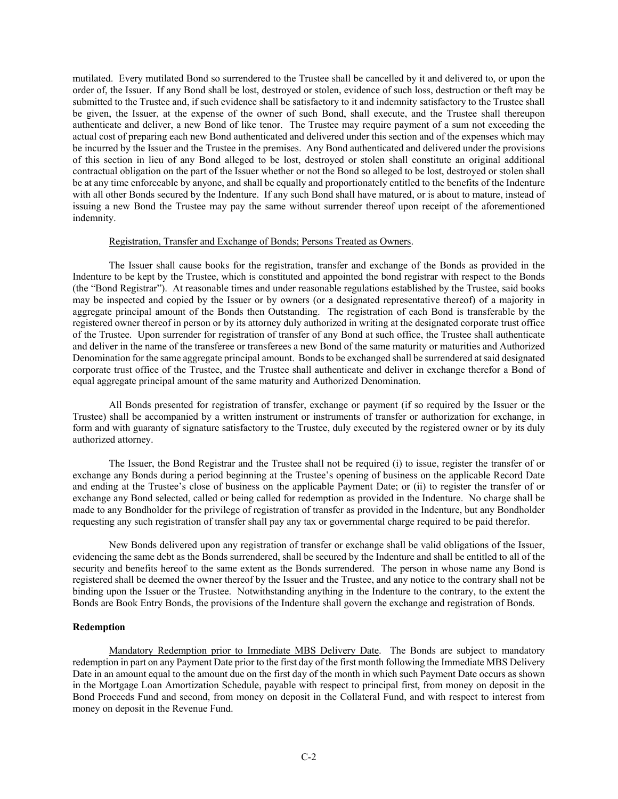mutilated. Every mutilated Bond so surrendered to the Trustee shall be cancelled by it and delivered to, or upon the order of, the Issuer. If any Bond shall be lost, destroyed or stolen, evidence of such loss, destruction or theft may be submitted to the Trustee and, if such evidence shall be satisfactory to it and indemnity satisfactory to the Trustee shall be given, the Issuer, at the expense of the owner of such Bond, shall execute, and the Trustee shall thereupon authenticate and deliver, a new Bond of like tenor. The Trustee may require payment of a sum not exceeding the actual cost of preparing each new Bond authenticated and delivered under this section and of the expenses which may be incurred by the Issuer and the Trustee in the premises. Any Bond authenticated and delivered under the provisions of this section in lieu of any Bond alleged to be lost, destroyed or stolen shall constitute an original additional contractual obligation on the part of the Issuer whether or not the Bond so alleged to be lost, destroyed or stolen shall be at any time enforceable by anyone, and shall be equally and proportionately entitled to the benefits of the Indenture with all other Bonds secured by the Indenture. If any such Bond shall have matured, or is about to mature, instead of issuing a new Bond the Trustee may pay the same without surrender thereof upon receipt of the aforementioned indemnity.

#### Registration, Transfer and Exchange of Bonds; Persons Treated as Owners.

The Issuer shall cause books for the registration, transfer and exchange of the Bonds as provided in the Indenture to be kept by the Trustee, which is constituted and appointed the bond registrar with respect to the Bonds (the "Bond Registrar"). At reasonable times and under reasonable regulations established by the Trustee, said books may be inspected and copied by the Issuer or by owners (or a designated representative thereof) of a majority in aggregate principal amount of the Bonds then Outstanding. The registration of each Bond is transferable by the registered owner thereof in person or by its attorney duly authorized in writing at the designated corporate trust office of the Trustee. Upon surrender for registration of transfer of any Bond at such office, the Trustee shall authenticate and deliver in the name of the transferee or transferees a new Bond of the same maturity or maturities and Authorized Denomination for the same aggregate principal amount. Bonds to be exchanged shall be surrendered at said designated corporate trust office of the Trustee, and the Trustee shall authenticate and deliver in exchange therefor a Bond of equal aggregate principal amount of the same maturity and Authorized Denomination.

All Bonds presented for registration of transfer, exchange or payment (if so required by the Issuer or the Trustee) shall be accompanied by a written instrument or instruments of transfer or authorization for exchange, in form and with guaranty of signature satisfactory to the Trustee, duly executed by the registered owner or by its duly authorized attorney.

The Issuer, the Bond Registrar and the Trustee shall not be required (i) to issue, register the transfer of or exchange any Bonds during a period beginning at the Trustee's opening of business on the applicable Record Date and ending at the Trustee's close of business on the applicable Payment Date; or (ii) to register the transfer of or exchange any Bond selected, called or being called for redemption as provided in the Indenture. No charge shall be made to any Bondholder for the privilege of registration of transfer as provided in the Indenture, but any Bondholder requesting any such registration of transfer shall pay any tax or governmental charge required to be paid therefor.

New Bonds delivered upon any registration of transfer or exchange shall be valid obligations of the Issuer, evidencing the same debt as the Bonds surrendered, shall be secured by the Indenture and shall be entitled to all of the security and benefits hereof to the same extent as the Bonds surrendered. The person in whose name any Bond is registered shall be deemed the owner thereof by the Issuer and the Trustee, and any notice to the contrary shall not be binding upon the Issuer or the Trustee. Notwithstanding anything in the Indenture to the contrary, to the extent the Bonds are Book Entry Bonds, the provisions of the Indenture shall govern the exchange and registration of Bonds.

## **Redemption**

Mandatory Redemption prior to Immediate MBS Delivery Date. The Bonds are subject to mandatory redemption in part on any Payment Date prior to the first day of the first month following the Immediate MBS Delivery Date in an amount equal to the amount due on the first day of the month in which such Payment Date occurs as shown in the Mortgage Loan Amortization Schedule, payable with respect to principal first, from money on deposit in the Bond Proceeds Fund and second, from money on deposit in the Collateral Fund, and with respect to interest from money on deposit in the Revenue Fund.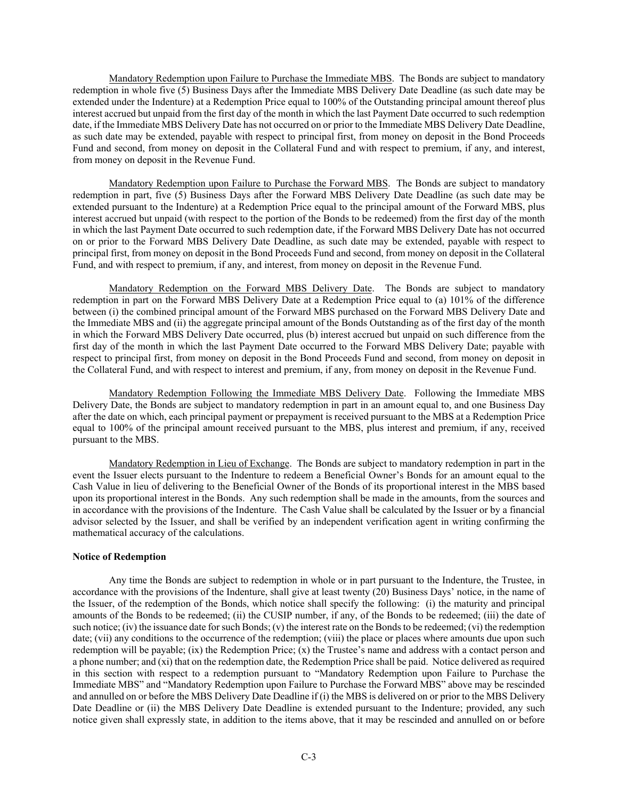Mandatory Redemption upon Failure to Purchase the Immediate MBS. The Bonds are subject to mandatory redemption in whole five (5) Business Days after the Immediate MBS Delivery Date Deadline (as such date may be extended under the Indenture) at a Redemption Price equal to 100% of the Outstanding principal amount thereof plus interest accrued but unpaid from the first day of the month in which the last Payment Date occurred to such redemption date, if the Immediate MBS Delivery Date has not occurred on or prior to the Immediate MBS Delivery Date Deadline, as such date may be extended, payable with respect to principal first, from money on deposit in the Bond Proceeds Fund and second, from money on deposit in the Collateral Fund and with respect to premium, if any, and interest, from money on deposit in the Revenue Fund.

Mandatory Redemption upon Failure to Purchase the Forward MBS. The Bonds are subject to mandatory redemption in part, five (5) Business Days after the Forward MBS Delivery Date Deadline (as such date may be extended pursuant to the Indenture) at a Redemption Price equal to the principal amount of the Forward MBS, plus interest accrued but unpaid (with respect to the portion of the Bonds to be redeemed) from the first day of the month in which the last Payment Date occurred to such redemption date, if the Forward MBS Delivery Date has not occurred on or prior to the Forward MBS Delivery Date Deadline, as such date may be extended, payable with respect to principal first, from money on deposit in the Bond Proceeds Fund and second, from money on deposit in the Collateral Fund, and with respect to premium, if any, and interest, from money on deposit in the Revenue Fund.

Mandatory Redemption on the Forward MBS Delivery Date. The Bonds are subject to mandatory redemption in part on the Forward MBS Delivery Date at a Redemption Price equal to (a) 101% of the difference between (i) the combined principal amount of the Forward MBS purchased on the Forward MBS Delivery Date and the Immediate MBS and (ii) the aggregate principal amount of the Bonds Outstanding as of the first day of the month in which the Forward MBS Delivery Date occurred, plus (b) interest accrued but unpaid on such difference from the first day of the month in which the last Payment Date occurred to the Forward MBS Delivery Date; payable with respect to principal first, from money on deposit in the Bond Proceeds Fund and second, from money on deposit in the Collateral Fund, and with respect to interest and premium, if any, from money on deposit in the Revenue Fund.

Mandatory Redemption Following the Immediate MBS Delivery Date. Following the Immediate MBS Delivery Date, the Bonds are subject to mandatory redemption in part in an amount equal to, and one Business Day after the date on which, each principal payment or prepayment is received pursuant to the MBS at a Redemption Price equal to 100% of the principal amount received pursuant to the MBS, plus interest and premium, if any, received pursuant to the MBS.

Mandatory Redemption in Lieu of Exchange. The Bonds are subject to mandatory redemption in part in the event the Issuer elects pursuant to the Indenture to redeem a Beneficial Owner's Bonds for an amount equal to the Cash Value in lieu of delivering to the Beneficial Owner of the Bonds of its proportional interest in the MBS based upon its proportional interest in the Bonds. Any such redemption shall be made in the amounts, from the sources and in accordance with the provisions of the Indenture. The Cash Value shall be calculated by the Issuer or by a financial advisor selected by the Issuer, and shall be verified by an independent verification agent in writing confirming the mathematical accuracy of the calculations.

# **Notice of Redemption**

Any time the Bonds are subject to redemption in whole or in part pursuant to the Indenture, the Trustee, in accordance with the provisions of the Indenture, shall give at least twenty (20) Business Days' notice, in the name of the Issuer, of the redemption of the Bonds, which notice shall specify the following: (i) the maturity and principal amounts of the Bonds to be redeemed; (ii) the CUSIP number, if any, of the Bonds to be redeemed; (iii) the date of such notice; (iv) the issuance date for such Bonds; (v) the interest rate on the Bonds to be redeemed; (vi) the redemption date; (vii) any conditions to the occurrence of the redemption; (viii) the place or places where amounts due upon such redemption will be payable; (ix) the Redemption Price; (x) the Trustee's name and address with a contact person and a phone number; and (xi) that on the redemption date, the Redemption Price shall be paid. Notice delivered as required in this section with respect to a redemption pursuant to "Mandatory Redemption upon Failure to Purchase the Immediate MBS" and "Mandatory Redemption upon Failure to Purchase the Forward MBS" above may be rescinded and annulled on or before the MBS Delivery Date Deadline if (i) the MBS is delivered on or prior to the MBS Delivery Date Deadline or (ii) the MBS Delivery Date Deadline is extended pursuant to the Indenture; provided, any such notice given shall expressly state, in addition to the items above, that it may be rescinded and annulled on or before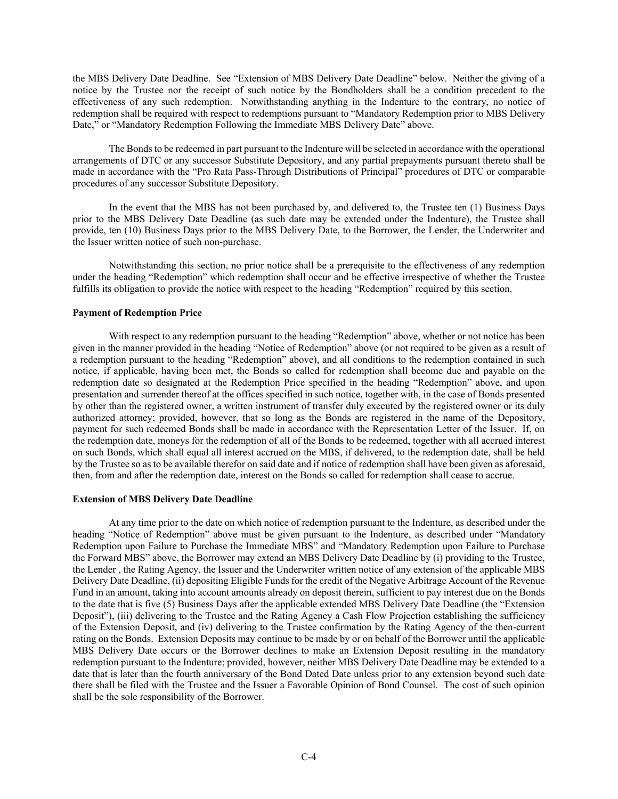the MBS Delivery Date Deadline. See "Extension of MBS Delivery Date Deadline" below. Neither the giving of a notice by the Trustee nor the receipt of such notice by the Bondholders shall be a condition precedent to the effectiveness of any such redemption. Notwithstanding anything in the Indenture to the contrary, no notice of redemption shall be required with respect to redemptions pursuant to "Mandatory Redemption prior to MBS Delivery Date," or "Mandatory Redemption Following the Immediate MBS Delivery Date" above.

The Bonds to be redeemed in part pursuant to the Indenture will be selected in accordance with the operational arrangements of DTC or any successor Substitute Depository, and any partial prepayments pursuant thereto shall be made in accordance with the "Pro Rata Pass-Through Distributions of Principal" procedures of DTC or comparable procedures of any successor Substitute Depository.

In the event that the MBS has not been purchased by, and delivered to, the Trustee ten (1) Business Days prior to the MBS Delivery Date Deadline (as such date may be extended under the Indenture), the Trustee shall provide, ten (10) Business Days prior to the MBS Delivery Date, to the Borrower, the Lender, the Underwriter and the Issuer written notice of such non-purchase.

Notwithstanding this section, no prior notice shall be a prerequisite to the effectiveness of any redemption under the heading "Redemption" which redemption shall occur and be effective irrespective of whether the Trustee fulfills its obligation to provide the notice with respect to the heading "Redemption" required by this section.

# **Payment of Redemption Price**

With respect to any redemption pursuant to the heading "Redemption" above, whether or not notice has been given in the manner provided in the heading "Notice of Redemption" above (or not required to be given as a result of a redemption pursuant to the heading "Redemption" above), and all conditions to the redemption contained in such notice, if applicable, having been met, the Bonds so called for redemption shall become due and payable on the redemption date so designated at the Redemption Price specified in the heading "Redemption" above, and upon presentation and surrender thereof at the offices specified in such notice, together with, in the case of Bonds presented by other than the registered owner, a written instrument of transfer duly executed by the registered owner or its duly authorized attorney; provided, however, that so long as the Bonds are registered in the name of the Depository, payment for such redeemed Bonds shall be made in accordance with the Representation Letter of the Issuer. If, on the redemption date, moneys for the redemption of all of the Bonds to be redeemed, together with all accrued interest on such Bonds, which shall equal all interest accrued on the MBS, if delivered, to the redemption date, shall be held by the Trustee so as to be available therefor on said date and if notice of redemption shall have been given as aforesaid, then, from and after the redemption date, interest on the Bonds so called for redemption shall cease to accrue.

## **Extension of MBS Delivery Date Deadline**

At any time prior to the date on which notice of redemption pursuant to the Indenture, as described under the heading "Notice of Redemption" above must be given pursuant to the Indenture, as described under "Mandatory Redemption upon Failure to Purchase the Immediate MBS" and "Mandatory Redemption upon Failure to Purchase the Forward MBS" above, the Borrower may extend an MBS Delivery Date Deadline by (i) providing to the Trustee, the Lender , the Rating Agency, the Issuer and the Underwriter written notice of any extension of the applicable MBS Delivery Date Deadline, (ii) depositing Eligible Funds for the credit of the Negative Arbitrage Account of the Revenue Fund in an amount, taking into account amounts already on deposit therein, sufficient to pay interest due on the Bonds to the date that is five (5) Business Days after the applicable extended MBS Delivery Date Deadline (the "Extension Deposit"), (iii) delivering to the Trustee and the Rating Agency a Cash Flow Projection establishing the sufficiency of the Extension Deposit, and (iv) delivering to the Trustee confirmation by the Rating Agency of the then-current rating on the Bonds. Extension Deposits may continue to be made by or on behalf of the Borrower until the applicable MBS Delivery Date occurs or the Borrower declines to make an Extension Deposit resulting in the mandatory redemption pursuant to the Indenture; provided, however, neither MBS Delivery Date Deadline may be extended to a date that is later than the fourth anniversary of the Bond Dated Date unless prior to any extension beyond such date there shall be filed with the Trustee and the Issuer a Favorable Opinion of Bond Counsel. The cost of such opinion shall be the sole responsibility of the Borrower.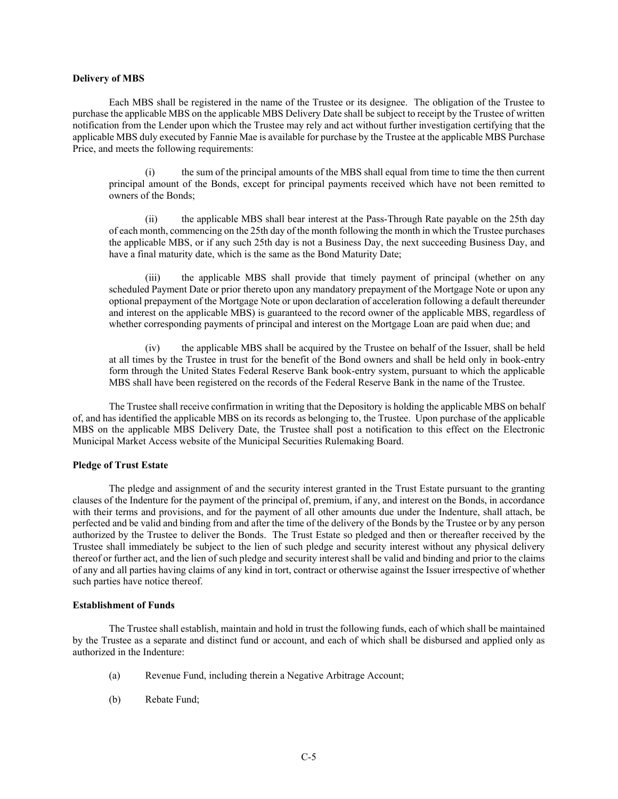## **Delivery of MBS**

Each MBS shall be registered in the name of the Trustee or its designee. The obligation of the Trustee to purchase the applicable MBS on the applicable MBS Delivery Date shall be subject to receipt by the Trustee of written notification from the Lender upon which the Trustee may rely and act without further investigation certifying that the applicable MBS duly executed by Fannie Mae is available for purchase by the Trustee at the applicable MBS Purchase Price, and meets the following requirements:

(i) the sum of the principal amounts of the MBS shall equal from time to time the then current principal amount of the Bonds, except for principal payments received which have not been remitted to owners of the Bonds;

(ii) the applicable MBS shall bear interest at the Pass-Through Rate payable on the 25th day of each month, commencing on the 25th day of the month following the month in which the Trustee purchases the applicable MBS, or if any such 25th day is not a Business Day, the next succeeding Business Day, and have a final maturity date, which is the same as the Bond Maturity Date;

(iii) the applicable MBS shall provide that timely payment of principal (whether on any scheduled Payment Date or prior thereto upon any mandatory prepayment of the Mortgage Note or upon any optional prepayment of the Mortgage Note or upon declaration of acceleration following a default thereunder and interest on the applicable MBS) is guaranteed to the record owner of the applicable MBS, regardless of whether corresponding payments of principal and interest on the Mortgage Loan are paid when due; and

(iv) the applicable MBS shall be acquired by the Trustee on behalf of the Issuer, shall be held at all times by the Trustee in trust for the benefit of the Bond owners and shall be held only in book-entry form through the United States Federal Reserve Bank book-entry system, pursuant to which the applicable MBS shall have been registered on the records of the Federal Reserve Bank in the name of the Trustee.

The Trustee shall receive confirmation in writing that the Depository is holding the applicable MBS on behalf of, and has identified the applicable MBS on its records as belonging to, the Trustee. Upon purchase of the applicable MBS on the applicable MBS Delivery Date, the Trustee shall post a notification to this effect on the Electronic Municipal Market Access website of the Municipal Securities Rulemaking Board.

# **Pledge of Trust Estate**

The pledge and assignment of and the security interest granted in the Trust Estate pursuant to the granting clauses of the Indenture for the payment of the principal of, premium, if any, and interest on the Bonds, in accordance with their terms and provisions, and for the payment of all other amounts due under the Indenture, shall attach, be perfected and be valid and binding from and after the time of the delivery of the Bonds by the Trustee or by any person authorized by the Trustee to deliver the Bonds. The Trust Estate so pledged and then or thereafter received by the Trustee shall immediately be subject to the lien of such pledge and security interest without any physical delivery thereof or further act, and the lien of such pledge and security interest shall be valid and binding and prior to the claims of any and all parties having claims of any kind in tort, contract or otherwise against the Issuer irrespective of whether such parties have notice thereof.

#### **Establishment of Funds**

The Trustee shall establish, maintain and hold in trust the following funds, each of which shall be maintained by the Trustee as a separate and distinct fund or account, and each of which shall be disbursed and applied only as authorized in the Indenture:

- (a) Revenue Fund, including therein a Negative Arbitrage Account;
- (b) Rebate Fund;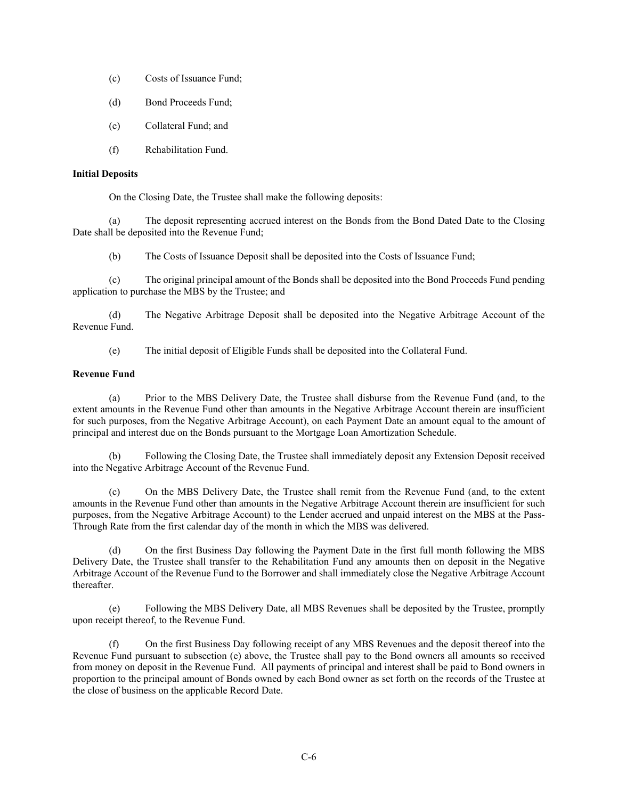- (c) Costs of Issuance Fund;
- (d) Bond Proceeds Fund;
- (e) Collateral Fund; and
- (f) Rehabilitation Fund.

# **Initial Deposits**

On the Closing Date, the Trustee shall make the following deposits:

(a) The deposit representing accrued interest on the Bonds from the Bond Dated Date to the Closing Date shall be deposited into the Revenue Fund;

(b) The Costs of Issuance Deposit shall be deposited into the Costs of Issuance Fund;

(c) The original principal amount of the Bonds shall be deposited into the Bond Proceeds Fund pending application to purchase the MBS by the Trustee; and

(d) The Negative Arbitrage Deposit shall be deposited into the Negative Arbitrage Account of the Revenue Fund.

(e) The initial deposit of Eligible Funds shall be deposited into the Collateral Fund.

# **Revenue Fund**

(a) Prior to the MBS Delivery Date, the Trustee shall disburse from the Revenue Fund (and, to the extent amounts in the Revenue Fund other than amounts in the Negative Arbitrage Account therein are insufficient for such purposes, from the Negative Arbitrage Account), on each Payment Date an amount equal to the amount of principal and interest due on the Bonds pursuant to the Mortgage Loan Amortization Schedule.

(b) Following the Closing Date, the Trustee shall immediately deposit any Extension Deposit received into the Negative Arbitrage Account of the Revenue Fund.

(c) On the MBS Delivery Date, the Trustee shall remit from the Revenue Fund (and, to the extent amounts in the Revenue Fund other than amounts in the Negative Arbitrage Account therein are insufficient for such purposes, from the Negative Arbitrage Account) to the Lender accrued and unpaid interest on the MBS at the Pass-Through Rate from the first calendar day of the month in which the MBS was delivered.

On the first Business Day following the Payment Date in the first full month following the MBS Delivery Date, the Trustee shall transfer to the Rehabilitation Fund any amounts then on deposit in the Negative Arbitrage Account of the Revenue Fund to the Borrower and shall immediately close the Negative Arbitrage Account thereafter.

(e) Following the MBS Delivery Date, all MBS Revenues shall be deposited by the Trustee, promptly upon receipt thereof, to the Revenue Fund.

(f) On the first Business Day following receipt of any MBS Revenues and the deposit thereof into the Revenue Fund pursuant to subsection (e) above, the Trustee shall pay to the Bond owners all amounts so received from money on deposit in the Revenue Fund. All payments of principal and interest shall be paid to Bond owners in proportion to the principal amount of Bonds owned by each Bond owner as set forth on the records of the Trustee at the close of business on the applicable Record Date.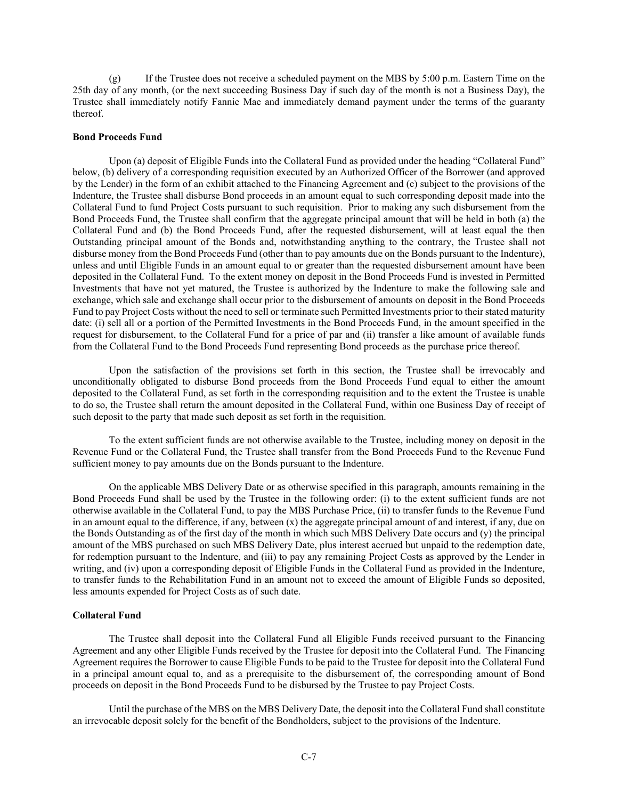(g) If the Trustee does not receive a scheduled payment on the MBS by 5:00 p.m. Eastern Time on the 25th day of any month, (or the next succeeding Business Day if such day of the month is not a Business Day), the Trustee shall immediately notify Fannie Mae and immediately demand payment under the terms of the guaranty thereof.

#### **Bond Proceeds Fund**

Upon (a) deposit of Eligible Funds into the Collateral Fund as provided under the heading "Collateral Fund" below, (b) delivery of a corresponding requisition executed by an Authorized Officer of the Borrower (and approved by the Lender) in the form of an exhibit attached to the Financing Agreement and (c) subject to the provisions of the Indenture, the Trustee shall disburse Bond proceeds in an amount equal to such corresponding deposit made into the Collateral Fund to fund Project Costs pursuant to such requisition. Prior to making any such disbursement from the Bond Proceeds Fund, the Trustee shall confirm that the aggregate principal amount that will be held in both (a) the Collateral Fund and (b) the Bond Proceeds Fund, after the requested disbursement, will at least equal the then Outstanding principal amount of the Bonds and, notwithstanding anything to the contrary, the Trustee shall not disburse money from the Bond Proceeds Fund (other than to pay amounts due on the Bonds pursuant to the Indenture), unless and until Eligible Funds in an amount equal to or greater than the requested disbursement amount have been deposited in the Collateral Fund. To the extent money on deposit in the Bond Proceeds Fund is invested in Permitted Investments that have not yet matured, the Trustee is authorized by the Indenture to make the following sale and exchange, which sale and exchange shall occur prior to the disbursement of amounts on deposit in the Bond Proceeds Fund to pay Project Costs without the need to sell or terminate such Permitted Investments prior to their stated maturity date: (i) sell all or a portion of the Permitted Investments in the Bond Proceeds Fund, in the amount specified in the request for disbursement, to the Collateral Fund for a price of par and (ii) transfer a like amount of available funds from the Collateral Fund to the Bond Proceeds Fund representing Bond proceeds as the purchase price thereof.

Upon the satisfaction of the provisions set forth in this section, the Trustee shall be irrevocably and unconditionally obligated to disburse Bond proceeds from the Bond Proceeds Fund equal to either the amount deposited to the Collateral Fund, as set forth in the corresponding requisition and to the extent the Trustee is unable to do so, the Trustee shall return the amount deposited in the Collateral Fund, within one Business Day of receipt of such deposit to the party that made such deposit as set forth in the requisition.

To the extent sufficient funds are not otherwise available to the Trustee, including money on deposit in the Revenue Fund or the Collateral Fund, the Trustee shall transfer from the Bond Proceeds Fund to the Revenue Fund sufficient money to pay amounts due on the Bonds pursuant to the Indenture.

On the applicable MBS Delivery Date or as otherwise specified in this paragraph, amounts remaining in the Bond Proceeds Fund shall be used by the Trustee in the following order: (i) to the extent sufficient funds are not otherwise available in the Collateral Fund, to pay the MBS Purchase Price, (ii) to transfer funds to the Revenue Fund in an amount equal to the difference, if any, between (x) the aggregate principal amount of and interest, if any, due on the Bonds Outstanding as of the first day of the month in which such MBS Delivery Date occurs and (y) the principal amount of the MBS purchased on such MBS Delivery Date, plus interest accrued but unpaid to the redemption date, for redemption pursuant to the Indenture, and (iii) to pay any remaining Project Costs as approved by the Lender in writing, and (iv) upon a corresponding deposit of Eligible Funds in the Collateral Fund as provided in the Indenture, to transfer funds to the Rehabilitation Fund in an amount not to exceed the amount of Eligible Funds so deposited, less amounts expended for Project Costs as of such date.

# **Collateral Fund**

The Trustee shall deposit into the Collateral Fund all Eligible Funds received pursuant to the Financing Agreement and any other Eligible Funds received by the Trustee for deposit into the Collateral Fund. The Financing Agreement requires the Borrower to cause Eligible Funds to be paid to the Trustee for deposit into the Collateral Fund in a principal amount equal to, and as a prerequisite to the disbursement of, the corresponding amount of Bond proceeds on deposit in the Bond Proceeds Fund to be disbursed by the Trustee to pay Project Costs.

Until the purchase of the MBS on the MBS Delivery Date, the deposit into the Collateral Fund shall constitute an irrevocable deposit solely for the benefit of the Bondholders, subject to the provisions of the Indenture.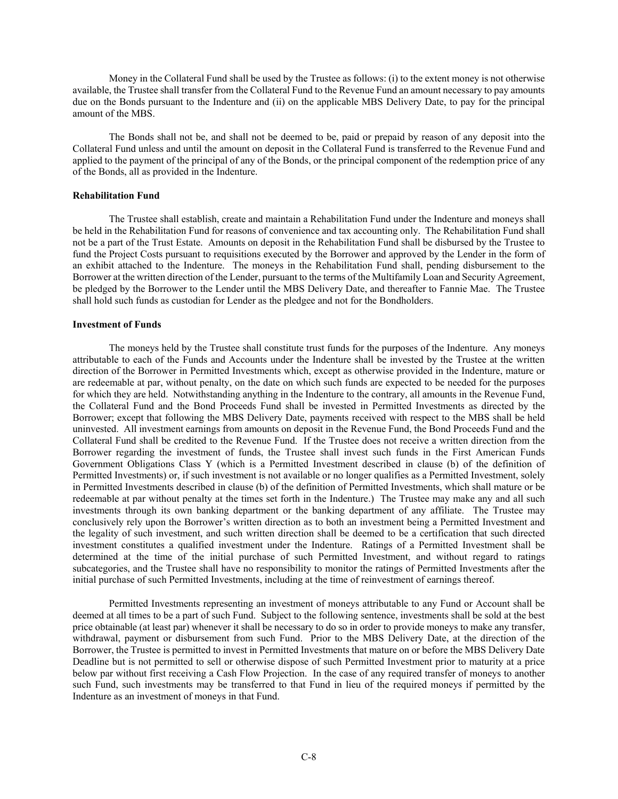Money in the Collateral Fund shall be used by the Trustee as follows: (i) to the extent money is not otherwise available, the Trustee shall transfer from the Collateral Fund to the Revenue Fund an amount necessary to pay amounts due on the Bonds pursuant to the Indenture and (ii) on the applicable MBS Delivery Date, to pay for the principal amount of the MBS.

The Bonds shall not be, and shall not be deemed to be, paid or prepaid by reason of any deposit into the Collateral Fund unless and until the amount on deposit in the Collateral Fund is transferred to the Revenue Fund and applied to the payment of the principal of any of the Bonds, or the principal component of the redemption price of any of the Bonds, all as provided in the Indenture.

## **Rehabilitation Fund**

The Trustee shall establish, create and maintain a Rehabilitation Fund under the Indenture and moneys shall be held in the Rehabilitation Fund for reasons of convenience and tax accounting only. The Rehabilitation Fund shall not be a part of the Trust Estate. Amounts on deposit in the Rehabilitation Fund shall be disbursed by the Trustee to fund the Project Costs pursuant to requisitions executed by the Borrower and approved by the Lender in the form of an exhibit attached to the Indenture. The moneys in the Rehabilitation Fund shall, pending disbursement to the Borrower at the written direction of the Lender, pursuant to the terms of the Multifamily Loan and Security Agreement, be pledged by the Borrower to the Lender until the MBS Delivery Date, and thereafter to Fannie Mae. The Trustee shall hold such funds as custodian for Lender as the pledgee and not for the Bondholders.

#### **Investment of Funds**

The moneys held by the Trustee shall constitute trust funds for the purposes of the Indenture. Any moneys attributable to each of the Funds and Accounts under the Indenture shall be invested by the Trustee at the written direction of the Borrower in Permitted Investments which, except as otherwise provided in the Indenture, mature or are redeemable at par, without penalty, on the date on which such funds are expected to be needed for the purposes for which they are held. Notwithstanding anything in the Indenture to the contrary, all amounts in the Revenue Fund, the Collateral Fund and the Bond Proceeds Fund shall be invested in Permitted Investments as directed by the Borrower; except that following the MBS Delivery Date, payments received with respect to the MBS shall be held uninvested. All investment earnings from amounts on deposit in the Revenue Fund, the Bond Proceeds Fund and the Collateral Fund shall be credited to the Revenue Fund. If the Trustee does not receive a written direction from the Borrower regarding the investment of funds, the Trustee shall invest such funds in the First American Funds Government Obligations Class Y (which is a Permitted Investment described in clause (b) of the definition of Permitted Investments) or, if such investment is not available or no longer qualifies as a Permitted Investment, solely in Permitted Investments described in clause (b) of the definition of Permitted Investments, which shall mature or be redeemable at par without penalty at the times set forth in the Indenture.) The Trustee may make any and all such investments through its own banking department or the banking department of any affiliate. The Trustee may conclusively rely upon the Borrower's written direction as to both an investment being a Permitted Investment and the legality of such investment, and such written direction shall be deemed to be a certification that such directed investment constitutes a qualified investment under the Indenture. Ratings of a Permitted Investment shall be determined at the time of the initial purchase of such Permitted Investment, and without regard to ratings subcategories, and the Trustee shall have no responsibility to monitor the ratings of Permitted Investments after the initial purchase of such Permitted Investments, including at the time of reinvestment of earnings thereof.

Permitted Investments representing an investment of moneys attributable to any Fund or Account shall be deemed at all times to be a part of such Fund. Subject to the following sentence, investments shall be sold at the best price obtainable (at least par) whenever it shall be necessary to do so in order to provide moneys to make any transfer, withdrawal, payment or disbursement from such Fund. Prior to the MBS Delivery Date, at the direction of the Borrower, the Trustee is permitted to invest in Permitted Investments that mature on or before the MBS Delivery Date Deadline but is not permitted to sell or otherwise dispose of such Permitted Investment prior to maturity at a price below par without first receiving a Cash Flow Projection. In the case of any required transfer of moneys to another such Fund, such investments may be transferred to that Fund in lieu of the required moneys if permitted by the Indenture as an investment of moneys in that Fund.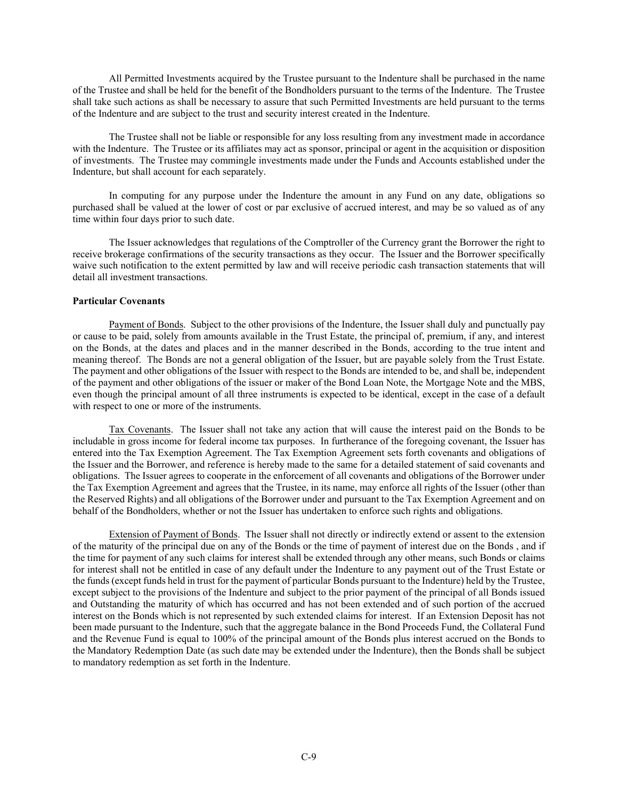All Permitted Investments acquired by the Trustee pursuant to the Indenture shall be purchased in the name of the Trustee and shall be held for the benefit of the Bondholders pursuant to the terms of the Indenture. The Trustee shall take such actions as shall be necessary to assure that such Permitted Investments are held pursuant to the terms of the Indenture and are subject to the trust and security interest created in the Indenture.

The Trustee shall not be liable or responsible for any loss resulting from any investment made in accordance with the Indenture. The Trustee or its affiliates may act as sponsor, principal or agent in the acquisition or disposition of investments. The Trustee may commingle investments made under the Funds and Accounts established under the Indenture, but shall account for each separately.

In computing for any purpose under the Indenture the amount in any Fund on any date, obligations so purchased shall be valued at the lower of cost or par exclusive of accrued interest, and may be so valued as of any time within four days prior to such date.

The Issuer acknowledges that regulations of the Comptroller of the Currency grant the Borrower the right to receive brokerage confirmations of the security transactions as they occur. The Issuer and the Borrower specifically waive such notification to the extent permitted by law and will receive periodic cash transaction statements that will detail all investment transactions.

## **Particular Covenants**

Payment of Bonds. Subject to the other provisions of the Indenture, the Issuer shall duly and punctually pay or cause to be paid, solely from amounts available in the Trust Estate, the principal of, premium, if any, and interest on the Bonds, at the dates and places and in the manner described in the Bonds, according to the true intent and meaning thereof. The Bonds are not a general obligation of the Issuer, but are payable solely from the Trust Estate. The payment and other obligations of the Issuer with respect to the Bonds are intended to be, and shall be, independent of the payment and other obligations of the issuer or maker of the Bond Loan Note, the Mortgage Note and the MBS, even though the principal amount of all three instruments is expected to be identical, except in the case of a default with respect to one or more of the instruments.

Tax Covenants. The Issuer shall not take any action that will cause the interest paid on the Bonds to be includable in gross income for federal income tax purposes. In furtherance of the foregoing covenant, the Issuer has entered into the Tax Exemption Agreement. The Tax Exemption Agreement sets forth covenants and obligations of the Issuer and the Borrower, and reference is hereby made to the same for a detailed statement of said covenants and obligations. The Issuer agrees to cooperate in the enforcement of all covenants and obligations of the Borrower under the Tax Exemption Agreement and agrees that the Trustee, in its name, may enforce all rights of the Issuer (other than the Reserved Rights) and all obligations of the Borrower under and pursuant to the Tax Exemption Agreement and on behalf of the Bondholders, whether or not the Issuer has undertaken to enforce such rights and obligations.

Extension of Payment of Bonds. The Issuer shall not directly or indirectly extend or assent to the extension of the maturity of the principal due on any of the Bonds or the time of payment of interest due on the Bonds , and if the time for payment of any such claims for interest shall be extended through any other means, such Bonds or claims for interest shall not be entitled in case of any default under the Indenture to any payment out of the Trust Estate or the funds (except funds held in trust for the payment of particular Bonds pursuant to the Indenture) held by the Trustee, except subject to the provisions of the Indenture and subject to the prior payment of the principal of all Bonds issued and Outstanding the maturity of which has occurred and has not been extended and of such portion of the accrued interest on the Bonds which is not represented by such extended claims for interest. If an Extension Deposit has not been made pursuant to the Indenture, such that the aggregate balance in the Bond Proceeds Fund, the Collateral Fund and the Revenue Fund is equal to 100% of the principal amount of the Bonds plus interest accrued on the Bonds to the Mandatory Redemption Date (as such date may be extended under the Indenture), then the Bonds shall be subject to mandatory redemption as set forth in the Indenture.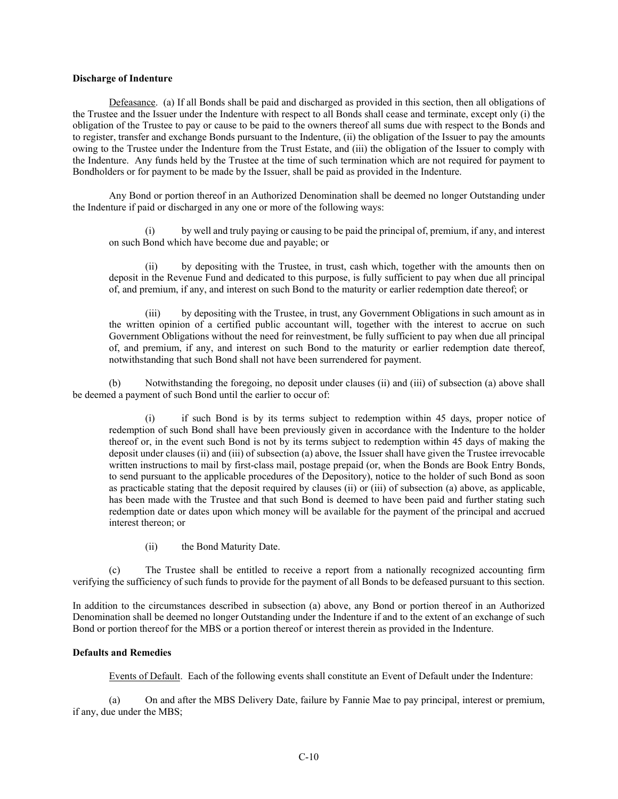#### **Discharge of Indenture**

Defeasance. (a) If all Bonds shall be paid and discharged as provided in this section, then all obligations of the Trustee and the Issuer under the Indenture with respect to all Bonds shall cease and terminate, except only (i) the obligation of the Trustee to pay or cause to be paid to the owners thereof all sums due with respect to the Bonds and to register, transfer and exchange Bonds pursuant to the Indenture, (ii) the obligation of the Issuer to pay the amounts owing to the Trustee under the Indenture from the Trust Estate, and (iii) the obligation of the Issuer to comply with the Indenture. Any funds held by the Trustee at the time of such termination which are not required for payment to Bondholders or for payment to be made by the Issuer, shall be paid as provided in the Indenture.

Any Bond or portion thereof in an Authorized Denomination shall be deemed no longer Outstanding under the Indenture if paid or discharged in any one or more of the following ways:

(i) by well and truly paying or causing to be paid the principal of, premium, if any, and interest on such Bond which have become due and payable; or

(ii) by depositing with the Trustee, in trust, cash which, together with the amounts then on deposit in the Revenue Fund and dedicated to this purpose, is fully sufficient to pay when due all principal of, and premium, if any, and interest on such Bond to the maturity or earlier redemption date thereof; or

(iii) by depositing with the Trustee, in trust, any Government Obligations in such amount as in the written opinion of a certified public accountant will, together with the interest to accrue on such Government Obligations without the need for reinvestment, be fully sufficient to pay when due all principal of, and premium, if any, and interest on such Bond to the maturity or earlier redemption date thereof, notwithstanding that such Bond shall not have been surrendered for payment.

(b) Notwithstanding the foregoing, no deposit under clauses (ii) and (iii) of subsection (a) above shall be deemed a payment of such Bond until the earlier to occur of:

(i) if such Bond is by its terms subject to redemption within 45 days, proper notice of redemption of such Bond shall have been previously given in accordance with the Indenture to the holder thereof or, in the event such Bond is not by its terms subject to redemption within 45 days of making the deposit under clauses (ii) and (iii) of subsection (a) above, the Issuer shall have given the Trustee irrevocable written instructions to mail by first-class mail, postage prepaid (or, when the Bonds are Book Entry Bonds, to send pursuant to the applicable procedures of the Depository), notice to the holder of such Bond as soon as practicable stating that the deposit required by clauses (ii) or (iii) of subsection (a) above, as applicable, has been made with the Trustee and that such Bond is deemed to have been paid and further stating such redemption date or dates upon which money will be available for the payment of the principal and accrued interest thereon; or

(ii) the Bond Maturity Date.

(c) The Trustee shall be entitled to receive a report from a nationally recognized accounting firm verifying the sufficiency of such funds to provide for the payment of all Bonds to be defeased pursuant to this section.

In addition to the circumstances described in subsection (a) above, any Bond or portion thereof in an Authorized Denomination shall be deemed no longer Outstanding under the Indenture if and to the extent of an exchange of such Bond or portion thereof for the MBS or a portion thereof or interest therein as provided in the Indenture.

## **Defaults and Remedies**

Events of Default. Each of the following events shall constitute an Event of Default under the Indenture:

(a) On and after the MBS Delivery Date, failure by Fannie Mae to pay principal, interest or premium, if any, due under the MBS;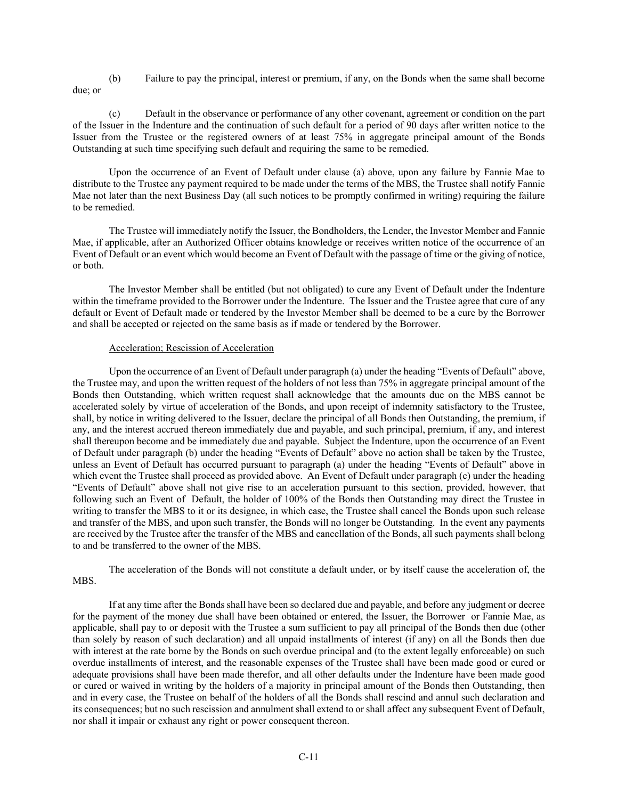(b) Failure to pay the principal, interest or premium, if any, on the Bonds when the same shall become due; or

(c) Default in the observance or performance of any other covenant, agreement or condition on the part of the Issuer in the Indenture and the continuation of such default for a period of 90 days after written notice to the Issuer from the Trustee or the registered owners of at least 75% in aggregate principal amount of the Bonds Outstanding at such time specifying such default and requiring the same to be remedied.

Upon the occurrence of an Event of Default under clause (a) above, upon any failure by Fannie Mae to distribute to the Trustee any payment required to be made under the terms of the MBS, the Trustee shall notify Fannie Mae not later than the next Business Day (all such notices to be promptly confirmed in writing) requiring the failure to be remedied.

The Trustee will immediately notify the Issuer, the Bondholders, the Lender, the Investor Member and Fannie Mae, if applicable, after an Authorized Officer obtains knowledge or receives written notice of the occurrence of an Event of Default or an event which would become an Event of Default with the passage of time or the giving of notice, or both.

The Investor Member shall be entitled (but not obligated) to cure any Event of Default under the Indenture within the timeframe provided to the Borrower under the Indenture. The Issuer and the Trustee agree that cure of any default or Event of Default made or tendered by the Investor Member shall be deemed to be a cure by the Borrower and shall be accepted or rejected on the same basis as if made or tendered by the Borrower.

# Acceleration; Rescission of Acceleration

Upon the occurrence of an Event of Default under paragraph (a) under the heading "Events of Default" above, the Trustee may, and upon the written request of the holders of not less than 75% in aggregate principal amount of the Bonds then Outstanding, which written request shall acknowledge that the amounts due on the MBS cannot be accelerated solely by virtue of acceleration of the Bonds, and upon receipt of indemnity satisfactory to the Trustee, shall, by notice in writing delivered to the Issuer, declare the principal of all Bonds then Outstanding, the premium, if any, and the interest accrued thereon immediately due and payable, and such principal, premium, if any, and interest shall thereupon become and be immediately due and payable. Subject the Indenture, upon the occurrence of an Event of Default under paragraph (b) under the heading "Events of Default" above no action shall be taken by the Trustee, unless an Event of Default has occurred pursuant to paragraph (a) under the heading "Events of Default" above in which event the Trustee shall proceed as provided above. An Event of Default under paragraph (c) under the heading "Events of Default" above shall not give rise to an acceleration pursuant to this section, provided, however, that following such an Event of Default, the holder of 100% of the Bonds then Outstanding may direct the Trustee in writing to transfer the MBS to it or its designee, in which case, the Trustee shall cancel the Bonds upon such release and transfer of the MBS, and upon such transfer, the Bonds will no longer be Outstanding. In the event any payments are received by the Trustee after the transfer of the MBS and cancellation of the Bonds, all such payments shall belong to and be transferred to the owner of the MBS.

The acceleration of the Bonds will not constitute a default under, or by itself cause the acceleration of, the MBS.

If at any time after the Bonds shall have been so declared due and payable, and before any judgment or decree for the payment of the money due shall have been obtained or entered, the Issuer, the Borrower or Fannie Mae, as applicable, shall pay to or deposit with the Trustee a sum sufficient to pay all principal of the Bonds then due (other than solely by reason of such declaration) and all unpaid installments of interest (if any) on all the Bonds then due with interest at the rate borne by the Bonds on such overdue principal and (to the extent legally enforceable) on such overdue installments of interest, and the reasonable expenses of the Trustee shall have been made good or cured or adequate provisions shall have been made therefor, and all other defaults under the Indenture have been made good or cured or waived in writing by the holders of a majority in principal amount of the Bonds then Outstanding, then and in every case, the Trustee on behalf of the holders of all the Bonds shall rescind and annul such declaration and its consequences; but no such rescission and annulment shall extend to or shall affect any subsequent Event of Default, nor shall it impair or exhaust any right or power consequent thereon.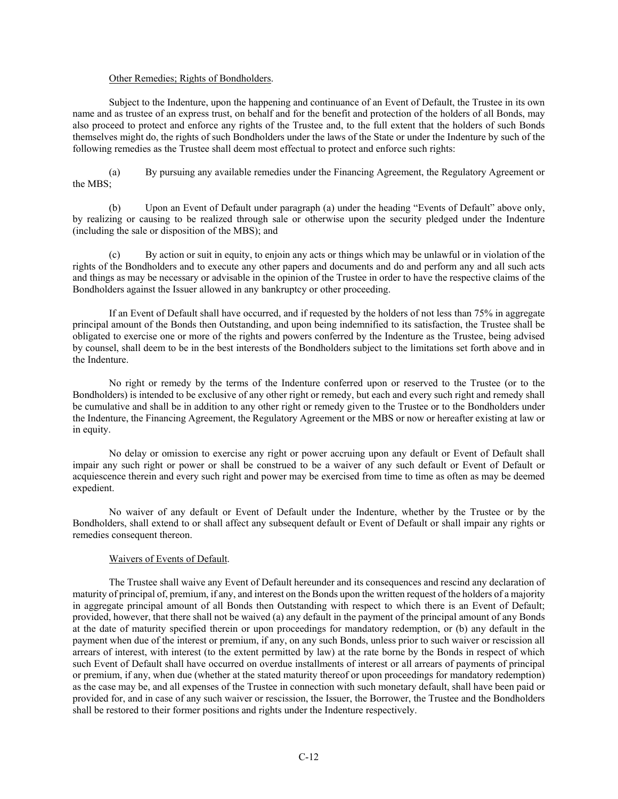#### Other Remedies; Rights of Bondholders.

Subject to the Indenture, upon the happening and continuance of an Event of Default, the Trustee in its own name and as trustee of an express trust, on behalf and for the benefit and protection of the holders of all Bonds, may also proceed to protect and enforce any rights of the Trustee and, to the full extent that the holders of such Bonds themselves might do, the rights of such Bondholders under the laws of the State or under the Indenture by such of the following remedies as the Trustee shall deem most effectual to protect and enforce such rights:

(a) By pursuing any available remedies under the Financing Agreement, the Regulatory Agreement or the MBS;

(b) Upon an Event of Default under paragraph (a) under the heading "Events of Default" above only, by realizing or causing to be realized through sale or otherwise upon the security pledged under the Indenture (including the sale or disposition of the MBS); and

(c) By action or suit in equity, to enjoin any acts or things which may be unlawful or in violation of the rights of the Bondholders and to execute any other papers and documents and do and perform any and all such acts and things as may be necessary or advisable in the opinion of the Trustee in order to have the respective claims of the Bondholders against the Issuer allowed in any bankruptcy or other proceeding.

If an Event of Default shall have occurred, and if requested by the holders of not less than 75% in aggregate principal amount of the Bonds then Outstanding, and upon being indemnified to its satisfaction, the Trustee shall be obligated to exercise one or more of the rights and powers conferred by the Indenture as the Trustee, being advised by counsel, shall deem to be in the best interests of the Bondholders subject to the limitations set forth above and in the Indenture.

No right or remedy by the terms of the Indenture conferred upon or reserved to the Trustee (or to the Bondholders) is intended to be exclusive of any other right or remedy, but each and every such right and remedy shall be cumulative and shall be in addition to any other right or remedy given to the Trustee or to the Bondholders under the Indenture, the Financing Agreement, the Regulatory Agreement or the MBS or now or hereafter existing at law or in equity.

No delay or omission to exercise any right or power accruing upon any default or Event of Default shall impair any such right or power or shall be construed to be a waiver of any such default or Event of Default or acquiescence therein and every such right and power may be exercised from time to time as often as may be deemed expedient.

No waiver of any default or Event of Default under the Indenture, whether by the Trustee or by the Bondholders, shall extend to or shall affect any subsequent default or Event of Default or shall impair any rights or remedies consequent thereon.

## Waivers of Events of Default.

The Trustee shall waive any Event of Default hereunder and its consequences and rescind any declaration of maturity of principal of, premium, if any, and interest on the Bonds upon the written request of the holders of a majority in aggregate principal amount of all Bonds then Outstanding with respect to which there is an Event of Default; provided, however, that there shall not be waived (a) any default in the payment of the principal amount of any Bonds at the date of maturity specified therein or upon proceedings for mandatory redemption, or (b) any default in the payment when due of the interest or premium, if any, on any such Bonds, unless prior to such waiver or rescission all arrears of interest, with interest (to the extent permitted by law) at the rate borne by the Bonds in respect of which such Event of Default shall have occurred on overdue installments of interest or all arrears of payments of principal or premium, if any, when due (whether at the stated maturity thereof or upon proceedings for mandatory redemption) as the case may be, and all expenses of the Trustee in connection with such monetary default, shall have been paid or provided for, and in case of any such waiver or rescission, the Issuer, the Borrower, the Trustee and the Bondholders shall be restored to their former positions and rights under the Indenture respectively.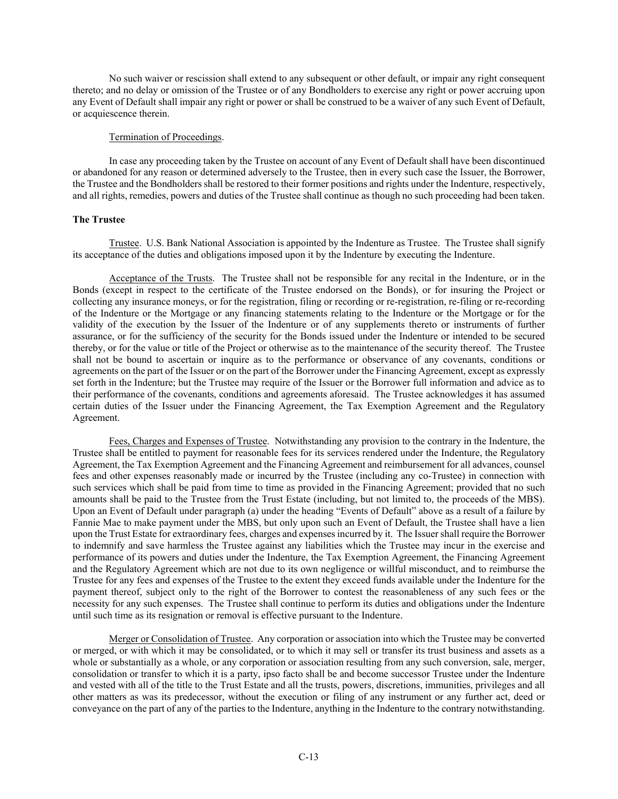No such waiver or rescission shall extend to any subsequent or other default, or impair any right consequent thereto; and no delay or omission of the Trustee or of any Bondholders to exercise any right or power accruing upon any Event of Default shall impair any right or power or shall be construed to be a waiver of any such Event of Default, or acquiescence therein.

## Termination of Proceedings.

In case any proceeding taken by the Trustee on account of any Event of Default shall have been discontinued or abandoned for any reason or determined adversely to the Trustee, then in every such case the Issuer, the Borrower, the Trustee and the Bondholders shall be restored to their former positions and rights under the Indenture, respectively, and all rights, remedies, powers and duties of the Trustee shall continue as though no such proceeding had been taken.

# **The Trustee**

Trustee. U.S. Bank National Association is appointed by the Indenture as Trustee. The Trustee shall signify its acceptance of the duties and obligations imposed upon it by the Indenture by executing the Indenture.

Acceptance of the Trusts. The Trustee shall not be responsible for any recital in the Indenture, or in the Bonds (except in respect to the certificate of the Trustee endorsed on the Bonds), or for insuring the Project or collecting any insurance moneys, or for the registration, filing or recording or re-registration, re-filing or re-recording of the Indenture or the Mortgage or any financing statements relating to the Indenture or the Mortgage or for the validity of the execution by the Issuer of the Indenture or of any supplements thereto or instruments of further assurance, or for the sufficiency of the security for the Bonds issued under the Indenture or intended to be secured thereby, or for the value or title of the Project or otherwise as to the maintenance of the security thereof. The Trustee shall not be bound to ascertain or inquire as to the performance or observance of any covenants, conditions or agreements on the part of the Issuer or on the part of the Borrower under the Financing Agreement, except as expressly set forth in the Indenture; but the Trustee may require of the Issuer or the Borrower full information and advice as to their performance of the covenants, conditions and agreements aforesaid. The Trustee acknowledges it has assumed certain duties of the Issuer under the Financing Agreement, the Tax Exemption Agreement and the Regulatory Agreement.

Fees, Charges and Expenses of Trustee. Notwithstanding any provision to the contrary in the Indenture, the Trustee shall be entitled to payment for reasonable fees for its services rendered under the Indenture, the Regulatory Agreement, the Tax Exemption Agreement and the Financing Agreement and reimbursement for all advances, counsel fees and other expenses reasonably made or incurred by the Trustee (including any co-Trustee) in connection with such services which shall be paid from time to time as provided in the Financing Agreement; provided that no such amounts shall be paid to the Trustee from the Trust Estate (including, but not limited to, the proceeds of the MBS). Upon an Event of Default under paragraph (a) under the heading "Events of Default" above as a result of a failure by Fannie Mae to make payment under the MBS, but only upon such an Event of Default, the Trustee shall have a lien upon the Trust Estate for extraordinary fees, charges and expenses incurred by it. The Issuer shall require the Borrower to indemnify and save harmless the Trustee against any liabilities which the Trustee may incur in the exercise and performance of its powers and duties under the Indenture, the Tax Exemption Agreement, the Financing Agreement and the Regulatory Agreement which are not due to its own negligence or willful misconduct, and to reimburse the Trustee for any fees and expenses of the Trustee to the extent they exceed funds available under the Indenture for the payment thereof, subject only to the right of the Borrower to contest the reasonableness of any such fees or the necessity for any such expenses. The Trustee shall continue to perform its duties and obligations under the Indenture until such time as its resignation or removal is effective pursuant to the Indenture.

Merger or Consolidation of Trustee. Any corporation or association into which the Trustee may be converted or merged, or with which it may be consolidated, or to which it may sell or transfer its trust business and assets as a whole or substantially as a whole, or any corporation or association resulting from any such conversion, sale, merger, consolidation or transfer to which it is a party, ipso facto shall be and become successor Trustee under the Indenture and vested with all of the title to the Trust Estate and all the trusts, powers, discretions, immunities, privileges and all other matters as was its predecessor, without the execution or filing of any instrument or any further act, deed or conveyance on the part of any of the parties to the Indenture, anything in the Indenture to the contrary notwithstanding.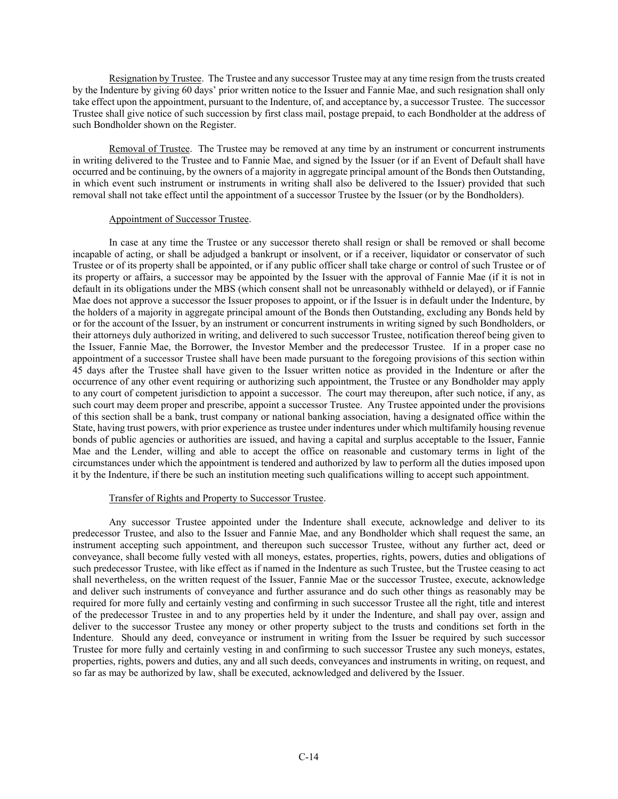Resignation by Trustee. The Trustee and any successor Trustee may at any time resign from the trusts created by the Indenture by giving 60 days' prior written notice to the Issuer and Fannie Mae, and such resignation shall only take effect upon the appointment, pursuant to the Indenture, of, and acceptance by, a successor Trustee. The successor Trustee shall give notice of such succession by first class mail, postage prepaid, to each Bondholder at the address of such Bondholder shown on the Register.

Removal of Trustee. The Trustee may be removed at any time by an instrument or concurrent instruments in writing delivered to the Trustee and to Fannie Mae, and signed by the Issuer (or if an Event of Default shall have occurred and be continuing, by the owners of a majority in aggregate principal amount of the Bonds then Outstanding, in which event such instrument or instruments in writing shall also be delivered to the Issuer) provided that such removal shall not take effect until the appointment of a successor Trustee by the Issuer (or by the Bondholders).

## Appointment of Successor Trustee.

In case at any time the Trustee or any successor thereto shall resign or shall be removed or shall become incapable of acting, or shall be adjudged a bankrupt or insolvent, or if a receiver, liquidator or conservator of such Trustee or of its property shall be appointed, or if any public officer shall take charge or control of such Trustee or of its property or affairs, a successor may be appointed by the Issuer with the approval of Fannie Mae (if it is not in default in its obligations under the MBS (which consent shall not be unreasonably withheld or delayed), or if Fannie Mae does not approve a successor the Issuer proposes to appoint, or if the Issuer is in default under the Indenture, by the holders of a majority in aggregate principal amount of the Bonds then Outstanding, excluding any Bonds held by or for the account of the Issuer, by an instrument or concurrent instruments in writing signed by such Bondholders, or their attorneys duly authorized in writing, and delivered to such successor Trustee, notification thereof being given to the Issuer, Fannie Mae, the Borrower, the Investor Member and the predecessor Trustee. If in a proper case no appointment of a successor Trustee shall have been made pursuant to the foregoing provisions of this section within 45 days after the Trustee shall have given to the Issuer written notice as provided in the Indenture or after the occurrence of any other event requiring or authorizing such appointment, the Trustee or any Bondholder may apply to any court of competent jurisdiction to appoint a successor. The court may thereupon, after such notice, if any, as such court may deem proper and prescribe, appoint a successor Trustee. Any Trustee appointed under the provisions of this section shall be a bank, trust company or national banking association, having a designated office within the State, having trust powers, with prior experience as trustee under indentures under which multifamily housing revenue bonds of public agencies or authorities are issued, and having a capital and surplus acceptable to the Issuer, Fannie Mae and the Lender, willing and able to accept the office on reasonable and customary terms in light of the circumstances under which the appointment is tendered and authorized by law to perform all the duties imposed upon it by the Indenture, if there be such an institution meeting such qualifications willing to accept such appointment.

## Transfer of Rights and Property to Successor Trustee.

Any successor Trustee appointed under the Indenture shall execute, acknowledge and deliver to its predecessor Trustee, and also to the Issuer and Fannie Mae, and any Bondholder which shall request the same, an instrument accepting such appointment, and thereupon such successor Trustee, without any further act, deed or conveyance, shall become fully vested with all moneys, estates, properties, rights, powers, duties and obligations of such predecessor Trustee, with like effect as if named in the Indenture as such Trustee, but the Trustee ceasing to act shall nevertheless, on the written request of the Issuer, Fannie Mae or the successor Trustee, execute, acknowledge and deliver such instruments of conveyance and further assurance and do such other things as reasonably may be required for more fully and certainly vesting and confirming in such successor Trustee all the right, title and interest of the predecessor Trustee in and to any properties held by it under the Indenture, and shall pay over, assign and deliver to the successor Trustee any money or other property subject to the trusts and conditions set forth in the Indenture. Should any deed, conveyance or instrument in writing from the Issuer be required by such successor Trustee for more fully and certainly vesting in and confirming to such successor Trustee any such moneys, estates, properties, rights, powers and duties, any and all such deeds, conveyances and instruments in writing, on request, and so far as may be authorized by law, shall be executed, acknowledged and delivered by the Issuer.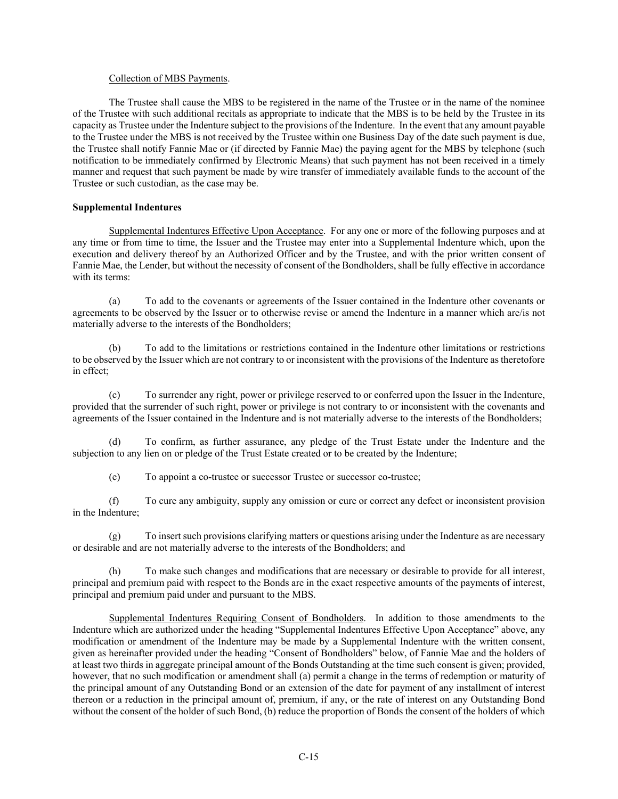#### Collection of MBS Payments.

The Trustee shall cause the MBS to be registered in the name of the Trustee or in the name of the nominee of the Trustee with such additional recitals as appropriate to indicate that the MBS is to be held by the Trustee in its capacity as Trustee under the Indenture subject to the provisions of the Indenture. In the event that any amount payable to the Trustee under the MBS is not received by the Trustee within one Business Day of the date such payment is due, the Trustee shall notify Fannie Mae or (if directed by Fannie Mae) the paying agent for the MBS by telephone (such notification to be immediately confirmed by Electronic Means) that such payment has not been received in a timely manner and request that such payment be made by wire transfer of immediately available funds to the account of the Trustee or such custodian, as the case may be.

## **Supplemental Indentures**

Supplemental Indentures Effective Upon Acceptance. For any one or more of the following purposes and at any time or from time to time, the Issuer and the Trustee may enter into a Supplemental Indenture which, upon the execution and delivery thereof by an Authorized Officer and by the Trustee, and with the prior written consent of Fannie Mae, the Lender, but without the necessity of consent of the Bondholders, shall be fully effective in accordance with its terms:

(a) To add to the covenants or agreements of the Issuer contained in the Indenture other covenants or agreements to be observed by the Issuer or to otherwise revise or amend the Indenture in a manner which are/is not materially adverse to the interests of the Bondholders;

(b) To add to the limitations or restrictions contained in the Indenture other limitations or restrictions to be observed by the Issuer which are not contrary to or inconsistent with the provisions of the Indenture as theretofore in effect;

(c) To surrender any right, power or privilege reserved to or conferred upon the Issuer in the Indenture, provided that the surrender of such right, power or privilege is not contrary to or inconsistent with the covenants and agreements of the Issuer contained in the Indenture and is not materially adverse to the interests of the Bondholders;

(d) To confirm, as further assurance, any pledge of the Trust Estate under the Indenture and the subjection to any lien on or pledge of the Trust Estate created or to be created by the Indenture;

(e) To appoint a co-trustee or successor Trustee or successor co-trustee;

(f) To cure any ambiguity, supply any omission or cure or correct any defect or inconsistent provision in the Indenture;

(g) To insert such provisions clarifying matters or questions arising under the Indenture as are necessary or desirable and are not materially adverse to the interests of the Bondholders; and

(h) To make such changes and modifications that are necessary or desirable to provide for all interest, principal and premium paid with respect to the Bonds are in the exact respective amounts of the payments of interest, principal and premium paid under and pursuant to the MBS.

Supplemental Indentures Requiring Consent of Bondholders. In addition to those amendments to the Indenture which are authorized under the heading "Supplemental Indentures Effective Upon Acceptance" above, any modification or amendment of the Indenture may be made by a Supplemental Indenture with the written consent, given as hereinafter provided under the heading "Consent of Bondholders" below, of Fannie Mae and the holders of at least two thirds in aggregate principal amount of the Bonds Outstanding at the time such consent is given; provided, however, that no such modification or amendment shall (a) permit a change in the terms of redemption or maturity of the principal amount of any Outstanding Bond or an extension of the date for payment of any installment of interest thereon or a reduction in the principal amount of, premium, if any, or the rate of interest on any Outstanding Bond without the consent of the holder of such Bond, (b) reduce the proportion of Bonds the consent of the holders of which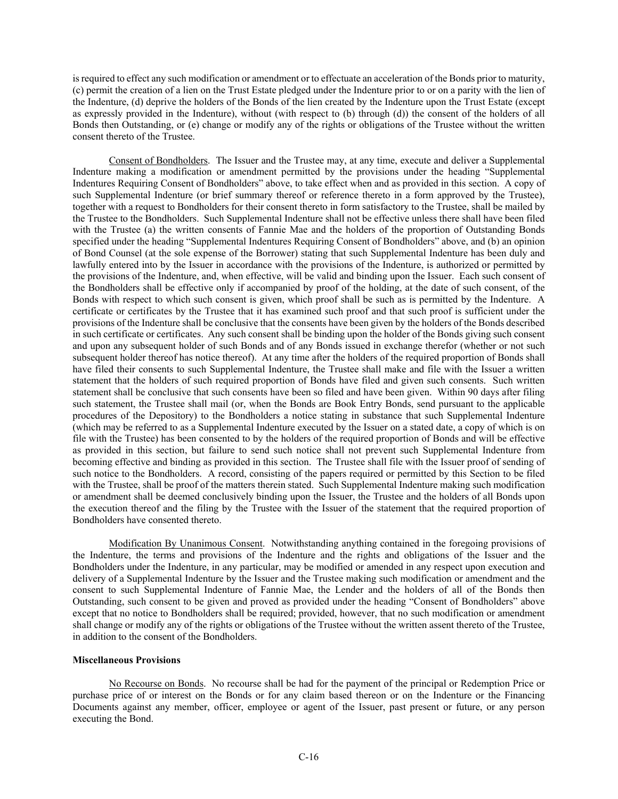is required to effect any such modification or amendment or to effectuate an acceleration of the Bonds prior to maturity, (c) permit the creation of a lien on the Trust Estate pledged under the Indenture prior to or on a parity with the lien of the Indenture, (d) deprive the holders of the Bonds of the lien created by the Indenture upon the Trust Estate (except as expressly provided in the Indenture), without (with respect to (b) through (d)) the consent of the holders of all Bonds then Outstanding, or (e) change or modify any of the rights or obligations of the Trustee without the written consent thereto of the Trustee.

Consent of Bondholders. The Issuer and the Trustee may, at any time, execute and deliver a Supplemental Indenture making a modification or amendment permitted by the provisions under the heading "Supplemental Indentures Requiring Consent of Bondholders" above, to take effect when and as provided in this section. A copy of such Supplemental Indenture (or brief summary thereof or reference thereto in a form approved by the Trustee), together with a request to Bondholders for their consent thereto in form satisfactory to the Trustee, shall be mailed by the Trustee to the Bondholders. Such Supplemental Indenture shall not be effective unless there shall have been filed with the Trustee (a) the written consents of Fannie Mae and the holders of the proportion of Outstanding Bonds specified under the heading "Supplemental Indentures Requiring Consent of Bondholders" above, and (b) an opinion of Bond Counsel (at the sole expense of the Borrower) stating that such Supplemental Indenture has been duly and lawfully entered into by the Issuer in accordance with the provisions of the Indenture, is authorized or permitted by the provisions of the Indenture, and, when effective, will be valid and binding upon the Issuer. Each such consent of the Bondholders shall be effective only if accompanied by proof of the holding, at the date of such consent, of the Bonds with respect to which such consent is given, which proof shall be such as is permitted by the Indenture. A certificate or certificates by the Trustee that it has examined such proof and that such proof is sufficient under the provisions of the Indenture shall be conclusive that the consents have been given by the holders of the Bonds described in such certificate or certificates. Any such consent shall be binding upon the holder of the Bonds giving such consent and upon any subsequent holder of such Bonds and of any Bonds issued in exchange therefor (whether or not such subsequent holder thereof has notice thereof). At any time after the holders of the required proportion of Bonds shall have filed their consents to such Supplemental Indenture, the Trustee shall make and file with the Issuer a written statement that the holders of such required proportion of Bonds have filed and given such consents. Such written statement shall be conclusive that such consents have been so filed and have been given. Within 90 days after filing such statement, the Trustee shall mail (or, when the Bonds are Book Entry Bonds, send pursuant to the applicable procedures of the Depository) to the Bondholders a notice stating in substance that such Supplemental Indenture (which may be referred to as a Supplemental Indenture executed by the Issuer on a stated date, a copy of which is on file with the Trustee) has been consented to by the holders of the required proportion of Bonds and will be effective as provided in this section, but failure to send such notice shall not prevent such Supplemental Indenture from becoming effective and binding as provided in this section. The Trustee shall file with the Issuer proof of sending of such notice to the Bondholders. A record, consisting of the papers required or permitted by this Section to be filed with the Trustee, shall be proof of the matters therein stated. Such Supplemental Indenture making such modification or amendment shall be deemed conclusively binding upon the Issuer, the Trustee and the holders of all Bonds upon the execution thereof and the filing by the Trustee with the Issuer of the statement that the required proportion of Bondholders have consented thereto.

Modification By Unanimous Consent. Notwithstanding anything contained in the foregoing provisions of the Indenture, the terms and provisions of the Indenture and the rights and obligations of the Issuer and the Bondholders under the Indenture, in any particular, may be modified or amended in any respect upon execution and delivery of a Supplemental Indenture by the Issuer and the Trustee making such modification or amendment and the consent to such Supplemental Indenture of Fannie Mae, the Lender and the holders of all of the Bonds then Outstanding, such consent to be given and proved as provided under the heading "Consent of Bondholders" above except that no notice to Bondholders shall be required; provided, however, that no such modification or amendment shall change or modify any of the rights or obligations of the Trustee without the written assent thereto of the Trustee, in addition to the consent of the Bondholders.

## **Miscellaneous Provisions**

No Recourse on Bonds. No recourse shall be had for the payment of the principal or Redemption Price or purchase price of or interest on the Bonds or for any claim based thereon or on the Indenture or the Financing Documents against any member, officer, employee or agent of the Issuer, past present or future, or any person executing the Bond.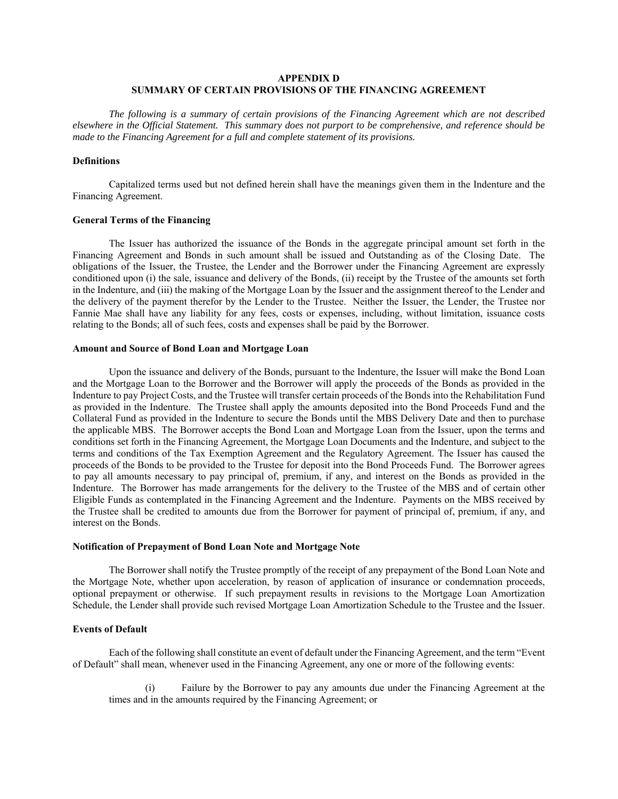# **APPENDIX D SUMMARY OF CERTAIN PROVISIONS OF THE FINANCING AGREEMENT**

*The following is a summary of certain provisions of the Financing Agreement which are not described elsewhere in the Official Statement. This summary does not purport to be comprehensive, and reference should be made to the Financing Agreement for a full and complete statement of its provisions.* 

## **Definitions**

Capitalized terms used but not defined herein shall have the meanings given them in the Indenture and the Financing Agreement.

#### **General Terms of the Financing**

The Issuer has authorized the issuance of the Bonds in the aggregate principal amount set forth in the Financing Agreement and Bonds in such amount shall be issued and Outstanding as of the Closing Date. The obligations of the Issuer, the Trustee, the Lender and the Borrower under the Financing Agreement are expressly conditioned upon (i) the sale, issuance and delivery of the Bonds, (ii) receipt by the Trustee of the amounts set forth in the Indenture, and (iii) the making of the Mortgage Loan by the Issuer and the assignment thereof to the Lender and the delivery of the payment therefor by the Lender to the Trustee. Neither the Issuer, the Lender, the Trustee nor Fannie Mae shall have any liability for any fees, costs or expenses, including, without limitation, issuance costs relating to the Bonds; all of such fees, costs and expenses shall be paid by the Borrower.

## **Amount and Source of Bond Loan and Mortgage Loan**

Upon the issuance and delivery of the Bonds, pursuant to the Indenture, the Issuer will make the Bond Loan and the Mortgage Loan to the Borrower and the Borrower will apply the proceeds of the Bonds as provided in the Indenture to pay Project Costs, and the Trustee will transfer certain proceeds of the Bonds into the Rehabilitation Fund as provided in the Indenture. The Trustee shall apply the amounts deposited into the Bond Proceeds Fund and the Collateral Fund as provided in the Indenture to secure the Bonds until the MBS Delivery Date and then to purchase the applicable MBS. The Borrower accepts the Bond Loan and Mortgage Loan from the Issuer, upon the terms and conditions set forth in the Financing Agreement, the Mortgage Loan Documents and the Indenture, and subject to the terms and conditions of the Tax Exemption Agreement and the Regulatory Agreement. The Issuer has caused the proceeds of the Bonds to be provided to the Trustee for deposit into the Bond Proceeds Fund. The Borrower agrees to pay all amounts necessary to pay principal of, premium, if any, and interest on the Bonds as provided in the Indenture. The Borrower has made arrangements for the delivery to the Trustee of the MBS and of certain other Eligible Funds as contemplated in the Financing Agreement and the Indenture. Payments on the MBS received by the Trustee shall be credited to amounts due from the Borrower for payment of principal of, premium, if any, and interest on the Bonds.

#### **Notification of Prepayment of Bond Loan Note and Mortgage Note**

The Borrower shall notify the Trustee promptly of the receipt of any prepayment of the Bond Loan Note and the Mortgage Note, whether upon acceleration, by reason of application of insurance or condemnation proceeds, optional prepayment or otherwise. If such prepayment results in revisions to the Mortgage Loan Amortization Schedule, the Lender shall provide such revised Mortgage Loan Amortization Schedule to the Trustee and the Issuer.

# **Events of Default**

Each of the following shall constitute an event of default under the Financing Agreement, and the term "Event of Default" shall mean, whenever used in the Financing Agreement, any one or more of the following events:

(i) Failure by the Borrower to pay any amounts due under the Financing Agreement at the times and in the amounts required by the Financing Agreement; or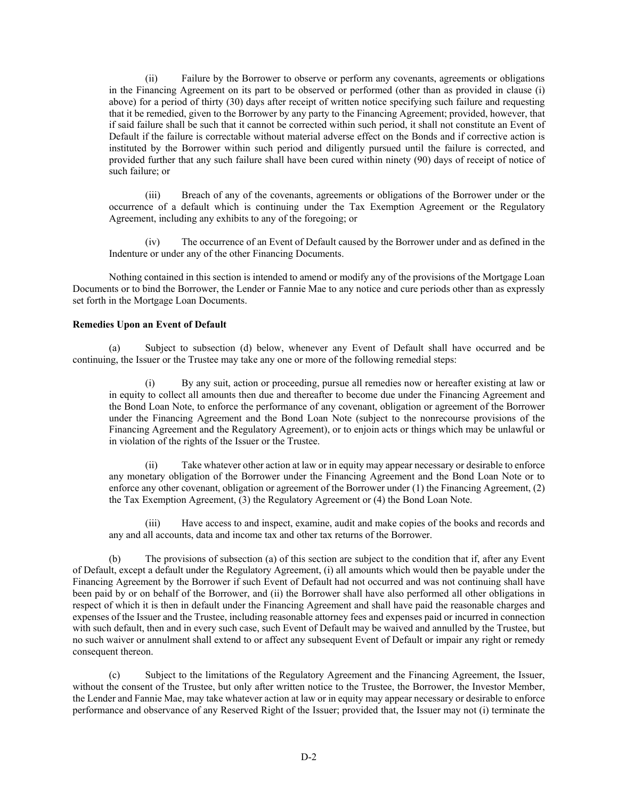(ii) Failure by the Borrower to observe or perform any covenants, agreements or obligations in the Financing Agreement on its part to be observed or performed (other than as provided in clause (i) above) for a period of thirty (30) days after receipt of written notice specifying such failure and requesting that it be remedied, given to the Borrower by any party to the Financing Agreement; provided, however, that if said failure shall be such that it cannot be corrected within such period, it shall not constitute an Event of Default if the failure is correctable without material adverse effect on the Bonds and if corrective action is instituted by the Borrower within such period and diligently pursued until the failure is corrected, and provided further that any such failure shall have been cured within ninety (90) days of receipt of notice of such failure; or

(iii) Breach of any of the covenants, agreements or obligations of the Borrower under or the occurrence of a default which is continuing under the Tax Exemption Agreement or the Regulatory Agreement, including any exhibits to any of the foregoing; or

(iv) The occurrence of an Event of Default caused by the Borrower under and as defined in the Indenture or under any of the other Financing Documents.

Nothing contained in this section is intended to amend or modify any of the provisions of the Mortgage Loan Documents or to bind the Borrower, the Lender or Fannie Mae to any notice and cure periods other than as expressly set forth in the Mortgage Loan Documents.

#### **Remedies Upon an Event of Default**

(a) Subject to subsection (d) below, whenever any Event of Default shall have occurred and be continuing, the Issuer or the Trustee may take any one or more of the following remedial steps:

(i) By any suit, action or proceeding, pursue all remedies now or hereafter existing at law or in equity to collect all amounts then due and thereafter to become due under the Financing Agreement and the Bond Loan Note, to enforce the performance of any covenant, obligation or agreement of the Borrower under the Financing Agreement and the Bond Loan Note (subject to the nonrecourse provisions of the Financing Agreement and the Regulatory Agreement), or to enjoin acts or things which may be unlawful or in violation of the rights of the Issuer or the Trustee.

(ii) Take whatever other action at law or in equity may appear necessary or desirable to enforce any monetary obligation of the Borrower under the Financing Agreement and the Bond Loan Note or to enforce any other covenant, obligation or agreement of the Borrower under (1) the Financing Agreement, (2) the Tax Exemption Agreement, (3) the Regulatory Agreement or (4) the Bond Loan Note.

(iii) Have access to and inspect, examine, audit and make copies of the books and records and any and all accounts, data and income tax and other tax returns of the Borrower.

(b) The provisions of subsection (a) of this section are subject to the condition that if, after any Event of Default, except a default under the Regulatory Agreement, (i) all amounts which would then be payable under the Financing Agreement by the Borrower if such Event of Default had not occurred and was not continuing shall have been paid by or on behalf of the Borrower, and (ii) the Borrower shall have also performed all other obligations in respect of which it is then in default under the Financing Agreement and shall have paid the reasonable charges and expenses of the Issuer and the Trustee, including reasonable attorney fees and expenses paid or incurred in connection with such default, then and in every such case, such Event of Default may be waived and annulled by the Trustee, but no such waiver or annulment shall extend to or affect any subsequent Event of Default or impair any right or remedy consequent thereon.

(c) Subject to the limitations of the Regulatory Agreement and the Financing Agreement, the Issuer, without the consent of the Trustee, but only after written notice to the Trustee, the Borrower, the Investor Member, the Lender and Fannie Mae, may take whatever action at law or in equity may appear necessary or desirable to enforce performance and observance of any Reserved Right of the Issuer; provided that, the Issuer may not (i) terminate the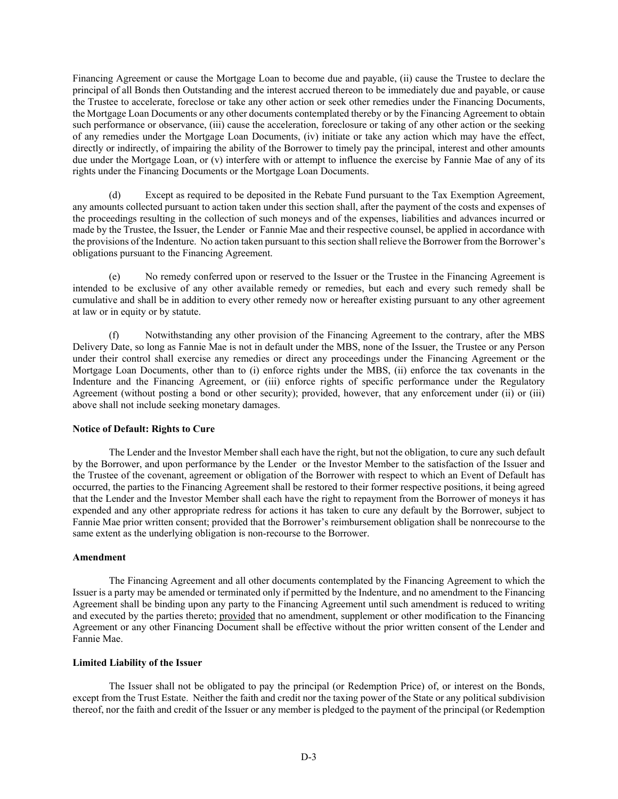Financing Agreement or cause the Mortgage Loan to become due and payable, (ii) cause the Trustee to declare the principal of all Bonds then Outstanding and the interest accrued thereon to be immediately due and payable, or cause the Trustee to accelerate, foreclose or take any other action or seek other remedies under the Financing Documents, the Mortgage Loan Documents or any other documents contemplated thereby or by the Financing Agreement to obtain such performance or observance, (iii) cause the acceleration, foreclosure or taking of any other action or the seeking of any remedies under the Mortgage Loan Documents, (iv) initiate or take any action which may have the effect, directly or indirectly, of impairing the ability of the Borrower to timely pay the principal, interest and other amounts due under the Mortgage Loan, or (v) interfere with or attempt to influence the exercise by Fannie Mae of any of its rights under the Financing Documents or the Mortgage Loan Documents.

(d) Except as required to be deposited in the Rebate Fund pursuant to the Tax Exemption Agreement, any amounts collected pursuant to action taken under this section shall, after the payment of the costs and expenses of the proceedings resulting in the collection of such moneys and of the expenses, liabilities and advances incurred or made by the Trustee, the Issuer, the Lender or Fannie Mae and their respective counsel, be applied in accordance with the provisions of the Indenture. No action taken pursuant to this section shall relieve the Borrower from the Borrower's obligations pursuant to the Financing Agreement.

(e) No remedy conferred upon or reserved to the Issuer or the Trustee in the Financing Agreement is intended to be exclusive of any other available remedy or remedies, but each and every such remedy shall be cumulative and shall be in addition to every other remedy now or hereafter existing pursuant to any other agreement at law or in equity or by statute.

(f) Notwithstanding any other provision of the Financing Agreement to the contrary, after the MBS Delivery Date, so long as Fannie Mae is not in default under the MBS, none of the Issuer, the Trustee or any Person under their control shall exercise any remedies or direct any proceedings under the Financing Agreement or the Mortgage Loan Documents, other than to (i) enforce rights under the MBS, (ii) enforce the tax covenants in the Indenture and the Financing Agreement, or (iii) enforce rights of specific performance under the Regulatory Agreement (without posting a bond or other security); provided, however, that any enforcement under (ii) or (iii) above shall not include seeking monetary damages.

## **Notice of Default: Rights to Cure**

The Lender and the Investor Member shall each have the right, but not the obligation, to cure any such default by the Borrower, and upon performance by the Lender or the Investor Member to the satisfaction of the Issuer and the Trustee of the covenant, agreement or obligation of the Borrower with respect to which an Event of Default has occurred, the parties to the Financing Agreement shall be restored to their former respective positions, it being agreed that the Lender and the Investor Member shall each have the right to repayment from the Borrower of moneys it has expended and any other appropriate redress for actions it has taken to cure any default by the Borrower, subject to Fannie Mae prior written consent; provided that the Borrower's reimbursement obligation shall be nonrecourse to the same extent as the underlying obligation is non-recourse to the Borrower.

## **Amendment**

The Financing Agreement and all other documents contemplated by the Financing Agreement to which the Issuer is a party may be amended or terminated only if permitted by the Indenture, and no amendment to the Financing Agreement shall be binding upon any party to the Financing Agreement until such amendment is reduced to writing and executed by the parties thereto; provided that no amendment, supplement or other modification to the Financing Agreement or any other Financing Document shall be effective without the prior written consent of the Lender and Fannie Mae.

## **Limited Liability of the Issuer**

The Issuer shall not be obligated to pay the principal (or Redemption Price) of, or interest on the Bonds, except from the Trust Estate. Neither the faith and credit nor the taxing power of the State or any political subdivision thereof, nor the faith and credit of the Issuer or any member is pledged to the payment of the principal (or Redemption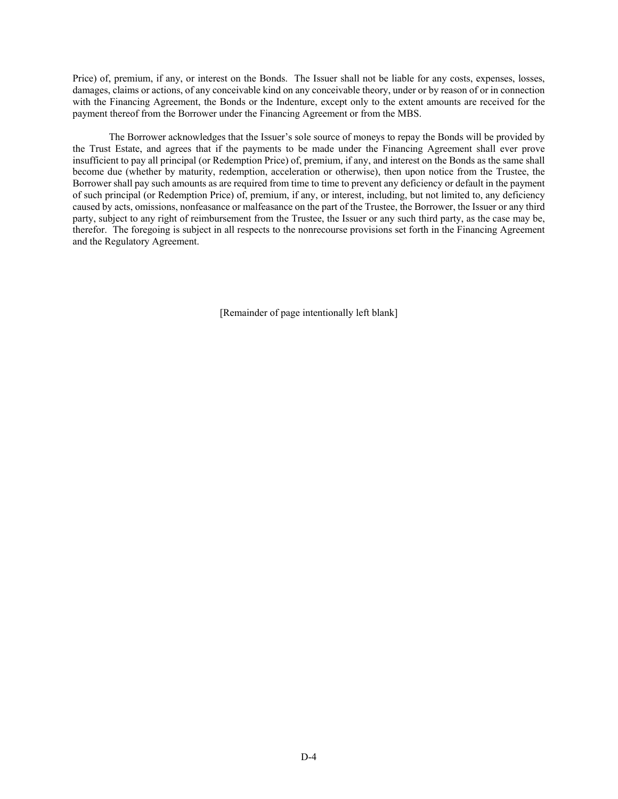Price) of, premium, if any, or interest on the Bonds. The Issuer shall not be liable for any costs, expenses, losses, damages, claims or actions, of any conceivable kind on any conceivable theory, under or by reason of or in connection with the Financing Agreement, the Bonds or the Indenture, except only to the extent amounts are received for the payment thereof from the Borrower under the Financing Agreement or from the MBS.

The Borrower acknowledges that the Issuer's sole source of moneys to repay the Bonds will be provided by the Trust Estate, and agrees that if the payments to be made under the Financing Agreement shall ever prove insufficient to pay all principal (or Redemption Price) of, premium, if any, and interest on the Bonds as the same shall become due (whether by maturity, redemption, acceleration or otherwise), then upon notice from the Trustee, the Borrower shall pay such amounts as are required from time to time to prevent any deficiency or default in the payment of such principal (or Redemption Price) of, premium, if any, or interest, including, but not limited to, any deficiency caused by acts, omissions, nonfeasance or malfeasance on the part of the Trustee, the Borrower, the Issuer or any third party, subject to any right of reimbursement from the Trustee, the Issuer or any such third party, as the case may be, therefor. The foregoing is subject in all respects to the nonrecourse provisions set forth in the Financing Agreement and the Regulatory Agreement.

[Remainder of page intentionally left blank]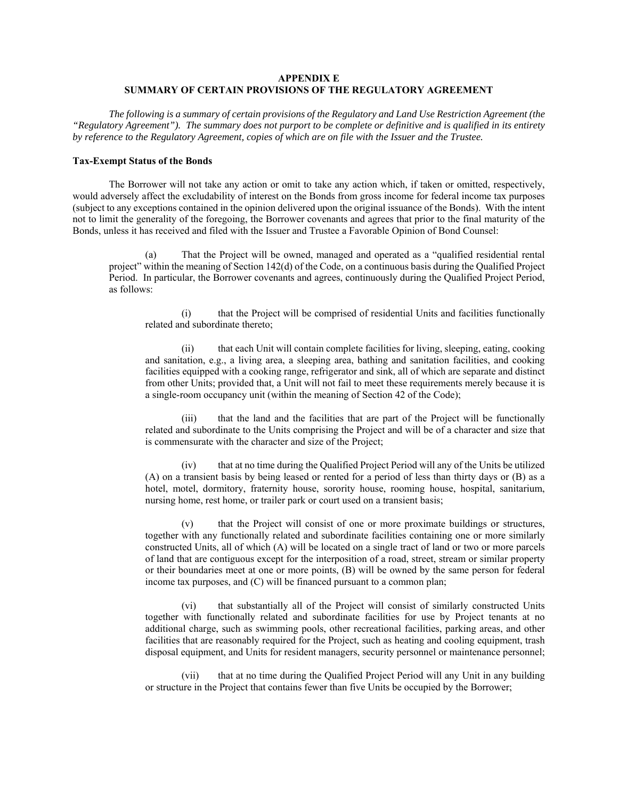# **APPENDIX E SUMMARY OF CERTAIN PROVISIONS OF THE REGULATORY AGREEMENT**

*The following is a summary of certain provisions of the Regulatory and Land Use Restriction Agreement (the "Regulatory Agreement"). The summary does not purport to be complete or definitive and is qualified in its entirety by reference to the Regulatory Agreement, copies of which are on file with the Issuer and the Trustee.* 

# **Tax-Exempt Status of the Bonds**

The Borrower will not take any action or omit to take any action which, if taken or omitted, respectively, would adversely affect the excludability of interest on the Bonds from gross income for federal income tax purposes (subject to any exceptions contained in the opinion delivered upon the original issuance of the Bonds). With the intent not to limit the generality of the foregoing, the Borrower covenants and agrees that prior to the final maturity of the Bonds, unless it has received and filed with the Issuer and Trustee a Favorable Opinion of Bond Counsel:

(a) That the Project will be owned, managed and operated as a "qualified residential rental project" within the meaning of Section 142(d) of the Code, on a continuous basis during the Qualified Project Period. In particular, the Borrower covenants and agrees, continuously during the Qualified Project Period, as follows:

(i) that the Project will be comprised of residential Units and facilities functionally related and subordinate thereto;

(ii) that each Unit will contain complete facilities for living, sleeping, eating, cooking and sanitation, e.g., a living area, a sleeping area, bathing and sanitation facilities, and cooking facilities equipped with a cooking range, refrigerator and sink, all of which are separate and distinct from other Units; provided that, a Unit will not fail to meet these requirements merely because it is a single-room occupancy unit (within the meaning of Section 42 of the Code);

(iii) that the land and the facilities that are part of the Project will be functionally related and subordinate to the Units comprising the Project and will be of a character and size that is commensurate with the character and size of the Project;

that at no time during the Qualified Project Period will any of the Units be utilized (A) on a transient basis by being leased or rented for a period of less than thirty days or (B) as a hotel, motel, dormitory, fraternity house, sorority house, rooming house, hospital, sanitarium, nursing home, rest home, or trailer park or court used on a transient basis;

(v) that the Project will consist of one or more proximate buildings or structures, together with any functionally related and subordinate facilities containing one or more similarly constructed Units, all of which (A) will be located on a single tract of land or two or more parcels of land that are contiguous except for the interposition of a road, street, stream or similar property or their boundaries meet at one or more points, (B) will be owned by the same person for federal income tax purposes, and (C) will be financed pursuant to a common plan;

(vi) that substantially all of the Project will consist of similarly constructed Units together with functionally related and subordinate facilities for use by Project tenants at no additional charge, such as swimming pools, other recreational facilities, parking areas, and other facilities that are reasonably required for the Project, such as heating and cooling equipment, trash disposal equipment, and Units for resident managers, security personnel or maintenance personnel;

(vii) that at no time during the Qualified Project Period will any Unit in any building or structure in the Project that contains fewer than five Units be occupied by the Borrower;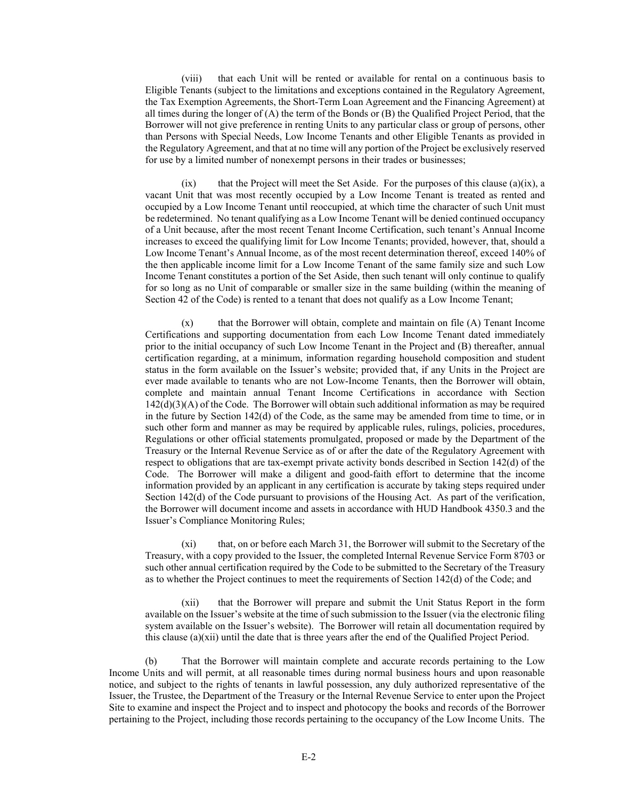(viii) that each Unit will be rented or available for rental on a continuous basis to Eligible Tenants (subject to the limitations and exceptions contained in the Regulatory Agreement, the Tax Exemption Agreements, the Short-Term Loan Agreement and the Financing Agreement) at all times during the longer of  $(A)$  the term of the Bonds or  $(B)$  the Qualified Project Period, that the Borrower will not give preference in renting Units to any particular class or group of persons, other than Persons with Special Needs, Low Income Tenants and other Eligible Tenants as provided in the Regulatory Agreement, and that at no time will any portion of the Project be exclusively reserved for use by a limited number of nonexempt persons in their trades or businesses;

 $(ix)$  that the Project will meet the Set Aside. For the purposes of this clause  $(a)(ix)$ , a vacant Unit that was most recently occupied by a Low Income Tenant is treated as rented and occupied by a Low Income Tenant until reoccupied, at which time the character of such Unit must be redetermined. No tenant qualifying as a Low Income Tenant will be denied continued occupancy of a Unit because, after the most recent Tenant Income Certification, such tenant's Annual Income increases to exceed the qualifying limit for Low Income Tenants; provided, however, that, should a Low Income Tenant's Annual Income, as of the most recent determination thereof, exceed 140% of the then applicable income limit for a Low Income Tenant of the same family size and such Low Income Tenant constitutes a portion of the Set Aside, then such tenant will only continue to qualify for so long as no Unit of comparable or smaller size in the same building (within the meaning of Section 42 of the Code) is rented to a tenant that does not qualify as a Low Income Tenant;

(x) that the Borrower will obtain, complete and maintain on file (A) Tenant Income Certifications and supporting documentation from each Low Income Tenant dated immediately prior to the initial occupancy of such Low Income Tenant in the Project and (B) thereafter, annual certification regarding, at a minimum, information regarding household composition and student status in the form available on the Issuer's website; provided that, if any Units in the Project are ever made available to tenants who are not Low-Income Tenants, then the Borrower will obtain, complete and maintain annual Tenant Income Certifications in accordance with Section  $142(d)(3)(A)$  of the Code. The Borrower will obtain such additional information as may be required in the future by Section 142(d) of the Code, as the same may be amended from time to time, or in such other form and manner as may be required by applicable rules, rulings, policies, procedures, Regulations or other official statements promulgated, proposed or made by the Department of the Treasury or the Internal Revenue Service as of or after the date of the Regulatory Agreement with respect to obligations that are tax-exempt private activity bonds described in Section 142(d) of the Code. The Borrower will make a diligent and good-faith effort to determine that the income information provided by an applicant in any certification is accurate by taking steps required under Section 142(d) of the Code pursuant to provisions of the Housing Act. As part of the verification, the Borrower will document income and assets in accordance with HUD Handbook 4350.3 and the Issuer's Compliance Monitoring Rules;

(xi) that, on or before each March 31, the Borrower will submit to the Secretary of the Treasury, with a copy provided to the Issuer, the completed Internal Revenue Service Form 8703 or such other annual certification required by the Code to be submitted to the Secretary of the Treasury as to whether the Project continues to meet the requirements of Section 142(d) of the Code; and

(xii) that the Borrower will prepare and submit the Unit Status Report in the form available on the Issuer's website at the time of such submission to the Issuer (via the electronic filing system available on the Issuer's website). The Borrower will retain all documentation required by this clause (a)(xii) until the date that is three years after the end of the Qualified Project Period.

(b) That the Borrower will maintain complete and accurate records pertaining to the Low Income Units and will permit, at all reasonable times during normal business hours and upon reasonable notice, and subject to the rights of tenants in lawful possession, any duly authorized representative of the Issuer, the Trustee, the Department of the Treasury or the Internal Revenue Service to enter upon the Project Site to examine and inspect the Project and to inspect and photocopy the books and records of the Borrower pertaining to the Project, including those records pertaining to the occupancy of the Low Income Units. The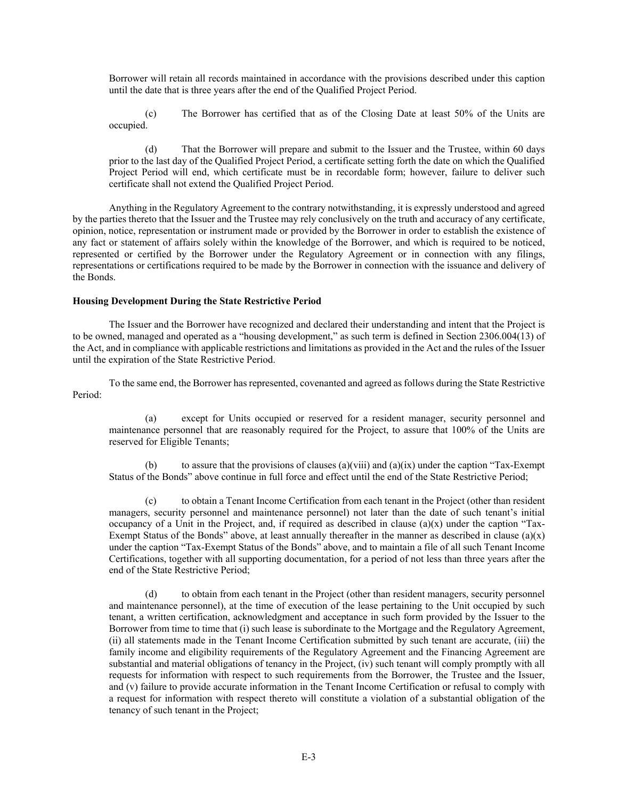Borrower will retain all records maintained in accordance with the provisions described under this caption until the date that is three years after the end of the Qualified Project Period.

(c) The Borrower has certified that as of the Closing Date at least 50% of the Units are occupied.

(d) That the Borrower will prepare and submit to the Issuer and the Trustee, within 60 days prior to the last day of the Qualified Project Period, a certificate setting forth the date on which the Qualified Project Period will end, which certificate must be in recordable form; however, failure to deliver such certificate shall not extend the Qualified Project Period.

Anything in the Regulatory Agreement to the contrary notwithstanding, it is expressly understood and agreed by the parties thereto that the Issuer and the Trustee may rely conclusively on the truth and accuracy of any certificate, opinion, notice, representation or instrument made or provided by the Borrower in order to establish the existence of any fact or statement of affairs solely within the knowledge of the Borrower, and which is required to be noticed, represented or certified by the Borrower under the Regulatory Agreement or in connection with any filings, representations or certifications required to be made by the Borrower in connection with the issuance and delivery of the Bonds.

#### **Housing Development During the State Restrictive Period**

The Issuer and the Borrower have recognized and declared their understanding and intent that the Project is to be owned, managed and operated as a "housing development," as such term is defined in Section 2306.004(13) of the Act, and in compliance with applicable restrictions and limitations as provided in the Act and the rules of the Issuer until the expiration of the State Restrictive Period.

To the same end, the Borrower has represented, covenanted and agreed as follows during the State Restrictive Period:

(a) except for Units occupied or reserved for a resident manager, security personnel and maintenance personnel that are reasonably required for the Project, to assure that 100% of the Units are reserved for Eligible Tenants;

to assure that the provisions of clauses (a)(viii) and (a)(ix) under the caption "Tax-Exempt Status of the Bonds" above continue in full force and effect until the end of the State Restrictive Period;

(c) to obtain a Tenant Income Certification from each tenant in the Project (other than resident managers, security personnel and maintenance personnel) not later than the date of such tenant's initial occupancy of a Unit in the Project, and, if required as described in clause  $(a)(x)$  under the caption "Tax-Exempt Status of the Bonds" above, at least annually thereafter in the manner as described in clause  $(a)(x)$ under the caption "Tax-Exempt Status of the Bonds" above, and to maintain a file of all such Tenant Income Certifications, together with all supporting documentation, for a period of not less than three years after the end of the State Restrictive Period;

(d) to obtain from each tenant in the Project (other than resident managers, security personnel and maintenance personnel), at the time of execution of the lease pertaining to the Unit occupied by such tenant, a written certification, acknowledgment and acceptance in such form provided by the Issuer to the Borrower from time to time that (i) such lease is subordinate to the Mortgage and the Regulatory Agreement, (ii) all statements made in the Tenant Income Certification submitted by such tenant are accurate, (iii) the family income and eligibility requirements of the Regulatory Agreement and the Financing Agreement are substantial and material obligations of tenancy in the Project, (iv) such tenant will comply promptly with all requests for information with respect to such requirements from the Borrower, the Trustee and the Issuer, and (v) failure to provide accurate information in the Tenant Income Certification or refusal to comply with a request for information with respect thereto will constitute a violation of a substantial obligation of the tenancy of such tenant in the Project;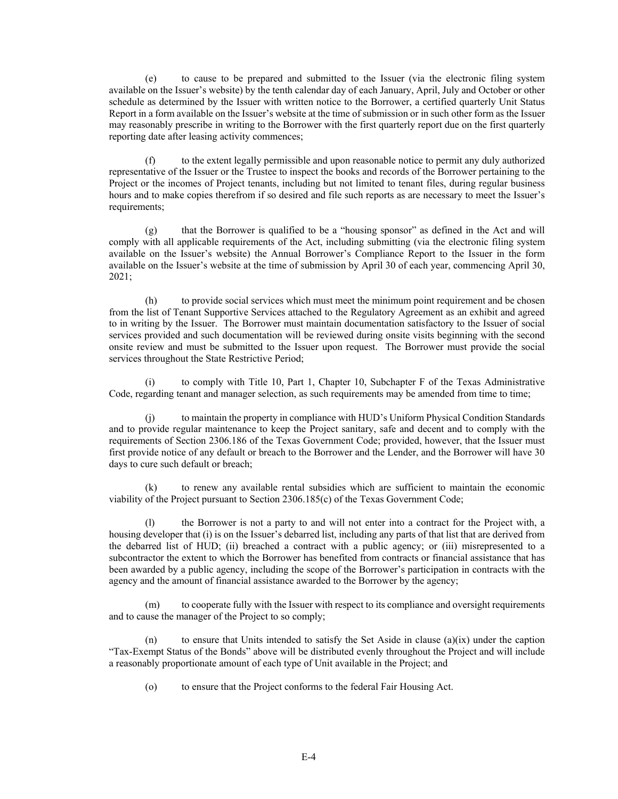(e) to cause to be prepared and submitted to the Issuer (via the electronic filing system available on the Issuer's website) by the tenth calendar day of each January, April, July and October or other schedule as determined by the Issuer with written notice to the Borrower, a certified quarterly Unit Status Report in a form available on the Issuer's website at the time of submission or in such other form as the Issuer may reasonably prescribe in writing to the Borrower with the first quarterly report due on the first quarterly reporting date after leasing activity commences;

(f) to the extent legally permissible and upon reasonable notice to permit any duly authorized representative of the Issuer or the Trustee to inspect the books and records of the Borrower pertaining to the Project or the incomes of Project tenants, including but not limited to tenant files, during regular business hours and to make copies therefrom if so desired and file such reports as are necessary to meet the Issuer's requirements;

(g) that the Borrower is qualified to be a "housing sponsor" as defined in the Act and will comply with all applicable requirements of the Act, including submitting (via the electronic filing system available on the Issuer's website) the Annual Borrower's Compliance Report to the Issuer in the form available on the Issuer's website at the time of submission by April 30 of each year, commencing April 30, 2021;

(h) to provide social services which must meet the minimum point requirement and be chosen from the list of Tenant Supportive Services attached to the Regulatory Agreement as an exhibit and agreed to in writing by the Issuer. The Borrower must maintain documentation satisfactory to the Issuer of social services provided and such documentation will be reviewed during onsite visits beginning with the second onsite review and must be submitted to the Issuer upon request. The Borrower must provide the social services throughout the State Restrictive Period;

to comply with Title 10, Part 1, Chapter 10, Subchapter F of the Texas Administrative Code, regarding tenant and manager selection, as such requirements may be amended from time to time;

(j) to maintain the property in compliance with HUD's Uniform Physical Condition Standards and to provide regular maintenance to keep the Project sanitary, safe and decent and to comply with the requirements of Section 2306.186 of the Texas Government Code; provided, however, that the Issuer must first provide notice of any default or breach to the Borrower and the Lender, and the Borrower will have 30 days to cure such default or breach;

(k) to renew any available rental subsidies which are sufficient to maintain the economic viability of the Project pursuant to Section 2306.185(c) of the Texas Government Code;

(l) the Borrower is not a party to and will not enter into a contract for the Project with, a housing developer that (i) is on the Issuer's debarred list, including any parts of that list that are derived from the debarred list of HUD; (ii) breached a contract with a public agency; or (iii) misrepresented to a subcontractor the extent to which the Borrower has benefited from contracts or financial assistance that has been awarded by a public agency, including the scope of the Borrower's participation in contracts with the agency and the amount of financial assistance awarded to the Borrower by the agency;

(m) to cooperate fully with the Issuer with respect to its compliance and oversight requirements and to cause the manager of the Project to so comply;

(n) to ensure that Units intended to satisfy the Set Aside in clause  $(a)(ix)$  under the caption "Tax-Exempt Status of the Bonds" above will be distributed evenly throughout the Project and will include a reasonably proportionate amount of each type of Unit available in the Project; and

(o) to ensure that the Project conforms to the federal Fair Housing Act.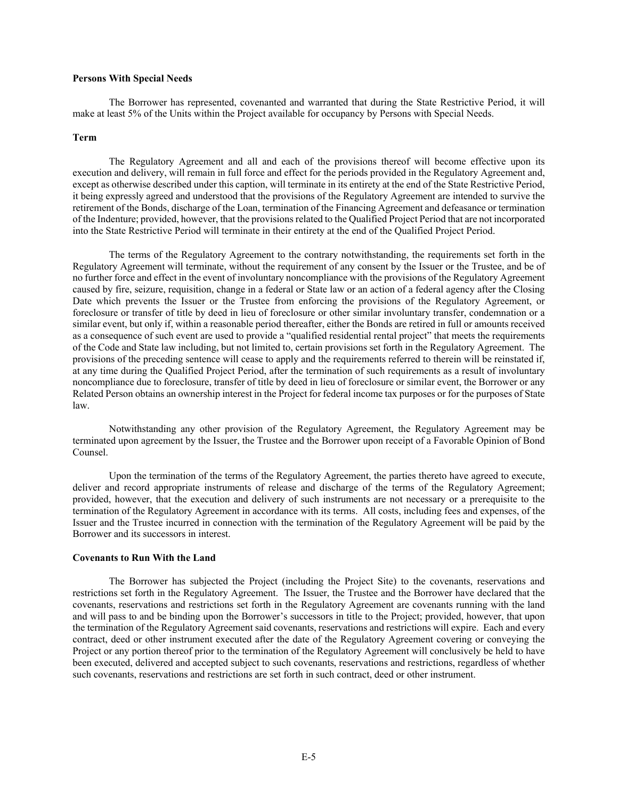# **Persons With Special Needs**

The Borrower has represented, covenanted and warranted that during the State Restrictive Period, it will make at least 5% of the Units within the Project available for occupancy by Persons with Special Needs.

#### **Term**

The Regulatory Agreement and all and each of the provisions thereof will become effective upon its execution and delivery, will remain in full force and effect for the periods provided in the Regulatory Agreement and, except as otherwise described under this caption, will terminate in its entirety at the end of the State Restrictive Period, it being expressly agreed and understood that the provisions of the Regulatory Agreement are intended to survive the retirement of the Bonds, discharge of the Loan, termination of the Financing Agreement and defeasance or termination of the Indenture; provided, however, that the provisions related to the Qualified Project Period that are not incorporated into the State Restrictive Period will terminate in their entirety at the end of the Qualified Project Period.

The terms of the Regulatory Agreement to the contrary notwithstanding, the requirements set forth in the Regulatory Agreement will terminate, without the requirement of any consent by the Issuer or the Trustee, and be of no further force and effect in the event of involuntary noncompliance with the provisions of the Regulatory Agreement caused by fire, seizure, requisition, change in a federal or State law or an action of a federal agency after the Closing Date which prevents the Issuer or the Trustee from enforcing the provisions of the Regulatory Agreement, or foreclosure or transfer of title by deed in lieu of foreclosure or other similar involuntary transfer, condemnation or a similar event, but only if, within a reasonable period thereafter, either the Bonds are retired in full or amounts received as a consequence of such event are used to provide a "qualified residential rental project" that meets the requirements of the Code and State law including, but not limited to, certain provisions set forth in the Regulatory Agreement. The provisions of the preceding sentence will cease to apply and the requirements referred to therein will be reinstated if, at any time during the Qualified Project Period, after the termination of such requirements as a result of involuntary noncompliance due to foreclosure, transfer of title by deed in lieu of foreclosure or similar event, the Borrower or any Related Person obtains an ownership interest in the Project for federal income tax purposes or for the purposes of State law.

Notwithstanding any other provision of the Regulatory Agreement, the Regulatory Agreement may be terminated upon agreement by the Issuer, the Trustee and the Borrower upon receipt of a Favorable Opinion of Bond Counsel.

Upon the termination of the terms of the Regulatory Agreement, the parties thereto have agreed to execute, deliver and record appropriate instruments of release and discharge of the terms of the Regulatory Agreement; provided, however, that the execution and delivery of such instruments are not necessary or a prerequisite to the termination of the Regulatory Agreement in accordance with its terms. All costs, including fees and expenses, of the Issuer and the Trustee incurred in connection with the termination of the Regulatory Agreement will be paid by the Borrower and its successors in interest.

#### **Covenants to Run With the Land**

The Borrower has subjected the Project (including the Project Site) to the covenants, reservations and restrictions set forth in the Regulatory Agreement. The Issuer, the Trustee and the Borrower have declared that the covenants, reservations and restrictions set forth in the Regulatory Agreement are covenants running with the land and will pass to and be binding upon the Borrower's successors in title to the Project; provided, however, that upon the termination of the Regulatory Agreement said covenants, reservations and restrictions will expire. Each and every contract, deed or other instrument executed after the date of the Regulatory Agreement covering or conveying the Project or any portion thereof prior to the termination of the Regulatory Agreement will conclusively be held to have been executed, delivered and accepted subject to such covenants, reservations and restrictions, regardless of whether such covenants, reservations and restrictions are set forth in such contract, deed or other instrument.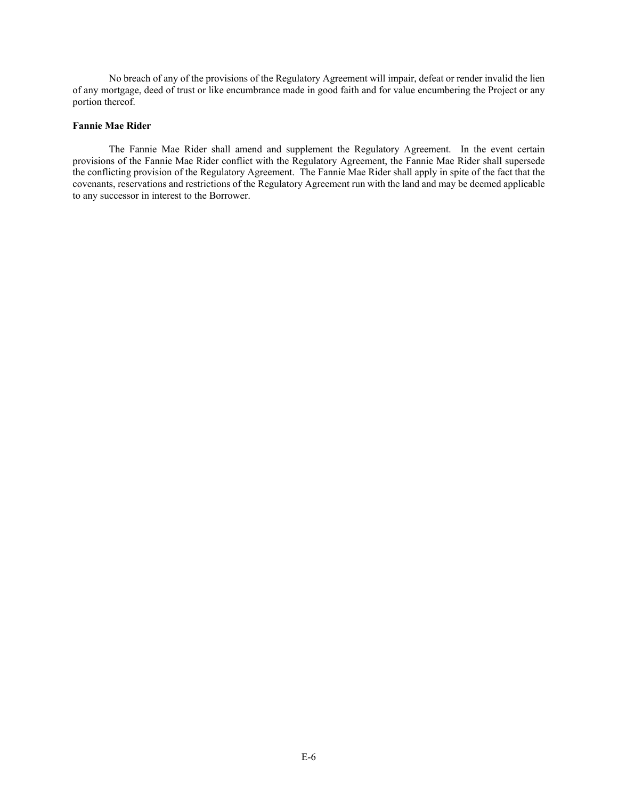No breach of any of the provisions of the Regulatory Agreement will impair, defeat or render invalid the lien of any mortgage, deed of trust or like encumbrance made in good faith and for value encumbering the Project or any portion thereof.

## **Fannie Mae Rider**

The Fannie Mae Rider shall amend and supplement the Regulatory Agreement. In the event certain provisions of the Fannie Mae Rider conflict with the Regulatory Agreement, the Fannie Mae Rider shall supersede the conflicting provision of the Regulatory Agreement. The Fannie Mae Rider shall apply in spite of the fact that the covenants, reservations and restrictions of the Regulatory Agreement run with the land and may be deemed applicable to any successor in interest to the Borrower.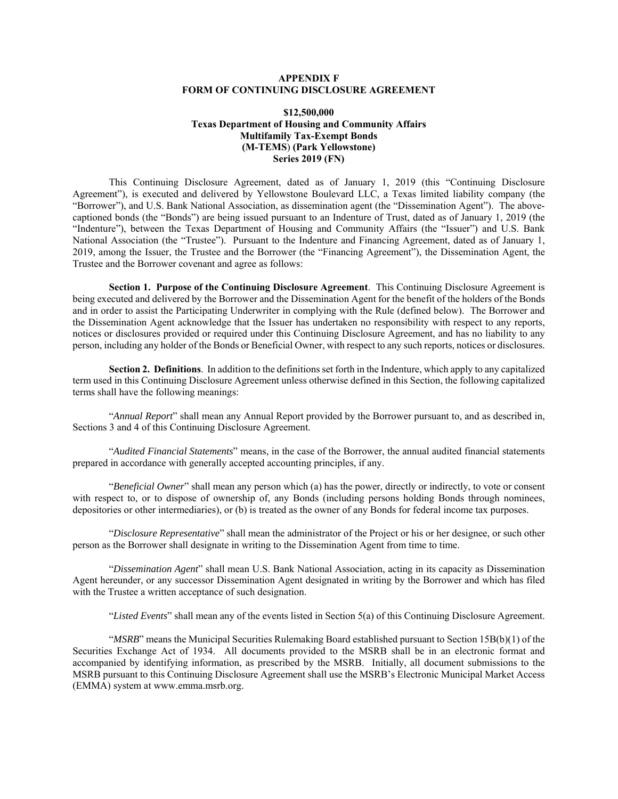# **APPENDIX F FORM OF CONTINUING DISCLOSURE AGREEMENT**

# **\$12,500,000 Texas Department of Housing and Community Affairs Multifamily Tax-Exempt Bonds (M-TEMS**) **(Park Yellowstone) Series 2019 (FN)**

This Continuing Disclosure Agreement, dated as of January 1, 2019 (this "Continuing Disclosure Agreement"), is executed and delivered by Yellowstone Boulevard LLC, a Texas limited liability company (the "Borrower"), and U.S. Bank National Association, as dissemination agent (the "Dissemination Agent"). The abovecaptioned bonds (the "Bonds") are being issued pursuant to an Indenture of Trust, dated as of January 1, 2019 (the "Indenture"), between the Texas Department of Housing and Community Affairs (the "Issuer") and U.S. Bank National Association (the "Trustee"). Pursuant to the Indenture and Financing Agreement, dated as of January 1, 2019, among the Issuer, the Trustee and the Borrower (the "Financing Agreement"), the Dissemination Agent, the Trustee and the Borrower covenant and agree as follows:

**Section 1. Purpose of the Continuing Disclosure Agreement**. This Continuing Disclosure Agreement is being executed and delivered by the Borrower and the Dissemination Agent for the benefit of the holders of the Bonds and in order to assist the Participating Underwriter in complying with the Rule (defined below). The Borrower and the Dissemination Agent acknowledge that the Issuer has undertaken no responsibility with respect to any reports, notices or disclosures provided or required under this Continuing Disclosure Agreement, and has no liability to any person, including any holder of the Bonds or Beneficial Owner, with respect to any such reports, notices or disclosures.

**Section 2. Definitions**. In addition to the definitions set forth in the Indenture, which apply to any capitalized term used in this Continuing Disclosure Agreement unless otherwise defined in this Section, the following capitalized terms shall have the following meanings:

"*Annual Report*" shall mean any Annual Report provided by the Borrower pursuant to, and as described in, Sections 3 and 4 of this Continuing Disclosure Agreement.

"*Audited Financial Statements*" means, in the case of the Borrower, the annual audited financial statements prepared in accordance with generally accepted accounting principles, if any.

"*Beneficial Owner*" shall mean any person which (a) has the power, directly or indirectly, to vote or consent with respect to, or to dispose of ownership of, any Bonds (including persons holding Bonds through nominees, depositories or other intermediaries), or (b) is treated as the owner of any Bonds for federal income tax purposes.

"*Disclosure Representative*" shall mean the administrator of the Project or his or her designee, or such other person as the Borrower shall designate in writing to the Dissemination Agent from time to time.

"*Dissemination Agent*" shall mean U.S. Bank National Association, acting in its capacity as Dissemination Agent hereunder, or any successor Dissemination Agent designated in writing by the Borrower and which has filed with the Trustee a written acceptance of such designation.

"*Listed Events*" shall mean any of the events listed in Section 5(a) of this Continuing Disclosure Agreement.

"*MSRB*" means the Municipal Securities Rulemaking Board established pursuant to Section 15B(b)(1) of the Securities Exchange Act of 1934. All documents provided to the MSRB shall be in an electronic format and accompanied by identifying information, as prescribed by the MSRB. Initially, all document submissions to the MSRB pursuant to this Continuing Disclosure Agreement shall use the MSRB's Electronic Municipal Market Access (EMMA) system at www.emma.msrb.org.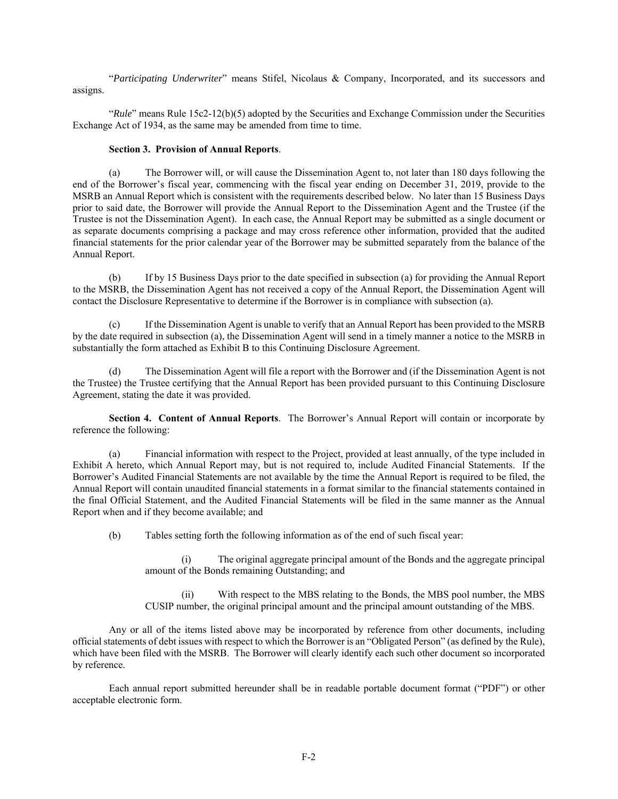"*Participating Underwriter*" means Stifel, Nicolaus & Company, Incorporated, and its successors and assigns.

"*Rule*" means Rule 15c2-12(b)(5) adopted by the Securities and Exchange Commission under the Securities Exchange Act of 1934, as the same may be amended from time to time.

# **Section 3. Provision of Annual Reports**.

(a) The Borrower will, or will cause the Dissemination Agent to, not later than 180 days following the end of the Borrower's fiscal year, commencing with the fiscal year ending on December 31, 2019, provide to the MSRB an Annual Report which is consistent with the requirements described below. No later than 15 Business Days prior to said date, the Borrower will provide the Annual Report to the Dissemination Agent and the Trustee (if the Trustee is not the Dissemination Agent). In each case, the Annual Report may be submitted as a single document or as separate documents comprising a package and may cross reference other information, provided that the audited financial statements for the prior calendar year of the Borrower may be submitted separately from the balance of the Annual Report.

(b) If by 15 Business Days prior to the date specified in subsection (a) for providing the Annual Report to the MSRB, the Dissemination Agent has not received a copy of the Annual Report, the Dissemination Agent will contact the Disclosure Representative to determine if the Borrower is in compliance with subsection (a).

(c) If the Dissemination Agent is unable to verify that an Annual Report has been provided to the MSRB by the date required in subsection (a), the Dissemination Agent will send in a timely manner a notice to the MSRB in substantially the form attached as Exhibit B to this Continuing Disclosure Agreement.

(d) The Dissemination Agent will file a report with the Borrower and (if the Dissemination Agent is not the Trustee) the Trustee certifying that the Annual Report has been provided pursuant to this Continuing Disclosure Agreement, stating the date it was provided.

**Section 4. Content of Annual Reports**. The Borrower's Annual Report will contain or incorporate by reference the following:

(a) Financial information with respect to the Project, provided at least annually, of the type included in Exhibit A hereto, which Annual Report may, but is not required to, include Audited Financial Statements. If the Borrower's Audited Financial Statements are not available by the time the Annual Report is required to be filed, the Annual Report will contain unaudited financial statements in a format similar to the financial statements contained in the final Official Statement, and the Audited Financial Statements will be filed in the same manner as the Annual Report when and if they become available; and

(b) Tables setting forth the following information as of the end of such fiscal year:

(i) The original aggregate principal amount of the Bonds and the aggregate principal amount of the Bonds remaining Outstanding; and

(ii) With respect to the MBS relating to the Bonds, the MBS pool number, the MBS CUSIP number, the original principal amount and the principal amount outstanding of the MBS.

Any or all of the items listed above may be incorporated by reference from other documents, including official statements of debt issues with respect to which the Borrower is an "Obligated Person" (as defined by the Rule), which have been filed with the MSRB. The Borrower will clearly identify each such other document so incorporated by reference.

Each annual report submitted hereunder shall be in readable portable document format ("PDF") or other acceptable electronic form.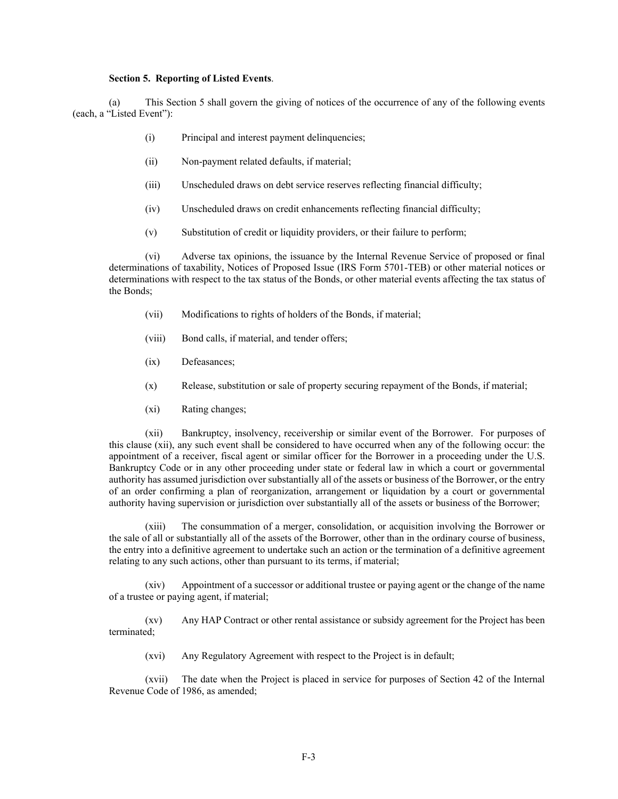#### **Section 5. Reporting of Listed Events**.

(a) This Section 5 shall govern the giving of notices of the occurrence of any of the following events (each, a "Listed Event"):

- (i) Principal and interest payment delinquencies;
- (ii) Non-payment related defaults, if material;
- (iii) Unscheduled draws on debt service reserves reflecting financial difficulty;
- (iv) Unscheduled draws on credit enhancements reflecting financial difficulty;
- (v) Substitution of credit or liquidity providers, or their failure to perform;

(vi) Adverse tax opinions, the issuance by the Internal Revenue Service of proposed or final determinations of taxability, Notices of Proposed Issue (IRS Form 5701-TEB) or other material notices or determinations with respect to the tax status of the Bonds, or other material events affecting the tax status of the Bonds;

- (vii) Modifications to rights of holders of the Bonds, if material;
- (viii) Bond calls, if material, and tender offers;
- (ix) Defeasances;
- (x) Release, substitution or sale of property securing repayment of the Bonds, if material;
- (xi) Rating changes;

(xii) Bankruptcy, insolvency, receivership or similar event of the Borrower. For purposes of this clause (xii), any such event shall be considered to have occurred when any of the following occur: the appointment of a receiver, fiscal agent or similar officer for the Borrower in a proceeding under the U.S. Bankruptcy Code or in any other proceeding under state or federal law in which a court or governmental authority has assumed jurisdiction over substantially all of the assets or business of the Borrower, or the entry of an order confirming a plan of reorganization, arrangement or liquidation by a court or governmental authority having supervision or jurisdiction over substantially all of the assets or business of the Borrower;

(xiii) The consummation of a merger, consolidation, or acquisition involving the Borrower or the sale of all or substantially all of the assets of the Borrower, other than in the ordinary course of business, the entry into a definitive agreement to undertake such an action or the termination of a definitive agreement relating to any such actions, other than pursuant to its terms, if material;

(xiv) Appointment of a successor or additional trustee or paying agent or the change of the name of a trustee or paying agent, if material;

(xv) Any HAP Contract or other rental assistance or subsidy agreement for the Project has been terminated;

(xvi) Any Regulatory Agreement with respect to the Project is in default;

(xvii) The date when the Project is placed in service for purposes of Section 42 of the Internal Revenue Code of 1986, as amended;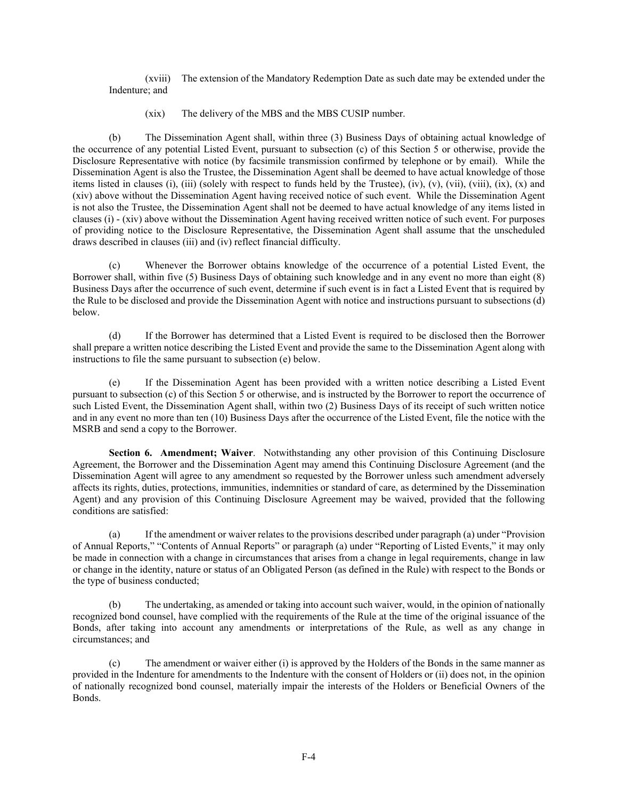(xviii) The extension of the Mandatory Redemption Date as such date may be extended under the Indenture; and

(xix) The delivery of the MBS and the MBS CUSIP number.

(b) The Dissemination Agent shall, within three (3) Business Days of obtaining actual knowledge of the occurrence of any potential Listed Event, pursuant to subsection (c) of this Section 5 or otherwise, provide the Disclosure Representative with notice (by facsimile transmission confirmed by telephone or by email). While the Dissemination Agent is also the Trustee, the Dissemination Agent shall be deemed to have actual knowledge of those items listed in clauses (i), (iii) (solely with respect to funds held by the Trustee), (iv), (v), (vii), (viii), (ix), (x) and (xiv) above without the Dissemination Agent having received notice of such event. While the Dissemination Agent is not also the Trustee, the Dissemination Agent shall not be deemed to have actual knowledge of any items listed in clauses (i) - (xiv) above without the Dissemination Agent having received written notice of such event. For purposes of providing notice to the Disclosure Representative, the Dissemination Agent shall assume that the unscheduled draws described in clauses (iii) and (iv) reflect financial difficulty.

(c) Whenever the Borrower obtains knowledge of the occurrence of a potential Listed Event, the Borrower shall, within five (5) Business Days of obtaining such knowledge and in any event no more than eight (8) Business Days after the occurrence of such event, determine if such event is in fact a Listed Event that is required by the Rule to be disclosed and provide the Dissemination Agent with notice and instructions pursuant to subsections (d) below.

(d) If the Borrower has determined that a Listed Event is required to be disclosed then the Borrower shall prepare a written notice describing the Listed Event and provide the same to the Dissemination Agent along with instructions to file the same pursuant to subsection (e) below.

(e) If the Dissemination Agent has been provided with a written notice describing a Listed Event pursuant to subsection (c) of this Section 5 or otherwise, and is instructed by the Borrower to report the occurrence of such Listed Event, the Dissemination Agent shall, within two (2) Business Days of its receipt of such written notice and in any event no more than ten (10) Business Days after the occurrence of the Listed Event, file the notice with the MSRB and send a copy to the Borrower.

**Section 6. Amendment; Waiver**. Notwithstanding any other provision of this Continuing Disclosure Agreement, the Borrower and the Dissemination Agent may amend this Continuing Disclosure Agreement (and the Dissemination Agent will agree to any amendment so requested by the Borrower unless such amendment adversely affects its rights, duties, protections, immunities, indemnities or standard of care, as determined by the Dissemination Agent) and any provision of this Continuing Disclosure Agreement may be waived, provided that the following conditions are satisfied:

(a) If the amendment or waiver relates to the provisions described under paragraph (a) under "Provision of Annual Reports," "Contents of Annual Reports" or paragraph (a) under "Reporting of Listed Events," it may only be made in connection with a change in circumstances that arises from a change in legal requirements, change in law or change in the identity, nature or status of an Obligated Person (as defined in the Rule) with respect to the Bonds or the type of business conducted;

(b) The undertaking, as amended or taking into account such waiver, would, in the opinion of nationally recognized bond counsel, have complied with the requirements of the Rule at the time of the original issuance of the Bonds, after taking into account any amendments or interpretations of the Rule, as well as any change in circumstances; and

(c) The amendment or waiver either (i) is approved by the Holders of the Bonds in the same manner as provided in the Indenture for amendments to the Indenture with the consent of Holders or (ii) does not, in the opinion of nationally recognized bond counsel, materially impair the interests of the Holders or Beneficial Owners of the Bonds.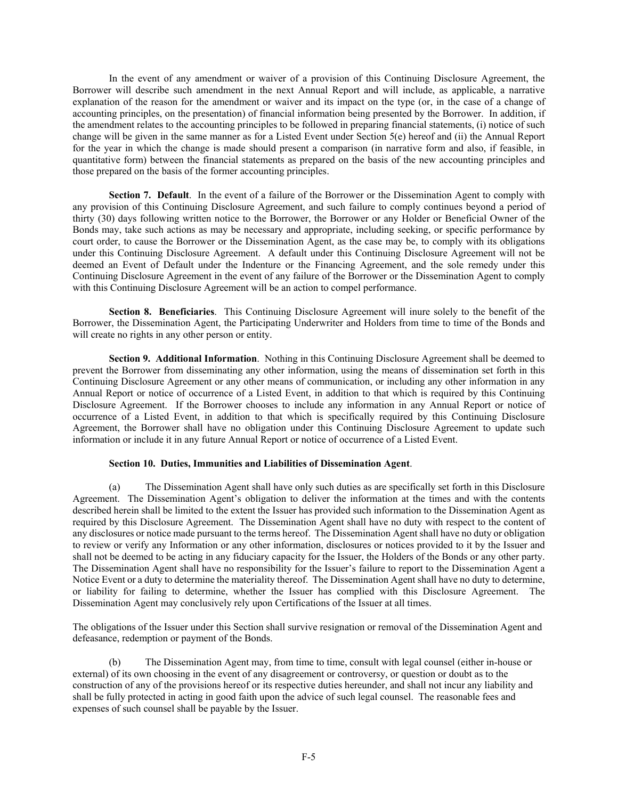In the event of any amendment or waiver of a provision of this Continuing Disclosure Agreement, the Borrower will describe such amendment in the next Annual Report and will include, as applicable, a narrative explanation of the reason for the amendment or waiver and its impact on the type (or, in the case of a change of accounting principles, on the presentation) of financial information being presented by the Borrower. In addition, if the amendment relates to the accounting principles to be followed in preparing financial statements, (i) notice of such change will be given in the same manner as for a Listed Event under Section 5(e) hereof and (ii) the Annual Report for the year in which the change is made should present a comparison (in narrative form and also, if feasible, in quantitative form) between the financial statements as prepared on the basis of the new accounting principles and those prepared on the basis of the former accounting principles.

**Section 7. Default**. In the event of a failure of the Borrower or the Dissemination Agent to comply with any provision of this Continuing Disclosure Agreement, and such failure to comply continues beyond a period of thirty (30) days following written notice to the Borrower, the Borrower or any Holder or Beneficial Owner of the Bonds may, take such actions as may be necessary and appropriate, including seeking, or specific performance by court order, to cause the Borrower or the Dissemination Agent, as the case may be, to comply with its obligations under this Continuing Disclosure Agreement. A default under this Continuing Disclosure Agreement will not be deemed an Event of Default under the Indenture or the Financing Agreement, and the sole remedy under this Continuing Disclosure Agreement in the event of any failure of the Borrower or the Dissemination Agent to comply with this Continuing Disclosure Agreement will be an action to compel performance.

**Section 8. Beneficiaries**. This Continuing Disclosure Agreement will inure solely to the benefit of the Borrower, the Dissemination Agent, the Participating Underwriter and Holders from time to time of the Bonds and will create no rights in any other person or entity.

**Section 9. Additional Information**. Nothing in this Continuing Disclosure Agreement shall be deemed to prevent the Borrower from disseminating any other information, using the means of dissemination set forth in this Continuing Disclosure Agreement or any other means of communication, or including any other information in any Annual Report or notice of occurrence of a Listed Event, in addition to that which is required by this Continuing Disclosure Agreement. If the Borrower chooses to include any information in any Annual Report or notice of occurrence of a Listed Event, in addition to that which is specifically required by this Continuing Disclosure Agreement, the Borrower shall have no obligation under this Continuing Disclosure Agreement to update such information or include it in any future Annual Report or notice of occurrence of a Listed Event.

## **Section 10. Duties, Immunities and Liabilities of Dissemination Agent**.

The Dissemination Agent shall have only such duties as are specifically set forth in this Disclosure Agreement. The Dissemination Agent's obligation to deliver the information at the times and with the contents described herein shall be limited to the extent the Issuer has provided such information to the Dissemination Agent as required by this Disclosure Agreement. The Dissemination Agent shall have no duty with respect to the content of any disclosures or notice made pursuant to the terms hereof. The Dissemination Agent shall have no duty or obligation to review or verify any Information or any other information, disclosures or notices provided to it by the Issuer and shall not be deemed to be acting in any fiduciary capacity for the Issuer, the Holders of the Bonds or any other party. The Dissemination Agent shall have no responsibility for the Issuer's failure to report to the Dissemination Agent a Notice Event or a duty to determine the materiality thereof. The Dissemination Agent shall have no duty to determine, or liability for failing to determine, whether the Issuer has complied with this Disclosure Agreement. The Dissemination Agent may conclusively rely upon Certifications of the Issuer at all times.

The obligations of the Issuer under this Section shall survive resignation or removal of the Dissemination Agent and defeasance, redemption or payment of the Bonds.

(b) The Dissemination Agent may, from time to time, consult with legal counsel (either in-house or external) of its own choosing in the event of any disagreement or controversy, or question or doubt as to the construction of any of the provisions hereof or its respective duties hereunder, and shall not incur any liability and shall be fully protected in acting in good faith upon the advice of such legal counsel. The reasonable fees and expenses of such counsel shall be payable by the Issuer.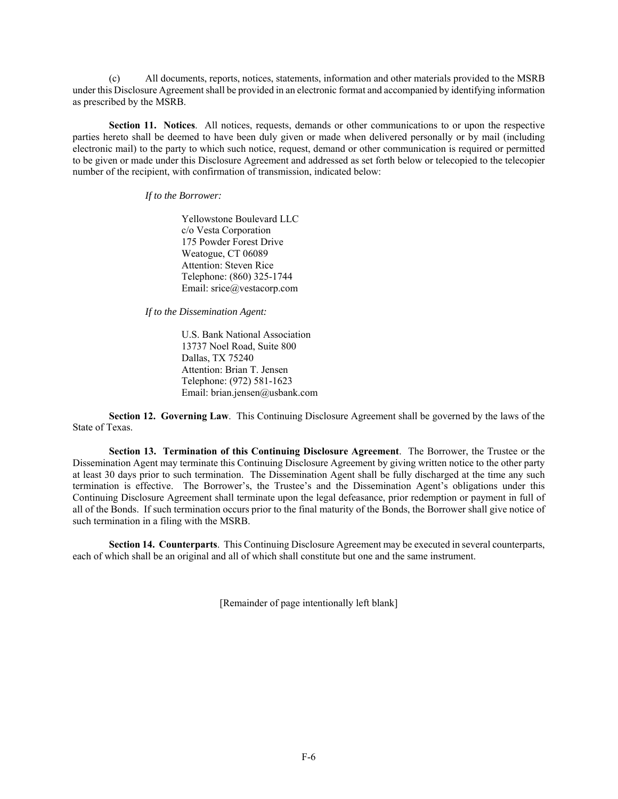(c) All documents, reports, notices, statements, information and other materials provided to the MSRB under this Disclosure Agreement shall be provided in an electronic format and accompanied by identifying information as prescribed by the MSRB.

**Section 11. Notices**. All notices, requests, demands or other communications to or upon the respective parties hereto shall be deemed to have been duly given or made when delivered personally or by mail (including electronic mail) to the party to which such notice, request, demand or other communication is required or permitted to be given or made under this Disclosure Agreement and addressed as set forth below or telecopied to the telecopier number of the recipient, with confirmation of transmission, indicated below:

*If to the Borrower:* 

 Yellowstone Boulevard LLC c/o Vesta Corporation 175 Powder Forest Drive Weatogue, CT 06089 Attention: Steven Rice Telephone: (860) 325-1744 Email: srice@vestacorp.com

*If to the Dissemination Agent:*

 U.S. Bank National Association 13737 Noel Road, Suite 800 Dallas, TX 75240 Attention: Brian T. Jensen Telephone: (972) 581-1623 Email: brian.jensen@usbank.com

**Section 12. Governing Law**. This Continuing Disclosure Agreement shall be governed by the laws of the State of Texas.

**Section 13. Termination of this Continuing Disclosure Agreement**. The Borrower, the Trustee or the Dissemination Agent may terminate this Continuing Disclosure Agreement by giving written notice to the other party at least 30 days prior to such termination. The Dissemination Agent shall be fully discharged at the time any such termination is effective. The Borrower's, the Trustee's and the Dissemination Agent's obligations under this Continuing Disclosure Agreement shall terminate upon the legal defeasance, prior redemption or payment in full of all of the Bonds. If such termination occurs prior to the final maturity of the Bonds, the Borrower shall give notice of such termination in a filing with the MSRB.

**Section 14. Counterparts**. This Continuing Disclosure Agreement may be executed in several counterparts, each of which shall be an original and all of which shall constitute but one and the same instrument.

[Remainder of page intentionally left blank]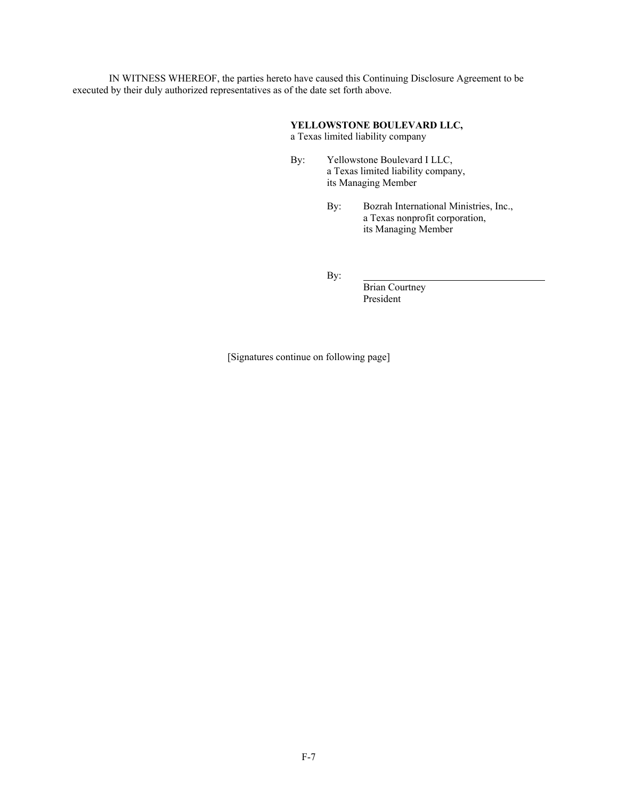IN WITNESS WHEREOF, the parties hereto have caused this Continuing Disclosure Agreement to be executed by their duly authorized representatives as of the date set forth above.

# **YELLOWSTONE BOULEVARD LLC,**

a Texas limited liability company

- By: Yellowstone Boulevard I LLC, a Texas limited liability company, its Managing Member
	- By: Bozrah International Ministries, Inc., a Texas nonprofit corporation, its Managing Member

By:

Brian Courtney President

[Signatures continue on following page]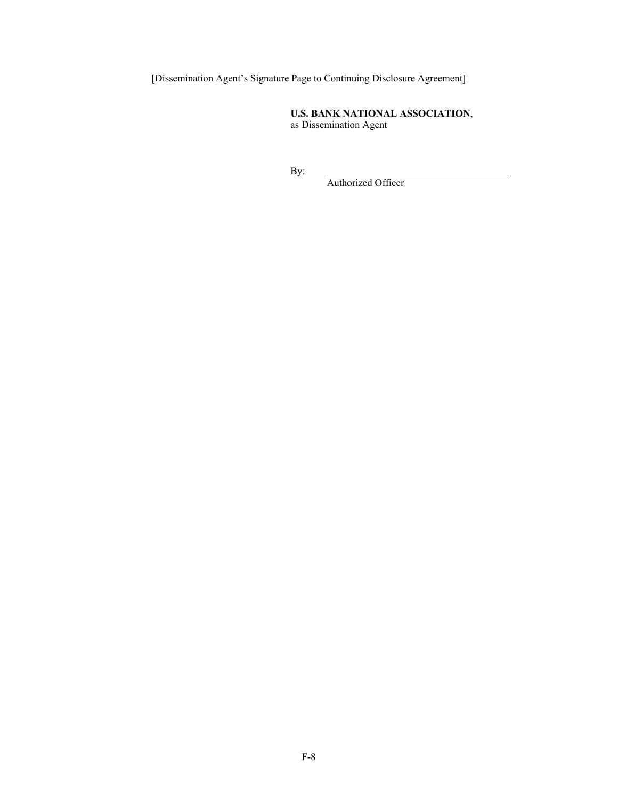[Dissemination Agent's Signature Page to Continuing Disclosure Agreement]

**U.S. BANK NATIONAL ASSOCIATION**, as Dissemination Agent

By:

Authorized Officer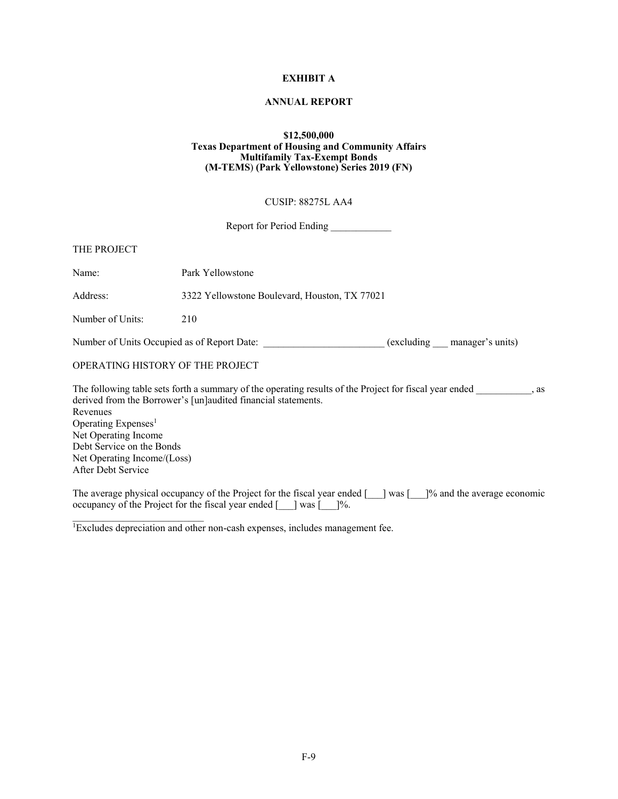# **EXHIBIT A**

#### **ANNUAL REPORT**

#### **\$12,500,000 Texas Department of Housing and Community Affairs Multifamily Tax-Exempt Bonds (M-TEMS**) **(Park Yellowstone) Series 2019 (FN)**

#### CUSIP: 88275L AA4

Report for Period Ending \_\_\_\_\_\_\_\_\_\_\_\_\_

| THE PROJECT                      |                                                                                                        |      |
|----------------------------------|--------------------------------------------------------------------------------------------------------|------|
| Name:                            | Park Yellowstone                                                                                       |      |
| Address:                         | 3322 Yellowstone Boulevard, Houston, TX 77021                                                          |      |
| Number of Units:                 | 210                                                                                                    |      |
|                                  | Number of Units Occupied as of Report Date:<br>(excluding manager's units)                             |      |
| OPERATING HISTORY OF THE PROJECT |                                                                                                        |      |
|                                  | The following table sets forth a summary of the operating results of the Project for fiscal year ended | . as |
|                                  | derived from the Borrower's [un]audited financial statements.                                          |      |
| Revenues                         |                                                                                                        |      |
| Operating Expenses <sup>1</sup>  |                                                                                                        |      |
| Net Operating Income             |                                                                                                        |      |
| Debt Service on the Bonds        |                                                                                                        |      |
| Net Operating Income/(Loss)      |                                                                                                        |      |

After Debt Service

The average physical occupancy of the Project for the fiscal year ended [\_\_\_] was [\_\_\_]% and the average economic occupancy of the Project for the fiscal year ended [\_\_\_] was [\_\_\_]%.

<sup>1</sup>Excludes depreciation and other non-cash expenses, includes management fee.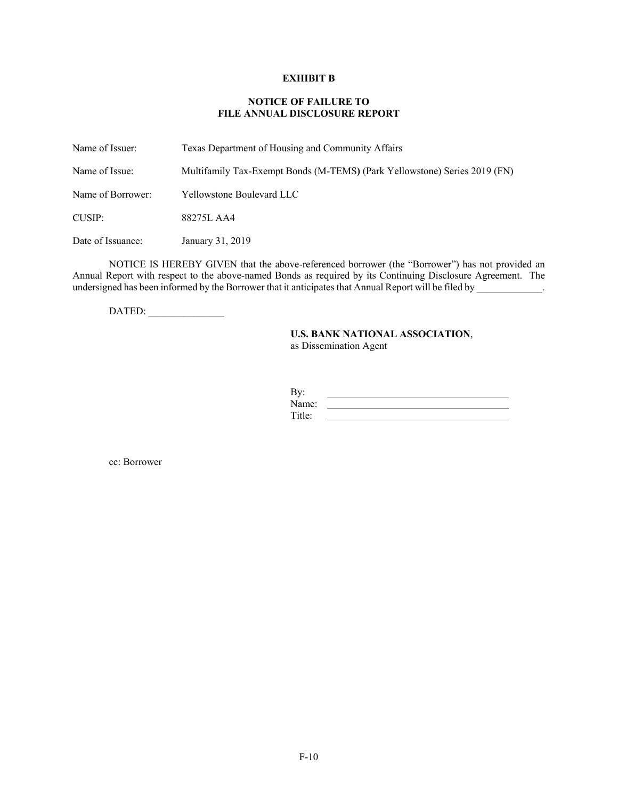#### **EXHIBIT B**

#### **NOTICE OF FAILURE TO FILE ANNUAL DISCLOSURE REPORT**

Name of Issuer: Texas Department of Housing and Community Affairs Name of Issue: Multifamily Tax-Exempt Bonds (M-TEMS**)** (Park Yellowstone) Series 2019 (FN) Name of Borrower: Yellowstone Boulevard LLC CUSIP: 88275L AA4 Date of Issuance: January 31, 2019

NOTICE IS HEREBY GIVEN that the above-referenced borrower (the "Borrower") has not provided an Annual Report with respect to the above-named Bonds as required by its Continuing Disclosure Agreement. The undersigned has been informed by the Borrower that it anticipates that Annual Report will be filed by \_\_\_\_\_\_\_\_\_\_\_\_.

DATED: \_\_\_\_\_\_\_\_\_\_\_\_\_\_\_

## **U.S. BANK NATIONAL ASSOCIATION**, as Dissemination Agent

| By:    |  |
|--------|--|
| Name:  |  |
| Title: |  |

cc: Borrower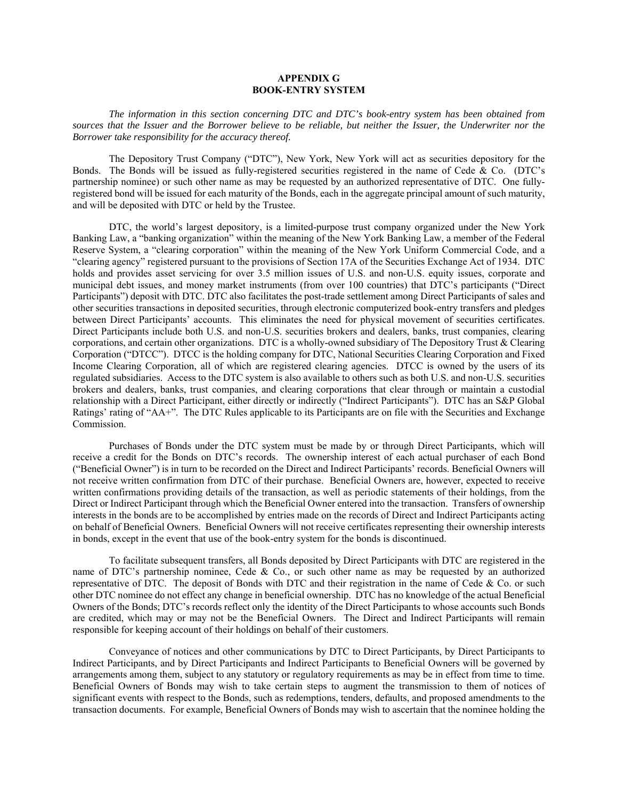#### **APPENDIX G BOOK-ENTRY SYSTEM**

*The information in this section concerning DTC and DTC's book-entry system has been obtained from sources that the Issuer and the Borrower believe to be reliable, but neither the Issuer, the Underwriter nor the Borrower take responsibility for the accuracy thereof.* 

The Depository Trust Company ("DTC"), New York, New York will act as securities depository for the Bonds. The Bonds will be issued as fully-registered securities registered in the name of Cede & Co. (DTC's partnership nominee) or such other name as may be requested by an authorized representative of DTC. One fullyregistered bond will be issued for each maturity of the Bonds, each in the aggregate principal amount of such maturity, and will be deposited with DTC or held by the Trustee.

DTC, the world's largest depository, is a limited-purpose trust company organized under the New York Banking Law, a "banking organization" within the meaning of the New York Banking Law, a member of the Federal Reserve System, a "clearing corporation" within the meaning of the New York Uniform Commercial Code, and a "clearing agency" registered pursuant to the provisions of Section 17A of the Securities Exchange Act of 1934. DTC holds and provides asset servicing for over 3.5 million issues of U.S. and non-U.S. equity issues, corporate and municipal debt issues, and money market instruments (from over 100 countries) that DTC's participants ("Direct Participants") deposit with DTC. DTC also facilitates the post-trade settlement among Direct Participants of sales and other securities transactions in deposited securities, through electronic computerized book-entry transfers and pledges between Direct Participants' accounts. This eliminates the need for physical movement of securities certificates. Direct Participants include both U.S. and non-U.S. securities brokers and dealers, banks, trust companies, clearing corporations, and certain other organizations. DTC is a wholly-owned subsidiary of The Depository Trust & Clearing Corporation ("DTCC"). DTCC is the holding company for DTC, National Securities Clearing Corporation and Fixed Income Clearing Corporation, all of which are registered clearing agencies. DTCC is owned by the users of its regulated subsidiaries. Access to the DTC system is also available to others such as both U.S. and non-U.S. securities brokers and dealers, banks, trust companies, and clearing corporations that clear through or maintain a custodial relationship with a Direct Participant, either directly or indirectly ("Indirect Participants"). DTC has an S&P Global Ratings' rating of "AA+". The DTC Rules applicable to its Participants are on file with the Securities and Exchange Commission.

Purchases of Bonds under the DTC system must be made by or through Direct Participants, which will receive a credit for the Bonds on DTC's records. The ownership interest of each actual purchaser of each Bond ("Beneficial Owner") is in turn to be recorded on the Direct and Indirect Participants' records. Beneficial Owners will not receive written confirmation from DTC of their purchase. Beneficial Owners are, however, expected to receive written confirmations providing details of the transaction, as well as periodic statements of their holdings, from the Direct or Indirect Participant through which the Beneficial Owner entered into the transaction. Transfers of ownership interests in the bonds are to be accomplished by entries made on the records of Direct and Indirect Participants acting on behalf of Beneficial Owners. Beneficial Owners will not receive certificates representing their ownership interests in bonds, except in the event that use of the book-entry system for the bonds is discontinued.

To facilitate subsequent transfers, all Bonds deposited by Direct Participants with DTC are registered in the name of DTC's partnership nominee, Cede & Co., or such other name as may be requested by an authorized representative of DTC. The deposit of Bonds with DTC and their registration in the name of Cede & Co. or such other DTC nominee do not effect any change in beneficial ownership. DTC has no knowledge of the actual Beneficial Owners of the Bonds; DTC's records reflect only the identity of the Direct Participants to whose accounts such Bonds are credited, which may or may not be the Beneficial Owners. The Direct and Indirect Participants will remain responsible for keeping account of their holdings on behalf of their customers.

Conveyance of notices and other communications by DTC to Direct Participants, by Direct Participants to Indirect Participants, and by Direct Participants and Indirect Participants to Beneficial Owners will be governed by arrangements among them, subject to any statutory or regulatory requirements as may be in effect from time to time. Beneficial Owners of Bonds may wish to take certain steps to augment the transmission to them of notices of significant events with respect to the Bonds, such as redemptions, tenders, defaults, and proposed amendments to the transaction documents. For example, Beneficial Owners of Bonds may wish to ascertain that the nominee holding the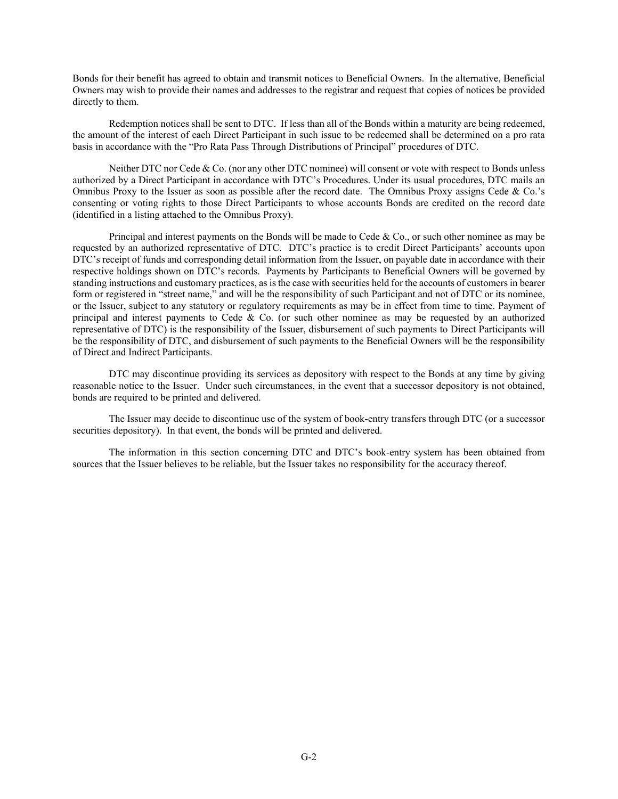Bonds for their benefit has agreed to obtain and transmit notices to Beneficial Owners. In the alternative, Beneficial Owners may wish to provide their names and addresses to the registrar and request that copies of notices be provided directly to them.

Redemption notices shall be sent to DTC. If less than all of the Bonds within a maturity are being redeemed, the amount of the interest of each Direct Participant in such issue to be redeemed shall be determined on a pro rata basis in accordance with the "Pro Rata Pass Through Distributions of Principal" procedures of DTC.

Neither DTC nor Cede & Co. (nor any other DTC nominee) will consent or vote with respect to Bonds unless authorized by a Direct Participant in accordance with DTC's Procedures. Under its usual procedures, DTC mails an Omnibus Proxy to the Issuer as soon as possible after the record date. The Omnibus Proxy assigns Cede & Co.'s consenting or voting rights to those Direct Participants to whose accounts Bonds are credited on the record date (identified in a listing attached to the Omnibus Proxy).

Principal and interest payments on the Bonds will be made to Cede & Co., or such other nominee as may be requested by an authorized representative of DTC. DTC's practice is to credit Direct Participants' accounts upon DTC's receipt of funds and corresponding detail information from the Issuer, on payable date in accordance with their respective holdings shown on DTC's records. Payments by Participants to Beneficial Owners will be governed by standing instructions and customary practices, as is the case with securities held for the accounts of customers in bearer form or registered in "street name," and will be the responsibility of such Participant and not of DTC or its nominee, or the Issuer, subject to any statutory or regulatory requirements as may be in effect from time to time. Payment of principal and interest payments to Cede & Co. (or such other nominee as may be requested by an authorized representative of DTC) is the responsibility of the Issuer, disbursement of such payments to Direct Participants will be the responsibility of DTC, and disbursement of such payments to the Beneficial Owners will be the responsibility of Direct and Indirect Participants.

DTC may discontinue providing its services as depository with respect to the Bonds at any time by giving reasonable notice to the Issuer. Under such circumstances, in the event that a successor depository is not obtained, bonds are required to be printed and delivered.

The Issuer may decide to discontinue use of the system of book-entry transfers through DTC (or a successor securities depository). In that event, the bonds will be printed and delivered.

The information in this section concerning DTC and DTC's book-entry system has been obtained from sources that the Issuer believes to be reliable, but the Issuer takes no responsibility for the accuracy thereof.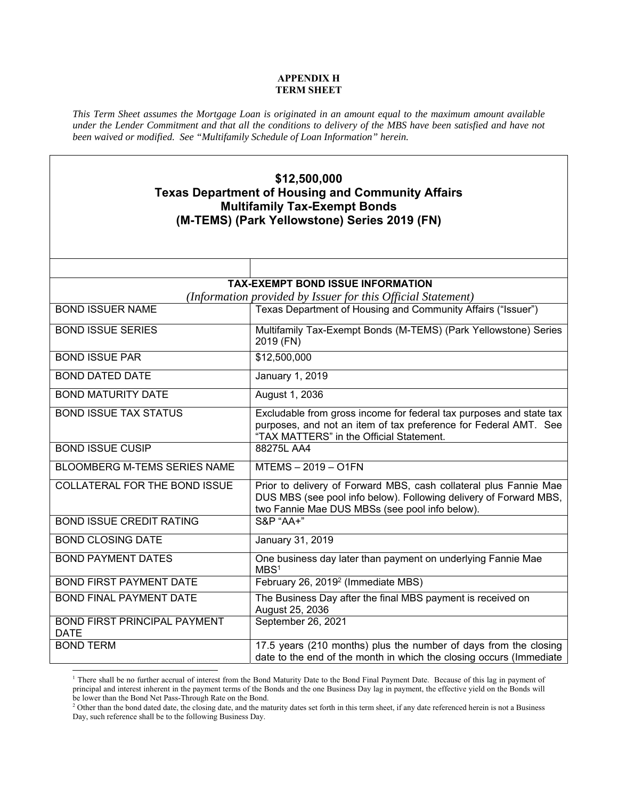## **APPENDIX H TERM SHEET**

*This Term Sheet assumes the Mortgage Loan is originated in an amount equal to the maximum amount available under the Lender Commitment and that all the conditions to delivery of the MBS have been satisfied and have not been waived or modified. See "Multifamily Schedule of Loan Information" herein.* 

# **\$12,500,000 Texas Department of Housing and Community Affairs Multifamily Tax-Exempt Bonds (M-TEMS) (Park Yellowstone) Series 2019 (FN)**

|                                                    | <b>TAX-EXEMPT BOND ISSUE INFORMATION</b>                                                                                                                                                 |
|----------------------------------------------------|------------------------------------------------------------------------------------------------------------------------------------------------------------------------------------------|
|                                                    | (Information provided by Issuer for this Official Statement)                                                                                                                             |
| <b>BOND ISSUER NAME</b>                            | Texas Department of Housing and Community Affairs ("Issuer")                                                                                                                             |
| <b>BOND ISSUE SERIES</b>                           | Multifamily Tax-Exempt Bonds (M-TEMS) (Park Yellowstone) Series<br>2019 (FN)                                                                                                             |
| <b>BOND ISSUE PAR</b>                              | \$12,500,000                                                                                                                                                                             |
| <b>BOND DATED DATE</b>                             | January 1, 2019                                                                                                                                                                          |
| <b>BOND MATURITY DATE</b>                          | August 1, 2036                                                                                                                                                                           |
| <b>BOND ISSUE TAX STATUS</b>                       | Excludable from gross income for federal tax purposes and state tax<br>purposes, and not an item of tax preference for Federal AMT. See<br>"TAX MATTERS" in the Official Statement.      |
| <b>BOND ISSUE CUSIP</b>                            | 88275L AA4                                                                                                                                                                               |
| <b>BLOOMBERG M-TEMS SERIES NAME</b>                | MTEMS-2019-O1FN                                                                                                                                                                          |
| <b>COLLATERAL FOR THE BOND ISSUE</b>               | Prior to delivery of Forward MBS, cash collateral plus Fannie Mae<br>DUS MBS (see pool info below). Following delivery of Forward MBS,<br>two Fannie Mae DUS MBSs (see pool info below). |
| <b>BOND ISSUE CREDIT RATING</b>                    | <b>S&amp;P "AA+"</b>                                                                                                                                                                     |
| <b>BOND CLOSING DATE</b>                           | January 31, 2019                                                                                                                                                                         |
| <b>BOND PAYMENT DATES</b>                          | One business day later than payment on underlying Fannie Mae<br>MBS <sup>1</sup>                                                                                                         |
| <b>BOND FIRST PAYMENT DATE</b>                     | February 26, 2019 <sup>2</sup> (Immediate MBS)                                                                                                                                           |
| <b>BOND FINAL PAYMENT DATE</b>                     | The Business Day after the final MBS payment is received on<br>August 25, 2036                                                                                                           |
| <b>BOND FIRST PRINCIPAL PAYMENT</b><br><b>DATE</b> | September 26, 2021                                                                                                                                                                       |
| <b>BOND TERM</b>                                   | 17.5 years (210 months) plus the number of days from the closing<br>date to the end of the month in which the closing occurs (Immediate                                                  |
|                                                    |                                                                                                                                                                                          |

<sup>&</sup>lt;sup>1</sup> There shall be no further accrual of interest from the Bond Maturity Date to the Bond Final Payment Date. Because of this lag in payment of principal and interest inherent in the payment terms of the Bonds and the one Business Day lag in payment, the effective yield on the Bonds will be lower than the Bond Net Pass-Through Rate on the Bond.

<sup>&</sup>lt;sup>2</sup> Other than the bond dated date, the closing date, and the maturity dates set forth in this term sheet, if any date referenced herein is not a Business Day, such reference shall be to the following Business Day.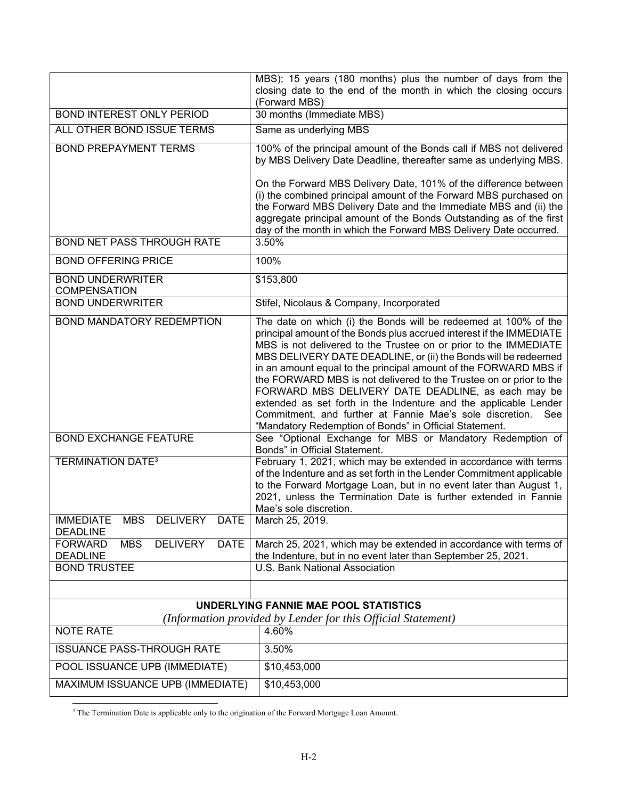|                                                                                     | MBS); 15 years (180 months) plus the number of days from the<br>closing date to the end of the month in which the closing occurs                                                                                                                                                                                                                                                                                                                                                                                                                                                                                                                                            |
|-------------------------------------------------------------------------------------|-----------------------------------------------------------------------------------------------------------------------------------------------------------------------------------------------------------------------------------------------------------------------------------------------------------------------------------------------------------------------------------------------------------------------------------------------------------------------------------------------------------------------------------------------------------------------------------------------------------------------------------------------------------------------------|
| <b>BOND INTEREST ONLY PERIOD</b>                                                    | (Forward MBS)<br>30 months (Immediate MBS)                                                                                                                                                                                                                                                                                                                                                                                                                                                                                                                                                                                                                                  |
| ALL OTHER BOND ISSUE TERMS                                                          | Same as underlying MBS                                                                                                                                                                                                                                                                                                                                                                                                                                                                                                                                                                                                                                                      |
| <b>BOND PREPAYMENT TERMS</b>                                                        | 100% of the principal amount of the Bonds call if MBS not delivered<br>by MBS Delivery Date Deadline, thereafter same as underlying MBS.                                                                                                                                                                                                                                                                                                                                                                                                                                                                                                                                    |
|                                                                                     | On the Forward MBS Delivery Date, 101% of the difference between<br>(i) the combined principal amount of the Forward MBS purchased on<br>the Forward MBS Delivery Date and the Immediate MBS and (ii) the<br>aggregate principal amount of the Bonds Outstanding as of the first<br>day of the month in which the Forward MBS Delivery Date occurred.                                                                                                                                                                                                                                                                                                                       |
| <b>BOND NET PASS THROUGH RATE</b>                                                   | 3.50%                                                                                                                                                                                                                                                                                                                                                                                                                                                                                                                                                                                                                                                                       |
| <b>BOND OFFERING PRICE</b>                                                          | 100%                                                                                                                                                                                                                                                                                                                                                                                                                                                                                                                                                                                                                                                                        |
| <b>BOND UNDERWRITER</b><br><b>COMPENSATION</b>                                      | \$153,800                                                                                                                                                                                                                                                                                                                                                                                                                                                                                                                                                                                                                                                                   |
| <b>BOND UNDERWRITER</b>                                                             | Stifel, Nicolaus & Company, Incorporated                                                                                                                                                                                                                                                                                                                                                                                                                                                                                                                                                                                                                                    |
| BOND MANDATORY REDEMPTION                                                           | The date on which (i) the Bonds will be redeemed at 100% of the<br>principal amount of the Bonds plus accrued interest if the IMMEDIATE<br>MBS is not delivered to the Trustee on or prior to the IMMEDIATE<br>MBS DELIVERY DATE DEADLINE, or (ii) the Bonds will be redeemed<br>in an amount equal to the principal amount of the FORWARD MBS if<br>the FORWARD MBS is not delivered to the Trustee on or prior to the<br>FORWARD MBS DELIVERY DATE DEADLINE, as each may be<br>extended as set forth in the Indenture and the applicable Lender<br>Commitment, and further at Fannie Mae's sole discretion. See<br>"Mandatory Redemption of Bonds" in Official Statement. |
| <b>BOND EXCHANGE FEATURE</b>                                                        | See "Optional Exchange for MBS or Mandatory Redemption of<br>Bonds" in Official Statement.                                                                                                                                                                                                                                                                                                                                                                                                                                                                                                                                                                                  |
| <b>TERMINATION DATE<sup>3</sup></b>                                                 | February 1, 2021, which may be extended in accordance with terms<br>of the Indenture and as set forth in the Lender Commitment applicable<br>to the Forward Mortgage Loan, but in no event later than August 1,<br>2021, unless the Termination Date is further extended in Fannie<br>Mae's sole discretion.                                                                                                                                                                                                                                                                                                                                                                |
| <b>MBS</b><br><b>DELIVERY</b><br><b>IMMEDIATE</b><br><b>DATE</b><br><b>DEADLINE</b> | March 25, 2019.                                                                                                                                                                                                                                                                                                                                                                                                                                                                                                                                                                                                                                                             |
| <b>FORWARD</b><br><b>MBS</b><br><b>DELIVERY</b><br><b>DATE</b><br><b>DEADLINE</b>   | March 25, 2021, which may be extended in accordance with terms of<br>the Indenture, but in no event later than September 25, 2021.                                                                                                                                                                                                                                                                                                                                                                                                                                                                                                                                          |
| <b>BOND TRUSTEE</b>                                                                 | U.S. Bank National Association                                                                                                                                                                                                                                                                                                                                                                                                                                                                                                                                                                                                                                              |
|                                                                                     | UNDERLYING FANNIE MAE POOL STATISTICS                                                                                                                                                                                                                                                                                                                                                                                                                                                                                                                                                                                                                                       |
|                                                                                     | (Information provided by Lender for this Official Statement)                                                                                                                                                                                                                                                                                                                                                                                                                                                                                                                                                                                                                |
| <b>NOTE RATE</b>                                                                    | 4.60%                                                                                                                                                                                                                                                                                                                                                                                                                                                                                                                                                                                                                                                                       |
| <b>ISSUANCE PASS-THROUGH RATE</b>                                                   | 3.50%                                                                                                                                                                                                                                                                                                                                                                                                                                                                                                                                                                                                                                                                       |
| POOL ISSUANCE UPB (IMMEDIATE)                                                       | \$10,453,000                                                                                                                                                                                                                                                                                                                                                                                                                                                                                                                                                                                                                                                                |
| MAXIMUM ISSUANCE UPB (IMMEDIATE)                                                    | \$10,453,000                                                                                                                                                                                                                                                                                                                                                                                                                                                                                                                                                                                                                                                                |

<sup>3</sup> The Termination Date is applicable only to the origination of the Forward Mortgage Loan Amount.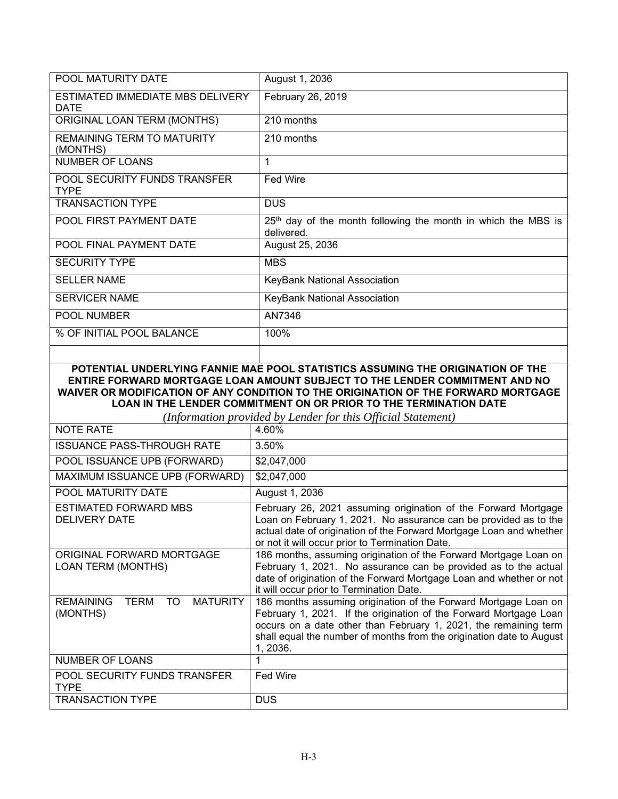| POOL MATURITY DATE                              | August 1, 2036                                                                |
|-------------------------------------------------|-------------------------------------------------------------------------------|
| ESTIMATED IMMEDIATE MBS DELIVERY<br><b>DATE</b> | February 26, 2019                                                             |
| ORIGINAL LOAN TERM (MONTHS)                     | 210 months                                                                    |
| REMAINING TERM TO MATURITY<br>(MONTHS)          | 210 months                                                                    |
| NUMBER OF LOANS                                 | 1                                                                             |
| POOL SECURITY FUNDS TRANSFER<br><b>TYPE</b>     | <b>Fed Wire</b>                                                               |
| <b>TRANSACTION TYPE</b>                         | <b>DUS</b>                                                                    |
| POOL FIRST PAYMENT DATE                         | $25th$ day of the month following the month in which the MBS is<br>delivered. |
| <b>POOL FINAL PAYMENT DATE</b>                  | August 25, 2036                                                               |
| <b>SECURITY TYPE</b>                            | <b>MBS</b>                                                                    |
| <b>SELLER NAME</b>                              | KeyBank National Association                                                  |
| <b>SERVICER NAME</b>                            | KeyBank National Association                                                  |
| <b>POOL NUMBER</b>                              | AN7346                                                                        |
| % OF INITIAL POOL BALANCE                       | 100%                                                                          |
|                                                 |                                                                               |

# **POTENTIAL UNDERLYING FANNIE MAE POOL STATISTICS ASSUMING THE ORIGINATION OF THE ENTIRE FORWARD MORTGAGE LOAN AMOUNT SUBJECT TO THE LENDER COMMITMENT AND NO WAIVER OR MODIFICATION OF ANY CONDITION TO THE ORIGINATION OF THE FORWARD MORTGAGE LOAN IN THE LENDER COMMITMENT ON OR PRIOR TO THE TERMINATION DATE**

| (Information provided by Lender for this Official Statement)         |                                                                                                                                                                                                                                                                                              |  |
|----------------------------------------------------------------------|----------------------------------------------------------------------------------------------------------------------------------------------------------------------------------------------------------------------------------------------------------------------------------------------|--|
| NOTE RATE                                                            | 4.60%                                                                                                                                                                                                                                                                                        |  |
| <b>ISSUANCE PASS-THROUGH RATE</b>                                    | 3.50%                                                                                                                                                                                                                                                                                        |  |
| POOL ISSUANCE UPB (FORWARD)                                          | \$2,047,000                                                                                                                                                                                                                                                                                  |  |
| MAXIMUM ISSUANCE UPB (FORWARD)                                       | \$2,047,000                                                                                                                                                                                                                                                                                  |  |
| POOL MATURITY DATE                                                   | August 1, 2036                                                                                                                                                                                                                                                                               |  |
| <b>ESTIMATED FORWARD MBS</b><br><b>DELIVERY DATE</b>                 | February 26, 2021 assuming origination of the Forward Mortgage<br>Loan on February 1, 2021. No assurance can be provided as to the<br>actual date of origination of the Forward Mortgage Loan and whether<br>or not it will occur prior to Termination Date.                                 |  |
| ORIGINAL FORWARD MORTGAGE<br><b>LOAN TERM (MONTHS)</b>               | 186 months, assuming origination of the Forward Mortgage Loan on<br>February 1, 2021. No assurance can be provided as to the actual<br>date of origination of the Forward Mortgage Loan and whether or not<br>it will occur prior to Termination Date.                                       |  |
| <b>TERM</b><br>TO<br><b>REMAINING</b><br><b>MATURITY</b><br>(MONTHS) | 186 months assuming origination of the Forward Mortgage Loan on<br>February 1, 2021. If the origination of the Forward Mortgage Loan<br>occurs on a date other than February 1, 2021, the remaining term<br>shall equal the number of months from the origination date to August<br>1, 2036. |  |
| <b>NUMBER OF LOANS</b>                                               |                                                                                                                                                                                                                                                                                              |  |
| POOL SECURITY FUNDS TRANSFER<br><b>TYPE</b>                          | Fed Wire                                                                                                                                                                                                                                                                                     |  |
| <b>TRANSACTION TYPE</b>                                              | <b>DUS</b>                                                                                                                                                                                                                                                                                   |  |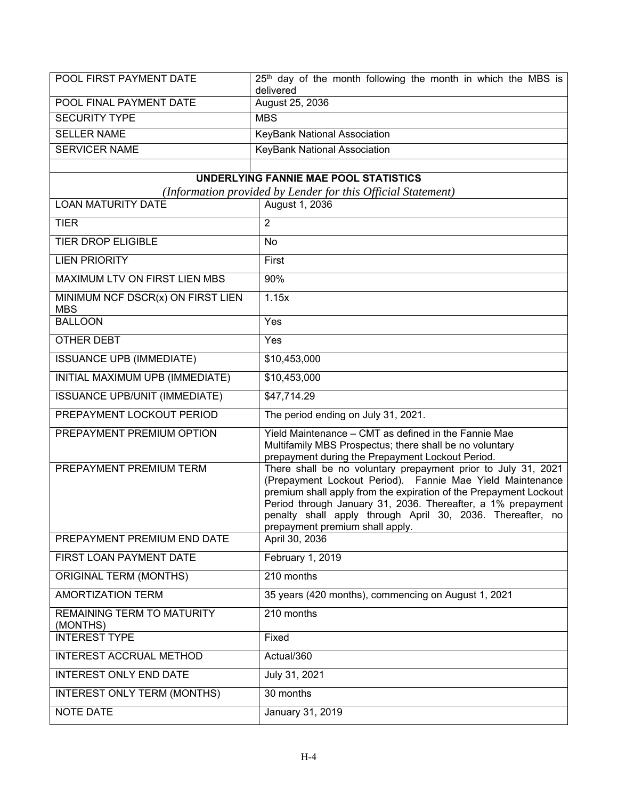| POOL FIRST PAYMENT DATE | $25th$ day of the month following the month in which the MBS is |
|-------------------------|-----------------------------------------------------------------|
|                         | delivered                                                       |
| POOL FINAL PAYMENT DATE | August 25, 2036                                                 |
| <b>SECURITY TYPE</b>    | <b>MBS</b>                                                      |
| <b>SELLER NAME</b>      | KeyBank National Association                                    |
| <b>SERVICER NAME</b>    | KeyBank National Association                                    |

# **UNDERLYING FANNIE MAE POOL STATISTICS**

*(Information provided by Lender for this Official Statement)*

| <b>LOAN MATURITY DATE</b>                       | ngormanon proviaca og Lenaer jor mis official statement,<br>August 1, 2036                                                                                                                                                                                                                                                                                       |
|-------------------------------------------------|------------------------------------------------------------------------------------------------------------------------------------------------------------------------------------------------------------------------------------------------------------------------------------------------------------------------------------------------------------------|
| <b>TIER</b>                                     | $\overline{2}$                                                                                                                                                                                                                                                                                                                                                   |
| <b>TIER DROP ELIGIBLE</b>                       | <b>No</b>                                                                                                                                                                                                                                                                                                                                                        |
| <b>LIEN PRIORITY</b>                            | First                                                                                                                                                                                                                                                                                                                                                            |
| MAXIMUM LTV ON FIRST LIEN MBS                   | 90%                                                                                                                                                                                                                                                                                                                                                              |
| MINIMUM NCF DSCR(x) ON FIRST LIEN<br><b>MBS</b> | 1.15x                                                                                                                                                                                                                                                                                                                                                            |
| <b>BALLOON</b>                                  | Yes                                                                                                                                                                                                                                                                                                                                                              |
| OTHER DEBT                                      | Yes                                                                                                                                                                                                                                                                                                                                                              |
| <b>ISSUANCE UPB (IMMEDIATE)</b>                 | \$10,453,000                                                                                                                                                                                                                                                                                                                                                     |
| INITIAL MAXIMUM UPB (IMMEDIATE)                 | \$10,453,000                                                                                                                                                                                                                                                                                                                                                     |
| <b>ISSUANCE UPB/UNIT (IMMEDIATE)</b>            | \$47,714.29                                                                                                                                                                                                                                                                                                                                                      |
| PREPAYMENT LOCKOUT PERIOD                       | The period ending on July 31, 2021.                                                                                                                                                                                                                                                                                                                              |
| PREPAYMENT PREMIUM OPTION                       | Yield Maintenance - CMT as defined in the Fannie Mae<br>Multifamily MBS Prospectus; there shall be no voluntary<br>prepayment during the Prepayment Lockout Period.                                                                                                                                                                                              |
| PREPAYMENT PREMIUM TERM                         | There shall be no voluntary prepayment prior to July 31, 2021<br>(Prepayment Lockout Period). Fannie Mae Yield Maintenance<br>premium shall apply from the expiration of the Prepayment Lockout<br>Period through January 31, 2036. Thereafter, a 1% prepayment<br>penalty shall apply through April 30, 2036. Thereafter, no<br>prepayment premium shall apply. |
| PREPAYMENT PREMIUM END DATE                     | April 30, 2036                                                                                                                                                                                                                                                                                                                                                   |
| FIRST LOAN PAYMENT DATE                         | February 1, 2019                                                                                                                                                                                                                                                                                                                                                 |
| <b>ORIGINAL TERM (MONTHS)</b>                   | 210 months                                                                                                                                                                                                                                                                                                                                                       |
| <b>AMORTIZATION TERM</b>                        | 35 years (420 months), commencing on August 1, 2021                                                                                                                                                                                                                                                                                                              |
| REMAINING TERM TO MATURITY<br>(MONTHS)          | 210 months                                                                                                                                                                                                                                                                                                                                                       |
| <b>INTEREST TYPE</b>                            | Fixed                                                                                                                                                                                                                                                                                                                                                            |
| INTEREST ACCRUAL METHOD                         | Actual/360                                                                                                                                                                                                                                                                                                                                                       |
| <b>INTEREST ONLY END DATE</b>                   | July 31, 2021                                                                                                                                                                                                                                                                                                                                                    |
| <b>INTEREST ONLY TERM (MONTHS)</b>              | 30 months                                                                                                                                                                                                                                                                                                                                                        |
| <b>NOTE DATE</b>                                | <b>January 31, 2019</b>                                                                                                                                                                                                                                                                                                                                          |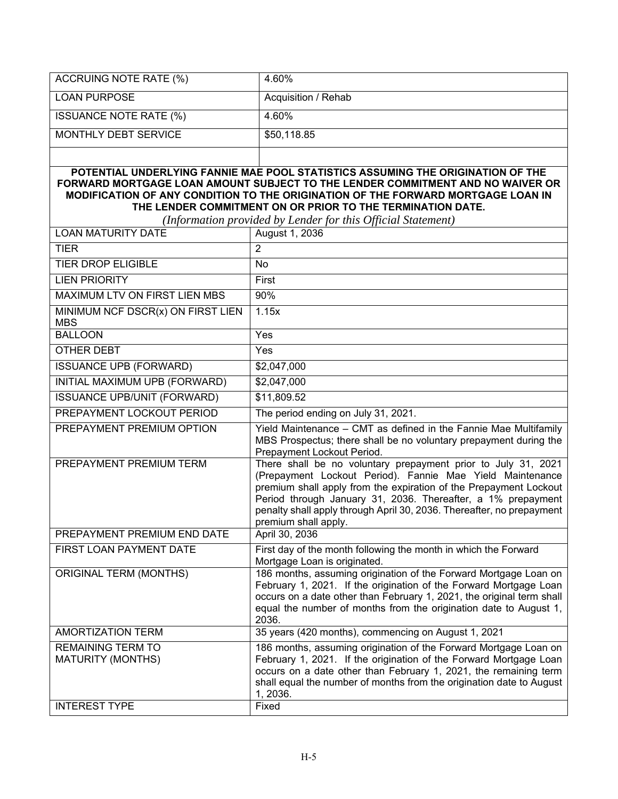| <b>ACCRUING NOTE RATE (%)</b>                                                                                                                                                                                                                                                                                                                                                       | 4.60%                                                                                                                                                                                                                                                                                                                                                            |  |
|-------------------------------------------------------------------------------------------------------------------------------------------------------------------------------------------------------------------------------------------------------------------------------------------------------------------------------------------------------------------------------------|------------------------------------------------------------------------------------------------------------------------------------------------------------------------------------------------------------------------------------------------------------------------------------------------------------------------------------------------------------------|--|
| <b>LOAN PURPOSE</b>                                                                                                                                                                                                                                                                                                                                                                 | Acquisition / Rehab                                                                                                                                                                                                                                                                                                                                              |  |
| <b>ISSUANCE NOTE RATE (%)</b>                                                                                                                                                                                                                                                                                                                                                       | 4.60%                                                                                                                                                                                                                                                                                                                                                            |  |
| <b>MONTHLY DEBT SERVICE</b>                                                                                                                                                                                                                                                                                                                                                         | \$50,118.85                                                                                                                                                                                                                                                                                                                                                      |  |
|                                                                                                                                                                                                                                                                                                                                                                                     |                                                                                                                                                                                                                                                                                                                                                                  |  |
| POTENTIAL UNDERLYING FANNIE MAE POOL STATISTICS ASSUMING THE ORIGINATION OF THE<br>FORWARD MORTGAGE LOAN AMOUNT SUBJECT TO THE LENDER COMMITMENT AND NO WAIVER OR<br>MODIFICATION OF ANY CONDITION TO THE ORIGINATION OF THE FORWARD MORTGAGE LOAN IN<br>THE LENDER COMMITMENT ON OR PRIOR TO THE TERMINATION DATE.<br>(Information provided by Lender for this Official Statement) |                                                                                                                                                                                                                                                                                                                                                                  |  |
| <b>LOAN MATURITY DATE</b>                                                                                                                                                                                                                                                                                                                                                           | August 1, 2036                                                                                                                                                                                                                                                                                                                                                   |  |
| <b>TIER</b>                                                                                                                                                                                                                                                                                                                                                                         | $\overline{2}$                                                                                                                                                                                                                                                                                                                                                   |  |
| <b>TIER DROP ELIGIBLE</b>                                                                                                                                                                                                                                                                                                                                                           | No                                                                                                                                                                                                                                                                                                                                                               |  |
| <b>LIEN PRIORITY</b>                                                                                                                                                                                                                                                                                                                                                                | First                                                                                                                                                                                                                                                                                                                                                            |  |
| MAXIMUM LTV ON FIRST LIEN MBS                                                                                                                                                                                                                                                                                                                                                       | 90%                                                                                                                                                                                                                                                                                                                                                              |  |
| MINIMUM NCF DSCR(x) ON FIRST LIEN<br><b>MBS</b>                                                                                                                                                                                                                                                                                                                                     | 1.15x                                                                                                                                                                                                                                                                                                                                                            |  |
| <b>BALLOON</b>                                                                                                                                                                                                                                                                                                                                                                      | Yes                                                                                                                                                                                                                                                                                                                                                              |  |
| <b>OTHER DEBT</b>                                                                                                                                                                                                                                                                                                                                                                   | Yes                                                                                                                                                                                                                                                                                                                                                              |  |
| <b>ISSUANCE UPB (FORWARD)</b>                                                                                                                                                                                                                                                                                                                                                       | \$2,047,000                                                                                                                                                                                                                                                                                                                                                      |  |
| INITIAL MAXIMUM UPB (FORWARD)                                                                                                                                                                                                                                                                                                                                                       | \$2,047,000                                                                                                                                                                                                                                                                                                                                                      |  |
| <b>ISSUANCE UPB/UNIT (FORWARD)</b>                                                                                                                                                                                                                                                                                                                                                  | \$11,809.52                                                                                                                                                                                                                                                                                                                                                      |  |
| PREPAYMENT LOCKOUT PERIOD                                                                                                                                                                                                                                                                                                                                                           | The period ending on July 31, 2021.                                                                                                                                                                                                                                                                                                                              |  |
| PREPAYMENT PREMIUM OPTION                                                                                                                                                                                                                                                                                                                                                           | Yield Maintenance - CMT as defined in the Fannie Mae Multifamily<br>MBS Prospectus; there shall be no voluntary prepayment during the<br>Prepayment Lockout Period.                                                                                                                                                                                              |  |
| PREPAYMENT PREMIUM TERM                                                                                                                                                                                                                                                                                                                                                             | There shall be no voluntary prepayment prior to July 31, 2021<br>(Prepayment Lockout Period). Fannie Mae Yield Maintenance<br>premium shall apply from the expiration of the Prepayment Lockout<br>Period through January 31, 2036. Thereafter, a 1% prepayment<br>penalty shall apply through April 30, 2036. Thereafter, no prepayment<br>premium shall apply. |  |
| PREPAYMENT PREMIUM END DATE                                                                                                                                                                                                                                                                                                                                                         | April 30, 2036                                                                                                                                                                                                                                                                                                                                                   |  |
| FIRST LOAN PAYMENT DATE                                                                                                                                                                                                                                                                                                                                                             | First day of the month following the month in which the Forward<br>Mortgage Loan is originated.                                                                                                                                                                                                                                                                  |  |
| <b>ORIGINAL TERM (MONTHS)</b>                                                                                                                                                                                                                                                                                                                                                       | 186 months, assuming origination of the Forward Mortgage Loan on<br>February 1, 2021. If the origination of the Forward Mortgage Loan<br>occurs on a date other than February 1, 2021, the original term shall<br>equal the number of months from the origination date to August 1,<br>2036.                                                                     |  |
| <b>AMORTIZATION TERM</b>                                                                                                                                                                                                                                                                                                                                                            | 35 years (420 months), commencing on August 1, 2021                                                                                                                                                                                                                                                                                                              |  |
| <b>REMAINING TERM TO</b><br><b>MATURITY (MONTHS)</b>                                                                                                                                                                                                                                                                                                                                | 186 months, assuming origination of the Forward Mortgage Loan on<br>February 1, 2021. If the origination of the Forward Mortgage Loan<br>occurs on a date other than February 1, 2021, the remaining term<br>shall equal the number of months from the origination date to August<br>1, 2036.                                                                    |  |
| <b>INTEREST TYPE</b>                                                                                                                                                                                                                                                                                                                                                                | Fixed                                                                                                                                                                                                                                                                                                                                                            |  |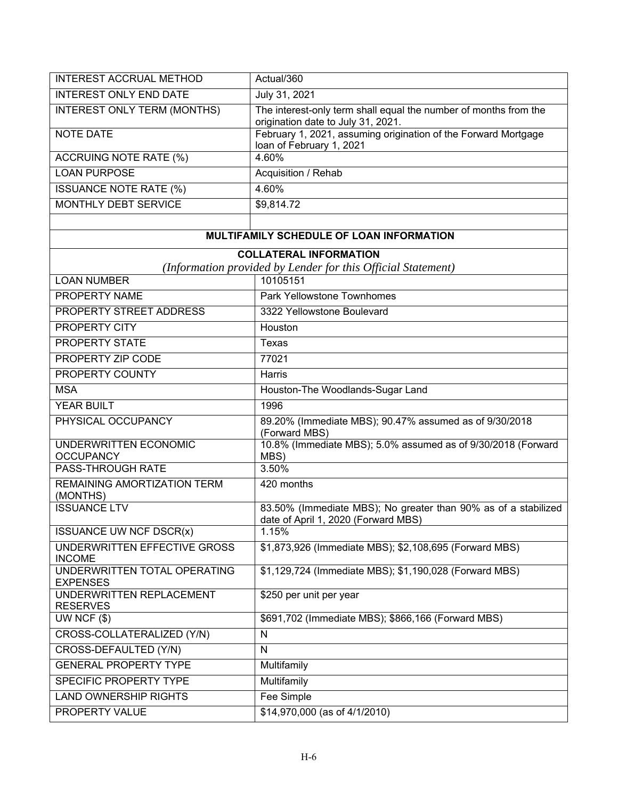| <b>INTEREST ACCRUAL METHOD</b>                  | Actual/360                                                                                             |
|-------------------------------------------------|--------------------------------------------------------------------------------------------------------|
| <b>INTEREST ONLY END DATE</b>                   | July 31, 2021                                                                                          |
| INTEREST ONLY TERM (MONTHS)                     | The interest-only term shall equal the number of months from the<br>origination date to July 31, 2021. |
| <b>NOTE DATE</b>                                | February 1, 2021, assuming origination of the Forward Mortgage<br>loan of February 1, 2021             |
| ACCRUING NOTE RATE (%)                          | 4.60%                                                                                                  |
| <b>LOAN PURPOSE</b>                             | Acquisition / Rehab                                                                                    |
| <b>ISSUANCE NOTE RATE (%)</b>                   | 4.60%                                                                                                  |
| <b>MONTHLY DEBT SERVICE</b>                     | \$9,814.72                                                                                             |
|                                                 |                                                                                                        |
|                                                 | MULTIFAMILY SCHEDULE OF LOAN INFORMATION                                                               |
|                                                 | <b>COLLATERAL INFORMATION</b>                                                                          |
|                                                 | (Information provided by Lender for this Official Statement)                                           |
| <b>LOAN NUMBER</b>                              | 10105151                                                                                               |
| PROPERTY NAME                                   | Park Yellowstone Townhomes                                                                             |
| PROPERTY STREET ADDRESS                         | 3322 Yellowstone Boulevard                                                                             |
| PROPERTY CITY                                   | Houston                                                                                                |
| PROPERTY STATE                                  | <b>Texas</b>                                                                                           |
| PROPERTY ZIP CODE                               | 77021                                                                                                  |
| PROPERTY COUNTY                                 | Harris                                                                                                 |
| <b>MSA</b>                                      | Houston-The Woodlands-Sugar Land                                                                       |
| YEAR BUILT                                      | 1996                                                                                                   |
| PHYSICAL OCCUPANCY                              | 89.20% (Immediate MBS); 90.47% assumed as of 9/30/2018<br>(Forward MBS)                                |
| UNDERWRITTEN ECONOMIC<br><b>OCCUPANCY</b>       | 10.8% (Immediate MBS); 5.0% assumed as of 9/30/2018 (Forward<br>MBS)                                   |
| <b>PASS-THROUGH RATE</b>                        | 3.50%                                                                                                  |
| <b>REMAINING AMORTIZATION TERM</b><br>(MONTHS)  | 420 months                                                                                             |
| <b>ISSUANCE LTV</b>                             | 83.50% (Immediate MBS); No greater than 90% as of a stabilized<br>date of April 1, 2020 (Forward MBS)  |
| <b>ISSUANCE UW NCF DSCR(x)</b>                  | 1.15%                                                                                                  |
| UNDERWRITTEN EFFECTIVE GROSS<br><b>INCOME</b>   | \$1,873,926 (Immediate MBS); \$2,108,695 (Forward MBS)                                                 |
| UNDERWRITTEN TOTAL OPERATING<br><b>EXPENSES</b> | \$1,129,724 (Immediate MBS); \$1,190,028 (Forward MBS)                                                 |
| UNDERWRITTEN REPLACEMENT<br><b>RESERVES</b>     | \$250 per unit per year                                                                                |
| UW NCF $($ \$)                                  | \$691,702 (Immediate MBS); \$866,166 (Forward MBS)                                                     |
| CROSS-COLLATERALIZED (Y/N)                      | N                                                                                                      |
| CROSS-DEFAULTED (Y/N)                           | $\mathsf{N}$                                                                                           |
| <b>GENERAL PROPERTY TYPE</b>                    | Multifamily                                                                                            |
| SPECIFIC PROPERTY TYPE                          | Multifamily                                                                                            |
| <b>LAND OWNERSHIP RIGHTS</b>                    | Fee Simple                                                                                             |
| PROPERTY VALUE                                  | \$14,970,000 (as of 4/1/2010)                                                                          |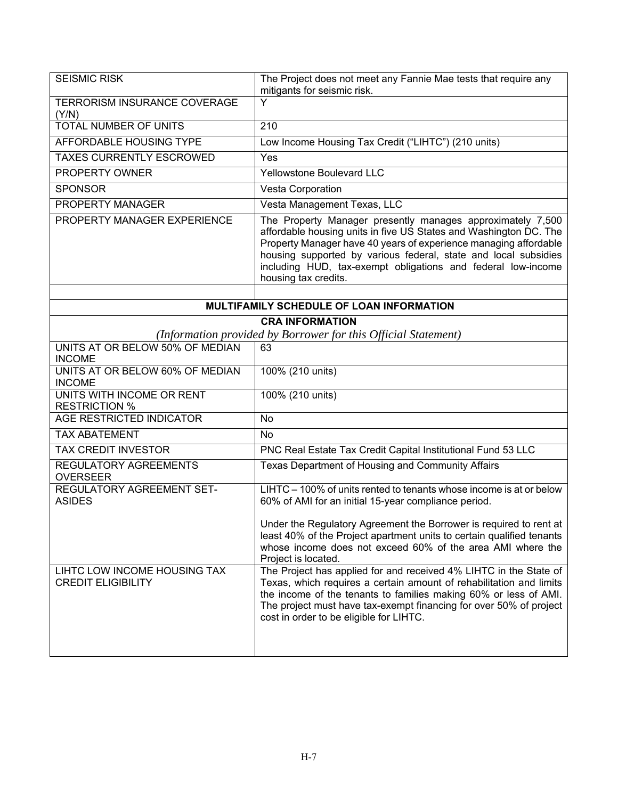| <b>SEISMIC RISK</b>                                       | The Project does not meet any Fannie Mae tests that require any<br>mitigants for seismic risk.                                                                                                                                                                                                                                                                 |
|-----------------------------------------------------------|----------------------------------------------------------------------------------------------------------------------------------------------------------------------------------------------------------------------------------------------------------------------------------------------------------------------------------------------------------------|
| TERRORISM INSURANCE COVERAGE<br>(Y/N)                     | Y                                                                                                                                                                                                                                                                                                                                                              |
| <b>TOTAL NUMBER OF UNITS</b>                              | 210                                                                                                                                                                                                                                                                                                                                                            |
| AFFORDABLE HOUSING TYPE                                   | Low Income Housing Tax Credit ("LIHTC") (210 units)                                                                                                                                                                                                                                                                                                            |
| <b>TAXES CURRENTLY ESCROWED</b>                           | Yes                                                                                                                                                                                                                                                                                                                                                            |
| PROPERTY OWNER                                            | <b>Yellowstone Boulevard LLC</b>                                                                                                                                                                                                                                                                                                                               |
| <b>SPONSOR</b>                                            | Vesta Corporation                                                                                                                                                                                                                                                                                                                                              |
| PROPERTY MANAGER                                          | Vesta Management Texas, LLC                                                                                                                                                                                                                                                                                                                                    |
| PROPERTY MANAGER EXPERIENCE                               | The Property Manager presently manages approximately 7,500<br>affordable housing units in five US States and Washington DC. The<br>Property Manager have 40 years of experience managing affordable<br>housing supported by various federal, state and local subsidies<br>including HUD, tax-exempt obligations and federal low-income<br>housing tax credits. |
|                                                           | MULTIFAMILY SCHEDULE OF LOAN INFORMATION                                                                                                                                                                                                                                                                                                                       |
|                                                           | <b>CRA INFORMATION</b>                                                                                                                                                                                                                                                                                                                                         |
|                                                           | (Information provided by Borrower for this Official Statement)                                                                                                                                                                                                                                                                                                 |
| UNITS AT OR BELOW 50% OF MEDIAN<br><b>INCOME</b>          | 63                                                                                                                                                                                                                                                                                                                                                             |
| UNITS AT OR BELOW 60% OF MEDIAN<br><b>INCOME</b>          | 100% (210 units)                                                                                                                                                                                                                                                                                                                                               |
| UNITS WITH INCOME OR RENT<br><b>RESTRICTION %</b>         | 100% (210 units)                                                                                                                                                                                                                                                                                                                                               |
| <b>AGE RESTRICTED INDICATOR</b>                           | <b>No</b>                                                                                                                                                                                                                                                                                                                                                      |
| <b>TAX ABATEMENT</b>                                      | <b>No</b>                                                                                                                                                                                                                                                                                                                                                      |
| <b>TAX CREDIT INVESTOR</b>                                | PNC Real Estate Tax Credit Capital Institutional Fund 53 LLC                                                                                                                                                                                                                                                                                                   |
| REGULATORY AGREEMENTS<br><b>OVERSEER</b>                  | Texas Department of Housing and Community Affairs                                                                                                                                                                                                                                                                                                              |
| REGULATORY AGREEMENT SET-<br><b>ASIDES</b>                | LIHTC - 100% of units rented to tenants whose income is at or below<br>60% of AMI for an initial 15-year compliance period.                                                                                                                                                                                                                                    |
|                                                           | Under the Regulatory Agreement the Borrower is required to rent at<br>least 40% of the Project apartment units to certain qualified tenants<br>whose income does not exceed 60% of the area AMI where the<br>Project is located.                                                                                                                               |
| LIHTC LOW INCOME HOUSING TAX<br><b>CREDIT ELIGIBILITY</b> | The Project has applied for and received 4% LIHTC in the State of<br>Texas, which requires a certain amount of rehabilitation and limits<br>the income of the tenants to families making 60% or less of AMI.<br>The project must have tax-exempt financing for over 50% of project<br>cost in order to be eligible for LIHTC.                                  |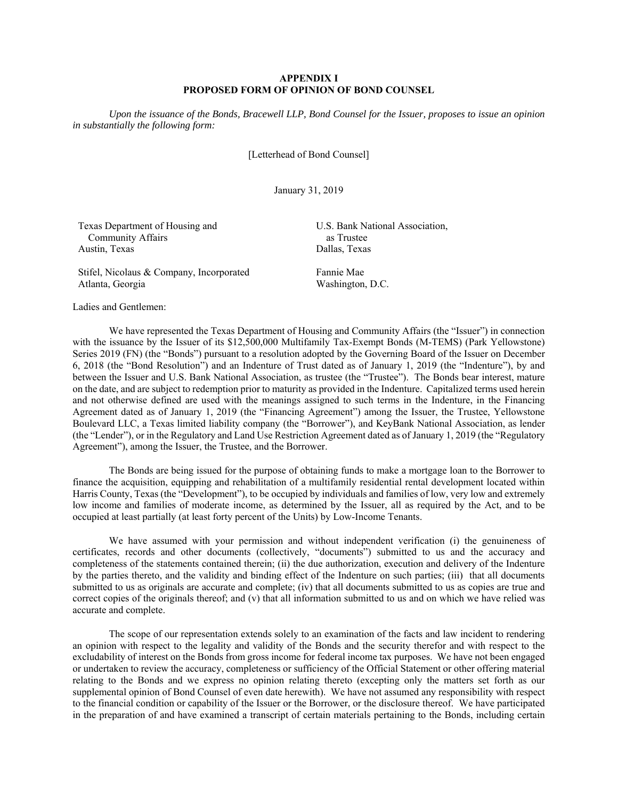#### **APPENDIX I PROPOSED FORM OF OPINION OF BOND COUNSEL**

*Upon the issuance of the Bonds, Bracewell LLP, Bond Counsel for the Issuer, proposes to issue an opinion in substantially the following form:* 

[Letterhead of Bond Counsel]

January 31, 2019

| Texas Department of Housing and          | U.S. Bank National Association, |
|------------------------------------------|---------------------------------|
| <b>Community Affairs</b>                 | as Trustee                      |
| Austin, Texas                            | Dallas, Texas                   |
| Stifel, Nicolaus & Company, Incorporated | Fannie Mae                      |
| Atlanta, Georgia                         | Washington, D.C.                |

Ladies and Gentlemen:

We have represented the Texas Department of Housing and Community Affairs (the "Issuer") in connection with the issuance by the Issuer of its \$12,500,000 Multifamily Tax-Exempt Bonds (M-TEMS) (Park Yellowstone) Series 2019 (FN) (the "Bonds") pursuant to a resolution adopted by the Governing Board of the Issuer on December 6, 2018 (the "Bond Resolution") and an Indenture of Trust dated as of January 1, 2019 (the "Indenture"), by and between the Issuer and U.S. Bank National Association, as trustee (the "Trustee"). The Bonds bear interest, mature on the date, and are subject to redemption prior to maturity as provided in the Indenture. Capitalized terms used herein and not otherwise defined are used with the meanings assigned to such terms in the Indenture, in the Financing Agreement dated as of January 1, 2019 (the "Financing Agreement") among the Issuer, the Trustee, Yellowstone Boulevard LLC, a Texas limited liability company (the "Borrower"), and KeyBank National Association, as lender (the "Lender"), or in the Regulatory and Land Use Restriction Agreement dated as of January 1, 2019 (the "Regulatory Agreement"), among the Issuer, the Trustee, and the Borrower.

The Bonds are being issued for the purpose of obtaining funds to make a mortgage loan to the Borrower to finance the acquisition, equipping and rehabilitation of a multifamily residential rental development located within Harris County, Texas (the "Development"), to be occupied by individuals and families of low, very low and extremely low income and families of moderate income, as determined by the Issuer, all as required by the Act, and to be occupied at least partially (at least forty percent of the Units) by Low-Income Tenants.

We have assumed with your permission and without independent verification (i) the genuineness of certificates, records and other documents (collectively, "documents") submitted to us and the accuracy and completeness of the statements contained therein; (ii) the due authorization, execution and delivery of the Indenture by the parties thereto, and the validity and binding effect of the Indenture on such parties; (iii) that all documents submitted to us as originals are accurate and complete; (iv) that all documents submitted to us as copies are true and correct copies of the originals thereof; and (v) that all information submitted to us and on which we have relied was accurate and complete.

The scope of our representation extends solely to an examination of the facts and law incident to rendering an opinion with respect to the legality and validity of the Bonds and the security therefor and with respect to the excludability of interest on the Bonds from gross income for federal income tax purposes. We have not been engaged or undertaken to review the accuracy, completeness or sufficiency of the Official Statement or other offering material relating to the Bonds and we express no opinion relating thereto (excepting only the matters set forth as our supplemental opinion of Bond Counsel of even date herewith). We have not assumed any responsibility with respect to the financial condition or capability of the Issuer or the Borrower, or the disclosure thereof. We have participated in the preparation of and have examined a transcript of certain materials pertaining to the Bonds, including certain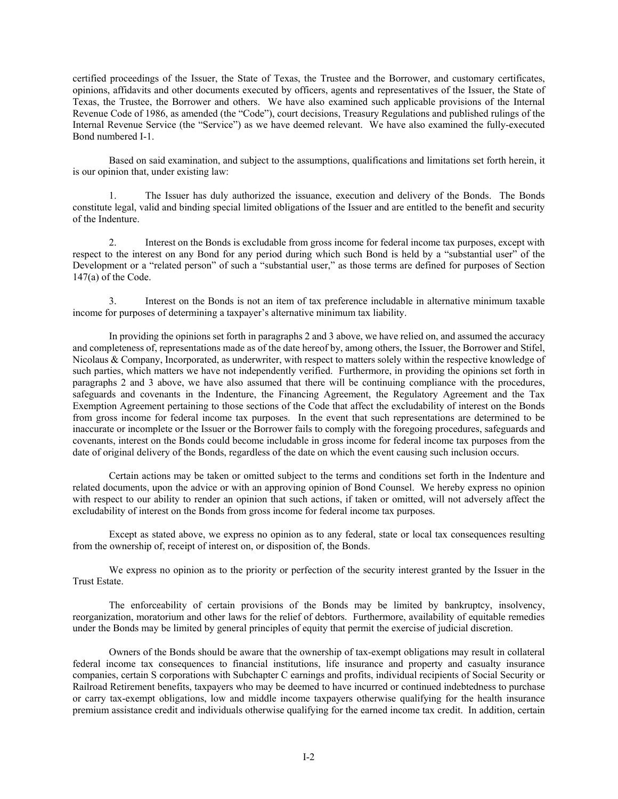certified proceedings of the Issuer, the State of Texas, the Trustee and the Borrower, and customary certificates, opinions, affidavits and other documents executed by officers, agents and representatives of the Issuer, the State of Texas, the Trustee, the Borrower and others. We have also examined such applicable provisions of the Internal Revenue Code of 1986, as amended (the "Code"), court decisions, Treasury Regulations and published rulings of the Internal Revenue Service (the "Service") as we have deemed relevant. We have also examined the fully-executed Bond numbered I-1.

Based on said examination, and subject to the assumptions, qualifications and limitations set forth herein, it is our opinion that, under existing law:

1. The Issuer has duly authorized the issuance, execution and delivery of the Bonds. The Bonds constitute legal, valid and binding special limited obligations of the Issuer and are entitled to the benefit and security of the Indenture.

2. Interest on the Bonds is excludable from gross income for federal income tax purposes, except with respect to the interest on any Bond for any period during which such Bond is held by a "substantial user" of the Development or a "related person" of such a "substantial user," as those terms are defined for purposes of Section 147(a) of the Code.

3. Interest on the Bonds is not an item of tax preference includable in alternative minimum taxable income for purposes of determining a taxpayer's alternative minimum tax liability.

In providing the opinions set forth in paragraphs 2 and 3 above, we have relied on, and assumed the accuracy and completeness of, representations made as of the date hereof by, among others, the Issuer, the Borrower and Stifel, Nicolaus & Company, Incorporated, as underwriter, with respect to matters solely within the respective knowledge of such parties, which matters we have not independently verified. Furthermore, in providing the opinions set forth in paragraphs 2 and 3 above, we have also assumed that there will be continuing compliance with the procedures, safeguards and covenants in the Indenture, the Financing Agreement, the Regulatory Agreement and the Tax Exemption Agreement pertaining to those sections of the Code that affect the excludability of interest on the Bonds from gross income for federal income tax purposes. In the event that such representations are determined to be inaccurate or incomplete or the Issuer or the Borrower fails to comply with the foregoing procedures, safeguards and covenants, interest on the Bonds could become includable in gross income for federal income tax purposes from the date of original delivery of the Bonds, regardless of the date on which the event causing such inclusion occurs.

Certain actions may be taken or omitted subject to the terms and conditions set forth in the Indenture and related documents, upon the advice or with an approving opinion of Bond Counsel. We hereby express no opinion with respect to our ability to render an opinion that such actions, if taken or omitted, will not adversely affect the excludability of interest on the Bonds from gross income for federal income tax purposes.

Except as stated above, we express no opinion as to any federal, state or local tax consequences resulting from the ownership of, receipt of interest on, or disposition of, the Bonds.

We express no opinion as to the priority or perfection of the security interest granted by the Issuer in the Trust Estate.

The enforceability of certain provisions of the Bonds may be limited by bankruptcy, insolvency, reorganization, moratorium and other laws for the relief of debtors. Furthermore, availability of equitable remedies under the Bonds may be limited by general principles of equity that permit the exercise of judicial discretion.

Owners of the Bonds should be aware that the ownership of tax-exempt obligations may result in collateral federal income tax consequences to financial institutions, life insurance and property and casualty insurance companies, certain S corporations with Subchapter C earnings and profits, individual recipients of Social Security or Railroad Retirement benefits, taxpayers who may be deemed to have incurred or continued indebtedness to purchase or carry tax-exempt obligations, low and middle income taxpayers otherwise qualifying for the health insurance premium assistance credit and individuals otherwise qualifying for the earned income tax credit. In addition, certain